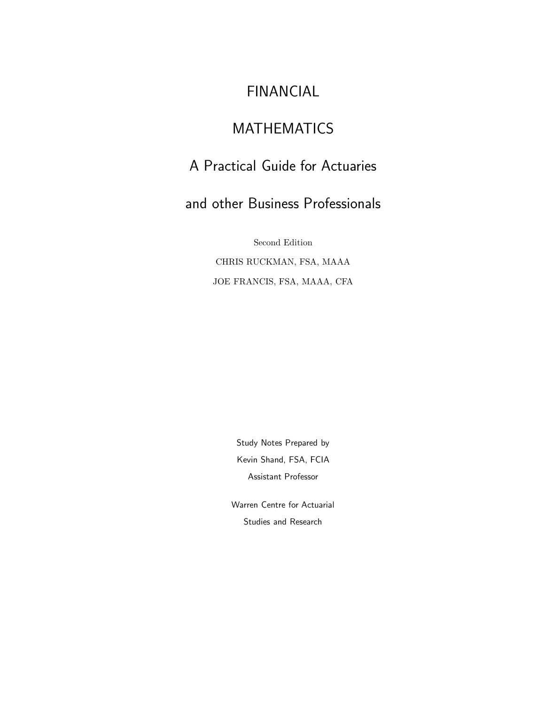# FINANCIAL

# MATHEMATICS

# A Practical Guide for Actuaries

# and other Business Professionals

Second Edition CHRIS RUCKMAN, FSA, MAAA JOE FRANCIS, FSA, MAAA, CFA

> Study Notes Prepared by Kevin Shand, FSA, FCIA Assistant Professor

Warren Centre for Actuarial Studies and Research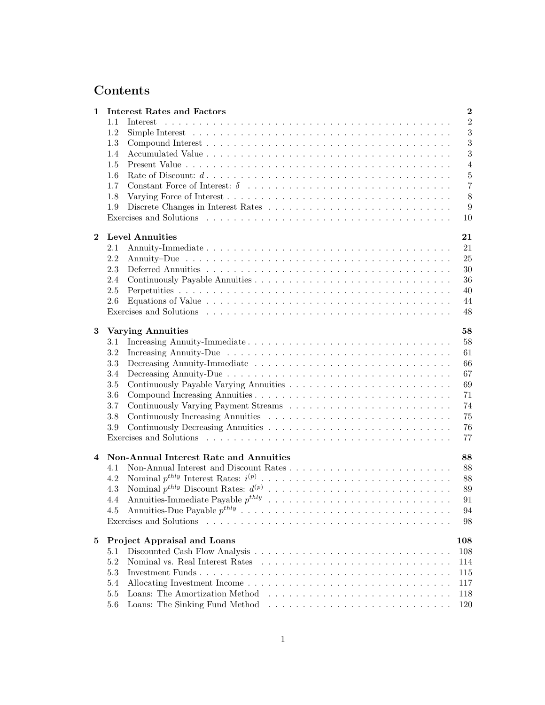# **Contents**

| 1        |         | <b>Interest Rates and Factors</b>                                                                                | $\overline{2}$ |  |  |
|----------|---------|------------------------------------------------------------------------------------------------------------------|----------------|--|--|
|          | 1.1     | Interest                                                                                                         | $\overline{2}$ |  |  |
|          | 1.2     |                                                                                                                  | 3              |  |  |
|          | 1.3     |                                                                                                                  | 3              |  |  |
|          | 1.4     |                                                                                                                  | 3              |  |  |
|          | 1.5     |                                                                                                                  | $\overline{4}$ |  |  |
|          | 1.6     | Rate of Discount: $d \ldots \ldots \ldots \ldots \ldots \ldots \ldots \ldots \ldots \ldots \ldots \ldots \ldots$ | $\bf 5$        |  |  |
|          | 1.7     |                                                                                                                  | $\overline{7}$ |  |  |
|          | 1.8     |                                                                                                                  | 8              |  |  |
|          | 1.9     |                                                                                                                  | 9              |  |  |
|          |         |                                                                                                                  | 10             |  |  |
|          |         |                                                                                                                  |                |  |  |
| $\bf{2}$ |         | <b>Level Annuities</b>                                                                                           | 21             |  |  |
|          | 2.1     |                                                                                                                  | 21             |  |  |
|          | 2.2     |                                                                                                                  | 25             |  |  |
|          | 2.3     |                                                                                                                  | 30             |  |  |
|          | 2.4     |                                                                                                                  | 36             |  |  |
|          | 2.5     |                                                                                                                  | 40             |  |  |
|          | 2.6     |                                                                                                                  | 44             |  |  |
|          |         |                                                                                                                  | 48             |  |  |
|          |         |                                                                                                                  |                |  |  |
| 3        |         | <b>Varying Annuities</b>                                                                                         | 58             |  |  |
|          | 3.1     | Increasing Annuity-Immediate                                                                                     | 58             |  |  |
|          | 3.2     |                                                                                                                  | 61             |  |  |
|          | 3.3     |                                                                                                                  | 66             |  |  |
|          | 3.4     |                                                                                                                  | 67             |  |  |
|          | 3.5     |                                                                                                                  | 69             |  |  |
|          | 3.6     |                                                                                                                  | 71             |  |  |
|          | 3.7     |                                                                                                                  | 74             |  |  |
|          | 3.8     |                                                                                                                  | 75             |  |  |
|          | 3.9     |                                                                                                                  | 76             |  |  |
|          |         |                                                                                                                  | 77             |  |  |
|          |         |                                                                                                                  |                |  |  |
| 4        |         | Non-Annual Interest Rate and Annuities                                                                           | 88             |  |  |
|          | 4.1     |                                                                                                                  | 88             |  |  |
|          | 4.2     |                                                                                                                  | 88             |  |  |
|          | 4.3     |                                                                                                                  | 89             |  |  |
|          | 4.4     |                                                                                                                  | 91             |  |  |
|          | 4.5     |                                                                                                                  | 94             |  |  |
|          |         | Exercises and Solutions                                                                                          | 98             |  |  |
|          |         |                                                                                                                  |                |  |  |
| 5        |         | Project Appraisal and Loans                                                                                      | 108            |  |  |
|          | 5.1     |                                                                                                                  | 108            |  |  |
|          | 5.2     |                                                                                                                  | 114            |  |  |
|          | $5.3\,$ |                                                                                                                  | 115            |  |  |
|          | 5.4     |                                                                                                                  | 117            |  |  |
|          | 5.5     |                                                                                                                  | 118            |  |  |
|          | 5.6     |                                                                                                                  | 120            |  |  |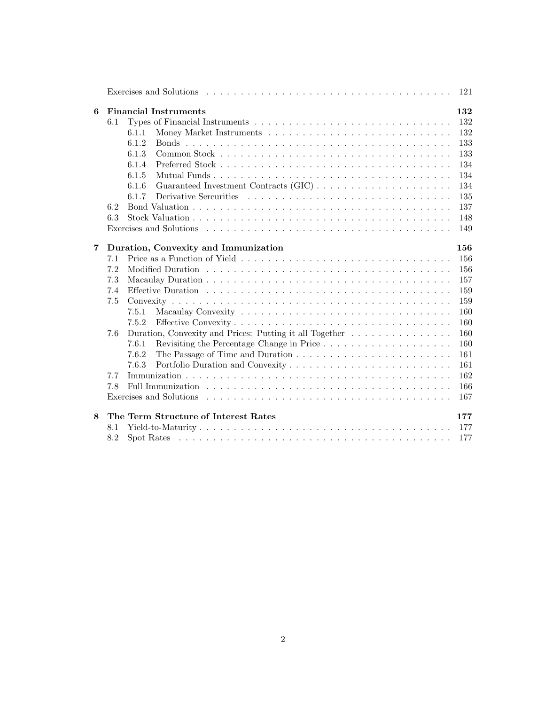|   | Exercises and Solutions entering entering to the contract of the series and solutions entering to the contract of the contract of the contract of the contract of the contract of the contract of the contract of the contract<br>121                                                                         |
|---|---------------------------------------------------------------------------------------------------------------------------------------------------------------------------------------------------------------------------------------------------------------------------------------------------------------|
| 6 | <b>Financial Instruments</b><br>132<br>132<br>6.1<br>132<br>6.1.1<br>6.1.2<br>133<br>6.1.3<br>133<br>134<br>6.1.4<br>6.1.5<br>134<br>134<br>6.1.6<br>135<br>6.1.7                                                                                                                                             |
|   | 137<br>6.2<br>6.3<br>148<br>149                                                                                                                                                                                                                                                                               |
| 7 | Duration, Convexity and Immunization<br>156<br>156<br>7.1<br>7.2<br>156<br>7.3<br>157<br>159<br>7.4<br>7.5<br>159<br>160<br>7.5.1<br>160<br>7.5.2<br>Duration, Convexity and Prices: Putting it all Together<br>160<br>7.6<br>7.6.1<br>160<br>161<br>7.6.2<br>161<br>7.6.3<br>162<br>7.7<br>166<br>7.8<br>167 |
| 8 | The Term Structure of Interest Rates<br>177<br>$Yield-to-Maturity \dots \dots \dots \dots \dots \dots \dots \dots \dots \dots \dots \dots \dots \dots \dots$<br>177<br>8.1<br>8.2<br>177                                                                                                                      |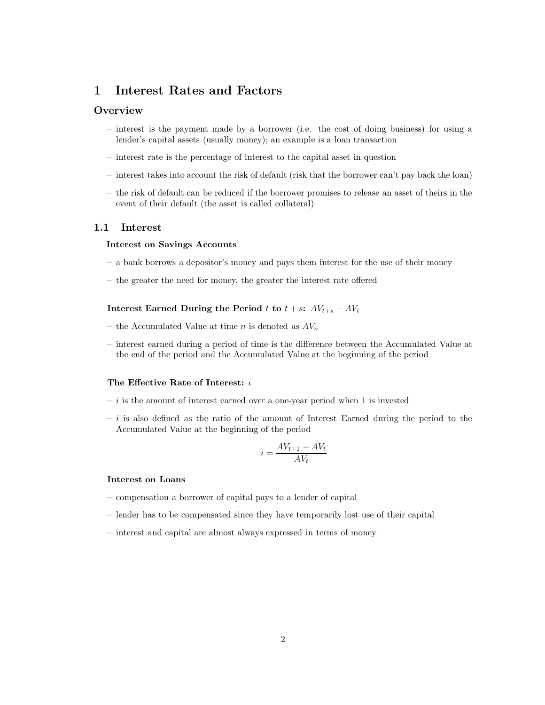# **1 Interest Rates and Factors**

# **Overview**

- interest is the payment made by a borrower (i.e. the cost of doing business) for using a lender's capital assets (usually money); an example is a loan transaction
- interest rate is the percentage of interest to the capital asset in question
- interest takes into account the risk of default (risk that the borrower can't pay back the loan)
- the risk of default can be reduced if the borrower promises to release an asset of theirs in the event of their default (the asset is called collateral)

### **1.1 Interest**

#### **Interest on Savings Accounts**

- a bank borrows a depositor's money and pays them interest for the use of their money
- the greater the need for money, the greater the interest rate offered

**Interest Earned During the Period** t **to**  $t + s$ **:**  $AV_{t+s} - AV_t$ 

- the Accumulated Value at time n is denoted as  $AV_n$
- interest earned during a period of time is the difference between the Accumulated Value at the end of the period and the Accumulated Value at the beginning of the period

#### **The Effective Rate of Interest:** i

- $i$  is the amount of interest earned over a one-year period when 1 is invested
- $-i$  is also defined as the ratio of the amount of Interest Earned during the period to the Accumulated Value at the beginning of the period

$$
i = \frac{AV_{t+1} - AV_t}{AV_t}
$$

# **Interest on Loans**

- compensation a borrower of capital pays to a lender of capital
- lender has to be compensated since they have temporarily lost use of their capital
- interest and capital are almost always expressed in terms of money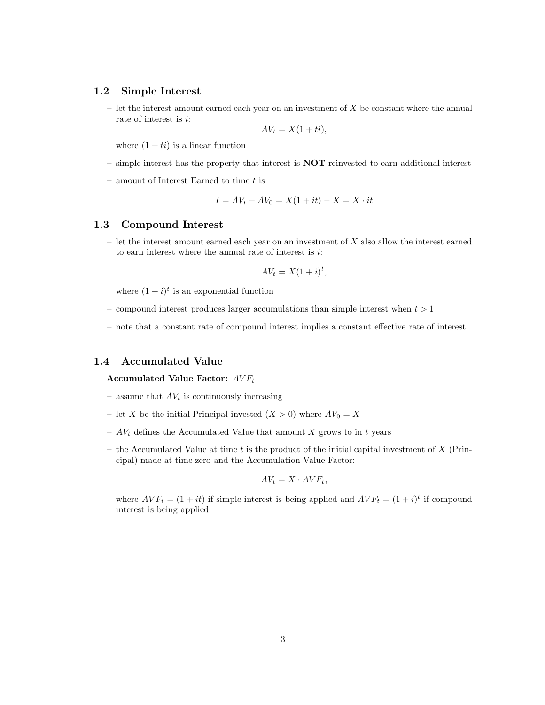### **1.2 Simple Interest**

 $-$  let the interest amount earned each year on an investment of  $X$  be constant where the annual rate of interest is i:

$$
AV_t = X(1+ti),
$$

where  $(1 + ti)$  is a linear function

- simple interest has the property that interest is **NOT** reinvested to earn additional interest
- $-$  amount of Interest Earned to time  $t$  is

$$
I = AV_t - AV_0 = X(1 + it) - X = X \cdot it
$$

### **1.3 Compound Interest**

 $-$  let the interest amount earned each year on an investment of X also allow the interest earned to earn interest where the annual rate of interest is  $i$ :

$$
AV_t = X(1+i)^t,
$$

where  $(1 + i)^t$  is an exponential function

- compound interest produces larger accumulations than simple interest when  $t > 1$
- note that a constant rate of compound interest implies a constant effective rate of interest

# **1.4 Accumulated Value**

**Accumulated Value Factor:**  $AVF_t$ 

- assume that  $AV_t$  is continuously increasing
- let X be the initial Principal invested  $(X > 0)$  where  $AV_0 = X$
- $AV_t$  defines the Accumulated Value that amount X grows to in t years
- the Accumulated Value at time t is the product of the initial capital investment of  $X$  (Principal) made at time zero and the Accumulation Value Factor:

$$
AV_t = X \cdot AVF_t,
$$

where  $AVF_t = (1 + it)$  if simple interest is being applied and  $AVF_t = (1 + i)^t$  if compound interest is being applied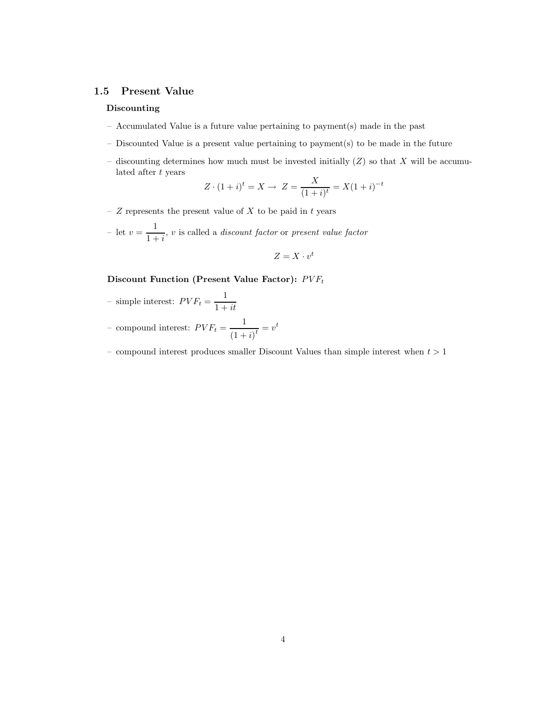# **1.5 Present Value**

#### **Discounting**

- Accumulated Value is a future value pertaining to payment(s) made in the past
- Discounted Value is a present value pertaining to payment(s) to be made in the future
- discounting determines how much must be invested initially  $(Z)$  so that X will be accumulated after t years

$$
Z \cdot (1+i)^t = X \to Z = \frac{X}{(1+i)^t} = X(1+i)^{-t}
$$

–  $Z$  represents the present value of  $X$  to be paid in  $t$  years

- let  $v = \frac{1}{1+i}$ , v is called a *discount factor* or *present value factor* 

$$
Z = X \cdot v^t
$$

# **Discount Function (Present Value Factor):**  $PVF_t$

- simple interest: 
$$
PVF_t = \frac{1}{1 + it}
$$

– compound interest:  $PVF_t = \frac{1}{\sqrt{1-\frac{1}{2}}}$  $\frac{1}{(1+i)^t} = v^t$ 

– compound interest produces smaller Discount Values than simple interest when  $t > 1$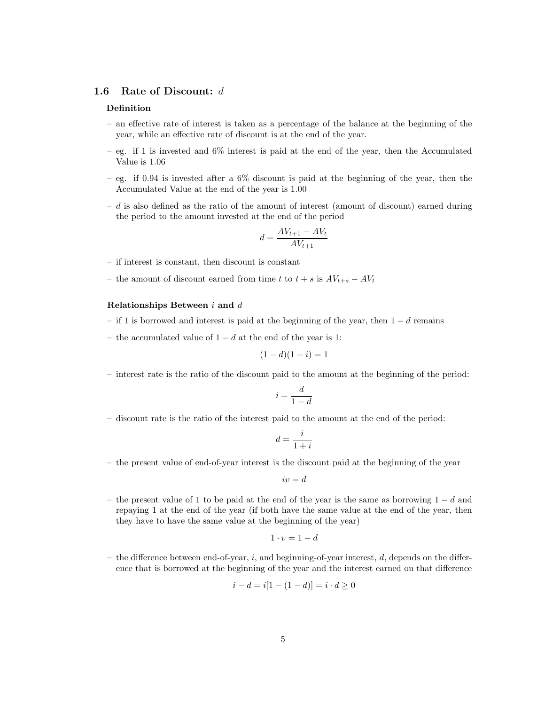### **1.6 Rate of Discount:** d

#### **Definition**

- an effective rate of interest is taken as a percentage of the balance at the beginning of the year, while an effective rate of discount is at the end of the year.
- $-$  eg. if 1 is invested and 6% interest is paid at the end of the year, then the Accumulated Value is 1.06
- eg. if 0.94 is invested after a  $6\%$  discount is paid at the beginning of the year, then the Accumulated Value at the end of the year is 1.00
- $d$  is also defined as the ratio of the amount of interest (amount of discount) earned during the period to the amount invested at the end of the period

$$
d = \frac{AV_{t+1} - AV_t}{AV_{t+1}}
$$

- if interest is constant, then discount is constant
- the amount of discount earned from time t to  $t + s$  is  $AV_{t+s} AV_t$

#### **Relationships Between** i **and** d

- if 1 is borrowed and interest is paid at the beginning of the year, then  $1 d$  remains
- the accumulated value of  $1 d$  at the end of the year is 1:

$$
(1-d)(1+i) = 1
$$

– interest rate is the ratio of the discount paid to the amount at the beginning of the period:

$$
i = \frac{d}{1-d}
$$

– discount rate is the ratio of the interest paid to the amount at the end of the period:

$$
d = \frac{i}{1+i}
$$

– the present value of end-of-year interest is the discount paid at the beginning of the year

$$
iv=d
$$

– the present value of 1 to be paid at the end of the year is the same as borrowing  $1 - d$  and repaying 1 at the end of the year (if both have the same value at the end of the year, then they have to have the same value at the beginning of the year)

$$
1 \cdot v = 1 - d
$$

– the difference between end-of-year,  $i$ , and beginning-of-year interest,  $d$ , depends on the difference that is borrowed at the beginning of the year and the interest earned on that difference

$$
i - d = i[1 - (1 - d)] = i \cdot d \ge 0
$$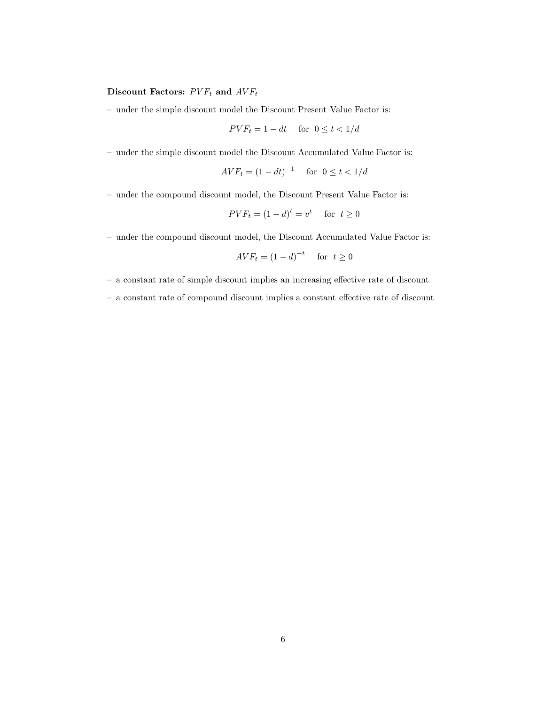# **Discount Factors:**  $PVF_t$  and  $AVF_t$

– under the simple discount model the Discount Present Value Factor is:

$$
PVF_t = 1 - dt \quad \text{for } 0 \le t < 1/d
$$

– under the simple discount model the Discount Accumulated Value Factor is:

$$
AVF_t = (1 - dt)^{-1} \quad \text{for } 0 \le t < 1/d
$$

– under the compound discount model, the Discount Present Value Factor is:

$$
PVF_t = (1 - d)^t = v^t \quad \text{ for } t \ge 0
$$

– under the compound discount model, the Discount Accumulated Value Factor is:

$$
AVF_t = (1 - d)^{-t} \quad \text{for } t \ge 0
$$

– a constant rate of simple discount implies an increasing effective rate of discount

– a constant rate of compound discount implies a constant effective rate of discount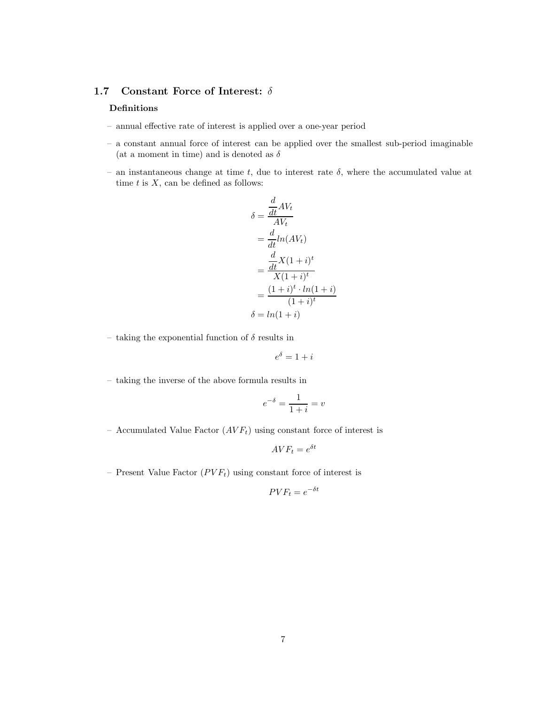# **1.7 Constant Force of Interest:** δ

# **Definitions**

- annual effective rate of interest is applied over a one-year period
- a constant annual force of interest can be applied over the smallest sub-period imaginable (at a moment in time) and is denoted as  $\delta$
- an instantaneous change at time t, due to interest rate  $\delta$ , where the accumulated value at time  $t$  is  $X$ , can be defined as follows:

$$
\delta = \frac{\frac{d}{dt}AV_t}{AV_t}
$$
  
= 
$$
\frac{d}{dt}ln(AV_t)
$$
  
= 
$$
\frac{\frac{d}{dt}X(1+i)^t}{X(1+i)^t}
$$
  
= 
$$
\frac{(1+i)^t \cdot ln(1+i)}{(1+i)^t}
$$
  

$$
\delta = ln(1+i)
$$

– taking the exponential function of  $\delta$  results in

$$
e^{\delta} = 1 + i
$$

– taking the inverse of the above formula results in

$$
e^{-\delta} = \frac{1}{1+i} = v
$$

– Accumulated Value Factor  $(AVF_t)$  using constant force of interest is

$$
AVF_t = e^{\delta t}
$$

– Present Value Factor  $(PVF_t)$  using constant force of interest is

$$
PVF_t = e^{-\delta t}
$$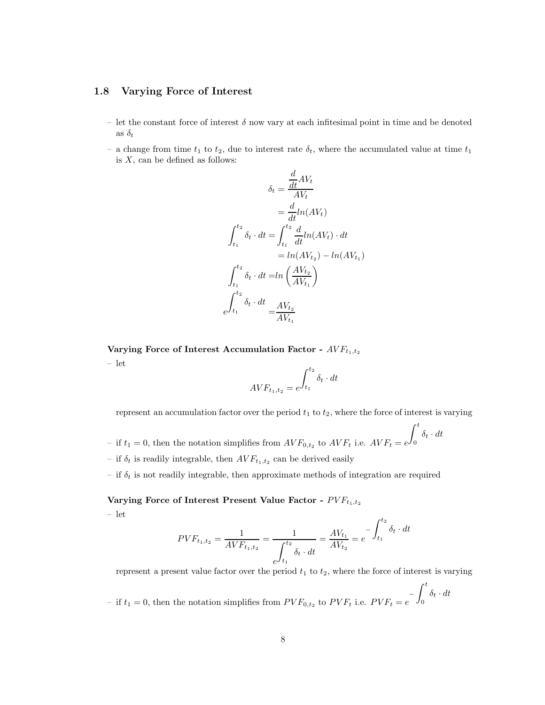# **1.8 Varying Force of Interest**

- let the constant force of interest  $\delta$  now vary at each infitesimal point in time and be denoted as  $\delta_t$
- a change from time  $t_1$  to  $t_2$ , due to interest rate  $\delta_t$ , where the accumulated value at time  $t_1$ is  $X$ , can be defined as follows:

$$
\delta_t = \frac{\frac{d}{dt}AV_t}{AV_t}
$$

$$
= \frac{d}{dt}ln(AV_t)
$$

$$
\int_{t_1}^{t_2} \delta_t \cdot dt = \int_{t_1}^{t_2} \frac{d}{dt}ln(AV_t) \cdot dt
$$

$$
= ln(AV_{t_2}) - ln(AV_{t_1})
$$

$$
\int_{t_1}^{t_2} \delta_t \cdot dt = ln\left(\frac{AV_{t_2}}{AV_{t_1}}\right)
$$

$$
e^{\int_{t_1}^{t_2} \delta_t \cdot dt} = \frac{AV_{t_2}}{AV_{t_1}}
$$

Varying Force of Interest Accumulation Factor -  $AVF_{t_1,t_2}$ – let

$$
AVF_{t_1, t_2} = e^{\int_{t_1}^{t_2} \delta_t \cdot dt}
$$

represent an accumulation factor over the period  $t_1$  to  $t_2$ , where the force of interest is varying

- if  $t_1 = 0$ , then the notation simplifies from  $AVF_{0,t_2}$  to  $AVF_t$  i.e.  $AVF_t = e$  $\int_0^t$  $\delta_t \cdot dt$
- if  $\delta_t$  is readily integrable, then  $AVF_{t_1,t_2}$  can be derived easily
- if  $\delta_t$  is not readily integrable, then approximate methods of integration are required

**Varying Force of Interest Present Value Factor -**  $PVF_{t_1,t_2}$ 

$$
-
$$
 let

$$
PVF_{t_1,t_2} = \frac{1}{AVF_{t_1,t_2}} = \frac{1}{\int_{t_1}^{t_2} \delta_t \cdot dt} = \frac{AV_{t_1}}{AV_{t_2}} = e^{-\int_{t_1}^{t_2} \delta_t \cdot dt}
$$

represent a present value factor over the period  $t_1$  to  $t_2$ , where the force of interest is varying

– if  $t_1 = 0$ , then the notation simplifies from  $PVF_{0,t_2}$  to  $PVF_t$  i.e.  $PVF_t = e^{-\int_0^t$  $\int_0^{\pi} \delta_t \cdot dt$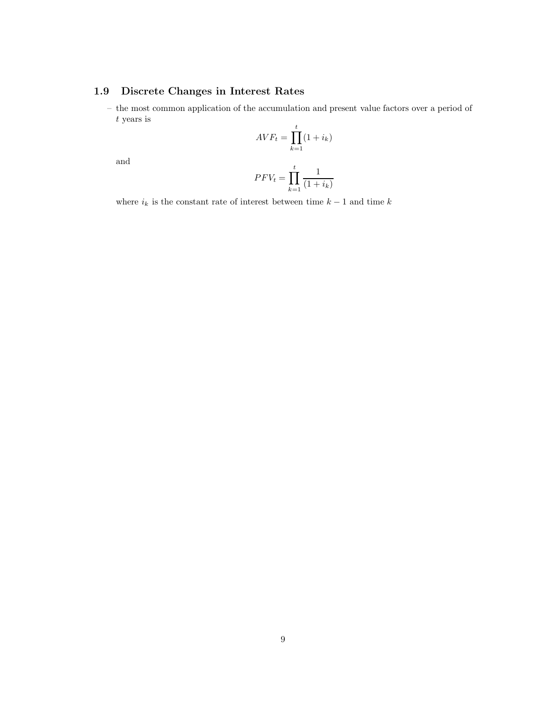# **1.9 Discrete Changes in Interest Rates**

– the most common application of the accumulation and present value factors over a period of t years is

$$
AVF_t = \prod_{k=1}^t (1 + i_k)
$$

and

$$
PFV_t = \prod_{k=1}^t \frac{1}{(1+i_k)}
$$

where  $i_k$  is the constant rate of interest between time  $k-1$  and time  $k$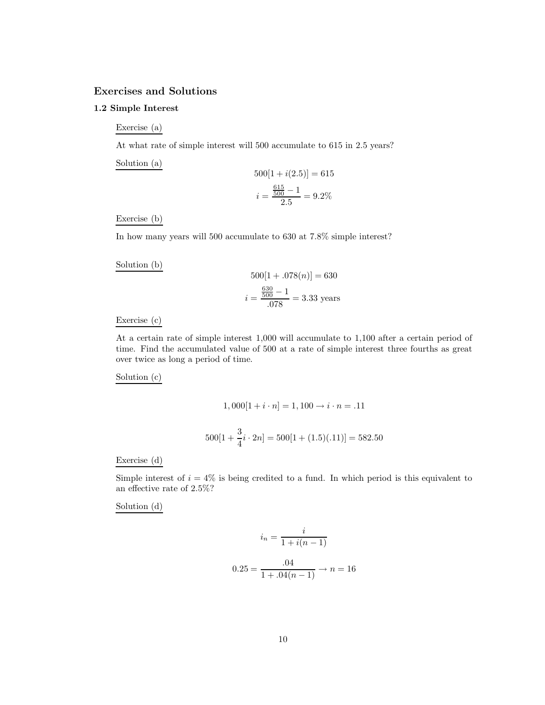# **Exercises and Solutions**

# **1.2 Simple Interest**

Exercise (a)

At what rate of simple interest will 500 accumulate to 615 in 2.5 years?

Solution (a)

$$
500[1 + i(2.5)] = 615
$$

$$
i = \frac{\frac{615}{500} - 1}{2.5} = 9.2\%
$$

#### Exercise (b)

In how many years will 500 accumulate to 630 at 7.8% simple interest?

Solution (b)

$$
500[1 + .078(n)] = 630
$$

$$
i = \frac{\frac{630}{500} - 1}{.078} = 3.33
$$
 years

Exercise (c)

At a certain rate of simple interest 1,000 will accumulate to 1,100 after a certain period of time. Find the accumulated value of 500 at a rate of simple interest three fourths as great over twice as long a period of time.

Solution (c)

$$
1,000[1+i\cdot n] = 1,100 \rightarrow i\cdot n = .11
$$

$$
500[1 + \frac{3}{4}i \cdot 2n] = 500[1 + (1.5)(.11)] = 582.50
$$

Exercise (d)

Simple interest of  $i = 4\%$  is being credited to a fund. In which period is this equivalent to an effective rate of 2.5%?

Solution (d)

$$
i_n = \frac{i}{1 + i(n - 1)}
$$

$$
0.25 = \frac{.04}{1 + .04(n - 1)} \to n = 16
$$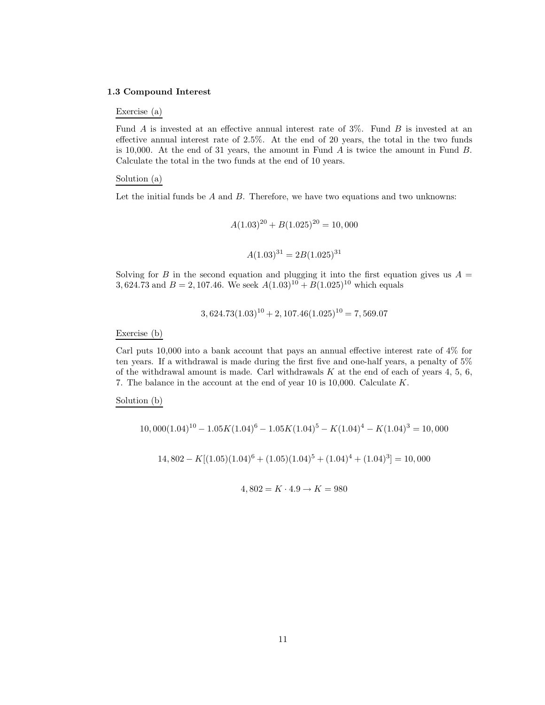#### **1.3 Compound Interest**

#### Exercise (a)

Fund A is invested at an effective annual interest rate of 3%. Fund B is invested at an effective annual interest rate of 2.5%. At the end of 20 years, the total in the two funds is 10,000. At the end of 31 years, the amount in Fund  $\ddot{A}$  is twice the amount in Fund  $\ddot{B}$ . Calculate the total in the two funds at the end of 10 years.

#### Solution (a)

Let the initial funds be  $A$  and  $B$ . Therefore, we have two equations and two unknowns:

$$
A(1.03)^{20} + B(1.025)^{20} = 10,000
$$

$$
A(1.03)^{31} = 2B(1.025)^{31}
$$

Solving for B in the second equation and plugging it into the first equation gives us  $A =$ 3, 624.73 and  $B = 2$ , 107.46. We seek  $A(1.03)^{10} + B(1.025)^{10}$  which equals

$$
3,624.73(1.03)^{10} + 2,107.46(1.025)^{10} = 7,569.07
$$

Exercise (b)

Carl puts 10,000 into a bank account that pays an annual effective interest rate of 4% for ten years. If a withdrawal is made during the first five and one-half years, a penalty of 5% of the withdrawal amount is made. Carl withdrawals  $K$  at the end of each of years 4, 5, 6, 7. The balance in the account at the end of year 10 is 10,000. Calculate K.

Solution (b)

$$
10,000(1.04)^{10} - 1.05K(1.04)^{6} - 1.05K(1.04)^{5} - K(1.04)^{4} - K(1.04)^{3} = 10,000
$$
  

$$
14,802 - K[(1.05)(1.04)^{6} + (1.05)(1.04)^{5} + (1.04)^{4} + (1.04)^{3}] = 10,000
$$

$$
4,802 = K \cdot 4.9 \to K = 980
$$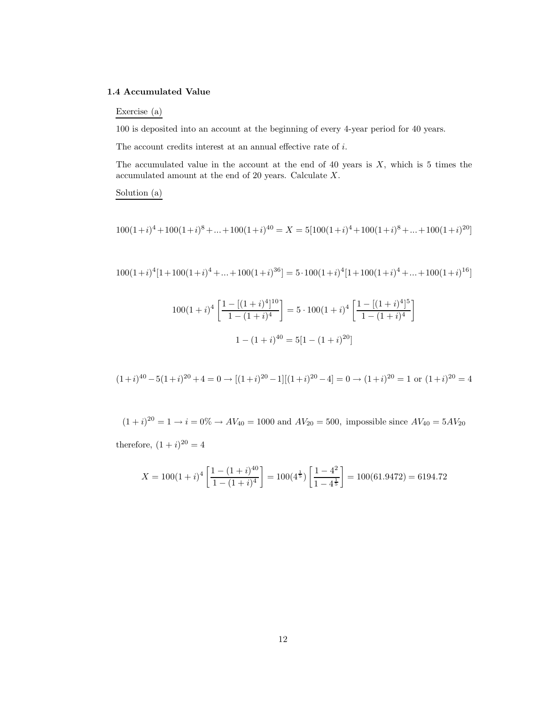#### **1.4 Accumulated Value**

# Exercise (a)

100 is deposited into an account at the beginning of every 4-year period for 40 years.

The account credits interest at an annual effective rate of  $i$ .

The accumulated value in the account at the end of 40 years is  $X$ , which is 5 times the accumulated amount at the end of 20 years. Calculate X.

Solution (a)

$$
100(1+i)^4 + 100(1+i)^8 + \dots + 100(1+i)^{40} = X = 5[100(1+i)^4 + 100(1+i)^8 + \dots + 100(1+i)^{20}]
$$

 $100(1+i)^4[1+100(1+i)^4+...+100(1+i)^{36}] = 5 \cdot 100(1+i)^4[1+100(1+i)^4+...+100(1+i)^{16}]$ 

$$
100(1+i)^4 \left[ \frac{1 - [(1+i)^4]^{10}}{1 - (1+i)^4} \right] = 5 \cdot 100(1+i)^4 \left[ \frac{1 - [(1+i)^4]^{5}}{1 - (1+i)^4} \right]
$$

$$
1 - (1+i)^{40} = 5[1 - (1+i)^{20}]
$$

1

$$
(1+i)^{40} - 5(1+i)^{20} + 4 = 0 \rightarrow [(1+i)^{20} - 1][(1+i)^{20} - 4] = 0 \rightarrow (1+i)^{20} = 1
$$
 or  $(1+i)^{20} = 4$ 

 $(1+i)^{20} = 1 \rightarrow i = 0\% \rightarrow AV_{40} = 1000$  and  $AV_{20} = 500$ , impossible since  $AV_{40} = 5AV_{20}$ therefore,  $(1 + i)^{20} = 4$ 

$$
X = 100(1+i)^4 \left[ \frac{1 - (1+i)^{40}}{1 - (1+i)^4} \right] = 100(4^{\frac{1}{5}}) \left[ \frac{1 - 4^2}{1 - 4^{\frac{1}{5}}} \right] = 100(61.9472) = 6194.72
$$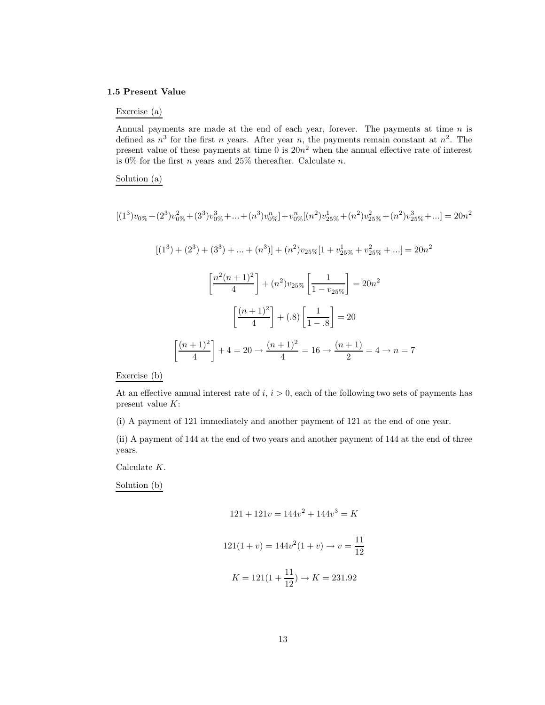#### **1.5 Present Value**

# Exercise (a)

Annual payments are made at the end of each year, forever. The payments at time  $n$  is defined as  $n^3$  for the first n years. After year n, the payments remain constant at  $n^2$ . The present value of these payments at time  $\hat{0}$  is  $20n^2$  when the annual effective rate of interest is 0% for the first *n* years and 25% thereafter. Calculate *n*.

#### Solution (a)

$$
[(1^3)v_{0\%} + (2^3)v_{0\%}^2 + (3^3)v_{0\%}^3 + \dots + (n^3)v_{0\%}^n] + v_{0\%}^n[(n^2)v_{25\%}^1 + (n^2)v_{25\%}^2 + (n^2)v_{25\%}^3 + \dots] = 20n^2
$$
  

$$
[(1^3) + (2^3) + (3^3) + \dots + (n^3)] + (n^2)v_{25\%}[1 + v_{25\%}^1 + v_{25\%}^2 + \dots] = 20n^2
$$
  

$$
\left[\frac{n^2(n+1)^2}{4}\right] + (n^2)v_{25\%}\left[\frac{1}{1 - v_{25\%}}\right] = 20n^2
$$
  

$$
\left[\frac{(n+1)^2}{4}\right] + (0.8)\left[\frac{1}{1 - 0.8}\right] = 20
$$
  

$$
\left[\frac{(n+1)^2}{4}\right] + 4 = 20 \rightarrow \frac{(n+1)^2}{4} = 16 \rightarrow \frac{(n+1)}{2} = 4 \rightarrow n = 7
$$

Exercise (b)

At an effective annual interest rate of i,  $i > 0$ , each of the following two sets of payments has present value K:

(i) A payment of 121 immediately and another payment of 121 at the end of one year.

(ii) A payment of 144 at the end of two years and another payment of 144 at the end of three years.

Calculate K.

Solution (b)

$$
121 + 121v = 144v^{2} + 144v^{3} = K
$$

$$
121(1 + v) = 144v^{2}(1 + v) \rightarrow v = \frac{11}{12}
$$

$$
K = 121(1 + \frac{11}{12}) \rightarrow K = 231.92
$$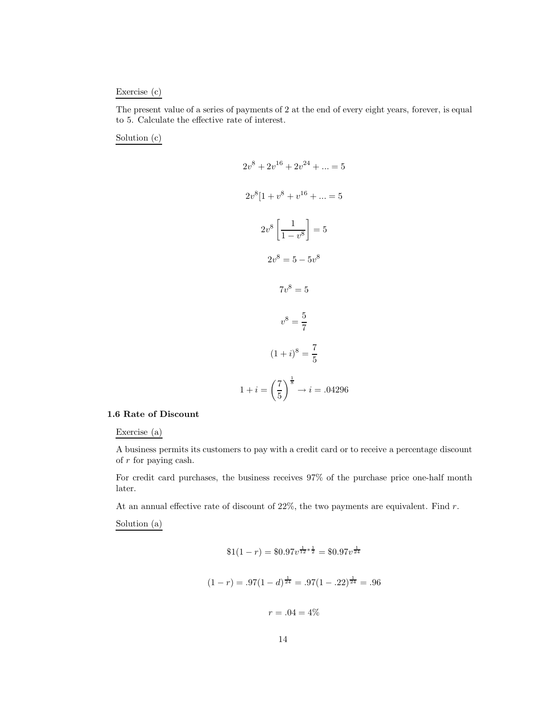#### Exercise (c)

The present value of a series of payments of 2 at the end of every eight years, forever, is equal to 5. Calculate the effective rate of interest.

Solution (c)

$$
2v^{8} + 2v^{16} + 2v^{24} + \dots = 5
$$
  

$$
2v^{8}[1 + v^{8} + v^{16} + \dots = 5
$$
  

$$
2v^{8} \left[\frac{1}{1 - v^{8}}\right] = 5
$$
  

$$
2v^{8} = 5 - 5v^{8}
$$
  

$$
7v^{8} = 5
$$
  

$$
v^{8} = \frac{5}{7}
$$
  

$$
(1 + i)^{8} = \frac{7}{5}
$$
  

$$
1 + i = \left(\frac{7}{5}\right)^{\frac{1}{8}} \rightarrow i = .04296
$$

### **1.6 Rate of Discount**

Exercise (a)

A business permits its customers to pay with a credit card or to receive a percentage discount of r for paying cash.

For credit card purchases, the business receives 97% of the purchase price one-half month later.

At an annual effective rate of discount of  $22\%$ , the two payments are equivalent. Find  $r$ .

Solution (a)

$$
$1(1-r) = $0.97v^{\frac{1}{12}*\frac{1}{2}} = $0.97v^{\frac{1}{24}}
$$

$$
(1-r) = .97(1-d)^{\frac{1}{24}} = .97(1-.22)^{\frac{1}{24}} = .96
$$

$$
r = .04 = 4\%
$$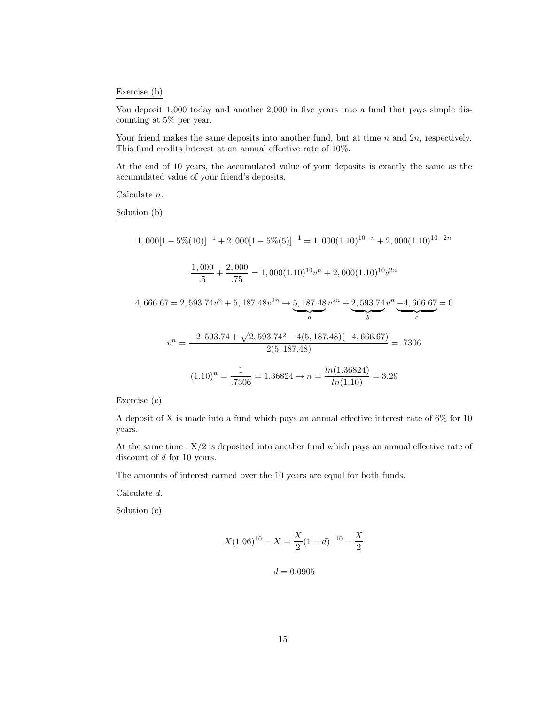#### Exercise (b)

You deposit 1,000 today and another 2,000 in five years into a fund that pays simple discounting at 5% per year.

Your friend makes the same deposits into another fund, but at time n and  $2n$ , respectively. This fund credits interest at an annual effective rate of 10%.

At the end of 10 years, the accumulated value of your deposits is exactly the same as the accumulated value of your friend's deposits.

Calculate n.

Solution (b)

$$
1,000[1-5\%(10)]^{-1} + 2,000[1-5\%(5)]^{-1} = 1,000(1.10)^{10-n} + 2,000(1.10)^{10-2n}
$$

$$
\frac{1,000}{.5} + \frac{2,000}{.75} = 1,000(1.10)^{10}v^n + 2,000(1.10)^{10}v^{2n}
$$

 $4,666.67 = 2,593.74v^{n} + 5,187.48v^{2n} \rightarrow 5,187.48$  $a$  $v^{2n} + 2,593.74$  $\overrightarrow{b}$  $v^n - 4,666.67$  $\frac{c}{c}$  $= 0$  $v^{n} = \frac{-2,593.74 + \sqrt{2,593.74^{2} - 4(5,187.48)(-4,666.67)}}{2(5,187.48)} = .7306$  $(1.10)^n = \frac{1}{.7306} = 1.36824 \rightarrow n = \frac{ln(1.36824)}{ln(1.10)} = 3.29$ 

$$
Exercise (c)
$$

A deposit of X is made into a fund which pays an annual effective interest rate of 6% for 10 years.

At the same time , X/2 is deposited into another fund which pays an annual effective rate of discount of d for 10 years.

The amounts of interest earned over the 10 years are equal for both funds.

Calculate d.

Solution (c)

$$
X(1.06)^{10} - X = \frac{X}{2}(1-d)^{-10} - \frac{X}{2}
$$

$$
d = 0.0905
$$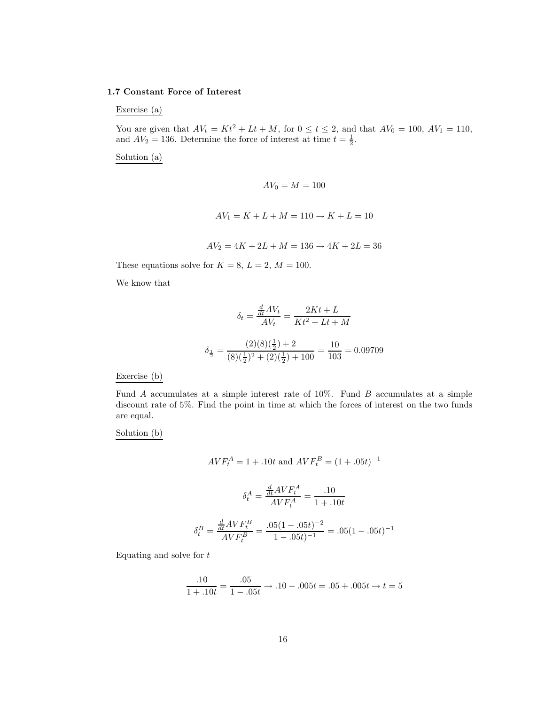#### **1.7 Constant Force of Interest**

Exercise (a)

You are given that  $AV_t = Kt^2 + Lt + M$ , for  $0 \le t \le 2$ , and that  $AV_0 = 100$ ,  $AV_1 = 110$ , and  $AV_2 = 136$ . Determine the force of interest at time  $t = \frac{1}{2}$ .

Solution (a)

$$
AV_0 = M = 100
$$
  

$$
AV_1 = K + L + M = 110 \rightarrow K + L = 10
$$

$$
AV_2 = 4K + 2L + M = 136 \rightarrow 4K + 2L = 36
$$

These equations solve for  $K = 8$ ,  $L = 2$ ,  $M = 100$ .

We know that

$$
\delta_t = \frac{\frac{d}{dt}AV_t}{AV_t} = \frac{2Kt + L}{Kt^2 + Lt + M}
$$

$$
\delta_{\frac{1}{2}} = \frac{(2)(8)(\frac{1}{2}) + 2}{(8)(\frac{1}{2})^2 + (2)(\frac{1}{2}) + 100} = \frac{10}{103} = 0.09709
$$

Exercise (b)

Fund  $A$  accumulates at a simple interest rate of 10%. Fund  $B$  accumulates at a simple discount rate of 5%. Find the point in time at which the forces of interest on the two funds are equal.

Solution (b)

$$
AVF_t^A = 1 + .10t \text{ and } AVF_t^B = (1 + .05t)^{-1}
$$

$$
\delta_t^A = \frac{\frac{d}{dt}AVF_t^A}{AVF_t^A} = \frac{.10}{1 + .10t}
$$

$$
{}_{sB} \frac{d}{dt} AVF_t^B \qquad .05(1 - .05t)^{-2} \qquad 0.5(1 - .05t)^{-2}
$$

$$
\delta_t^B = \frac{\frac{d}{dt}AVF_t^B}{AVF_t^B} = \frac{.05(1 - .05t)^{-2}}{1 - .05t)^{-1}} = .05(1 - .05t)^{-1}
$$

Equating and solve for  $t$ 

$$
\frac{.10}{1+.10t} = \frac{.05}{1-.05t} \rightarrow .10-.005t = .05+.005t \rightarrow t = 5
$$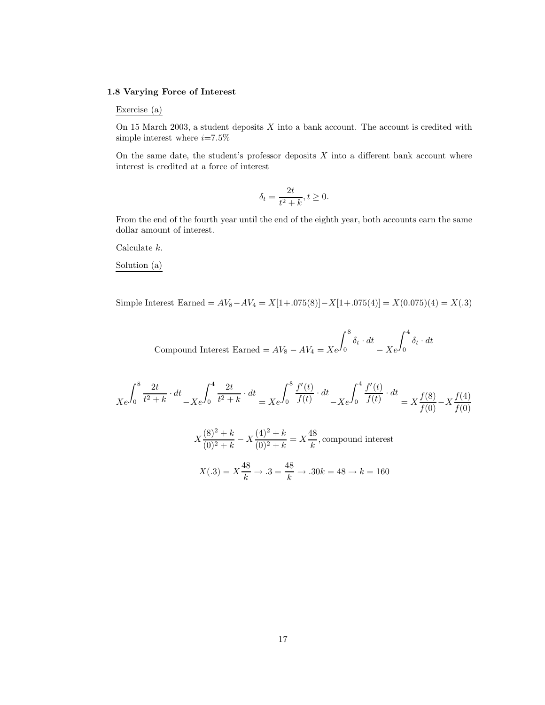#### **1.8 Varying Force of Interest**

#### Exercise (a)

On 15 March 2003, a student deposits  $X$  into a bank account. The account is credited with simple interest where  $i{=}7.5\%$ 

On the same date, the student's professor deposits  $X$  into a different bank account where interest is credited at a force of interest

$$
\delta_t = \frac{2t}{t^2 + k}, t \ge 0.
$$

From the end of the fourth year until the end of the eighth year, both accounts earn the same dollar amount of interest.

Calculate k.

#### Solution (a)

Simple Interest Earned =  $AV_8 - AV_4 = X[1 + .075(8)] - X[1 + .075(4)] = X(0.075)(4) = X(.3)$ 

Compound Interest Earned =  $AV_8 - AV_4 = Xe$  $\int_0^8$  $\delta_t \cdot dt$  $- Xe$  $\int_0^4$  $\delta_t \cdot dt$ 

$$
Xe^{\int_0^8 \frac{2t}{t^2 + k} \cdot dt} - Xe^{\int_0^4 \frac{2t}{t^2 + k} \cdot dt} = Xe^{\int_0^8 \frac{f'(t)}{f(t)} \cdot dt} - Xe^{\int_0^4 \frac{f'(t)}{f(t)} \cdot dt} = X\frac{f(8)}{f(0)} - X\frac{f(4)}{f(0)}
$$

$$
X\frac{(8)^2 + k}{(0)^2 + k} - X\frac{(4)^2 + k}{(0)^2 + k} = X\frac{48}{k}
$$
, compound interest  

$$
X(.3) = X\frac{48}{k} \to .3 = \frac{48}{k} \to .30k = 48 \to k = 160
$$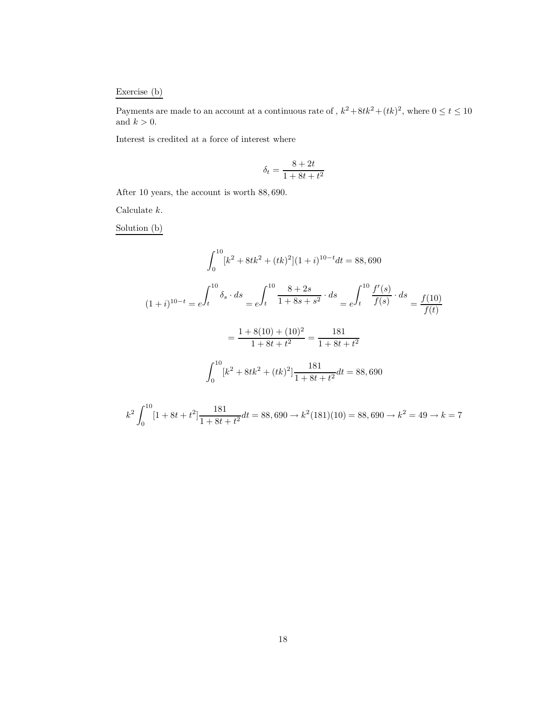# Exercise (b)

Payments are made to an account at a continuous rate of ,  $k^2 + 8tk^2 + (tk)^2$ , where  $0 \le t \le 10$ and  $k > 0$ .

Interest is credited at a force of interest where

$$
\delta_t = \frac{8+2t}{1+8t+t^2}
$$

After 10 years, the account is worth 88, 690.

Calculate  $k$ .

Solution (b)

0

$$
\int_{0}^{10} [k^{2} + 8tk^{2} + (tk)^{2}] (1 + i)^{10-t} dt = 88,690
$$
  

$$
(1 + i)^{10-t} = e^{\int_{t}^{10} \delta_{s} \cdot ds} = e^{\int_{t}^{10} \frac{8 + 2s}{1 + 8s + s^{2}} \cdot ds} = e^{\int_{t}^{10} \frac{f'(s)}{f(s)} \cdot ds} = \frac{f(10)}{f(t)}
$$

$$
= \frac{1 + 8(10) + (10)^{2}}{1 + 8t + t^{2}} = \frac{181}{1 + 8t + t^{2}}
$$

$$
\int_{0}^{10} [k^{2} + 8tk^{2} + (tk)^{2}] \frac{181}{1 + 8t + t^{2}} dt = 88,690
$$

$$
k^{2} \int_{0}^{10} [1 + 8t + t^{2}] \frac{181}{1 + 8t + t^{2}} dt = 88,690 \rightarrow k^{2} (181)(10) = 88,690 \rightarrow k^{2} = 49 \rightarrow k = 7
$$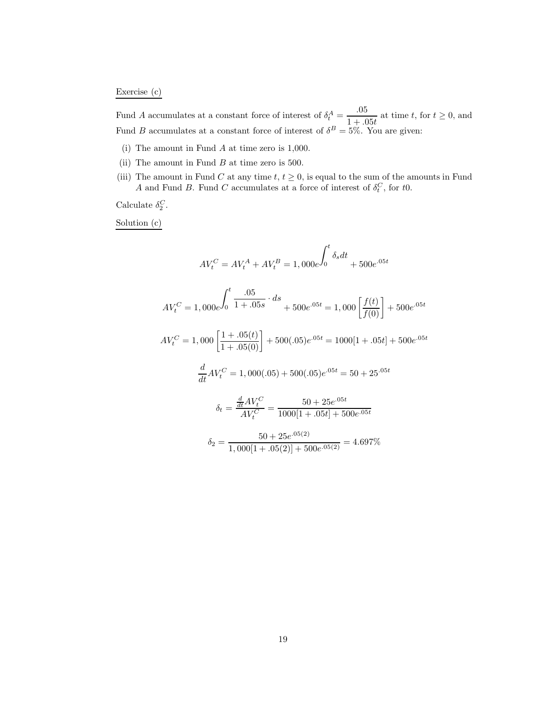# Exercise (c)

Fund A accumulates at a constant force of interest of  $\delta_t^A = \frac{.05}{1 + .05t}$  at time t, for  $t \ge 0$ , and Fund B accumulates at a constant force of interest of  $\delta^B = 5\%$ . You are given:

- (i) The amount in Fund A at time zero is 1,000.
- (ii) The amount in Fund  $B$  at time zero is 500.
- (iii) The amount in Fund C at any time  $t, t \geq 0$ , is equal to the sum of the amounts in Fund A and Fund B. Fund C accumulates at a force of interest of  $\delta_t^C$ , for to.

Calculate  $\delta_2^C$ .

Solution (c)

$$
AV_t^C = AV_t^A + AV_t^B = 1,000e^{\int_0^t \delta_s dt} + 500e^{0.05t}
$$
  
\n
$$
AV_t^C = 1,000e^{\int_0^t \frac{.05}{1+.05s} \cdot ds} + 500e^{0.05t} = 1,000 \left[ \frac{f(t)}{f(0)} \right] + 500e^{0.05t}
$$
  
\n
$$
AV_t^C = 1,000 \left[ \frac{1+.05(t)}{1+.05(0)} \right] + 500(.05)e^{0.05t} = 1000[1+.05t] + 500e^{0.05t}
$$
  
\n
$$
\frac{d}{dt} AV_t^C = 1,000(.05) + 500(.05)e^{0.05t} = 50 + 25e^{0.05t}
$$
  
\n
$$
\delta_t = \frac{\frac{d}{dt} AV_t^C}{AV_t^C} = \frac{50 + 25e^{0.05t}}{1000[1+.05t] + 500e^{0.05t}}
$$
  
\n
$$
\delta_2 = \frac{50 + 25e^{0.05(2)}}{1,000[1+.05(2)] + 500e^{0.05(2)}} = 4.697\%
$$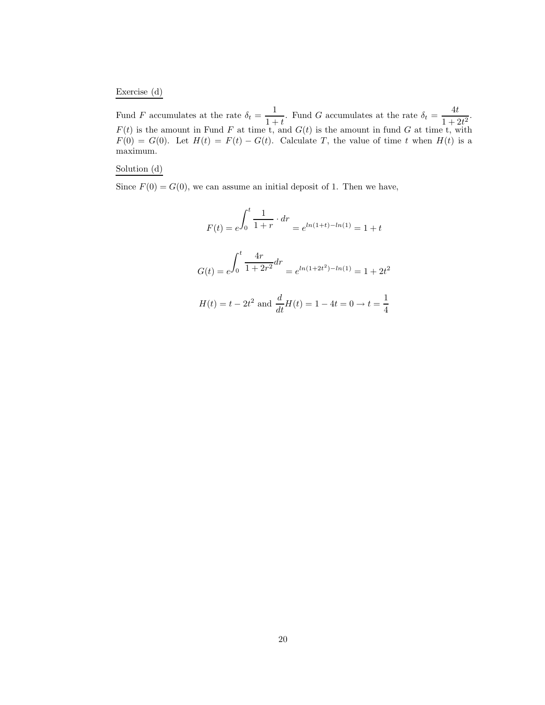Exercise (d)

Fund F accumulates at the rate  $\delta_t = \frac{1}{1+t}$ . Fund G accumulates at the rate  $\delta_t = \frac{4t}{1+2t^2}$ .  $F(t)$  is the amount in Fund F at time t, and  $G(t)$  is the amount in fund G at time t, with  $F(0) = G(0)$ . Let  $H(t) = F(t) - G(t)$ . Calculate T, the value of time t when  $H(t)$  is a maximum.

#### Solution (d)

Since  $F(0) = G(0)$ , we can assume an initial deposit of 1. Then we have,

$$
F(t) = e^{\int_0^t \frac{1}{1+r} \cdot dr} = e^{\ln(1+t) - \ln(1)} = 1+t
$$
  

$$
G(t) = e^{\int_0^t \frac{4r}{1+2r^2} dr} = e^{\ln(1+2t^2) - \ln(1)} = 1+2t^2
$$
  

$$
H(t) = t - 2t^2 \text{ and } \frac{d}{dt}H(t) = 1 - 4t = 0 \to t = \frac{1}{4}
$$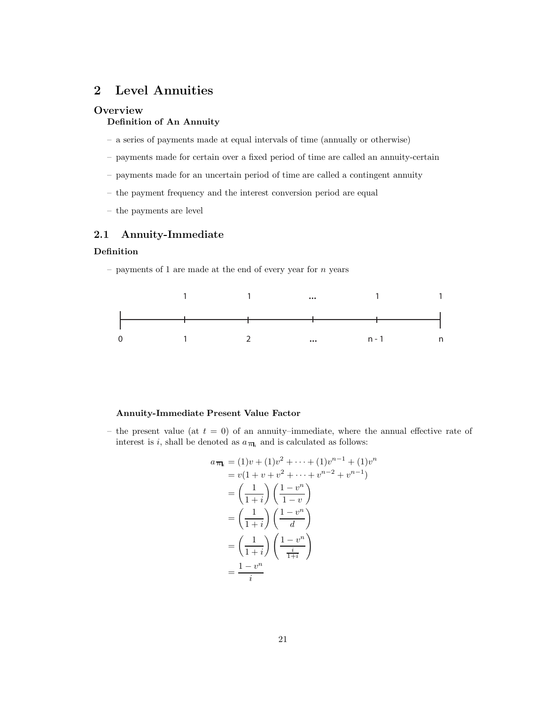# **2 Level Annuities**

# **Overview**

# **Definition of An Annuity**

- a series of payments made at equal intervals of time (annually or otherwise)
- payments made for certain over a fixed period of time are called an annuity-certain
- payments made for an uncertain period of time are called a contingent annuity
- the payment frequency and the interest conversion period are equal
- the payments are level

# **2.1 Annuity-Immediate**

### **Definition**

– payments of 1 are made at the end of every year for  $n$  years



### **Annuity-Immediate Present Value Factor**

– the present value (at  $t = 0$ ) of an annuity–immediate, where the annual effective rate of interest is i, shall be denoted as  $a_{\overline{n}_i}$  and is calculated as follows:

$$
a_{\overline{n}|_i} = (1)v + (1)v^2 + \dots + (1)v^{n-1} + (1)v^n
$$
  
=  $v(1 + v + v^2 + \dots + v^{n-2} + v^{n-1})$   
=  $\left(\frac{1}{1+i}\right) \left(\frac{1-v^n}{1-v}\right)$   
=  $\left(\frac{1}{1+i}\right) \left(\frac{1-v^n}{d}\right)$   
=  $\left(\frac{1}{1+i}\right) \left(\frac{1-v^n}{\frac{i}{1+i}}\right)$   
=  $\frac{1-v^n}{i}$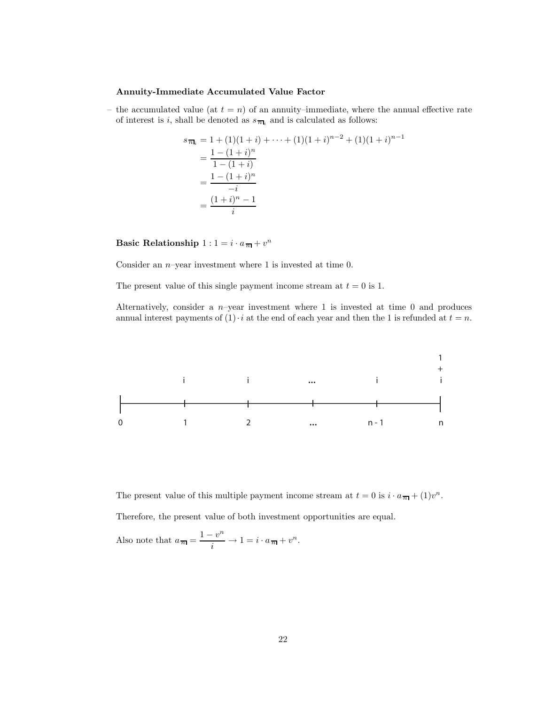#### **Annuity-Immediate Accumulated Value Factor**

– the accumulated value (at  $t = n$ ) of an annuity–immediate, where the annual effective rate of interest is i, shall be denoted as  $s_{\overline{n}_i}$  and is calculated as follows:

$$
s_{\overline{n}_i} = 1 + (1)(1+i) + \dots + (1)(1+i)^{n-2} + (1)(1+i)^{n-1}
$$
  
= 
$$
\frac{1 - (1+i)^n}{1 - (1+i)}
$$
  
= 
$$
\frac{1 - (1+i)^n}{-i}
$$
  
= 
$$
\frac{(1+i)^n - 1}{i}
$$

**Basic Relationship**  $1: 1 = i \cdot a_{\overline{n}} + v^n$ 

Consider an  $n$ -year investment where 1 is invested at time 0.

The present value of this single payment income stream at  $t = 0$  is 1.

Alternatively, consider a  $n$ -year investment where 1 is invested at time 0 and produces annual interest payments of  $(1) \cdot i$  at the end of each year and then the 1 is refunded at  $t = n$ .



The present value of this multiple payment income stream at  $t = 0$  is  $i \cdot a_{\overline{n}} + (1)v^n$ .

Therefore, the present value of both investment opportunities are equal.

Also note that 
$$
a_{\overline{n}|} = \frac{1 - v^n}{i} \to 1 = i \cdot a_{\overline{n}|} + v^n
$$
.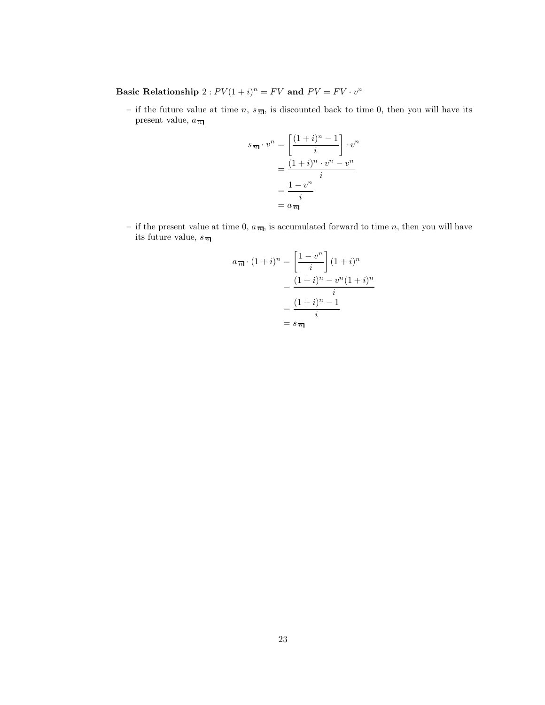**Basic Relationship**  $2: PV(1 + i)^n = FV$  and  $PV = FV \cdot v^n$ 

– if the future value at time n,  $s_{\overline{n}|}$ , is discounted back to time 0, then you will have its present value,  $a_{\,\overline{n}\,}$ 

$$
s_{\overline{n}|} \cdot v^n = \left[ \frac{(1+i)^n - 1}{i} \right] \cdot v^n
$$

$$
= \frac{(1+i)^n \cdot v^n - v^n}{i}
$$

$$
= \frac{1 - v^n}{i}
$$

$$
= a_{\overline{n}|}
$$

– if the present value at time 0,  $a_{\overline{n}|}$ , is accumulated forward to time n, then you will have its future value,  $s_{\overline{n}}$ 

$$
a_{\overline{n}|} \cdot (1+i)^n = \left[\frac{1-v^n}{i}\right] (1+i)^n
$$

$$
= \frac{(1+i)^n - v^n (1+i)^n}{i}
$$

$$
= \frac{(1+i)^n - 1}{i}
$$

$$
= s_{\overline{n}}
$$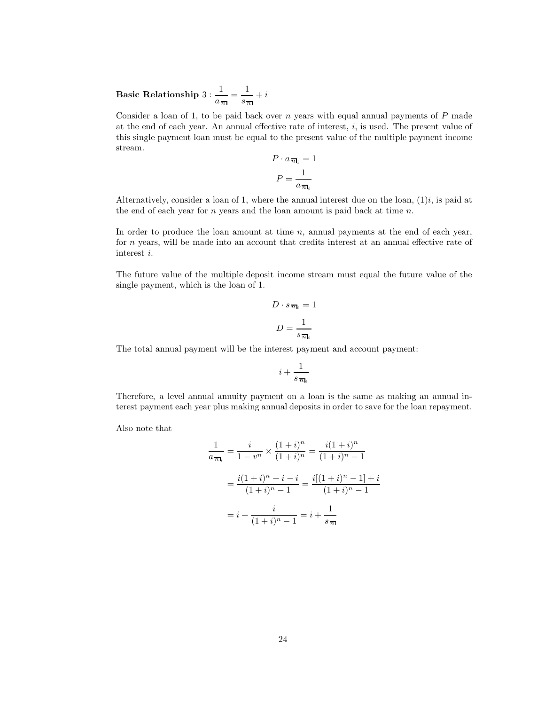**Basic Relationship** 3 : 1  $\frac{1}{a_{\overline{n}}} = \frac{1}{s_{\overline{n}}} + i$ 

Consider a loan of 1, to be paid back over  $n$  years with equal annual payments of  $P$  made at the end of each year. An annual effective rate of interest, i, is used. The present value of this single payment loan must be equal to the present value of the multiple payment income stream.

$$
P \cdot a_{\overline{n}_i} = 1
$$

$$
P = \frac{1}{a_{\overline{n}_i}}
$$

Alternatively, consider a loan of 1, where the annual interest due on the loan,  $(1)i$ , is paid at the end of each year for  $n$  years and the loan amount is paid back at time  $n$ .

In order to produce the loan amount at time  $n$ , annual payments at the end of each year, for n years, will be made into an account that credits interest at an annual effective rate of interest i.

The future value of the multiple deposit income stream must equal the future value of the single payment, which is the loan of 1.

$$
D \cdot s_{\overline{n}_i} = 1
$$

$$
D = \frac{1}{s_{\overline{n}_i}}
$$

The total annual payment will be the interest payment and account payment:

$$
i+\frac{1}{s_{\,\overline{n}\mathbf{l}_i}}
$$

Therefore, a level annual annuity payment on a loan is the same as making an annual interest payment each year plus making annual deposits in order to save for the loan repayment.

Also note that

$$
\frac{1}{a_{\overline{n}}i} = \frac{i}{1 - v^n} \times \frac{(1 + i)^n}{(1 + i)^n} = \frac{i(1 + i)^n}{(1 + i)^n - 1}
$$

$$
= \frac{i(1 + i)^n + i - i}{(1 + i)^n - 1} = \frac{i[(1 + i)^n - 1] + i}{(1 + i)^n - 1}
$$

$$
= i + \frac{i}{(1 + i)^n - 1} = i + \frac{1}{s_{\overline{n}}}
$$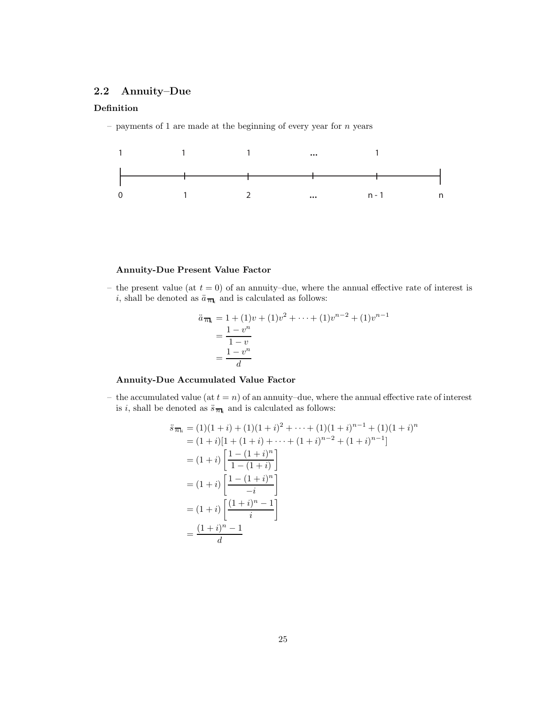# **2.2 Annuity–Due**

# **Definition**

– payments of 1 are made at the beginning of every year for  $n$  years



# **Annuity-Due Present Value Factor**

– the present value (at  $t = 0$ ) of an annuity–due, where the annual effective rate of interest is i, shall be denoted as  $\ddot{a}_{\overline{n}_i}$  and is calculated as follows:

$$
\ddot{a}_{\overline{n}_i} = 1 + (1)v + (1)v^2 + \dots + (1)v^{n-2} + (1)v^{n-1} \n= \frac{1 - v^n}{1 - v} \n= \frac{1 - v^n}{d}
$$

# **Annuity-Due Accumulated Value Factor**

– the accumulated value (at  $t = n$ ) of an annuity–due, where the annual effective rate of interest is *i*, shall be denoted as  $\ddot{s}_{\overline{n}_i}$  and is calculated as follows:

$$
\ddot{s}_{\overline{n}\mathbf{l}_i} = (1)(1+i) + (1)(1+i)^2 + \dots + (1)(1+i)^{n-1} + (1)(1+i)^n
$$
\n
$$
= (1+i)[1 + (1+i) + \dots + (1+i)^{n-2} + (1+i)^{n-1}]
$$
\n
$$
= (1+i) \left[ \frac{1 - (1+i)^n}{1 - (1+i)} \right]
$$
\n
$$
= (1+i) \left[ \frac{1 - (1+i)^n}{-i} \right]
$$
\n
$$
= (1+i) \left[ \frac{(1+i)^n - 1}{i} \right]
$$
\n
$$
= \frac{(1+i)^n - 1}{d}
$$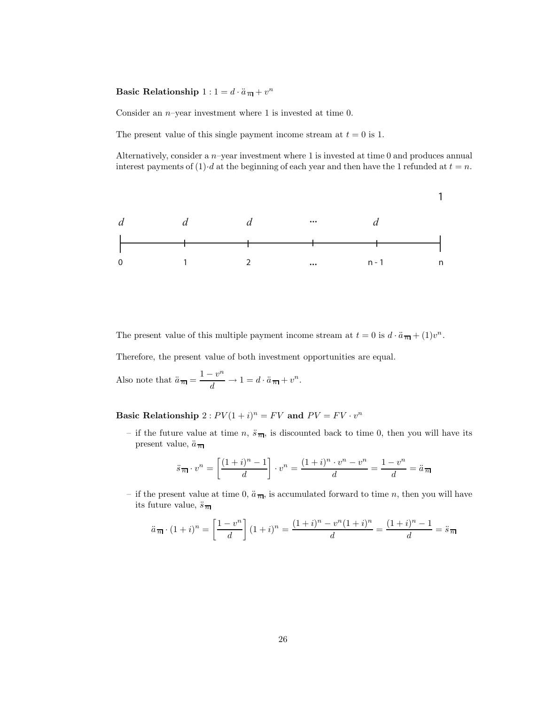# **Basic Relationship**  $1: 1 = d \cdot \ddot{a}_{\overline{n}} + v^n$

Consider an  $n$ -year investment where 1 is invested at time 0.

The present value of this single payment income stream at  $t = 0$  is 1.

Alternatively, consider a  $n$ -year investment where 1 is invested at time 0 and produces annual interest payments of (1) $\cdot$ d at the beginning of each year and then have the 1 refunded at  $t = n$ .



The present value of this multiple payment income stream at  $t = 0$  is  $d \cdot \ddot{a}_{\overline{n}} + (1)v^n$ .

Therefore, the present value of both investment opportunities are equal.

Also note that  $\ddot{a}_{\overline{n}} = \frac{1 - v^n}{d} \to 1 = d \cdot \ddot{a}_{\overline{n}} + v^n$ .

**Basic Relationship**  $2: PV(1 + i)^n = FV$  and  $PV = FV \cdot v^n$ 

– if the future value at time n,  $\ddot{s}_{\overline{n}|}$ , is discounted back to time 0, then you will have its present value,  $\ddot{a}_{\overline{n}}$ 

$$
\ddot{s}_{\overline{n}|} \cdot v^n = \left[\frac{(1+i)^n - 1}{d}\right] \cdot v^n = \frac{(1+i)^n \cdot v^n - v^n}{d} = \frac{1 - v^n}{d} = \ddot{a}_{\overline{n}}
$$

– if the present value at time 0,  $\ddot{a}_{\overline{n}}$ , is accumulated forward to time n, then you will have its future value,  $\ddot{s}$ <sup> $\frac{1}{n}$ </sup>

$$
\ddot{a}_{\overline{n}1} \cdot (1+i)^n = \left[\frac{1-v^n}{d}\right](1+i)^n = \frac{(1+i)^n - v^n(1+i)^n}{d} = \frac{(1+i)^n - 1}{d} = \ddot{s}_{\overline{n}1}
$$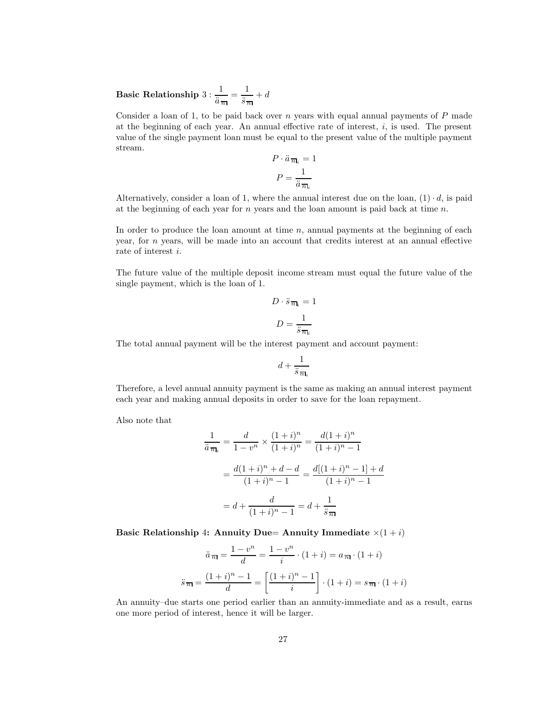**Basic Relationship** 3 : 1  $\frac{1}{\ddot{a}_{\overline{n}}} = \frac{1}{\ddot{s}_{\overline{n}}} + d$ 

Consider a loan of 1, to be paid back over  $n$  years with equal annual payments of  $P$  made at the beginning of each year. An annual effective rate of interest,  $i$ , is used. The present value of the single payment loan must be equal to the present value of the multiple payment stream.

$$
P \cdot \ddot{a} \, \overline{n}_i = 1
$$

$$
P = \frac{1}{\ddot{a} \, \overline{n}_i}
$$

Alternatively, consider a loan of 1, where the annual interest due on the loan,  $(1) \cdot d$ , is paid at the beginning of each year for  $n$  years and the loan amount is paid back at time  $n$ .

In order to produce the loan amount at time  $n$ , annual payments at the beginning of each year, for  $n$  years, will be made into an account that credits interest at an annual effective rate of interest i.

The future value of the multiple deposit income stream must equal the future value of the single payment, which is the loan of 1.

$$
D \cdot \ddot{s}_{\overline{n}\mathbf{l}_i} = 1
$$

$$
D = \frac{1}{\ddot{s}_{\overline{n}\mathbf{l}_i}}
$$

The total annual payment will be the interest payment and account payment:

$$
d + \frac{1}{\ddot{s}\,\overline{n}_{\text{I}_i}}
$$

Therefore, a level annual annuity payment is the same as making an annual interest payment each year and making annual deposits in order to save for the loan repayment.

Also note that

$$
\frac{1}{\ddot{a}\pi_i} = \frac{d}{1 - v^n} \times \frac{(1 + i)^n}{(1 + i)^n} = \frac{d(1 + i)^n}{(1 + i)^n - 1}
$$

$$
= \frac{d(1 + i)^n + d - d}{(1 + i)^n - 1} = \frac{d[(1 + i)^n - 1] + d}{(1 + i)^n - 1}
$$

$$
= d + \frac{d}{(1 + i)^n - 1} = d + \frac{1}{\ddot{s}\pi}
$$

**Basic Relationship 4: Annuity Due= Annuity Immediate**  $\times(1+i)$ 

$$
\ddot{a}_{\overline{n}|} = \frac{1 - v^n}{d} = \frac{1 - v^n}{i} \cdot (1 + i) = a_{\overline{n}|} \cdot (1 + i)
$$

$$
\ddot{s}_{\overline{n}|} = \frac{(1 + i)^n - 1}{d} = \left[ \frac{(1 + i)^n - 1}{i} \right] \cdot (1 + i) = s_{\overline{n}|} \cdot (1 + i)
$$

An annuity–due starts one period earlier than an annuity-immediate and as a result, earns one more period of interest, hence it will be larger.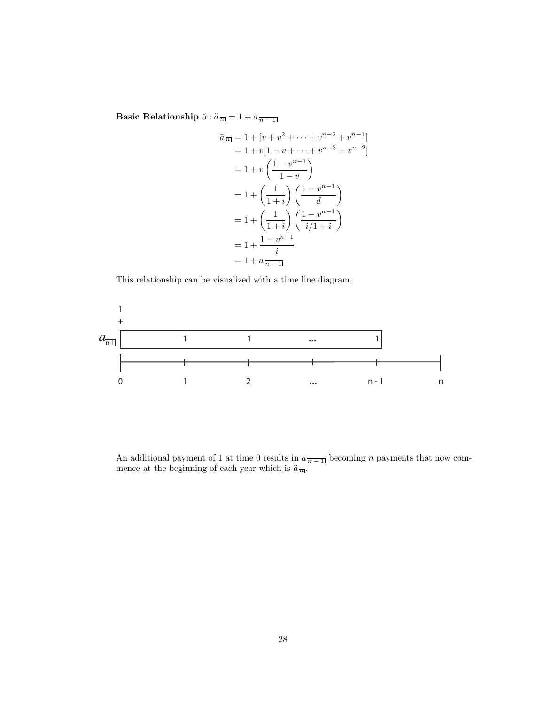**Basic Relationship**  $5: \ddot{a}_{\overline{n}} = 1 + a_{\overline{n-1}}$ 

$$
\ddot{a}_{\overline{n}} = 1 + [v + v^2 + \dots + v^{n-2} + v^{n-1}]
$$
\n
$$
= 1 + v[1 + v + \dots + v^{n-3} + v^{n-2}]
$$
\n
$$
= 1 + v\left(\frac{1 - v^{n-1}}{1 - v}\right)
$$
\n
$$
= 1 + \left(\frac{1}{1 + i}\right)\left(\frac{1 - v^{n-1}}{d}\right)
$$
\n
$$
= 1 + \left(\frac{1}{1 + i}\right)\left(\frac{1 - v^{n-1}}{i/1 + i}\right)
$$
\n
$$
= 1 + \frac{1 - v^{n-1}}{i}
$$
\n
$$
= 1 + a_{\overline{n-1}}
$$

This relationship can be visualized with a time line diagram.



An additional payment of 1 at time 0 results in  $a_{\overline{n-1}}$  becoming *n* payments that now com-<br>mence at the beginning of each year which is  $\ddot{a}_{\overline{n}}$ .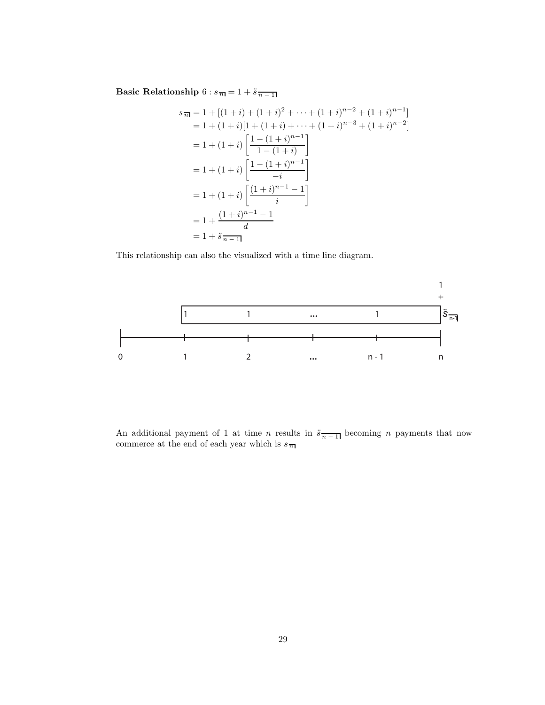Basic Relationship  $6$  :  $s_{\,\overline{n}\,}\overline{ }=1+\ddot{s}\, \overline{_{n-1}\,}$ 

$$
s_{\overline{n}} = 1 + [(1+i) + (1+i)^2 + \dots + (1+i)^{n-2} + (1+i)^{n-1}]
$$
  
= 1 + (1+i)[1 + (1+i) + \dots + (1+i)^{n-3} + (1+i)^{n-2}]  
= 1 + (1+i) \left[ \frac{1 - (1+i)^{n-1}}{1 - (1+i)} \right]  
= 1 + (1+i) \left[ \frac{1 - (1+i)^{n-1}}{-i} \right]  
= 1 + (1+i) \left[ \frac{(1+i)^{n-1} - 1}{i} \right]  
= 1 + \frac{(1+i)^{n-1} - 1}{i}  
= 1 + \ddot{s}\_{\overline{n-1}}

This relationship can also the visualized with a time line diagram.



An additional payment of 1 at time *n* results in  $\ddot{s}_{\overline{n-1}}$  becoming *n* payments that now commerce at the end of each year which is  $s_{\overline{n}}$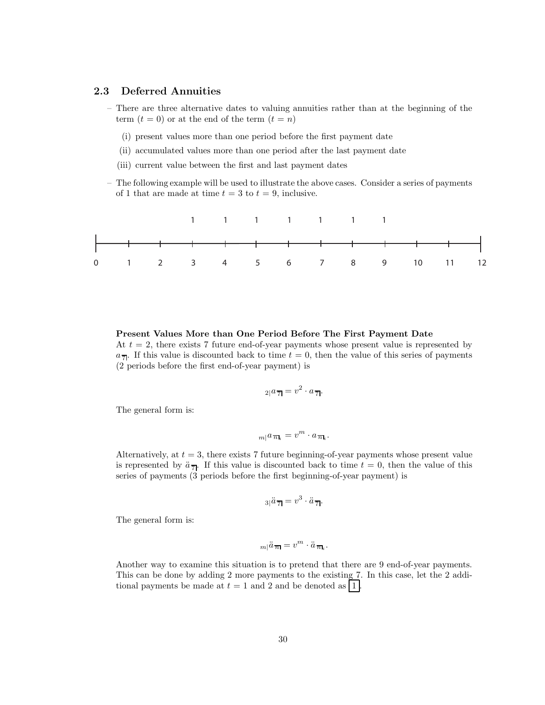# **2.3 Deferred Annuities**

- There are three alternative dates to valuing annuities rather than at the beginning of the term  $(t = 0)$  or at the end of the term  $(t = n)$ 
	- (i) present values more than one period before the first payment date
	- (ii) accumulated values more than one period after the last payment date
	- (iii) current value between the first and last payment dates
- The following example will be used to illustrate the above cases. Consider a series of payments of 1 that are made at time  $t = 3$  to  $t = 9$ , inclusive.



**Present Values More than One Period Before The First Payment Date** At  $t = 2$ , there exists 7 future end-of-year payments whose present value is represented by  $a_{\overline{7}}$ . If this value is discounted back to time  $t = 0$ , then the value of this series of payments (2 periods before the first end-of-year payment) is

$$
_{2|}a_{\overline{7}|} = v^2 \cdot a_{\overline{7}|}.
$$

The general form is:

$$
m|a_{\overline{n}\mathbf{l}_i} = v^m \cdot a_{\overline{n}\mathbf{l}_i}.
$$

Alternatively, at  $t = 3$ , there exists 7 future beginning-of-year payments whose present value is represented by  $\ddot{a}_{\overline{7}}$ . If this value is discounted back to time  $t = 0$ , then the value of this series of payments (3 periods before the first beginning-of-year payment) is

$$
3|\ddot{a}\overline{7}| = v^3 \cdot \ddot{a}\overline{7}.
$$

The general form is:

$$
m|\ddot{a}\,\overline{n}=v^m\cdot\ddot{a}\,\overline{n}_i.
$$

Another way to examine this situation is to pretend that there are 9 end-of-year payments. This can be done by adding 2 more payments to the existing 7. In this case, let the 2 additional payments be made at  $t = 1$  and 2 and be denoted as  $|1|$ .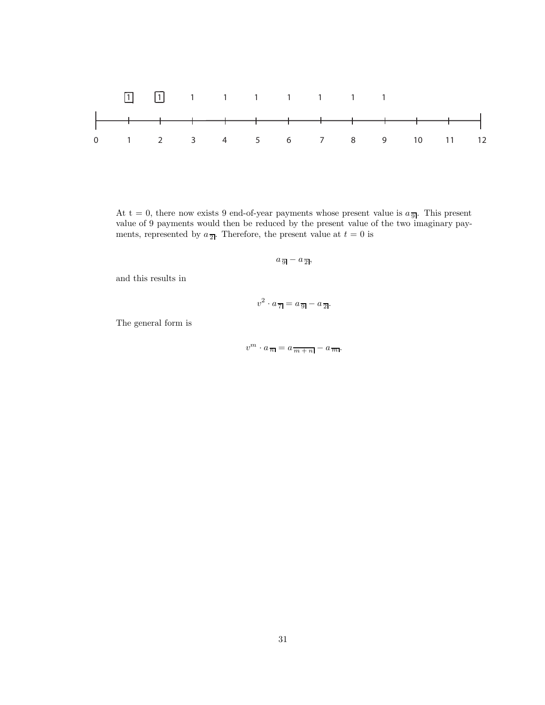

At t = 0, there now exists 9 end-of-year payments whose present value is  $a_{\overline{9}}$ . This present value of 9 payments would then be reduced by the present value of the two imaginary payments, represented by  $a_{\overline{2}}$ . Therefore, the present value at  $t = 0$  is

$$
a_{\,\overline{9}\,\overline{1}} - a_{\,\overline{2}\,\overline{1}},
$$

and this results in

$$
v^2 \cdot a_{\overline{7}} = a_{\overline{9}} - a_{\overline{2}}.
$$

The general form is

$$
v^m \cdot a_{\overline{n}} = a_{\overline{m} + n} - a_{\overline{m}}.
$$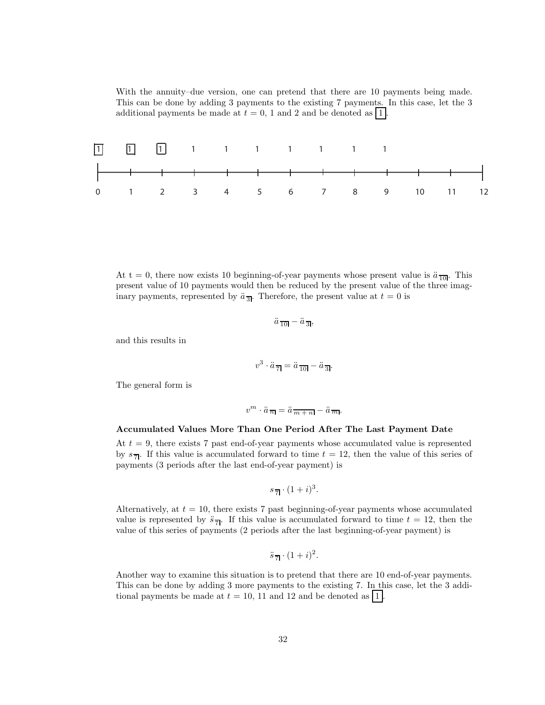With the annuity–due version, one can pretend that there are 10 payments being made. This can be done by adding 3 payments to the existing 7 payments. In this case, let the 3 additional payments be made at  $t = 0$ , 1 and 2 and be denoted as | 1|.



At t = 0, there now exists 10 beginning-of-year payments whose present value is  $\ddot{a}_{\overline{10}}$ . This present value of 10 payments would then be reduced by the present value of the three imaginary payments, represented by  $\ddot{a}_{\overline{3}}$ . Therefore, the present value at  $t = 0$  is

$$
\ddot{a}_{\overline{10}} - \ddot{a}_{\overline{3}},
$$

and this results in

$$
v^3 \cdot \ddot{a}_{\overline{7}} = \ddot{a}_{\overline{10}} - \ddot{a}_{\overline{3}}.
$$

The general form is

$$
v^m \cdot \ddot{a}_{\overline{n}} = \ddot{a}_{\overline{m} + n} - \ddot{a}_{\overline{m}}.
$$

#### **Accumulated Values More Than One Period After The Last Payment Date**

At  $t = 9$ , there exists 7 past end-of-year payments whose accumulated value is represented by  $s_{\overline{7}}$ . If this value is accumulated forward to time  $t = 12$ , then the value of this series of payments (3 periods after the last end-of-year payment) is

$$
s_{\overline{7}} \cdot (1+i)^3.
$$

Alternatively, at  $t = 10$ , there exists 7 past beginning-of-year payments whose accumulated value is represented by  $\ddot{s}_{\overline{7}}$ . If this value is accumulated forward to time  $t = 12$ , then the value of this series of payments (2 periods after the last beginning-of-year payment) is

$$
\ddot{s}_{\overline{7}1} \cdot (1+i)^2.
$$

Another way to examine this situation is to pretend that there are 10 end-of-year payments. This can be done by adding 3 more payments to the existing 7. In this case, let the 3 additional payments be made at  $t = 10$ , 11 and 12 and be denoted as  $|1|$ .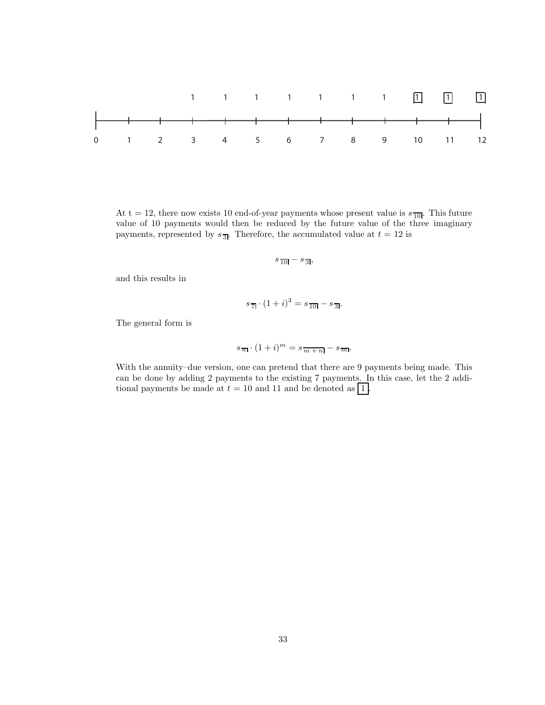

At t = 12, there now exists 10 end-of-year payments whose present value is  $s_{\overline{10}}$ . This future value of 10 payments would then be reduced by the future value of the three imaginary payments, represented by  $s_{\overline{3}}$ . Therefore, the accumulated value at  $t = 12$  is

$$
s_{\overline{10}} - s_{\overline{3}},
$$

and this results in

$$
s_{\overline{7}} \cdot (1+i)^3 = s_{\overline{10}} - s_{\overline{3}}.
$$

The general form is

$$
s_{\overline{n}} \cdot (1+i)^m = s_{\overline{m+n}} - s_{\overline{m}}.
$$

With the annuity–due version, one can pretend that there are 9 payments being made. This can be done by adding 2 payments to the existing 7 payments. In this case, let the 2 additional payments be made at  $t = 10$  and 11 and be denoted as  $\boxed{1}$ .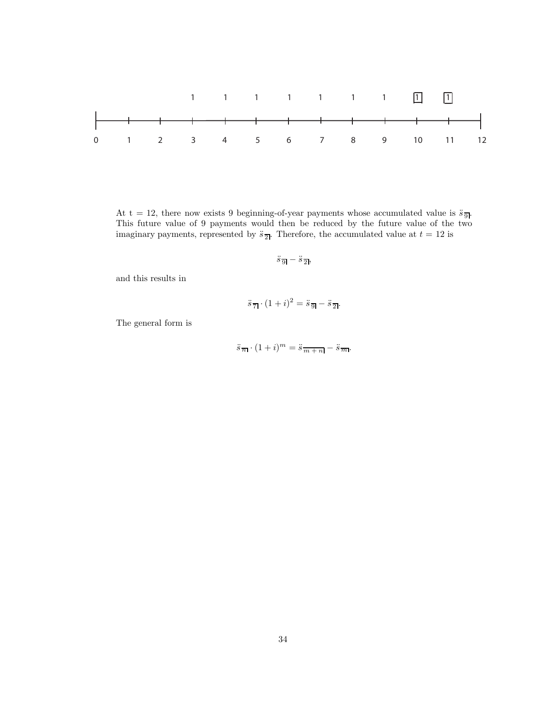

At t = 12, there now exists 9 beginning-of-year payments whose accumulated value is  $\ddot{s}_{\overline{9}}$ . This future value of 9 payments would then be reduced by the future value of the two imaginary payments, represented by  $\ddot{s}_{\overline{2}!}$ . Therefore, the accumulated value at  $t = 12$  is

$$
\ddot{s}_{\overline{9}} - \ddot{s}_{\overline{2}},
$$

and this results in

$$
\ddot{s}_{\overline{7}} \cdot (1+i)^2 = \ddot{s}_{\overline{9}} - \ddot{s}_{\overline{2}}.
$$

The general form is

$$
\ddot{s}_{\overline{n}} \cdot (1+i)^m = \ddot{s}_{\overline{m+n}} - \ddot{s}_{\overline{m}}.
$$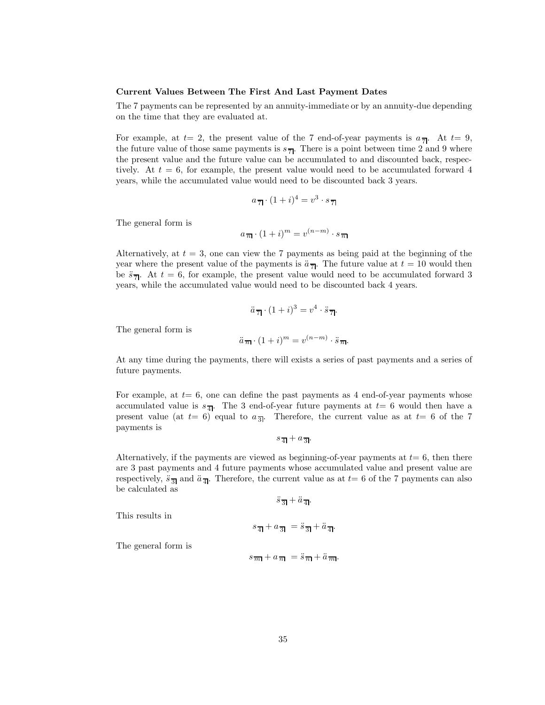#### **Current Values Between The First And Last Payment Dates**

The 7 payments can be represented by an annuity-immediate or by an annuity-due depending on the time that they are evaluated at.

For example, at  $t=2$ , the present value of the 7 end-of-year payments is  $a_{\overline{7}}$ . At  $t=9$ , the future value of those same payments is  $s_{\overline{7}}$ . There is a point between time 2 and 9 where the present value and the future value can be accumulated to and discounted back, respectively. At  $t = 6$ , for example, the present value would need to be accumulated forward 4 years, while the accumulated value would need to be discounted back 3 years.

$$
a_{\overline{7}} \cdot (1+i)^4 = v^3 \cdot s_{\overline{7}}
$$

The general form is

$$
a_{\overline{n}} \cdot (1+i)^m = v^{(n-m)} \cdot s_{\overline{n}}
$$

Alternatively, at  $t = 3$ , one can view the 7 payments as being paid at the beginning of the year where the present value of the payments is  $\ddot{a}_{\overline{d}}$ . The future value at  $t = 10$  would then be  $\ddot{s}_{\overline{7}}$ . At  $t = 6$ , for example, the present value would need to be accumulated forward 3 years, while the accumulated value would need to be discounted back 4 years.

$$
\ddot{a}_{\overline{7}1} \cdot (1+i)^3 = v^4 \cdot \ddot{s}_{\overline{7}1}.
$$

The general form is

$$
\ddot{a}_{\overline{n}} \cdot (1+i)^m = v^{(n-m)} \cdot \ddot{s}_{\overline{n}}.
$$

At any time during the payments, there will exists a series of past payments and a series of future payments.

For example, at  $t=6$ , one can define the past payments as 4 end-of-year payments whose accumulated value is  $s_{\overline{4}!}$ . The 3 end-of-year future payments at  $t=6$  would then have a present value (at  $t= 6$ ) equal to  $a_{\overline{3}}$ . Therefore, the current value as at  $t= 6$  of the 7 payments is

 $s_{\overline{4}} + a_{\overline{3}}$ .

Alternatively, if the payments are viewed as beginning-of-year payments at  $t=6$ , then there are 3 past payments and 4 future payments whose accumulated value and present value are respectively,  $\ddot{s}_{\overline{3}}$  and  $\ddot{a}_{\overline{4}}$ . Therefore, the current value as at  $t=6$  of the 7 payments can also be calculated as

 $\ddot{s}$ <sub>3</sub> +  $\ddot{a}$ <sub>4</sub>.

This results in

$$
s_{\overline{4}|} + a_{\overline{3}|} = \ddot{s}_{\overline{3}|} + \ddot{a}_{\overline{4}|}.
$$

The general form is

$$
s_{\overline{m}} + a_{\overline{n}} = \ddot{s}_{\overline{n}} + \ddot{a}_{\overline{m}}.
$$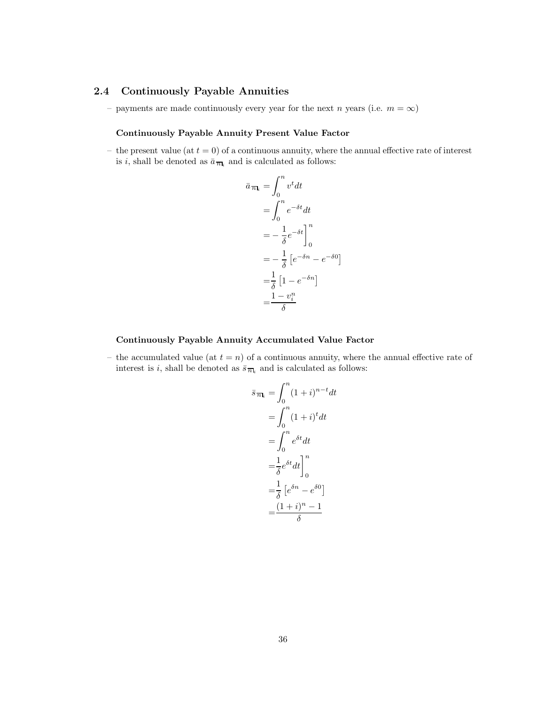# **2.4 Continuously Payable Annuities**

– payments are made continuously every year for the next n years (i.e.  $m = \infty$ )

#### **Continuously Payable Annuity Present Value Factor**

– the present value (at  $t = 0$ ) of a continuous annuity, where the annual effective rate of interest is i, shall be denoted as  $\bar{a}_{\overline{n}|i}$  and is calculated as follows:

$$
\bar{a}_{\overline{n}|_i} = \int_0^n v^t dt
$$
  
= 
$$
\int_0^n e^{-\delta t} dt
$$
  
= 
$$
-\frac{1}{\delta} e^{-\delta t} \Big]_0^n
$$
  
= 
$$
-\frac{1}{\delta} \left[ e^{-\delta n} - e^{-\delta 0} \right]
$$
  
= 
$$
\frac{1}{\delta} \left[ 1 - e^{-\delta n} \right]
$$
  
= 
$$
\frac{1 - v_i^n}{\delta}
$$

# **Continuously Payable Annuity Accumulated Value Factor**

– the accumulated value (at  $t = n$ ) of a continuous annuity, where the annual effective rate of interest is *i*, shall be denoted as  $\bar{s}_{\overline{n}|_i}$  and is calculated as follows:

$$
\bar{s}_{\overline{n}_k} = \int_0^n (1+i)^{n-t} dt
$$

$$
= \int_0^n (1+i)^t dt
$$

$$
= \int_0^n e^{\delta t} dt
$$

$$
= \frac{1}{\delta} e^{\delta t} dt \Big]_0^n
$$

$$
= \frac{1}{\delta} \left[ e^{\delta n} - e^{\delta 0} \right]
$$

$$
= \frac{(1+i)^n - 1}{\delta}
$$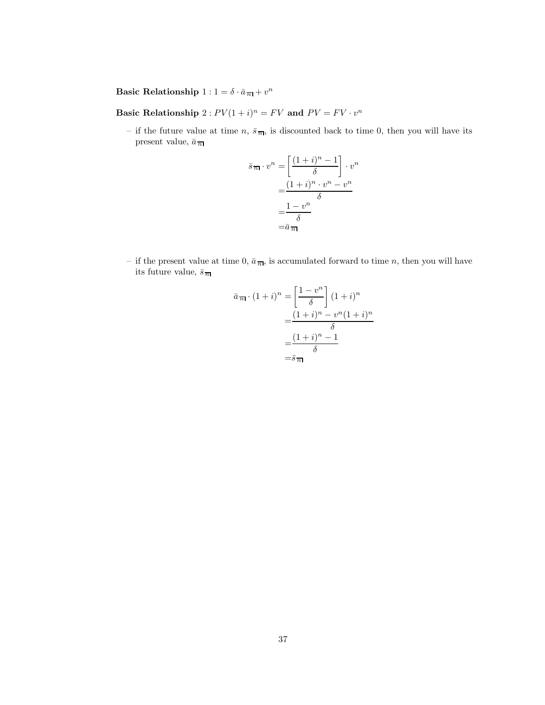**Basic Relationship**  $1: 1 = \delta \cdot \bar{a}_{\overline{n}} + v^n$ 

**Basic Relationship**  $2: PV(1 + i)^n = FV$  and  $PV = FV \cdot v^n$ 

– if the future value at time n,  $\bar{s}_{\overline{n}|}$ , is discounted back to time 0, then you will have its present value,  $\bar{a}_{\,\overline{n}\hspace{0.5pt} \overline{n}}$ 

$$
\bar{s}_{\overline{n}|} \cdot v^n = \left[ \frac{(1+i)^n - 1}{\delta} \right] \cdot v^n
$$

$$
= \frac{(1+i)^n \cdot v^n - v^n}{\delta}
$$

$$
= \frac{1 - v^n}{\delta}
$$

$$
= \bar{a}_{\overline{n}|} \qquad \qquad
$$

– if the present value at time 0,  $\bar{a}_{\overline{n}|}$ , is accumulated forward to time n, then you will have its future value,  $\bar{s}_{\overline{n}}$ 

$$
\bar{a}_{\overline{n}|} \cdot (1+i)^n = \left[\frac{1-v^n}{\delta}\right] (1+i)^n
$$

$$
= \frac{(1+i)^n - v^n (1+i)^n}{\delta}
$$

$$
= \frac{(1+i)^n - 1}{\delta}
$$

$$
= \bar{s}_{\overline{n}|}
$$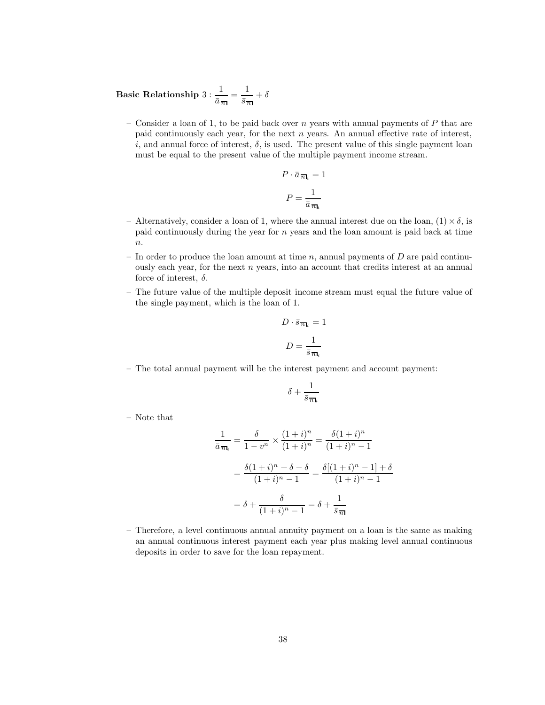**Basic Relationship** 3 : 1  $rac{1}{\bar{a}_m} = \frac{1}{\bar{s}_m} + \delta$ 

– Consider a loan of 1, to be paid back over n years with annual payments of  $P$  that are paid continuously each year, for the next  $n$  years. An annual effective rate of interest, i, and annual force of interest,  $\delta$ , is used. The present value of this single payment loan must be equal to the present value of the multiple payment income stream.

$$
P \cdot \bar{a}_{\overline{n}|_i} = 1
$$

$$
P = \frac{1}{\bar{a}_{\overline{n}|_i}}
$$

- Alternatively, consider a loan of 1, where the annual interest due on the loan,  $(1) \times \delta$ , is paid continuously during the year for n years and the loan amount is paid back at time  $n$ .
- In order to produce the loan amount at time n, annual payments of  $D$  are paid continuously each year, for the next  $n$  years, into an account that credits interest at an annual force of interest,  $\delta$ .
- The future value of the multiple deposit income stream must equal the future value of the single payment, which is the loan of 1.

$$
D \cdot \bar{s}_{\overline{n}|_i} = 1
$$

$$
D = \frac{1}{\bar{s}_{\overline{n}|_i}}
$$

– The total annual payment will be the interest payment and account payment:

$$
\delta+\frac{1}{\bar{s}\,\overline{n_{\mathsf{I}_i}}}
$$

– Note that

$$
\frac{1}{\bar{a}_{\overline{n}_i}} = \frac{\delta}{1 - v^n} \times \frac{(1 + i)^n}{(1 + i)^n} = \frac{\delta (1 + i)^n}{(1 + i)^n - 1}
$$

$$
= \frac{\delta (1 + i)^n + \delta - \delta}{(1 + i)^n - 1} = \frac{\delta [(1 + i)^n - 1] + \delta}{(1 + i)^n - 1}
$$

$$
= \delta + \frac{\delta}{(1 + i)^n - 1} = \delta + \frac{1}{\bar{s}_{\overline{n}}}
$$

– Therefore, a level continuous annual annuity payment on a loan is the same as making an annual continuous interest payment each year plus making level annual continuous deposits in order to save for the loan repayment.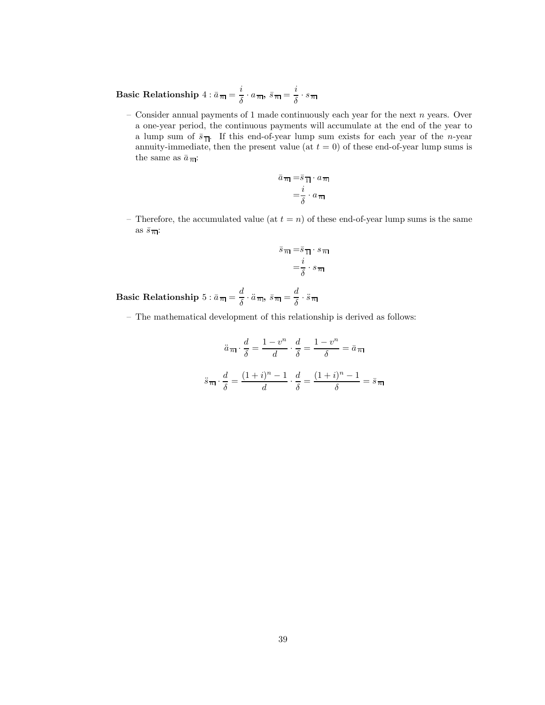**Basic Relationship**  $4: \bar{a}$   $\frac{1}{n} = \frac{i}{\delta} \cdot a$   $\frac{1}{n}$ ,  $\bar{s}$   $\frac{1}{n} = \frac{i}{\delta} \cdot s$   $\frac{1}{n}$ 

– Consider annual payments of 1 made continuously each year for the next  $n$  years. Over a one-year period, the continuous payments will accumulate at the end of the year to a lump sum of  $\bar{s}_{\overline{1}}$ . If this end-of-year lump sum exists for each year of the *n*-year annuity-immediate, then the present value (at  $t = 0$ ) of these end-of-year lump sums is the same as  $\bar{a}_{\overline{n}}$ :

$$
\bar{a} \overline{n} = \bar{s} \overline{1} \cdot a \overline{n}
$$

$$
= \frac{i}{\delta} \cdot a \overline{n}
$$

– Therefore, the accumulated value (at  $t = n$ ) of these end-of-year lump sums is the same as  $\bar{s}$ <sub> $\overline{n}$ </sub>:

$$
\bar{s}_{\overline{n}|} = \bar{s}_{\overline{1}|} \cdot s_{\overline{n}|}
$$

$$
= \frac{i}{\delta} \cdot s_{\overline{n}|}
$$

**Basic Relationship**  $5 : \bar{a} \cdot \bar{n} = \frac{d}{\delta} \cdot \ddot{a} \cdot \bar{n}, \ \bar{s} \cdot \bar{n} = \frac{d}{\delta} \cdot \ddot{s} \cdot \bar{n}$ 

– The mathematical development of this relationship is derived as follows:

$$
\ddot{a}_{\overline{n}} \cdot \frac{d}{\delta} = \frac{1 - v^n}{d} \cdot \frac{d}{\delta} = \frac{1 - v^n}{\delta} = \bar{a}_{\overline{n}}
$$

$$
\ddot{s}_{\overline{n}} \cdot \frac{d}{\delta} = \frac{(1 + i)^n - 1}{d} \cdot \frac{d}{\delta} = \frac{(1 + i)^n - 1}{\delta} = \bar{s}_{\overline{n}}
$$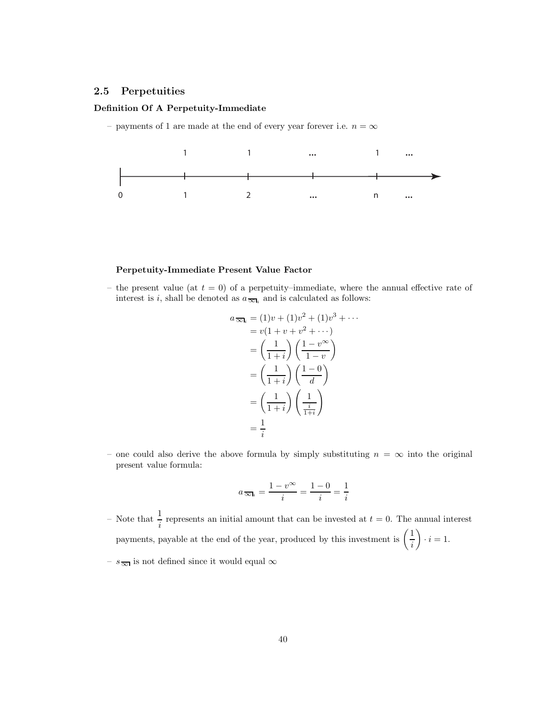# **2.5 Perpetuities**

# **Definition Of A Perpetuity-Immediate**

– payments of 1 are made at the end of every year forever i.e.  $n=\infty$ 



#### **Perpetuity-Immediate Present Value Factor**

– the present value (at  $t = 0$ ) of a perpetuity–immediate, where the annual effective rate of interest is i, shall be denoted as  $a_{\overline{\infty}l_i}$  and is calculated as follows:

$$
a_{\overline{\infty}l_i} = (1)v + (1)v^2 + (1)v^3 + \cdots
$$
  
=  $v(1 + v + v^2 + \cdots)$   
=  $\left(\frac{1}{1+i}\right)\left(\frac{1-v^{\infty}}{1-v}\right)$   
=  $\left(\frac{1}{1+i}\right)\left(\frac{1-0}{d}\right)$   
=  $\left(\frac{1}{1+i}\right)\left(\frac{1}{\frac{i}{1+i}}\right)$   
=  $\frac{1}{i}$ 

– one could also derive the above formula by simply substituting  $n = \infty$  into the original present value formula:

$$
a_{\overline{\infty} \mathbf{I}_i} = \frac{1 - v^{\infty}}{i} = \frac{1 - 0}{i} = \frac{1}{i}
$$

– Note that  $\frac{1}{i}$  represents an initial amount that can be invested at  $t = 0$ . The annual interest payments, payable at the end of the year, produced by this investment is  $\left(\frac{1}{i}\right)$  $\bigg) \cdot i = 1.$ 

–  $s_{\overline{\infty}}$  is not defined since it would equal  $\infty$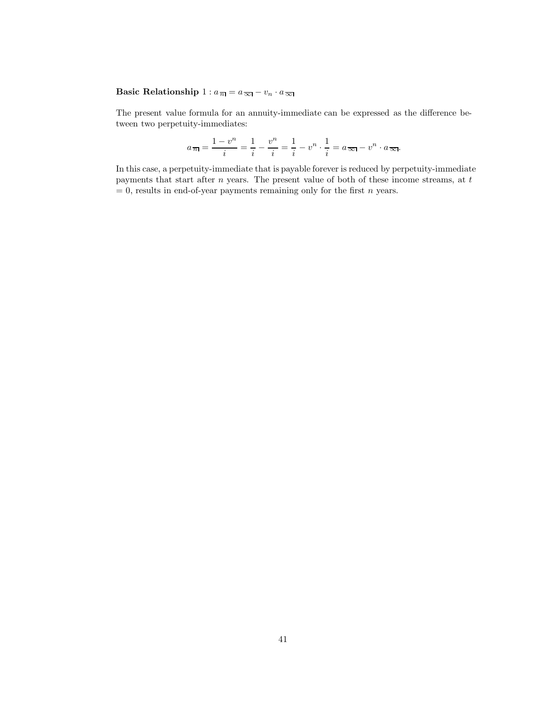# **Basic Relationship**  $1 : a_{\overline{n}} = a_{\overline{\infty}} - v_n \cdot a_{\overline{\infty}}$

The present value formula for an annuity-immediate can be expressed as the difference between two perpetuity-immediates:

$$
a_{\overline{n}} = \frac{1 - v^n}{i} = \frac{1}{i} - \frac{v^n}{i} = \frac{1}{i} - v^n \cdot \frac{1}{i} = a_{\overline{\infty}} - v^n \cdot a_{\overline{\infty}}.
$$

In this case, a perpetuity-immediate that is payable forever is reduced by perpetuity-immediate payments that start after  $n$  years. The present value of both of these income streams, at  $t$  $= 0$ , results in end-of-year payments remaining only for the first *n* years.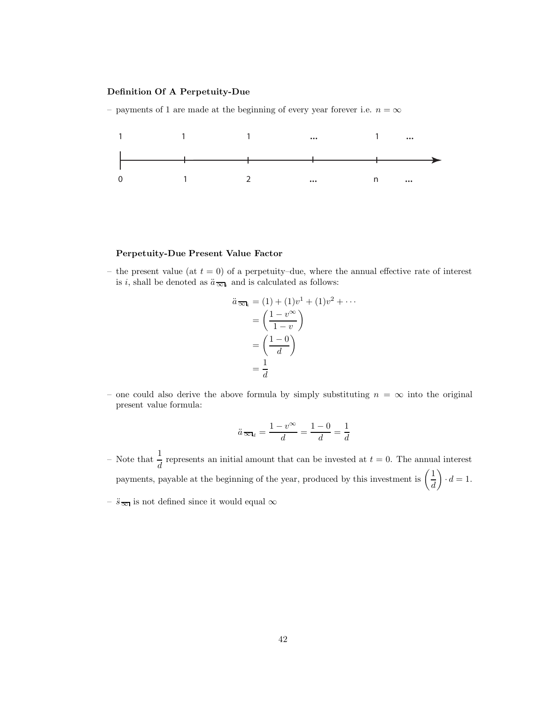#### **Definition Of A Perpetuity-Due**

– payments of 1 are made at the beginning of every year forever i.e.  $n = \infty$ 



#### **Perpetuity-Due Present Value Factor**

– the present value (at  $t = 0$ ) of a perpetuity–due, where the annual effective rate of interest is *i*, shall be denoted as  $\ddot{a}_{\overline{\infty}l_i}$  and is calculated as follows:

$$
\ddot{a}_{\overline{\infty}l_i} = (1) + (1)v^1 + (1)v^2 + \cdots
$$

$$
= \left(\frac{1 - v^{\infty}}{1 - v}\right)
$$

$$
= \left(\frac{1 - 0}{d}\right)
$$

$$
= \frac{1}{d}
$$

– one could also derive the above formula by simply substituting  $n = \infty$  into the original present value formula:

$$
\ddot{a}_{\overline{\infty} \mathsf{I}_d} = \frac{1 - v^{\infty}}{d} = \frac{1 - 0}{d} = \frac{1}{d}
$$

- Note that  $\frac{1}{d}$  represents an initial amount that can be invested at  $t = 0$ . The annual interest payments, payable at the beginning of the year, produced by this investment is  $\left(\frac{1}{d}\right)$  $\Big) \cdot d = 1.$
- $\ddot{s}$ <sub>∞</sub> is not defined since it would equal ∞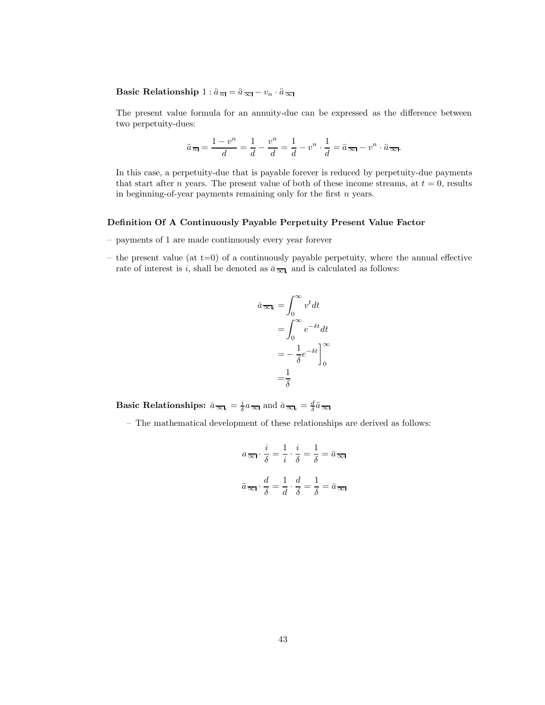# **Basic Relationship**  $1: \ddot{a}_{\overline{n}} = \ddot{a}_{\overline{\infty}} - v_n \cdot \ddot{a}_{\overline{\infty}}$

The present value formula for an annuity-due can be expressed as the difference between two perpetuity-dues:

$$
\ddot{a}_{\overline{n}} = \frac{1 - v^n}{d} = \frac{1}{d} - \frac{v^n}{d} = \frac{1}{d} - v^n \cdot \frac{1}{d} = \ddot{a}_{\overline{\infty}} - v^n \cdot \ddot{a}_{\overline{\infty}}.
$$

In this case, a perpetuity-due that is payable forever is reduced by perpetuity-due payments that start after *n* years. The present value of both of these income streams, at  $t = 0$ , results in beginning-of-year payments remaining only for the first  $n$  years.

## **Definition Of A Continuously Payable Perpetuity Present Value Factor**

- payments of 1 are made continuously every year forever
- the present value (at  $t=0$ ) of a continuously payable perpetuity, where the annual effective rate of interest is i, shall be denoted as  $\bar{a}_{\overline{\infty}l_i}$  and is calculated as follows:

$$
\bar{a}_{\overline{\infty}I_i} = \int_0^{\infty} v^t dt
$$

$$
= \int_0^{\infty} e^{-\delta t} dt
$$

$$
= -\frac{1}{\delta} e^{-\delta t} \Big]_0^{\infty}
$$

$$
= \frac{1}{\delta}
$$

**Basic Relationships:**  $\bar{a}_{\varpi} = \frac{i}{\delta} a_{\varpi}$  and  $\bar{a}_{\varpi} = \frac{d}{\delta} \bar{a}_{\varpi}$ 

– The mathematical development of these relationships are derived as follows:

$$
a_{\overline{\infty}} \cdot \frac{i}{\delta} = \frac{1}{i} \cdot \frac{i}{\delta} = \frac{1}{\delta} = \bar{a}_{\overline{\infty}}
$$

$$
\ddot{a}_{\overline{\infty}} \cdot \frac{d}{\delta} = \frac{1}{d} \cdot \frac{d}{\delta} = \frac{1}{\delta} = \bar{a}_{\overline{\infty}}
$$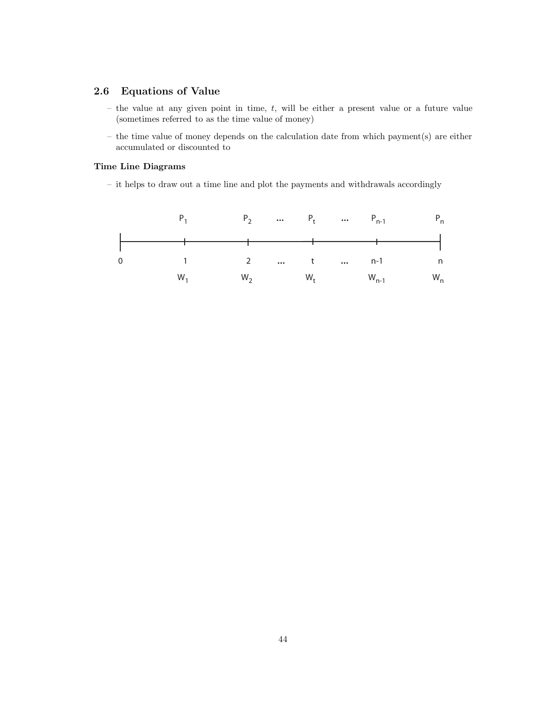# **2.6 Equations of Value**

- the value at any given point in time,  $t$ , will be either a present value or a future value (sometimes referred to as the time value of money)
- the time value of money depends on the calculation date from which payment(s) are either accumulated or discounted to

# **Time Line Diagrams**

– it helps to draw out a time line and plot the payments and withdrawals accordingly

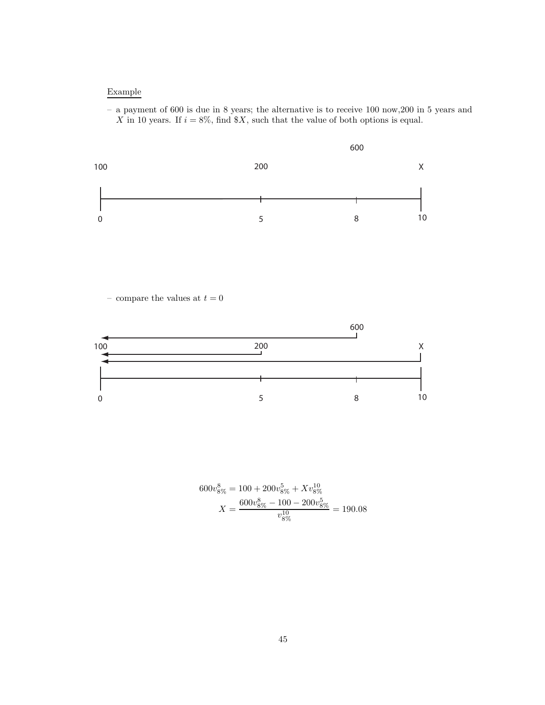# Example

– a payment of 600 is due in 8 years; the alternative is to receive 100 now,200 in 5 years and X in 10 years. If  $i = 8\%$ , find \$X, such that the value of both options is equal.



– compare the values at  $t=0$ 



$$
600v_{8\%}^8 = 100 + 200v_{8\%}^5 + Xv_{8\%}^{10}
$$

$$
X = \frac{600v_{8\%}^8 - 100 - 200v_{8\%}^5}{v_{8\%}^{10}} = 190.08
$$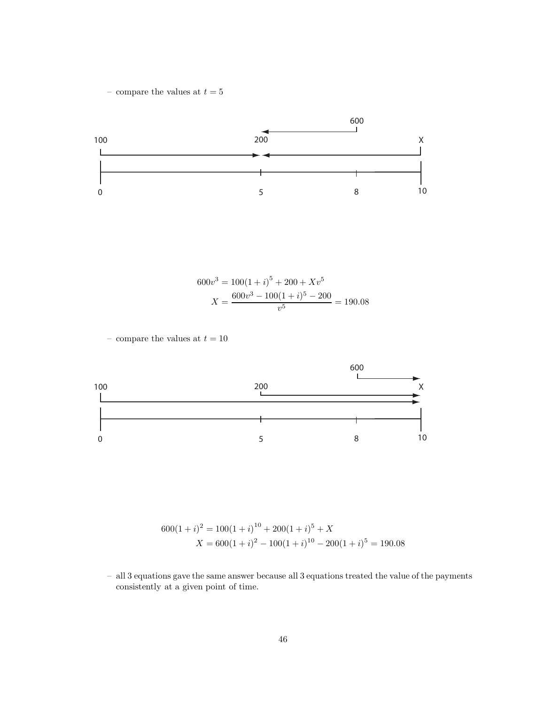– compare the values at  $t=5\,$ 



$$
600v3 = 100(1 + i)5 + 200 + Xv5
$$

$$
X = \frac{600v3 - 100(1 + i)5 - 200}{v5} = 190.08
$$

– compare the values at  $t=10\,$ 



$$
600(1+i)^2 = 100(1+i)^{10} + 200(1+i)^5 + X
$$
  

$$
X = 600(1+i)^2 - 100(1+i)^{10} - 200(1+i)^5 = 190.08
$$

<sup>–</sup> all 3 equations gave the same answer because all 3 equations treated the value of the payments consistently at a given point of time.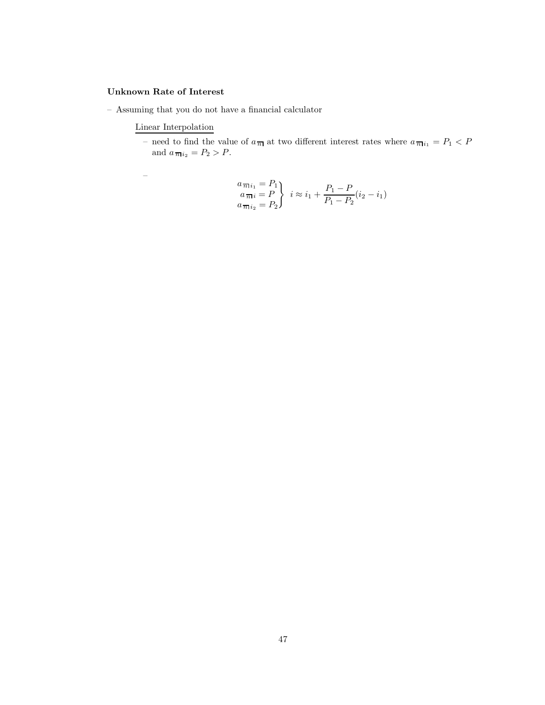# **Unknown Rate of Interest**

– Assuming that you do not have a financial calculator

# Linear Interpolation

– need to find the value of  $a_{\overline{n}|}$  at two different interest rates where  $a_{\overline{n}|i_1} = P_1 \lt P$ and  $a_{\overline{n}|i_2} = P_2 > P$ .

$$
\begin{aligned}\na_{\overline{n}i_1} &= P_1 \\
a_{\overline{n}i_2} &= P_2\n\end{aligned}\n\quad i \approx i_1 + \frac{P_1 - P}{P_1 - P_2}(i_2 - i_1)
$$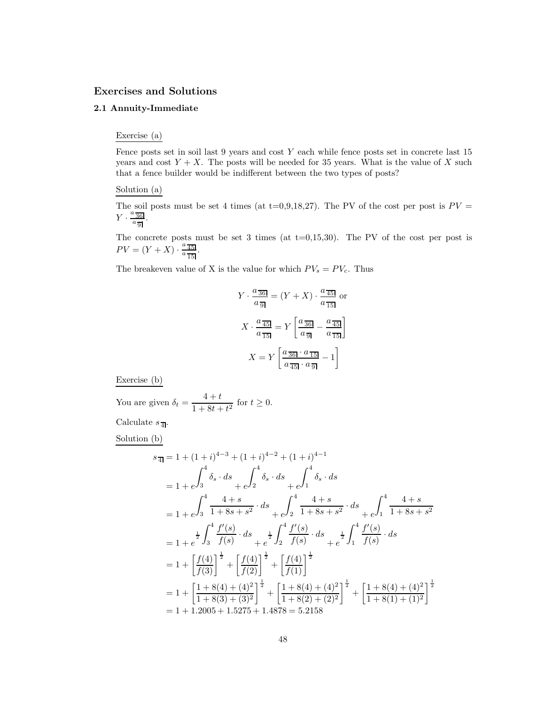#### **Exercises and Solutions**

# **2.1 Annuity-Immediate**

#### Exercise (a)

Fence posts set in soil last  $9$  years and cost  $Y$  each while fence posts set in concrete last  $15$ years and cost  $Y + X$ . The posts will be needed for 35 years. What is the value of X such that a fence builder would be indifferent between the two types of posts?

Solution (a)

The soil posts must be set 4 times (at t=0,9,18,27). The PV of the cost per post is  $PV =$  $Y \cdot \frac{a \overline{36}}{a \overline{36}}$  $rac{36}{a_9}$ .

The concrete posts must be set 3 times (at  $t=0,15,30$ ). The PV of the cost per post is  $PV = (Y + X) \cdot \frac{a \frac{\pi}{45}}{a \frac{\pi}{15}}$  $\frac{a}{a} \frac{45}{15}$ .

The breakeven value of X is the value for which  $PV_s = PV_c$ . Thus

$$
Y \cdot \frac{a_{\overline{36}}}{a_{\overline{9}}} = (Y + X) \cdot \frac{a_{\overline{45}}}{a_{\overline{15}}} \text{ or}
$$

$$
X \cdot \frac{a_{\overline{45}}}{a_{\overline{15}}} = Y \left[ \frac{a_{\overline{36}}}{a_{\overline{9}}} - \frac{a_{\overline{45}}}{a_{\overline{15}}} \right]
$$

$$
X = Y \left[ \frac{a_{\overline{36}} \cdot a_{\overline{15}}}{a_{\overline{45}} \cdot a_{\overline{9}}} - 1 \right]
$$

Exercise (b)

You are given  $\delta_t = \frac{4+t}{1+8t+t^2}$  for  $t \ge 0$ .

Calculate  $s_{\overline{A}}$ .

Solution (b)

$$
s_{\overline{4}} = 1 + (1+i)^{4-3} + (1+i)^{4-2} + (1+i)^{4-1}
$$
  
\n
$$
= 1 + e^{\int_{3}^{4} \delta_{s} \cdot ds} + e^{\int_{2}^{4} \delta_{s} \cdot ds} + e^{\int_{1}^{4} \delta_{s} \cdot ds}
$$
  
\n
$$
= 1 + e^{\int_{3}^{4} \frac{4+s}{1+8s+s^{2}} \cdot ds} + e^{\int_{2}^{4} \frac{4+s}{1+8s+s^{2}} \cdot ds} + e^{\int_{1}^{4} \frac{4+s}{1+8s+s^{2}}
$$
  
\n
$$
= 1 + e^{\frac{1}{2} \int_{3}^{4} \frac{f'(s)}{f(s)} \cdot ds} + e^{\frac{1}{2} \int_{2}^{4} \frac{f'(s)}{f(s)} \cdot ds} + e^{\frac{1}{2} \int_{1}^{4} \frac{f'(s)}{f(s)} \cdot ds}
$$
  
\n
$$
= 1 + \left[ \frac{f(4)}{f(3)} \right]^{\frac{1}{2}} + \left[ \frac{f(4)}{f(2)} \right]^{\frac{1}{2}} + \left[ \frac{f(4)}{f(1)} \right]^{\frac{1}{2}}
$$
  
\n
$$
= 1 + \left[ \frac{1+8(4)+(4)^{2}}{1+8(3)+(3)^{2}} \right]^{\frac{1}{2}} + \left[ \frac{1+8(4)+(4)^{2}}{1+8(2)+(2)^{2}} \right]^{\frac{1}{2}} + \left[ \frac{1+8(4)+(4)^{2}}{1+8(1)+(1)^{2}} \right]^{\frac{1}{2}}
$$
  
\n
$$
= 1 + 1.2005 + 1.5275 + 1.4878 = 5.2158
$$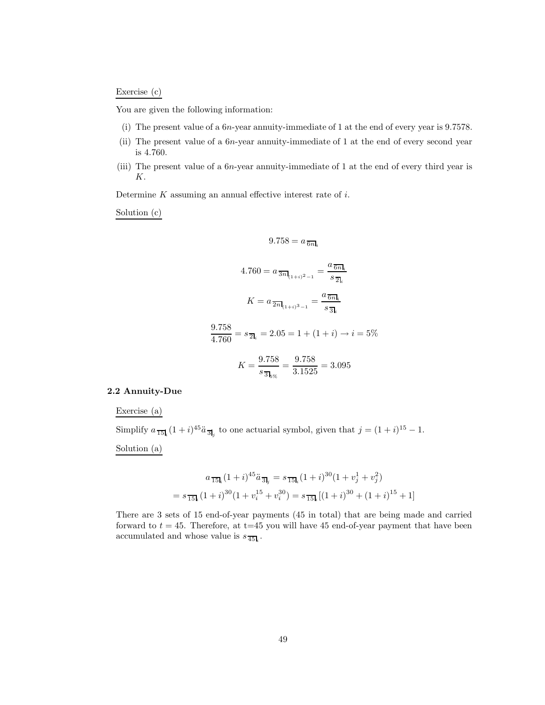# Exercise (c)

You are given the following information:

- (i) The present value of a 6n-year annuity-immediate of 1 at the end of every year is 9.7578.
- (ii) The present value of a 6n-year annuity-immediate of 1 at the end of every second year is 4.760.
- (iii) The present value of a 6n-year annuity-immediate of 1 at the end of every third year is K.

Determine  $K$  assuming an annual effective interest rate of  $i$ .

Solution (c)

$$
9.758 = a_{\overline{6n}\mathbf{k}_i}
$$

$$
4.760 = a_{\frac{3n}{n+1+2-1}} = \frac{a_{\frac{3n}{n}}}{s_{\frac{7}{n}}}
$$

$$
K = a_{\frac{7n}{n+1+2-1}} = \frac{a_{\frac{7n}{n}}}{s_{\frac{7}{n}}}
$$

$$
\frac{9.758}{4.760} = s_{\frac{7}{n}} = 2.05 = 1 + (1 + i) \rightarrow i = 5\%
$$

$$
K = \frac{9.758}{s_{\frac{7}{n}}}
$$

$$
= \frac{9.758}{3.1525} = 3.095
$$

# **2.2 Annuity-Due**

Exercise (a)

Simplify  $a_{\overline{15}l_i}(1+i)^{45}\ddot{a}_{\overline{3}l_j}$  to one actuarial symbol, given that  $j=(1+i)^{15}-1$ .

Solution (a)

$$
a_{\overline{15}l_i}(1+i)^{45}\ddot{a}_{\overline{3}l_j} = s_{\overline{15}l_i}(1+i)^{30}(1+v_j^1+v_j^2)
$$

$$
= s_{\overline{15}l_i}(1+i)^{30}(1+v_i^{15}+v_i^{30}) = s_{\overline{15}l_i}[(1+i)^{30}+(1+i)^{15}+1]
$$

There are 3 sets of 15 end-of-year payments (45 in total) that are being made and carried forward to  $t = 45$ . Therefore, at t=45 you will have 45 end-of-year payment that have been accumulated and whose value is  $s_{\overline{45}}$ .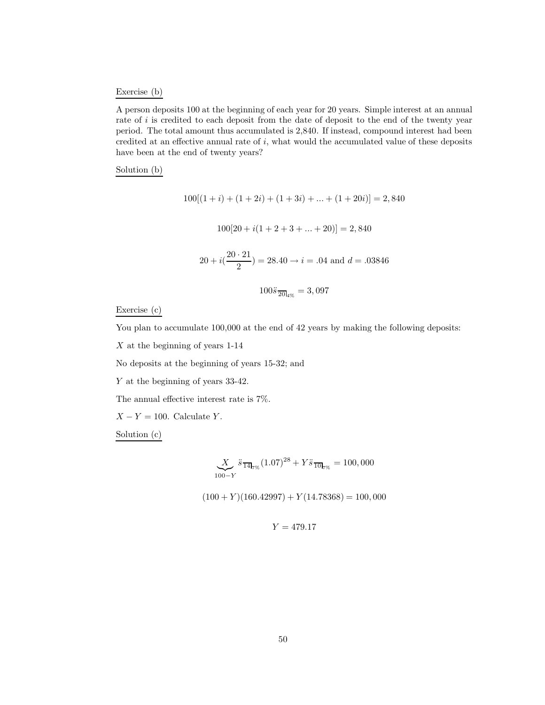# Exercise (b)

A person deposits 100 at the beginning of each year for 20 years. Simple interest at an annual rate of i is credited to each deposit from the date of deposit to the end of the twenty year period. The total amount thus accumulated is 2,840. If instead, compound interest had been credited at an effective annual rate of  $i$ , what would the accumulated value of these deposits have been at the end of twenty years?

## Solution (b)

$$
100[(1+i) + (1+2i) + (1+3i) + \dots + (1+20i)] = 2,840
$$
  

$$
100[20 + i(1+2+3+\dots+20)] = 2,840
$$
  

$$
20 + i(\frac{20 \cdot 21}{2}) = 28.40 \rightarrow i = .04 \text{ and } d = .03846
$$
  

$$
100\ddot{s}_{\overline{20l}_{4\%}} = 3,097
$$

Exercise (c)

You plan to accumulate  $100,000$  at the end of 42 years by making the following deposits:

X at the beginning of years 1-14

No deposits at the beginning of years 15-32; and

Y at the beginning of years 33-42.

The annual effective interest rate is 7%.

 $X - Y = 100$ . Calculate Y.

Solution (c)

$$
\underbrace{X}_{100-Y} \ddot{s} \frac{1}{14!} \dot{y} (1.07)^{28} + Y \ddot{s} \frac{1}{10!} \dot{y} = 100,000
$$

 $(100 + Y)(160.42997) + Y(14.78368) = 100,000$ 

$$
Y=479.17
$$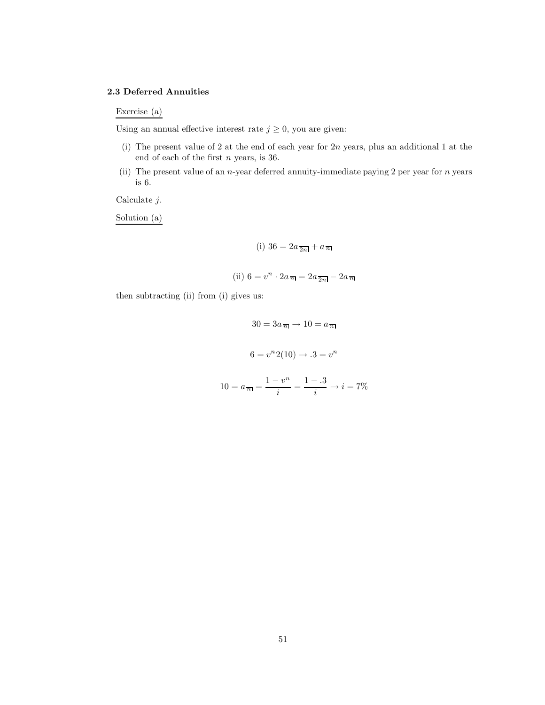#### **2.3 Deferred Annuities**

Exercise (a)

Using an annual effective interest rate  $j \geq 0$ , you are given:

- (i) The present value of 2 at the end of each year for 2n years, plus an additional 1 at the end of each of the first  $n$  years, is 36.
- (ii) The present value of an *n*-year deferred annuity-immediate paying 2 per year for *n* years is 6.

Calculate j.

Solution (a)

$$
(i) 36 = 2a\frac{1}{2n} + a\frac{1}{n}
$$

(ii) 
$$
6 = v^n \cdot 2a_{\overline{n}} = 2a_{\overline{2n}} - 2a_{\overline{n}}
$$

then subtracting (ii) from (i) gives us:

 $30 = 3a_{\overline{n}} \to 10 = a_{\overline{n}}$  $6 = v^n 2(10) \rightarrow .3 = v^n$  $10 = a_{\overline{n}} = \frac{1 - v^n}{i} = \frac{1 - .3}{i} \rightarrow i = 7\%$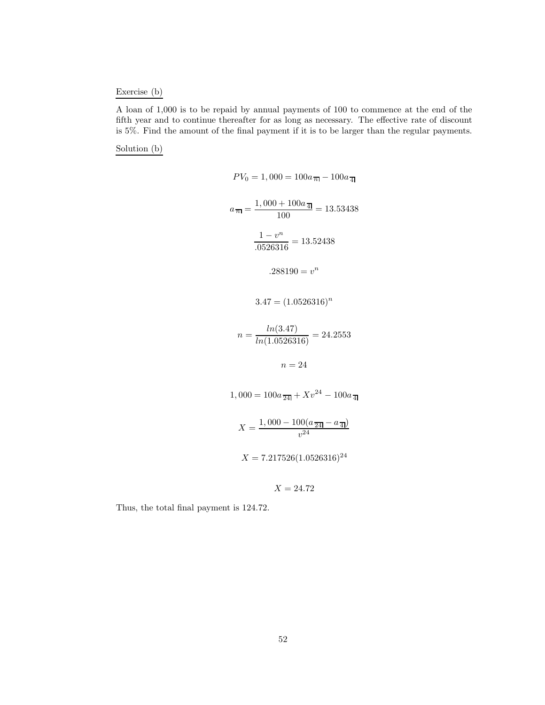# Exercise (b)

A loan of 1,000 is to be repaid by annual payments of 100 to commence at the end of the fifth year and to continue thereafter for as long as necessary. The effective rate of discount is 5%. Find the amount of the final payment if it is to be larger than the regular payments.

Solution (b)

$$
PV_0 = 1,000 = 100a_{\overline{n}} - 100a_{\overline{4}}
$$
  
\n
$$
a_{\overline{n}} = \frac{1,000 + 100a_{\overline{4}}}{100} = 13.53438
$$
  
\n
$$
\frac{1 - v^n}{.0526316} = 13.52438
$$
  
\n
$$
.288190 = v^n
$$
  
\n
$$
3.47 = (1.0526316)^n
$$
  
\n
$$
n = \frac{\ln(3.47)}{\ln(1.0526316)} = 24.2553
$$
  
\n
$$
n = 24
$$
  
\n
$$
1,000 = 100a_{\overline{24}} + Xv^{24} - 100a_{\overline{4}}
$$
  
\n
$$
X = \frac{1,000 - 100(a_{\overline{24}} - a_{\overline{4}})}{v^{24}}
$$
  
\n
$$
X = 7.217526(1.0526316)^{24}
$$

 $X = 24.72$ 

Thus, the total final payment is 124.72.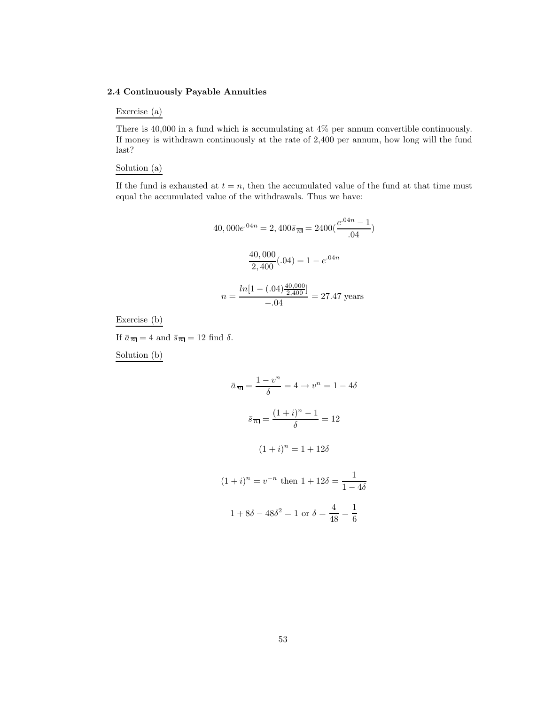#### **2.4 Continuously Payable Annuities**

# Exercise (a)

There is 40,000 in a fund which is accumulating at 4% per annum convertible continuously. If money is withdrawn continuously at the rate of 2,400 per annum, how long will the fund last?

#### Solution (a)

If the fund is exhausted at  $t = n$ , then the accumulated value of the fund at that time must equal the accumulated value of the withdrawals. Thus we have:

$$
40,000e^{.04n} = 2,400\bar{s}_{\overline{n}} = 2400(\frac{e^{.04n} - 1}{.04})
$$

$$
\frac{40,000}{2,400}(.04) = 1 - e^{.04n}
$$

$$
n = \frac{\ln[1 - (.04)\frac{40,000}{2,400}]}{-.04} = 27.47 \text{ years}
$$

Exercise (b)

If  $\bar{a}_{\overline{n}} = 4$  and  $\bar{s}_{\overline{n}} = 12$  find  $\delta$ .

Solution (b)

$$
\bar{a}_{\overline{n}|} = \frac{1 - v^n}{\delta} = 4 \to v^n = 1 - 4\delta
$$

$$
\bar{s}_{\overline{n}|} = \frac{(1 + i)^n - 1}{\delta} = 12
$$

$$
(1 + i)^n = 1 + 12\delta
$$

$$
(1 + i)^n = v^{-n} \text{ then } 1 + 12\delta = \frac{1}{1 - 4\delta}
$$

$$
1 + 8\delta - 48\delta^2 = 1 \text{ or } \delta = \frac{4}{48} = \frac{1}{6}
$$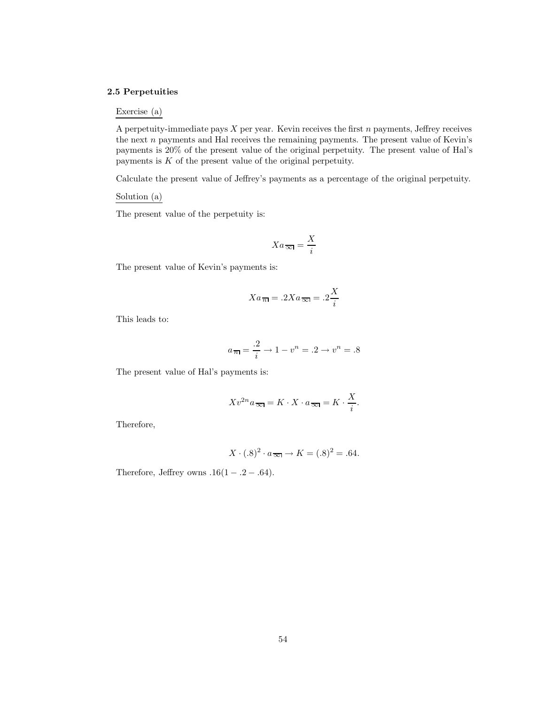#### **2.5 Perpetuities**

## Exercise (a)

A perpetuity-immediate pays  $X$  per year. Kevin receives the first  $n$  payments, Jeffrey receives the next  $n$  payments and Hal receives the remaining payments. The present value of Kevin's payments is 20% of the present value of the original perpetuity. The present value of Hal's payments is  $K$  of the present value of the original perpetuity.

Calculate the present value of Jeffrey's payments as a percentage of the original perpetuity.

Solution (a)

The present value of the perpetuity is:

$$
Xa_{\overline{\infty}} = \frac{X}{i}
$$

The present value of Kevin's payments is:

$$
Xa_{\overline{n}}=.2Xa_{\overline{\infty}}=.2\frac{X}{i}
$$

This leads to:

$$
a_{\overline{n}} = \frac{.2}{i} \to 1 - v^n = .2 \to v^n = .8
$$

The present value of Hal's payments is:

$$
Xv^{2n}a_{\overline{\infty}} = K \cdot X \cdot a_{\overline{\infty}} = K \cdot \frac{X}{i}.
$$

Therefore,

$$
X \cdot (.8)^2 \cdot a_{\overline{\infty}} \to K = (.8)^2 = .64.
$$

Therefore, Jeffrey owns  $.16(1-.2-.64)$ .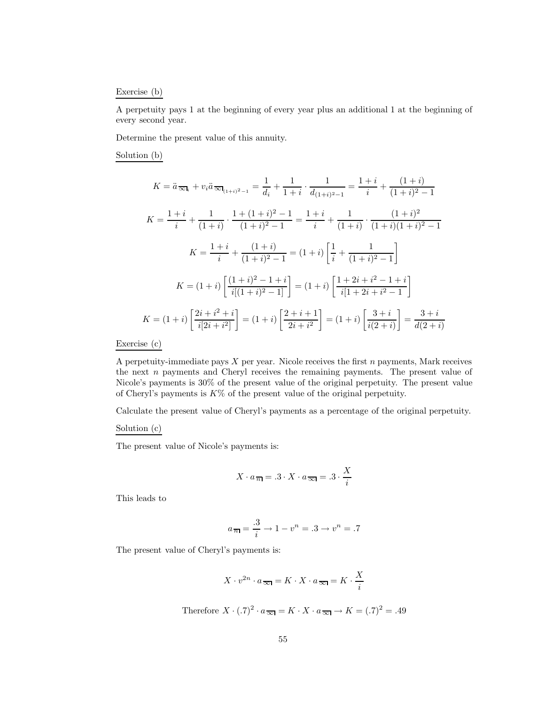#### Exercise (b)

A perpetuity pays 1 at the beginning of every year plus an additional 1 at the beginning of every second year.

Determine the present value of this annuity.

Solution (b)

$$
K = \ddot{a}_{\overline{\infty}i} + v_i \ddot{a}_{\overline{\infty}i_{(1+i)^2-1}} = \frac{1}{d_i} + \frac{1}{1+i} \cdot \frac{1}{d_{(1+i)^2-1}} = \frac{1+i}{i} + \frac{(1+i)}{(1+i)^2-1}
$$

$$
K = \frac{1+i}{i} + \frac{1}{(1+i)} \cdot \frac{1+(1+i)^2-1}{(1+i)^2-1} = \frac{1+i}{i} + \frac{1}{(1+i)} \cdot \frac{(1+i)^2}{(1+i)(1+i)^2-1}
$$

$$
K = \frac{1+i}{i} + \frac{(1+i)}{(1+i)^2-1} = (1+i) \left[ \frac{1}{i} + \frac{1}{(1+i)^2-1} \right]
$$

$$
K = (1+i) \left[ \frac{(1+i)^2-1+i}{i[(1+i)^2-1]} \right] = (1+i) \left[ \frac{1+2i+i^2-1+i}{i[1+2i+i^2-1]} \right]
$$

$$
K = (1+i) \left[ \frac{2i+i^2+i}{i[2i+i^2]} \right] = (1+i) \left[ \frac{2+i+1}{2i+i^2} \right] = (1+i) \left[ \frac{3+i}{i(2+i)} \right] = \frac{3+i}{d(2+i)}
$$

Exercise (c)

A perpetuity-immediate pays  $X$  per year. Nicole receives the first  $n$  payments, Mark receives the next  $n$  payments and Cheryl receives the remaining payments. The present value of Nicole's payments is 30% of the present value of the original perpetuity. The present value of Cheryl's payments is  $K\%$  of the present value of the original perpetuity.

Calculate the present value of Cheryl's payments as a percentage of the original perpetuity.

#### Solution (c)

The present value of Nicole's payments is:

$$
X \cdot a_{\overline{n}} = .3 \cdot X \cdot a_{\overline{\infty}} = .3 \cdot \frac{X}{i}
$$

This leads to

$$
a_{\overline{n}|} = \frac{.3}{i} \to 1 - v^n = .3 \to v^n = .7
$$

The present value of Cheryl's payments is:

$$
X \cdot v^{2n} \cdot a_{\overline{\infty}} = K \cdot X \cdot a_{\overline{\infty}} = K \cdot \frac{X}{i}
$$

Therefore  $X \cdot (0.7)^2 \cdot a_{\overline{\infty}} = K \cdot X \cdot a_{\overline{\infty}} \rightarrow K = (0.7)^2 = 0.49$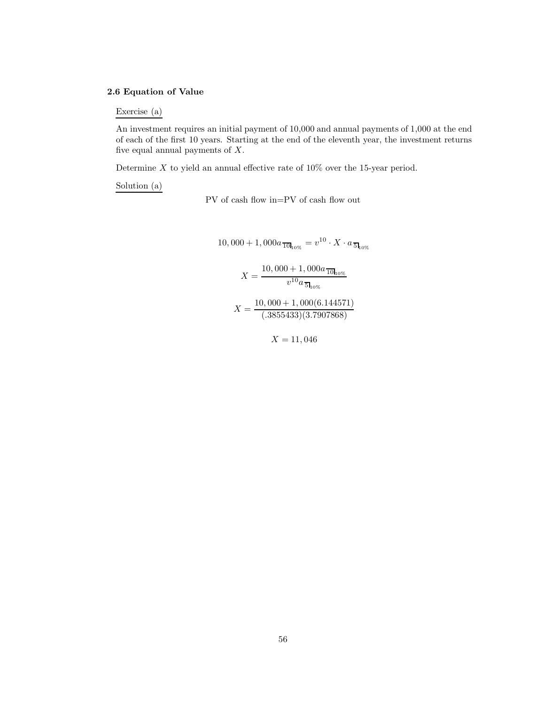# **2.6 Equation of Value**

Exercise (a)

An investment requires an initial payment of 10,000 and annual payments of 1,000 at the end of each of the first 10 years. Starting at the end of the eleventh year, the investment returns five equal annual payments of  $X$ .

Determine  $X$  to yield an annual effective rate of  $10\%$  over the 15-year period.

Solution (a)

PV of cash flow in=PV of cash flow out

10,000 + 1,000a<sub>10<sub>10%</sub> = 
$$
v^{10} \cdot X \cdot a_{5_{10\%}}
$$
  

$$
X = \frac{10,000 + 1,000a_{10\%}}{v^{10}a_{5_{10\%}}}
$$

$$
X = \frac{10,000 + 1,000(6.144571)}{(.3855433)(3.7907868)}
$$</sub>

 $X = 11,046$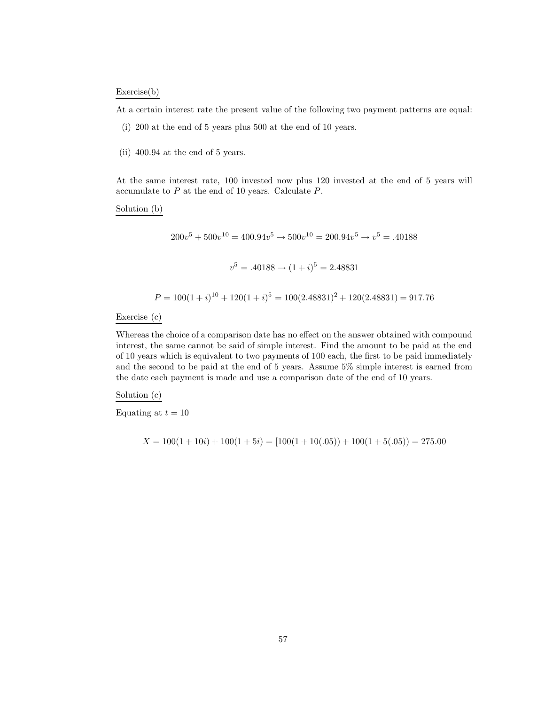#### Exercise(b)

At a certain interest rate the present value of the following two payment patterns are equal:

- (i) 200 at the end of 5 years plus 500 at the end of 10 years.
- (ii) 400.94 at the end of 5 years.

At the same interest rate, 100 invested now plus 120 invested at the end of 5 years will accumulate to  $P$  at the end of 10 years. Calculate  $P$ .

Solution (b)

$$
200v^5 + 500v^{10} = 400.94v^5 \rightarrow 500v^{10} = 200.94v^5 \rightarrow v^5 = .40188
$$
  

$$
v^5 = .40188 \rightarrow (1+i)^5 = 2.48831
$$

$$
P = 100(1 + i)^{10} + 120(1 + i)^5 = 100(2.48831)^2 + 120(2.48831) = 917.76
$$

Exercise (c)

Whereas the choice of a comparison date has no effect on the answer obtained with compound interest, the same cannot be said of simple interest. Find the amount to be paid at the end of 10 years which is equivalent to two payments of 100 each, the first to be paid immediately and the second to be paid at the end of 5 years. Assume 5% simple interest is earned from the date each payment is made and use a comparison date of the end of 10 years.

Solution (c)

Equating at  $t = 10$ 

$$
X = 100(1 + 10i) + 100(1 + 5i) = [100(1 + 10(.05)) + 100(1 + 5(.05)) = 275.00
$$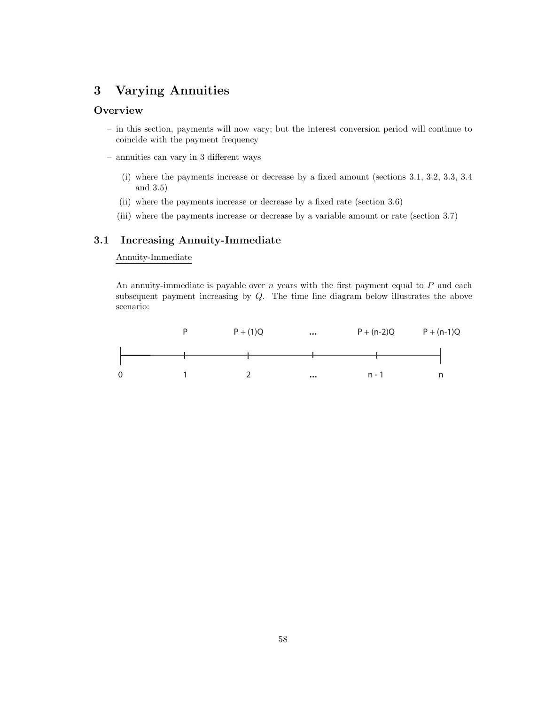# **3 Varying Annuities**

# **Overview**

- in this section, payments will now vary; but the interest conversion period will continue to coincide with the payment frequency
- annuities can vary in 3 different ways
	- (i) where the payments increase or decrease by a fixed amount (sections 3.1, 3.2, 3.3, 3.4 and 3.5)
	- (ii) where the payments increase or decrease by a fixed rate (section 3.6)
	- (iii) where the payments increase or decrease by a variable amount or rate (section 3.7)

# **3.1 Increasing Annuity-Immediate**

# Annuity-Immediate

An annuity-immediate is payable over  $n$  years with the first payment equal to  $P$  and each subsequent payment increasing by Q. The time line diagram below illustrates the above scenario:

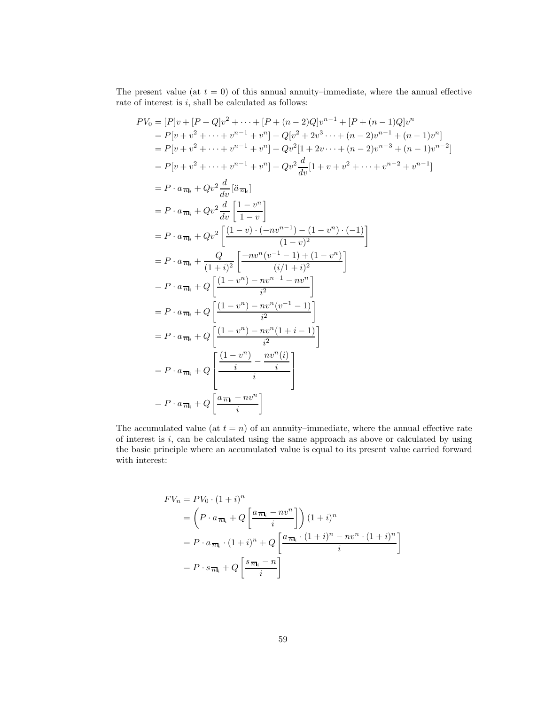The present value (at  $t = 0$ ) of this annual annuity–immediate, where the annual effective rate of interest is  $i$ , shall be calculated as follows:

$$
PV_0 = [P]v + [P + Q]v^2 + \dots + [P + (n - 2)Q]v^{n-1} + [P + (n - 1)Q]v^n
$$
  
\n
$$
= P[v + v^2 + \dots + v^{n-1} + v^n] + Q[v^2 + 2v^3 \dots + (n - 2)v^{n-1} + (n - 1)v^n]
$$
  
\n
$$
= P[v + v^2 + \dots + v^{n-1} + v^n] + Qv^2[1 + 2v \dots + (n - 2)v^{n-3} + (n - 1)v^{n-2}]
$$
  
\n
$$
= P[v + v^2 + \dots + v^{n-1} + v^n] + Qv^2 \frac{d}{dv}[1 + v + v^2 + \dots + v^{n-2} + v^{n-1}]
$$
  
\n
$$
= P \cdot a_{\overline{n}_i} + Qv^2 \frac{d}{dv}[\overline{a}_{\overline{n}_i}]
$$
  
\n
$$
= P \cdot a_{\overline{n}_i} + Qv^2 \frac{d}{dv}[\frac{1 - v^n}{1 - v}]
$$
  
\n
$$
= P \cdot a_{\overline{n}_i} + Qv^2 \frac{[(1 - v) \cdot (-nv^{n-1}) - (1 - v^n) \cdot (-1)]}{(1 - v)^2}]
$$
  
\n
$$
= P \cdot a_{\overline{n}_i} + Q \frac{Q}{v^2} [\frac{-nv^n(v^{-1} - 1) + (1 - v^n)}{(i/1 + i)^2}]
$$
  
\n
$$
= P \cdot a_{\overline{n}_i} + Q \frac{[(1 - v^n) - nv^{n-1} - nv^n]}{i^2}]
$$
  
\n
$$
= P \cdot a_{\overline{n}_i} + Q \frac{[(1 - v^n) - nv^n(v^{-1} - 1)]}{i^2}
$$
  
\n
$$
= P \cdot a_{\overline{n}_i} + Q \frac{[(1 - v^n) - nv^n(1 + i - 1)]}{i}
$$
  
\n
$$
= P \cdot a_{\overline{n}_i} + Q \frac{[a_{\overline{n}_i} - nv^n]}{i}
$$
  
\n
$$
= P \cdot a_{\overline{n}_i} + Q \frac{[a_{\overline{n}_i} - nv^n]}{i}
$$

The accumulated value (at  $t = n$ ) of an annuity–immediate, where the annual effective rate of interest is  $i$ , can be calculated using the same approach as above or calculated by using the basic principle where an accumulated value is equal to its present value carried forward with interest:

$$
FV_n = PV_0 \cdot (1+i)^n
$$
  
=  $\left(P \cdot a_{\overline{n}_i} + Q\left[\frac{a_{\overline{n}_i} - nv^n}{i}\right]\right) (1+i)^n$   
=  $P \cdot a_{\overline{n}_i} \cdot (1+i)^n + Q\left[\frac{a_{\overline{n}_i} \cdot (1+i)^n - nv^n \cdot (1+i)^n}{i}\right]$   
=  $P \cdot s_{\overline{n}_i} + Q\left[\frac{s_{\overline{n}_i} - n}{i}\right]$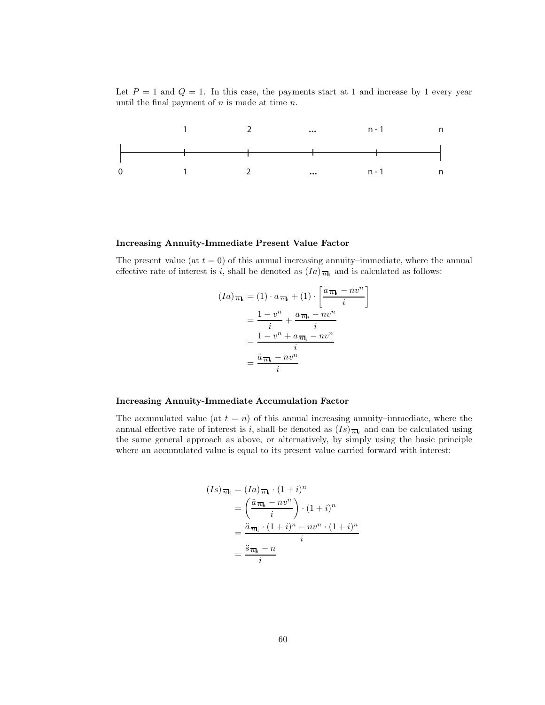Let  $P = 1$  and  $Q = 1$ . In this case, the payments start at 1 and increase by 1 every year until the final payment of  $n$  is made at time  $n$ .



#### **Increasing Annuity-Immediate Present Value Factor**

The present value (at  $t = 0$ ) of this annual increasing annuity–immediate, where the annual effective rate of interest is i, shall be denoted as  $(Ia)_{\overline{n}_i}$  and is calculated as follows:

$$
(Ia)_{\overline{n}_i} = (1) \cdot a_{\overline{n}_i} + (1) \cdot \left[ \frac{a_{\overline{n}_i} - nv^n}{i} \right]
$$

$$
= \frac{1 - v^n}{i} + \frac{a_{\overline{n}_i} - nv^n}{i}
$$

$$
= \frac{1 - v^n + a_{\overline{n}_i} - nv^n}{i}
$$

$$
= \frac{\ddot{a}_{\overline{n}_i} - nv^n}{i}
$$

#### **Increasing Annuity-Immediate Accumulation Factor**

The accumulated value (at  $t = n$ ) of this annual increasing annuity–immediate, where the annual effective rate of interest is i, shall be denoted as  $(Is)_{\overline{n}|i}$  and can be calculated using the same general approach as above, or alternatively, by simply using the basic principle where an accumulated value is equal to its present value carried forward with interest:

$$
(Is)_{\overline{n}_i} = (Ia)_{\overline{n}_i} \cdot (1+i)^n
$$
  
= 
$$
\left(\frac{\ddot{a}_{\overline{n}_i} - nv^n}{i}\right) \cdot (1+i)^n
$$
  
= 
$$
\frac{\ddot{a}_{\overline{n}_i} \cdot (1+i)^n - nv^n \cdot (1+i)^n}{i}
$$
  
= 
$$
\frac{\ddot{s}_{\overline{n}_i} - n}{i}
$$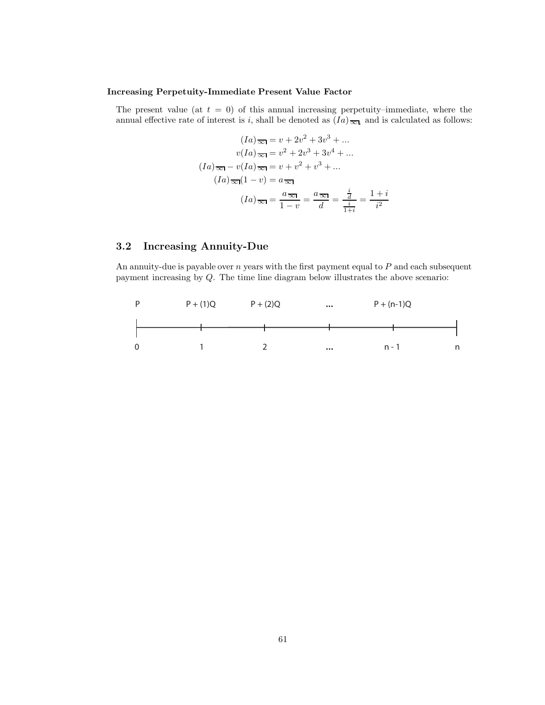# **Increasing Perpetuity-Immediate Present Value Factor**

The present value (at  $t = 0$ ) of this annual increasing perpetuity–immediate, where the annual effective rate of interest is i, shall be denoted as  $(Ia)_{\overline{\infty}_i}$  and is calculated as follows:

$$
(Ia) \overline{\infty} = v + 2v^2 + 3v^3 + \dots
$$

$$
v(Ia) \overline{\infty} = v^2 + 2v^3 + 3v^4 + \dots
$$

$$
(Ia) \overline{\infty} - v(Ia) \overline{\infty} = v + v^2 + v^3 + \dots
$$

$$
(Ia) \overline{\infty} (1 - v) = a \overline{\infty}
$$

$$
(Ia) \overline{\infty} = \frac{a \overline{\infty}}{1 - v} = \frac{a \overline{\infty}}{d} = \frac{\frac{i}{d}}{\frac{i}{1 + i}} = \frac{1 + i}{i^2}
$$

# **3.2 Increasing Annuity-Due**

An annuity-due is payable over  $n$  years with the first payment equal to  $P$  and each subsequent payment increasing by Q. The time line diagram below illustrates the above scenario:

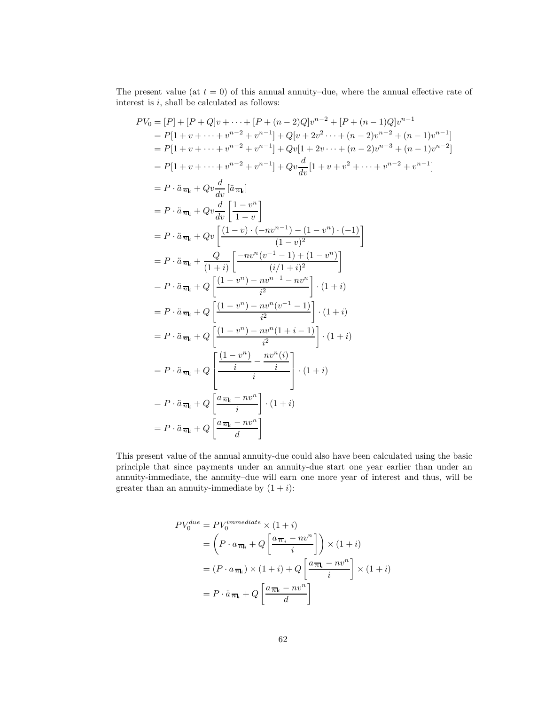The present value (at  $t = 0$ ) of this annual annuity–due, where the annual effective rate of interest is  $i$ , shall be calculated as follows:

$$
PV_{0} = [P] + [P + Q]v + \dots + [P + (n - 2)Q]v^{n-2} + [P + (n - 1)Q]v^{n-1}
$$
  
\n
$$
= P[1 + v + \dots + v^{n-2} + v^{n-1}] + Q[v + 2v^{2} \dots + (n - 2)v^{n-2} + (n - 1)v^{n-1}]
$$
  
\n
$$
= P[1 + v + \dots + v^{n-2} + v^{n-1}] + Qv[1 + 2v \dots + (n - 2)v^{n-3} + (n - 1)v^{n-2}]
$$
  
\n
$$
= P[1 + v + \dots + v^{n-2} + v^{n-1}] + Qv\frac{d}{dv}[1 + v + v^{2} + \dots + v^{n-2} + v^{n-1}]
$$
  
\n
$$
= P \cdot \ddot{a}_{\overline{n_i}} + Qv\frac{d}{dv}[\frac{1 - v^{n}}{1 - v}]
$$
  
\n
$$
= P \cdot \ddot{a}_{\overline{n_i}} + Qv\left[\frac{(1 - v)^{n}}{1 - v}\right]
$$
  
\n
$$
= P \cdot \ddot{a}_{\overline{n_i}} + Qv\left[\frac{(1 - v)^{n}}{1 - v}\right]
$$
  
\n
$$
= P \cdot \ddot{a}_{\overline{n_i}} + Q\left[\frac{-(1 - v)^{n}}{1 - v}\right]
$$
  
\n
$$
= P \cdot \ddot{a}_{\overline{n_i}} + Q\left[\frac{-(1 - v^{n}) - nv^{n-1} - nv^{n}}{(i/1 + i)^{2}}\right]. (1 + i)
$$
  
\n
$$
= P \cdot \ddot{a}_{\overline{n_i}} + Q\left[\frac{(1 - v^{n}) - nv^{n}(v^{-1} - 1)}{i^{2}}\right] \cdot (1 + i)
$$
  
\n
$$
= P \cdot \ddot{a}_{\overline{n_i}} + Q\left[\frac{(1 - v^{n}) - nv^{n}(1 + i - 1)}{i^{2}}\right] \cdot (1 + i)
$$
  
\n
$$
= P \cdot \ddot{a}_{\overline{n_i}} + Q\left[\frac{(1 - v^{n}) - nv^{n}(i)}{i}\right]. (1 + i)
$$
  
\n
$$
= P \cdot \ddot{a}_{\overline{n_i}} + Q\left[\
$$

This present value of the annual annuity-due could also have been calculated using the basic principle that since payments under an annuity-due start one year earlier than under an annuity-immediate, the annuity–due will earn one more year of interest and thus, will be greater than an annuity-immediate by  $(1 + i)$ :

$$
PV_0^{due} = PV_0^{immediate} \times (1+i)
$$
  
=  $\left(P \cdot a_{\overline{n}_i} + Q\left[\frac{a_{\overline{n}_i} - nv^n}{i}\right]\right) \times (1+i)$   
=  $(P \cdot a_{\overline{n}_i}) \times (1+i) + Q\left[\frac{a_{\overline{n}_i} - nv^n}{i}\right] \times (1+i)$   
=  $P \cdot \ddot{a}_{\overline{n}_i} + Q\left[\frac{a_{\overline{n}_i} - nv^n}{d}\right]$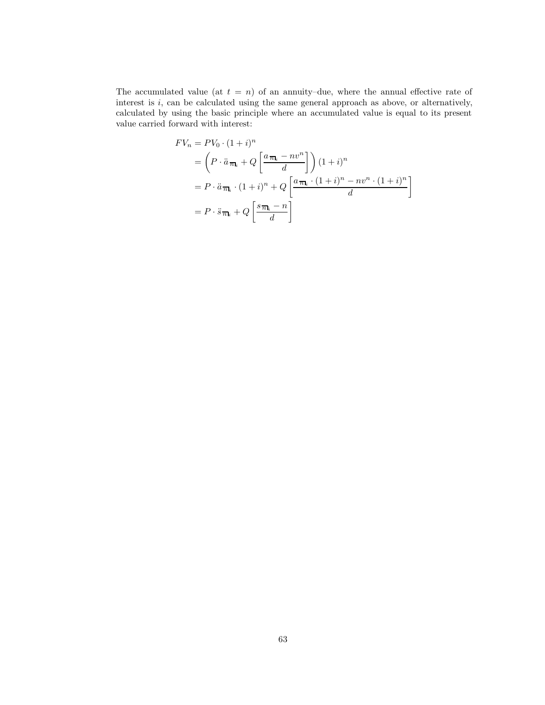The accumulated value (at  $t = n$ ) of an annuity–due, where the annual effective rate of interest is  $i$ , can be calculated using the same general approach as above, or alternatively, calculated by using the basic principle where an accumulated value is equal to its present value carried forward with interest:

$$
FV_n = PV_0 \cdot (1+i)^n
$$
  
=  $\left(P \cdot \ddot{a}_{\overline{n}_i} + Q\left[\frac{a_{\overline{n}_i} - nv^n}{d}\right]\right) (1+i)^n$   
=  $P \cdot \ddot{a}_{\overline{n}_i} \cdot (1+i)^n + Q\left[\frac{a_{\overline{n}_i} \cdot (1+i)^n - nv^n \cdot (1+i)^n}{d}\right]$   
=  $P \cdot \ddot{s}_{\overline{n}_i} + Q\left[\frac{s_{\overline{n}_i} - n}{d}\right]$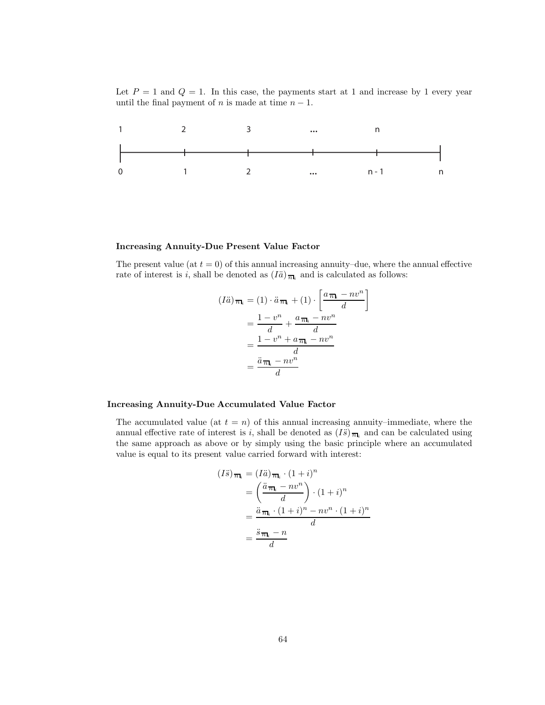Let  $P = 1$  and  $Q = 1$ . In this case, the payments start at 1 and increase by 1 every year until the final payment of *n* is made at time  $n - 1$ .



#### **Increasing Annuity-Due Present Value Factor**

The present value (at  $t = 0$ ) of this annual increasing annuity–due, where the annual effective rate of interest is i, shall be denoted as  $(I\ddot{a})_{\overline{n}\mathbf{l}_i}$  and is calculated as follows:

$$
(I\ddot{a})_{\overline{n}|_i} = (1) \cdot \ddot{a}_{\overline{n}|_i} + (1) \cdot \left[ \frac{a_{\overline{n}|_i} - nv^n}{d} \right]
$$

$$
= \frac{1 - v^n}{d} + \frac{a_{\overline{n}|_i} - nv^n}{d}
$$

$$
= \frac{1 - v^n + a_{\overline{n}|_i} - nv^n}{d}
$$

$$
= \frac{\ddot{a}_{\overline{n}|_i} - nv^n}{d}
$$

#### **Increasing Annuity-Due Accumulated Value Factor**

The accumulated value (at  $t = n$ ) of this annual increasing annuity–immediate, where the annual effective rate of interest is i, shall be denoted as  $(I\ddot{s})_{\overline{n}|i}$  and can be calculated using the same approach as above or by simply using the basic principle where an accumulated value is equal to its present value carried forward with interest:

$$
(I\ddot{s})_{\overline{n}_i} = (I\ddot{a})_{\overline{n}_i} \cdot (1+i)^n
$$

$$
= \left(\frac{\ddot{a}_{\overline{n}_i} - nv^n}{d}\right) \cdot (1+i)^n
$$

$$
= \frac{\ddot{a}_{\overline{n}_i} \cdot (1+i)^n - nv^n \cdot (1+i)^n}{d}
$$

$$
= \frac{\ddot{s}_{\overline{n}_i} - n}{d}
$$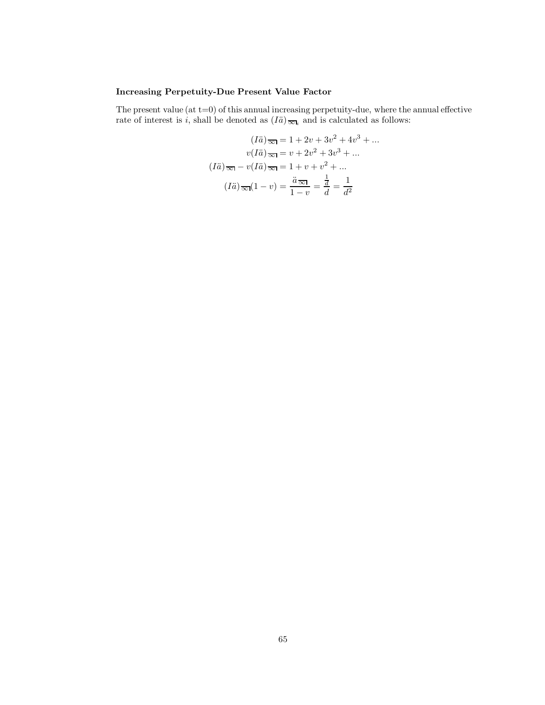# **Increasing Perpetuity-Due Present Value Factor**

The present value  $(at t=0)$  of this annual increasing perpetuity-due, where the annual effective rate of interest is i, shall be denoted as  $(I\ddot{a})_{\overline{\infty}l_i}$  and is calculated as follows:

$$
(I\ddot{a})\overline{\infty} = 1 + 2v + 3v^2 + 4v^3 + \dots
$$

$$
v(I\ddot{a})\overline{\infty} = v + 2v^2 + 3v^3 + \dots
$$

$$
(I\ddot{a})\overline{\infty} - v(I\ddot{a})\overline{\infty} = 1 + v + v^2 + \dots
$$

$$
(I\ddot{a})\overline{\infty}(1 - v) = \frac{\ddot{a}\overline{\infty}1}{1 - v} = \frac{\frac{1}{d}}{d} = \frac{1}{d^2}
$$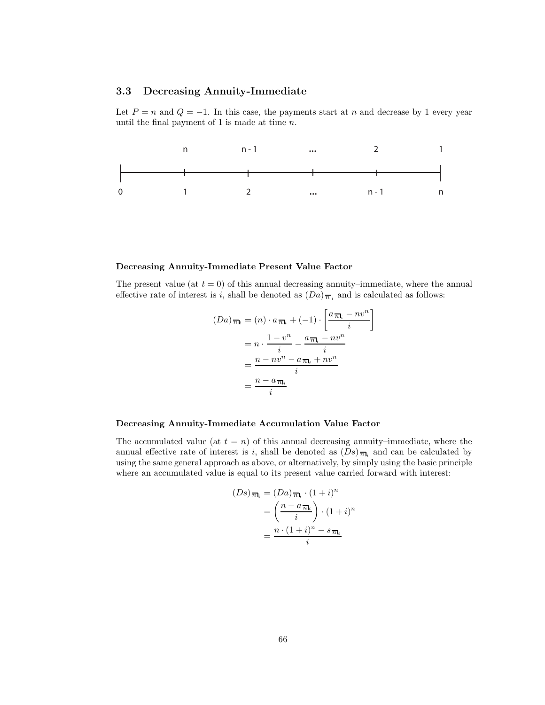# **3.3 Decreasing Annuity-Immediate**

Let  $P = n$  and  $Q = -1$ . In this case, the payments start at n and decrease by 1 every year until the final payment of 1 is made at time  $n$ .



#### **Decreasing Annuity-Immediate Present Value Factor**

The present value (at  $t = 0$ ) of this annual decreasing annuity–immediate, where the annual effective rate of interest is i, shall be denoted as  $(Da)_{\overline{n}_i}$  and is calculated as follows:

$$
(Da)_{\overline{n}_i} = (n) \cdot a_{\overline{n}_i} + (-1) \cdot \left[ \frac{a_{\overline{n}_i} - nv^n}{i} \right]
$$

$$
= n \cdot \frac{1 - v^n}{i} - \frac{a_{\overline{n}_i} - nv^n}{i}
$$

$$
= \frac{n - nv^n - a_{\overline{n}_i} + nv^n}{i}
$$

$$
= \frac{n - a_{\overline{n}_i}}{i}
$$

#### **Decreasing Annuity-Immediate Accumulation Value Factor**

The accumulated value (at  $t = n$ ) of this annual decreasing annuity–immediate, where the annual effective rate of interest is i, shall be denoted as  $(Ds)_{\overline{n}_k}$  and can be calculated by using the same general approach as above, or alternatively, by simply using the basic principle where an accumulated value is equal to its present value carried forward with interest:

$$
(Ds)_{\overline{n}\mathbf{l}_i} = (Da)_{\overline{n}\mathbf{l}_i} \cdot (1+i)^n
$$

$$
= \left(\frac{n - a_{\overline{n}\mathbf{l}_i}}{i}\right) \cdot (1+i)^n
$$

$$
= \frac{n \cdot (1+i)^n - s_{\overline{n}\mathbf{l}_i}}{i}
$$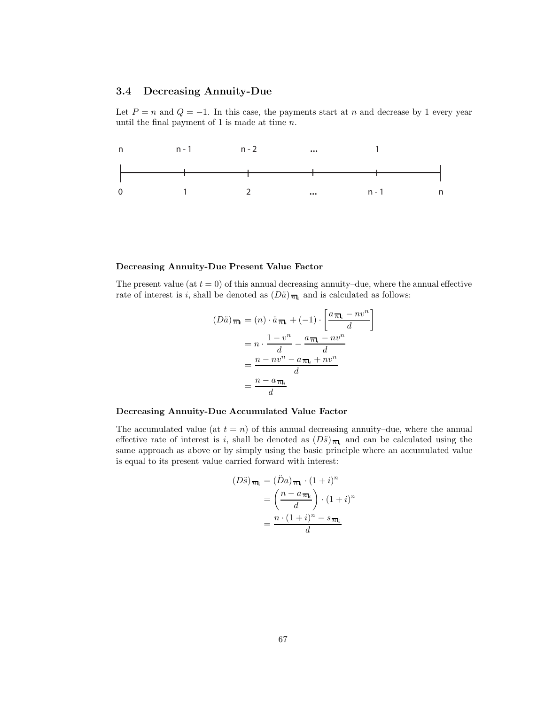# **3.4 Decreasing Annuity-Due**

Let  $P = n$  and  $Q = -1$ . In this case, the payments start at n and decrease by 1 every year until the final payment of 1 is made at time  $n$ .



#### **Decreasing Annuity-Due Present Value Factor**

The present value (at  $t = 0$ ) of this annual decreasing annuity–due, where the annual effective rate of interest is i, shall be denoted as  $(D\ddot{a})_{\overline{n}}$  and is calculated as follows:

$$
(D\ddot{a})_{\overline{n}_i} = (n) \cdot \ddot{a}_{\overline{n}_i} + (-1) \cdot \left[ \frac{a_{\overline{n}_i} - nv^n}{d} \right]
$$

$$
= n \cdot \frac{1 - v^n}{d} - \frac{a_{\overline{n}_i} - nv^n}{d}
$$

$$
= \frac{n - nv^n - a_{\overline{n}_i} + nv^n}{d}
$$

$$
= \frac{n - a_{\overline{n}_i}}{d}
$$

## **Decreasing Annuity-Due Accumulated Value Factor**

The accumulated value (at  $t = n$ ) of this annual decreasing annuity–due, where the annual effective rate of interest is i, shall be denoted as  $(D\ddot{s})_{\overline{n}_i}$  and can be calculated using the same approach as above or by simply using the basic principle where an accumulated value is equal to its present value carried forward with interest:

$$
(D\ddot{s})_{\overline{n}_i} = (\ddot{D}a)_{\overline{n}_i} \cdot (1+i)^n
$$

$$
= \left(\frac{n - a_{\overline{n}_i}}{d}\right) \cdot (1+i)^n
$$

$$
= \frac{n \cdot (1+i)^n - s_{\overline{n}_i}}{d}
$$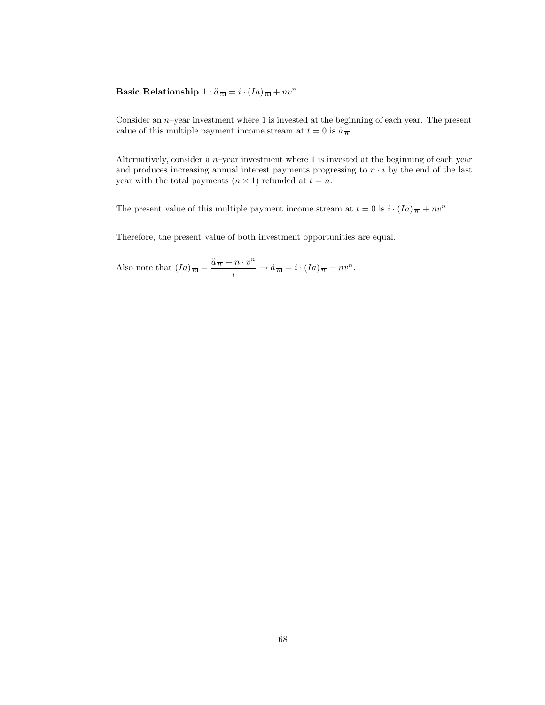**Basic Relationship**  $1: \ddot{a}_{\overline{n}} = i \cdot (Ia)_{\overline{n}} + nv^n$ 

Consider an n–year investment where 1 is invested at the beginning of each year. The present value of this multiple payment income stream at  $t = 0$  is  $\ddot{a}_{\overline{n}}$ .

Alternatively, consider a n–year investment where 1 is invested at the beginning of each year and produces increasing annual interest payments progressing to  $n \cdot i$  by the end of the last year with the total payments  $(n \times 1)$  refunded at  $t = n$ .

The present value of this multiple payment income stream at  $t = 0$  is  $i \cdot (Ia)_{\overline{n}} + nv^n$ .

Therefore, the present value of both investment opportunities are equal.

Also note that  $(Ia)_{\overline{n}} = \frac{\ddot{a}_{\overline{n}} - n \cdot v^n}{i} \rightarrow \ddot{a}_{\overline{n}} = i \cdot (Ia)_{\overline{n}} + nv^n$ .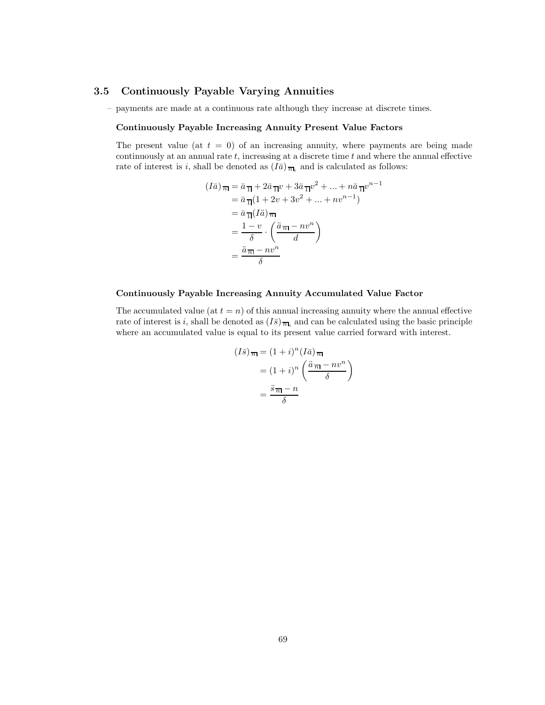# **3.5 Continuously Payable Varying Annuities**

– payments are made at a continuous rate although they increase at discrete times.

## **Continuously Payable Increasing Annuity Present Value Factors**

The present value (at  $t = 0$ ) of an increasing annuity, where payments are being made continuously at an annual rate  $t$ , increasing at a discrete time  $t$  and where the annual effective rate of interest is i, shall be denoted as  $(I\bar{a})_{\overline{n}_k}$  and is calculated as follows:

$$
(I\bar{a})_{\overline{n}} = \bar{a}_{\overline{1}} + 2\bar{a}_{\overline{1}}v + 3\bar{a}_{\overline{1}}v^2 + \dots + n\bar{a}_{\overline{1}}v^{n-1}
$$
  
\n
$$
= \bar{a}_{\overline{1}}(1 + 2v + 3v^2 + \dots + nv^{n-1})
$$
  
\n
$$
= \bar{a}_{\overline{1}}(I\ddot{a})_{\overline{n}}
$$
  
\n
$$
= \frac{1 - v}{\delta} \cdot \left(\frac{\ddot{a}_{\overline{n}} - nv^n}{d}\right)
$$
  
\n
$$
= \frac{\ddot{a}_{\overline{n}} - nv^n}{\delta}
$$

#### **Continuously Payable Increasing Annuity Accumulated Value Factor**

The accumulated value (at  $t = n$ ) of this annual increasing annuity where the annual effective rate of interest is i, shall be denoted as  $(I\bar{s})_{\overline{n}_i}$  and can be calculated using the basic principle where an accumulated value is equal to its present value carried forward with interest.

$$
(I\bar{s})_{\overline{n}|} = (1+i)^n (I\bar{a})_{\overline{n}|}
$$

$$
= (1+i)^n \left(\frac{\ddot{a}_{\overline{n}|} - nv^n}{\delta}\right)
$$

$$
= \frac{\ddot{s}_{\overline{n}|} - n}{\delta}
$$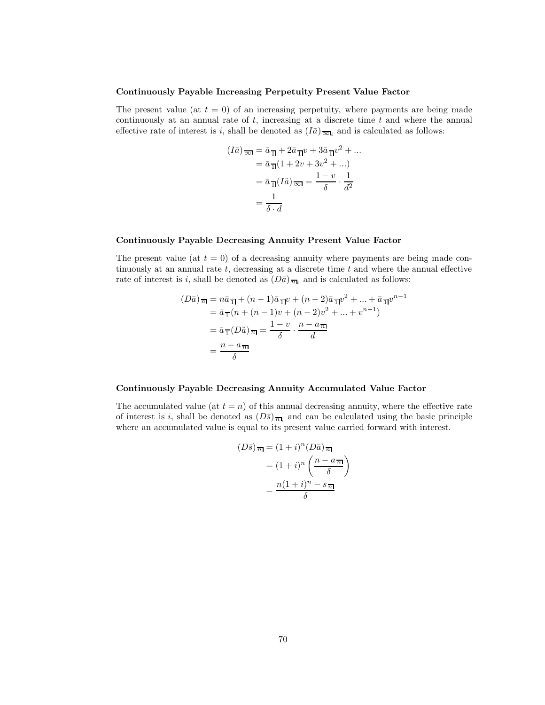#### **Continuously Payable Increasing Perpetuity Present Value Factor**

The present value (at  $t = 0$ ) of an increasing perpetuity, where payments are being made continuously at an annual rate of  $t$ , increasing at a discrete time  $t$  and where the annual effective rate of interest is i, shall be denoted as  $(I\bar{a})_{\overline{\infty}l_i}$  and is calculated as follows:

$$
(I\bar{a})\overline{\infty} = \bar{a}\overline{1} + 2\bar{a}\overline{1}v + 3\bar{a}\overline{1}v^2 + \dots
$$

$$
= \bar{a}\overline{1}(1 + 2v + 3v^2 + \dots)
$$

$$
= \bar{a}\overline{1}(I\ddot{a})\overline{\infty} = \frac{1 - v}{\delta} \cdot \frac{1}{d^2}
$$

$$
= \frac{1}{\delta \cdot d}
$$

## **Continuously Payable Decreasing Annuity Present Value Factor**

The present value (at  $t = 0$ ) of a decreasing annuity where payments are being made continuously at an annual rate  $t$ , decreasing at a discrete time  $t$  and where the annual effective rate of interest is i, shall be denoted as  $(D\bar{a})_{\overline{n}}$  and is calculated as follows:

$$
(D\bar{a})_{\overline{n}} = n\bar{a}_{\overline{1}} + (n-1)\bar{a}_{\overline{1}}v + (n-2)\bar{a}_{\overline{1}}v^2 + \dots + \bar{a}_{\overline{1}}v^{n-1}
$$
  
=  $\bar{a}_{\overline{1}}(n + (n-1)v + (n-2)v^2 + \dots + v^{n-1})$   
=  $\bar{a}_{\overline{1}}(D\ddot{a})_{\overline{n}} = \frac{1-v}{\delta} \cdot \frac{n-a_{\overline{n}}}{d}$   
=  $\frac{n-a_{\overline{n}}}{\delta}$ 

#### **Continuously Payable Decreasing Annuity Accumulated Value Factor**

The accumulated value (at  $t = n$ ) of this annual decreasing annuity, where the effective rate of interest is i, shall be denoted as  $(D\bar{s})_{\bar{n}}$  and can be calculated using the basic principle where an accumulated value is equal to its present value carried forward with interest.

$$
(D\bar{s})_{\overline{n}} = (1+i)^n (D\bar{a})_{\overline{n}} = (1+i)^n \left(\frac{n-a_{\overline{n}}}{\delta}\right) = \frac{n(1+i)^n - s_{\overline{n}}}{\delta}
$$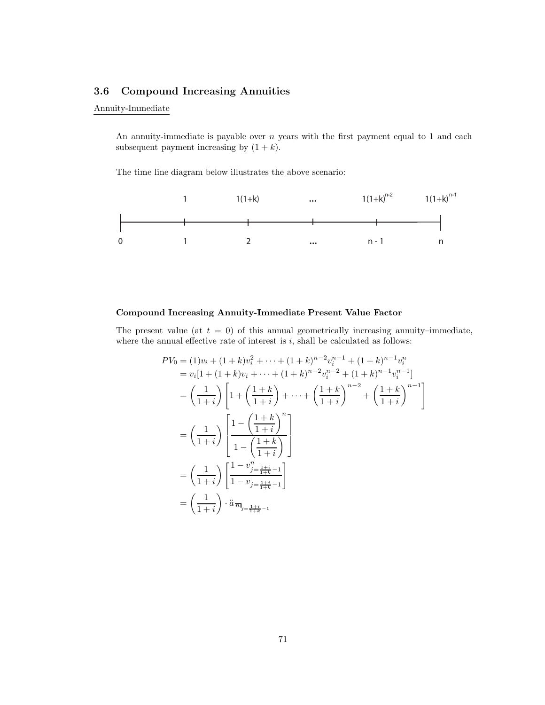## **3.6 Compound Increasing Annuities**

## Annuity-Immediate

An annuity-immediate is payable over  $n$  years with the first payment equal to 1 and each subsequent payment increasing by  $(1 + k)$ .

The time line diagram below illustrates the above scenario:



## **Compound Increasing Annuity-Immediate Present Value Factor**

The present value (at  $t = 0$ ) of this annual geometrically increasing annuity–immediate, where the annual effective rate of interest is  $i$ , shall be calculated as follows:

$$
PV_0 = (1)v_i + (1+k)v_i^2 + \dots + (1+k)^{n-2}v_i^{n-1} + (1+k)^{n-1}v_i^n
$$
  
\n
$$
= v_i[1 + (1+k)v_i + \dots + (1+k)^{n-2}v_i^{n-2} + (1+k)^{n-1}v_i^{n-1}]
$$
  
\n
$$
= \left(\frac{1}{1+i}\right) \left[1 + \left(\frac{1+k}{1+i}\right) + \dots + \left(\frac{1+k}{1+i}\right)^{n-2} + \left(\frac{1+k}{1+i}\right)^{n-1}\right]
$$
  
\n
$$
= \left(\frac{1}{1+i}\right) \left[\frac{1 - \left(\frac{1+k}{1+i}\right)^n}{1 - \left(\frac{1+k}{1+i}\right)}\right]
$$
  
\n
$$
= \left(\frac{1}{1+i}\right) \left[\frac{1 - v_{j-\frac{1+i}{1+k}-1}^{n}}{1 - v_{j-\frac{1+i}{1+k}-1}}\right]
$$
  
\n
$$
= \left(\frac{1}{1+i}\right) \cdot \ddot{a}_{\overline{n}_{j-\frac{1+i}{1+k}-1}}
$$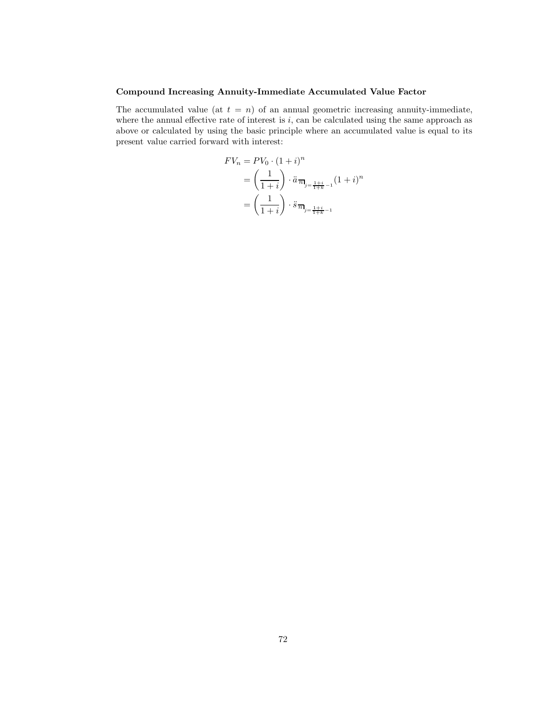## **Compound Increasing Annuity-Immediate Accumulated Value Factor**

The accumulated value (at  $t = n$ ) of an annual geometric increasing annuity-immediate, where the annual effective rate of interest is  $i$ , can be calculated using the same approach as above or calculated by using the basic principle where an accumulated value is equal to its present value carried forward with interest:

$$
FV_n = PV_0 \cdot (1+i)^n
$$
  
=  $\left(\frac{1}{1+i}\right) \cdot \ddot{a}_{\overline{n}}_{j=\frac{1+i}{1+k}-1} (1+i)^n$   
=  $\left(\frac{1}{1+i}\right) \cdot \ddot{s}_{\overline{n}}_{j=\frac{1+i}{1+k}-1}$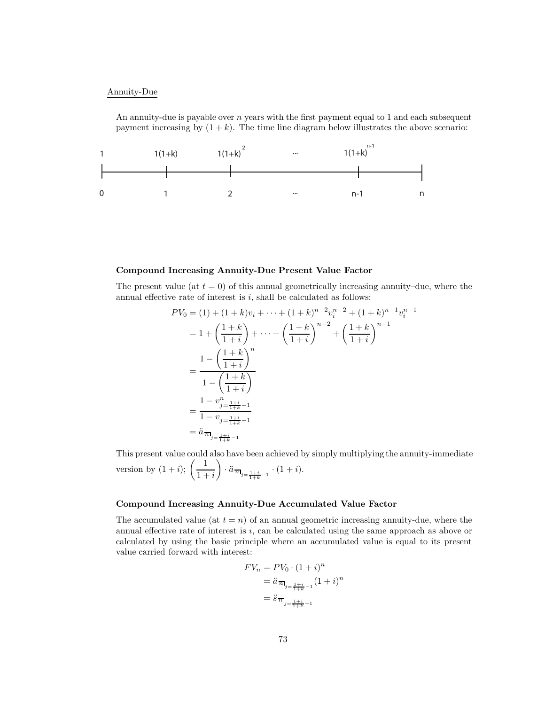#### Annuity-Due

An annuity-due is payable over  $n$  years with the first payment equal to 1 and each subsequent payment increasing by  $(1 + k)$ . The time line diagram below illustrates the above scenario:



#### **Compound Increasing Annuity-Due Present Value Factor**

The present value (at  $t = 0$ ) of this annual geometrically increasing annuity–due, where the annual effective rate of interest is  $i$ , shall be calculated as follows:

$$
PV_0 = (1) + (1 + k)v_i + \dots + (1 + k)^{n-2}v_i^{n-2} + (1 + k)^{n-1}v_i^{n-1}
$$
  
=  $1 + \left(\frac{1 + k}{1 + i}\right) + \dots + \left(\frac{1 + k}{1 + i}\right)^{n-2} + \left(\frac{1 + k}{1 + i}\right)^{n-1}$   
= 
$$
\frac{1 - \left(\frac{1 + k}{1 + i}\right)^n}{1 - \left(\frac{1 + k}{1 + i}\right)}
$$
  
= 
$$
\frac{1 - v_{j-\frac{1 + i}{1 + k} - 1}}{1 - v_{j-\frac{1 + i}{1 + k} - 1}}
$$
  
=  $\ddot{a}_{\overline{n}_{j-\frac{1 + i}{1 + k} - 1}}$ 

This present value could also have been achieved by simply multiplying the annuity-immediate version by  $(1+i);$   $\left(\frac{1}{1+i}\right)$  $\bigg) \cdot \ddot{a}_{\,\overline{n}_{{j=\frac{1+i}{1+k}-1}}}\cdot (1+i).$ 

## **Compound Increasing Annuity-Due Accumulated Value Factor**

The accumulated value (at  $t = n$ ) of an annual geometric increasing annuity-due, where the annual effective rate of interest is  $i$ , can be calculated using the same approach as above or calculated by using the basic principle where an accumulated value is equal to its present value carried forward with interest:

$$
FV_n = PV_0 \cdot (1+i)^n
$$
  
=  $\ddot{a}_{\overline{n}}_{j=\frac{1+i}{1+k}-1} (1+i)^n$   
=  $\ddot{s}_{\overline{n}}_{j=\frac{1+i}{1+k}-1}$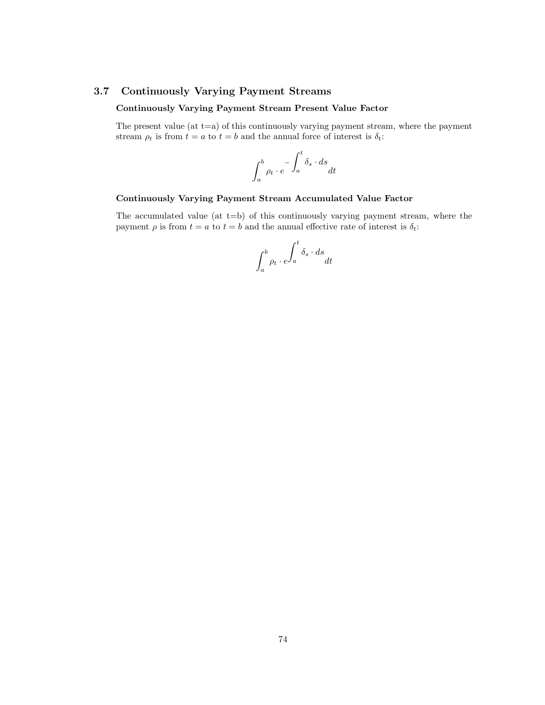## **3.7 Continuously Varying Payment Streams**

## **Continuously Varying Payment Stream Present Value Factor**

The present value (at  $t=a$ ) of this continuously varying payment stream, where the payment stream  $\rho_t$  is from  $t = a$  to  $t = b$  and the annual force of interest is  $\delta_t$ :

$$
\int_a^b \rho_t \cdot e^{-\int_a^t \delta_s \cdot ds} dt
$$

## **Continuously Varying Payment Stream Accumulated Value Factor**

The accumulated value  $(at t=b)$  of this continuously varying payment stream, where the payment  $\rho$  is from  $t = a$  to  $t = b$  and the annual effective rate of interest is  $\delta_t$ :

$$
\int_a^b \rho_t \cdot e^{\int_a^t \delta_s \cdot ds} dt
$$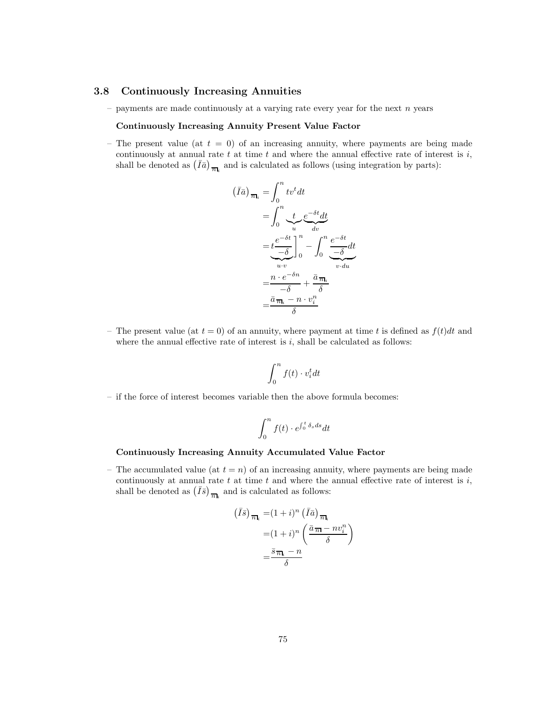#### **3.8 Continuously Increasing Annuities**

– payments are made continuously at a varying rate every year for the next  $n$  years

#### **Continuously Increasing Annuity Present Value Factor**

– The present value (at  $t = 0$ ) of an increasing annuity, where payments are being made continuously at annual rate  $t$  at time  $t$  and where the annual effective rate of interest is  $i$ , shall be denoted as  $(\bar{I}\bar{a})_{\bar{n}\bar{l}_i}$  and is calculated as follows (using integration by parts):

$$
(\bar{I}\bar{a})_{\overline{n}_i} = \int_0^n tv^t dt
$$
  
= 
$$
\int_0^n \underbrace{t}_{u} e^{-\delta t} dt
$$
  
= 
$$
\underbrace{t^{-\delta t}_{-\delta}}_{u \cdot v} \Big|_0^n - \int_0^n \underbrace{e^{-\delta t}}_{v \cdot du}
$$
  
= 
$$
\frac{n \cdot e^{-\delta n}}{-\delta} + \frac{\bar{a}_{\overline{n}_i}}{\delta}
$$
  
= 
$$
\frac{\bar{a}_{\overline{n}_i} - n \cdot v_i^n}{\delta}
$$

– The present value (at  $t = 0$ ) of an annuity, where payment at time t is defined as  $f(t)dt$  and where the annual effective rate of interest is  $i$ , shall be calculated as follows:

$$
\int_0^n f(t) \cdot v_i^t dt
$$

– if the force of interest becomes variable then the above formula becomes:

$$
\int_0^n f(t) \cdot e^{\int_0^t \delta_s ds} dt
$$

#### **Continuously Increasing Annuity Accumulated Value Factor**

– The accumulated value (at  $t = n$ ) of an increasing annuity, where payments are being made continuously at annual rate  $t$  at time  $t$  and where the annual effective rate of interest is  $i$ , shall be denoted as  $(\bar{I}\bar{s})_{\bar{n}_i}$  and is calculated as follows:

$$
(\bar{I}\bar{s})_{\overline{n}_i} = (1+i)^n (\bar{I}\bar{a})_{\overline{n}_i}
$$

$$
= (1+i)^n \left( \frac{\bar{a}_{\overline{n}_i} - nv_i^n}{\delta} \right)
$$

$$
= \frac{\bar{s}_{\overline{n}_i} - n}{\delta}
$$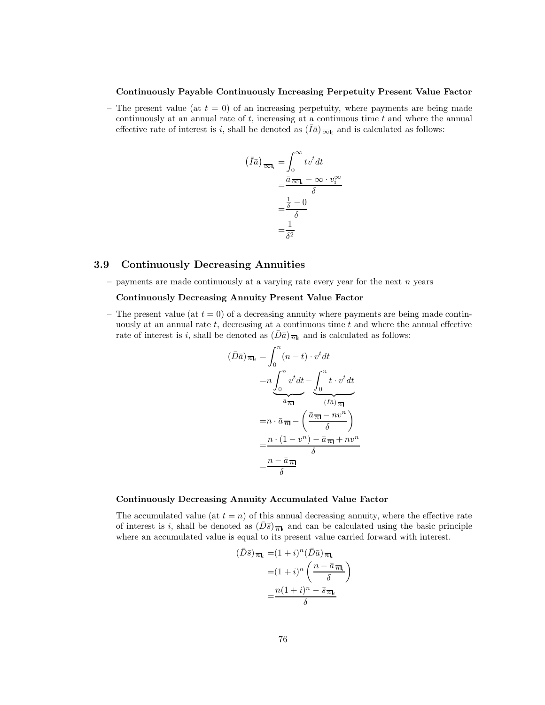#### **Continuously Payable Continuously Increasing Perpetuity Present Value Factor**

– The present value (at  $t = 0$ ) of an increasing perpetuity, where payments are being made continuously at an annual rate of  $t$ , increasing at a continuous time  $t$  and where the annual effective rate of interest is i, shall be denoted as  $(\bar{I}\bar{a})_{\overline{\infty}l_i}$  and is calculated as follows:

$$
(\bar{I}\bar{a})_{\overline{\infty}_i} = \int_0^{\infty} t v^t dt
$$

$$
= \frac{\bar{a}_{\overline{\infty}_i} - \infty \cdot v_i^{\infty}}{\delta}
$$

$$
= \frac{\frac{1}{\delta} - 0}{\delta}
$$

$$
= \frac{1}{\delta^2}
$$

## **3.9 Continuously Decreasing Annuities**

– payments are made continuously at a varying rate every year for the next  $n$  years

#### **Continuously Decreasing Annuity Present Value Factor**

– The present value (at  $t = 0$ ) of a decreasing annuity where payments are being made continuously at an annual rate  $t$ , decreasing at a continuous time  $t$  and where the annual effective rate of interest is i, shall be denoted as  $(D\bar{a})_{\overline{n}_i}$  and is calculated as follows:

$$
(\bar{D}\bar{a})_{\overline{n}_i} = \int_0^n (n-t) \cdot v^t dt
$$

$$
= n \underbrace{\int_0^n v^t dt}_{\overline{a}_{\overline{n}_i}} - \underbrace{\int_0^n t \cdot v^t dt}_{(\bar{I}\bar{a})_{\overline{n}_i}}
$$

$$
= n \cdot \bar{a}_{\overline{n}_i} - \left(\frac{\bar{a}_{\overline{n}_i} - n v^n}{\delta}\right)
$$

$$
= \frac{n \cdot (1 - v^n) - \bar{a}_{\overline{n}_i} + n v^n}{\delta}
$$

$$
= \frac{n - \bar{a}_{\overline{n}_i}}{\delta}
$$

#### **Continuously Decreasing Annuity Accumulated Value Factor**

The accumulated value (at  $t = n$ ) of this annual decreasing annuity, where the effective rate of interest is i, shall be denoted as  $(D\bar{s})_{\bar{n}_i}$  and can be calculated using the basic principle where an accumulated value is equal to its present value carried forward with interest.

$$
(\bar{D}\bar{s})_{\overline{n}_i} = (1+i)^n (\bar{D}\bar{a})_{\overline{n}_i}
$$

$$
= (1+i)^n \left(\frac{n-\bar{a}_{\overline{n}_i}}{\delta}\right)
$$

$$
= \frac{n(1+i)^n - \bar{s}_{\overline{n}_i}}{\delta}
$$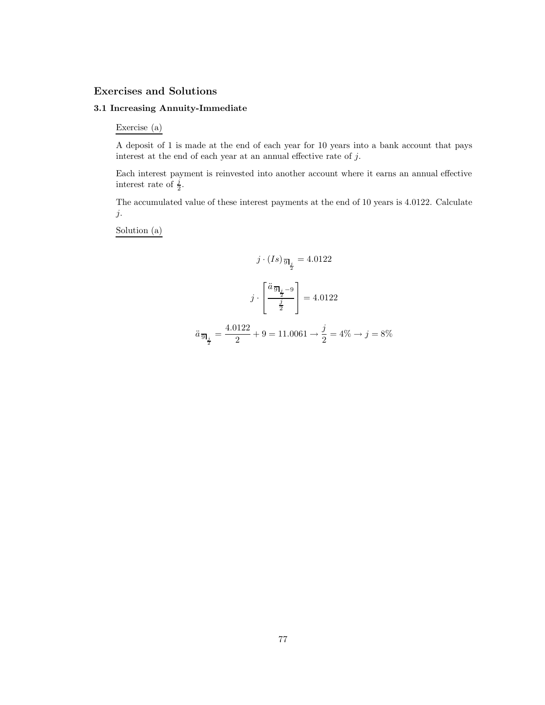# **Exercises and Solutions**

## **3.1 Increasing Annuity-Immediate**

Exercise (a)

A deposit of 1 is made at the end of each year for 10 years into a bank account that pays interest at the end of each year at an annual effective rate of  $j$ .

Each interest payment is reinvested into another account where it earns an annual effective interest rate of  $\frac{i}{2}$ .

The accumulated value of these interest payments at the end of 10 years is 4.0122. Calculate j.

Solution (a)

$$
j \cdot (Is)_{\frac{\sqrt{3}}{2}} = 4.0122
$$

$$
j \cdot \left[\frac{\ddot{a}_{\frac{\sqrt{3}}{2}-9}}{\frac{j}{2}}\right] = 4.0122
$$

$$
\ddot{a}_{\frac{\sqrt{3}}{2}} = \frac{4.0122}{2} + 9 = 11.0061 \rightarrow \frac{j}{2} = 4\% \rightarrow j = 8\%
$$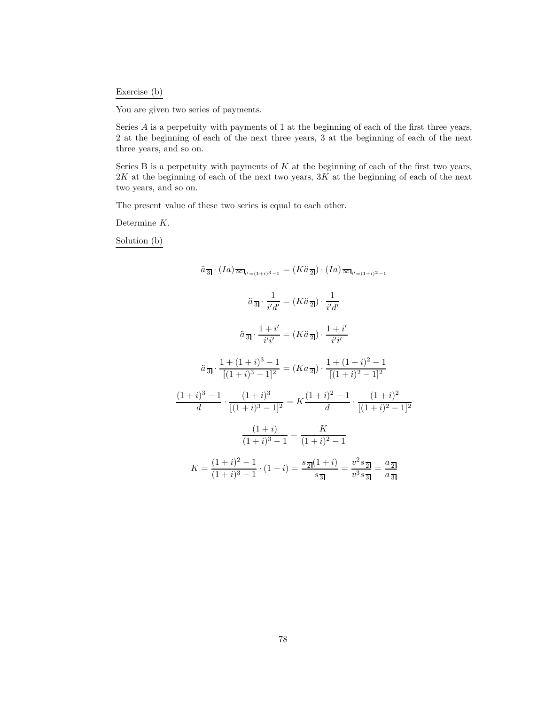## Exercise (b)

You are given two series of payments.

Series A is a perpetuity with payments of 1 at the beginning of each of the first three years, 2 at the beginning of each of the next three years, 3 at the beginning of each of the next three years, and so on.

Series B is a perpetuity with payments of  $K$  at the beginning of each of the first two years,  $2K$  at the beginning of each of the next two years,  $3K$  at the beginning of each of the next two years, and so on.

The present value of these two series is equal to each other.

Determine K.

Solution (b)

$$
\ddot{a}_{\overline{3}} \cdot (Ia)_{\overline{\infty}l_{i'=1+i}3_{-1}} = (K\ddot{a}_{\overline{2}}) \cdot (Ia)_{\overline{\infty}l_{i'=1+i}2_{-1}}
$$
\n
$$
\ddot{a}_{\overline{3}} \cdot \frac{1}{i'd'} = (K\ddot{a}_{\overline{2}}) \cdot \frac{1}{i'd'}
$$
\n
$$
\ddot{a}_{\overline{3}} \cdot \frac{1+i'}{i'i'} = (K\ddot{a}_{\overline{2}}) \cdot \frac{1+i'}{i'i'}
$$
\n
$$
\ddot{a}_{\overline{3}} \cdot \frac{1+(1+i)^3-1}{[(1+i)^3-1]^2} = (Ka_{\overline{2}}) \cdot \frac{1+(1+i)^2-1}{[(1+i)^2-1]^2}
$$
\n
$$
\frac{(1+i)^3-1}{d} \cdot \frac{(1+i)^3}{[(1+i)^3-1]^2} = K \frac{(1+i)^2-1}{d} \cdot \frac{(1+i)^2}{[(1+i)^2-1]^2}
$$
\n
$$
\frac{(1+i)}{(1+i)^3-1} = \frac{K}{(1+i)^2-1}
$$
\n
$$
K = \frac{(1+i)^2-1}{(1+i)^3-1} \cdot (1+i) = \frac{s_{\overline{2}}(1+i)}{s_{\overline{3}}} = \frac{v^2 s_{\overline{2}}}{v^3 s_{\overline{3}}} = \frac{a_{\overline{2}}}{a_{\overline{3}}}
$$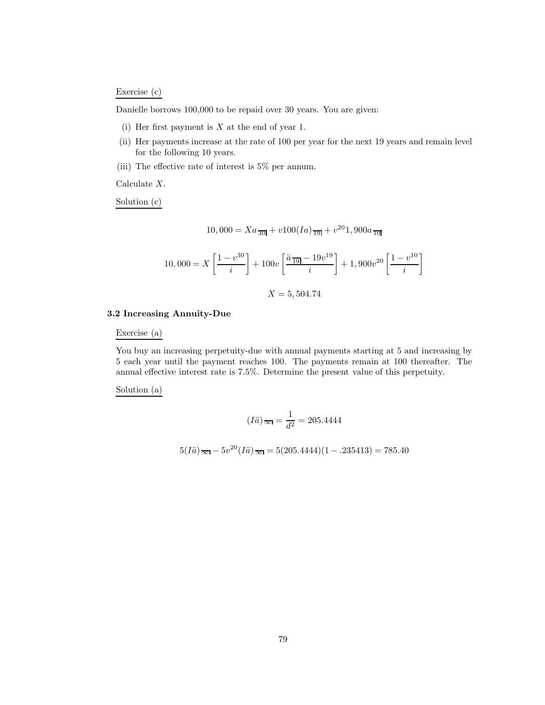#### Exercise (c)

Danielle borrows 100,000 to be repaid over 30 years. You are given:

- (i) Her first payment is  $X$  at the end of year 1.
- (ii) Her payments increase at the rate of 100 per year for the next 19 years and remain level for the following 10 years.
- (iii) The effective rate of interest is 5% per annum.

Calculate X.

Solution (c)

$$
10,000 = Xa_{\overline{301}} + v100(Ia)_{\overline{191}} + v^{20}1,900a_{\overline{101}}
$$

$$
10,000 = X \left[ \frac{1 - v^{30}}{i} \right] + 100v \left[ \frac{\ddot{a}_{19} - 19v^{19}}{i} \right] + 1,900v^{20} \left[ \frac{1 - v^{10}}{i} \right]
$$

$$
X=5,504.74
$$

#### **3.2 Increasing Annuity-Due**

Exercise (a)

You buy an increasing perpetuity-due with annual payments starting at 5 and increasing by 5 each year until the payment reaches 100. The payments remain at 100 thereafter. The annual effective interest rate is 7.5%. Determine the present value of this perpetuity.

Solution (a)

$$
(I\ddot{a})_{\overline{\infty}} = \frac{1}{d^2} = 205.4444
$$

$$
5(I\ddot{a})\overline{\infty} - 5v^{20}(I\ddot{a})\overline{\infty} = 5(205.4444)(1 - .235413) = 785.40
$$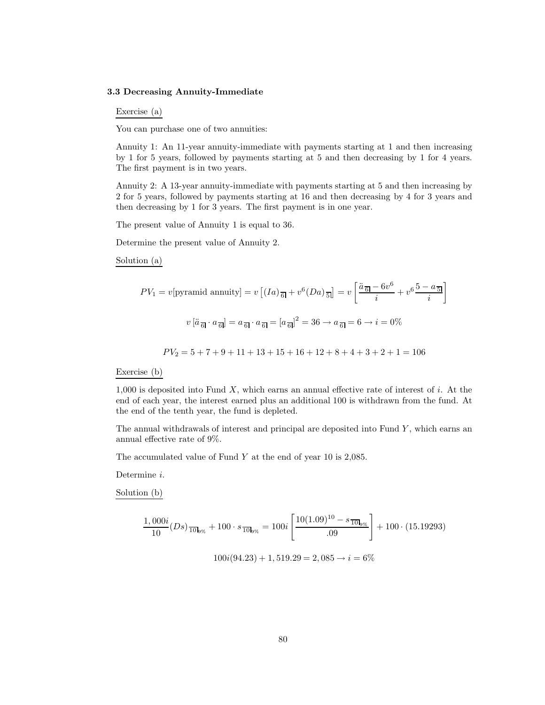#### **3.3 Decreasing Annuity-Immediate**

Exercise (a)

You can purchase one of two annuities:

Annuity 1: An 11-year annuity-immediate with payments starting at 1 and then increasing by 1 for 5 years, followed by payments starting at 5 and then decreasing by 1 for 4 years. The first payment is in two years.

Annuity 2: A 13-year annuity-immediate with payments starting at 5 and then increasing by 2 for 5 years, followed by payments starting at 16 and then decreasing by 4 for 3 years and then decreasing by 1 for 3 years. The first payment is in one year.

The present value of Annuity 1 is equal to 36.

Determine the present value of Annuity 2.

Solution (a)

$$
PV_1 = v[\text{pyramid annuity}] = v[(Ia)_{\overline{6}}] + v^6 (Da)_{\overline{5}}] = v\left[\frac{\ddot{a}_{\overline{6}} - 6v^6}{i} + v^6 \frac{5 - a_{\overline{5}}}{i}\right]
$$

$$
v[\ddot{a}_{\overline{6}}] \cdot a_{\overline{6}}] = a_{\overline{6}} \cdot a_{\overline{6}} = [a_{\overline{6}}]^2 = 36 \rightarrow a_{\overline{6}} = 6 \rightarrow i = 0\%
$$

$$
PV_2 = 5 + 7 + 9 + 11 + 13 + 15 + 16 + 12 + 8 + 4 + 3 + 2 + 1 = 106
$$

Exercise (b)

 $1,000$  is deposited into Fund X, which earns an annual effective rate of interest of i. At the end of each year, the interest earned plus an additional 100 is withdrawn from the fund. At the end of the tenth year, the fund is depleted.

The annual withdrawals of interest and principal are deposited into Fund  $Y$ , which earns an annual effective rate of 9%.

The accumulated value of Fund Y at the end of year 10 is 2,085.

Determine i.

Solution (b)

$$
\frac{1,000i}{10}(Ds)\frac{}{100s} + 100 \cdot s\frac{}{100s} = 100i \left[ \frac{10(1.09)^{10} - s\frac{}{100s}}{0.09} \right] + 100 \cdot (15.19293)
$$

$$
100i(94.23) + 1,519.29 = 2,085 \rightarrow i = 6\%
$$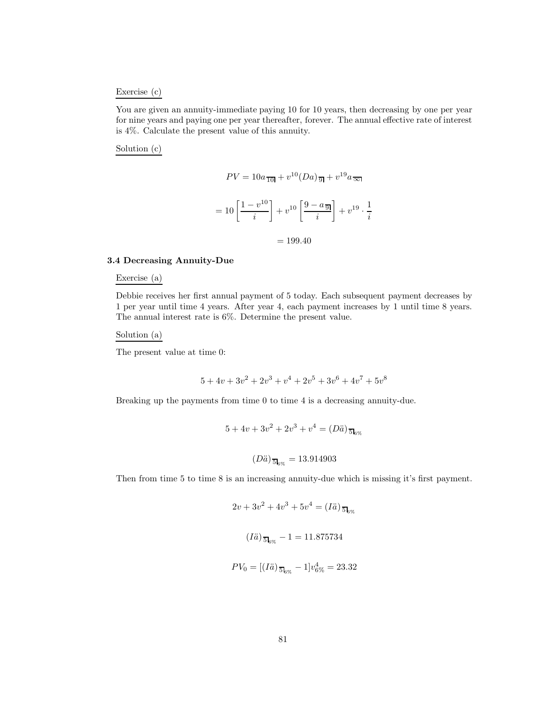#### Exercise (c)

You are given an annuity-immediate paying 10 for 10 years, then decreasing by one per year for nine years and paying one per year thereafter, forever. The annual effective rate of interest is 4%. Calculate the present value of this annuity.

#### Solution (c)

$$
PV = 10a \frac{1}{10!} + v^{10} (Da) \frac{1}{9!} + v^{19} a \frac{1}{10!}
$$

$$
= 10 \left[ \frac{1 - v^{10}}{i} \right] + v^{10} \left[ \frac{9 - a \frac{1}{9!}}{i} \right] + v^{19} \cdot \frac{1}{i}
$$

$$
= 199.40
$$

#### **3.4 Decreasing Annuity-Due**

#### Exercise (a)

Debbie receives her first annual payment of 5 today. Each subsequent payment decreases by 1 per year until time 4 years. After year 4, each payment increases by 1 until time 8 years. The annual interest rate is 6%. Determine the present value.

#### Solution (a)

The present value at time 0:

$$
5 + 4v + 3v^2 + 2v^3 + v^4 + 2v^5 + 3v^6 + 4v^7 + 5v^8
$$

Breaking up the payments from time 0 to time 4 is a decreasing annuity-due.

$$
5 + 4v + 3v^{2} + 2v^{3} + v^{4} = (D\ddot{a})_{\overline{5}\vert_{6\%}}
$$

$$
(D\ddot{a})_{\overline{5}\vert_{6\%}} = 13.914903
$$

Then from time 5 to time 8 is an increasing annuity-due which is missing it's first payment.

$$
2v + 3v^{2} + 4v^{3} + 5v^{4} = (I\ddot{a})_{5\ddot{5}g}
$$

$$
(I\ddot{a})_{5\ddot{5}g} - 1 = 11.875734
$$

$$
PV_0 = [(I\ddot{a})_{\overline{5} \vert_{6\%}} - 1]v_{6\%}^4 = 23.32
$$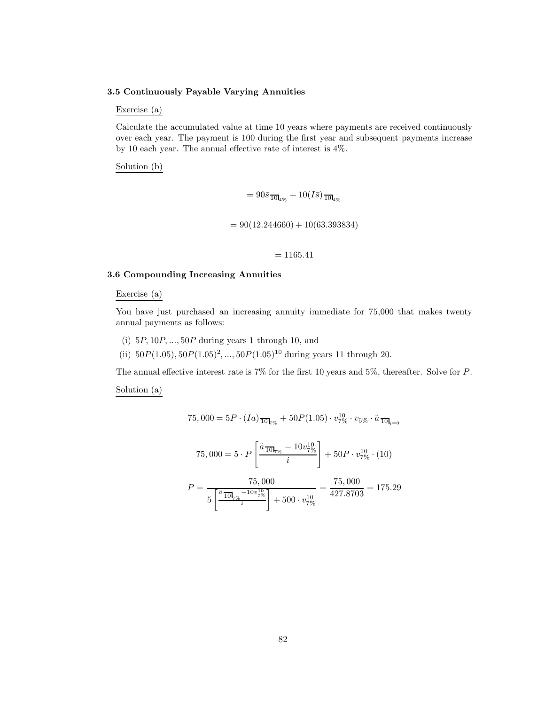#### **3.5 Continuously Payable Varying Annuities**

## Exercise (a)

Calculate the accumulated value at time 10 years where payments are received continuously over each year. The payment is 100 during the first year and subsequent payments increase by 10 each year. The annual effective rate of interest is 4%.

Solution (b)

$$
= 90\bar{s}_{10\bar{1}q_{\%}} + 10(I\bar{s})_{10\bar{1}q_{\%}}
$$

$$
= 90(12.244660) + 10(63.393834)
$$

#### $= 1165.41$

#### **3.6 Compounding Increasing Annuities**

#### Exercise (a)

You have just purchased an increasing annuity immediate for 75,000 that makes twenty annual payments as follows:

- (i)  $5P, 10P, \ldots, 50P$  during years 1 through 10, and
- (ii)  $50P(1.05), 50P(1.05)^2, ..., 50P(1.05)^{10}$  during years 11 through 20.

The annual effective interest rate is 7% for the first 10 years and 5%, thereafter. Solve for P.

Solution (a)

$$
75,000 = 5P \cdot (Ia) \frac{}{10!} \tau_{\%} + 50P(1.05) \cdot v_{7\%}^{10} \cdot v_{5\%} \cdot \ddot{a} \frac{}{10!} \tau_{\%}.
$$

$$
75,000 = 5 \cdot P \left[ \frac{\ddot{a} \frac{}{10!} \tau_{\%} - 10v_{7\%}^{10}}{\dot{i}} \right] + 50P \cdot v_{7\%}^{10} \cdot (10)
$$

$$
P = \frac{75,000}{5\left[\frac{\ddot{a}_{10}}{10} + \frac{10v_{7\%}^{10}}{i}\right] + 500 \cdot v_{7\%}^{10}} = \frac{75,000}{427.8703} = 175.29
$$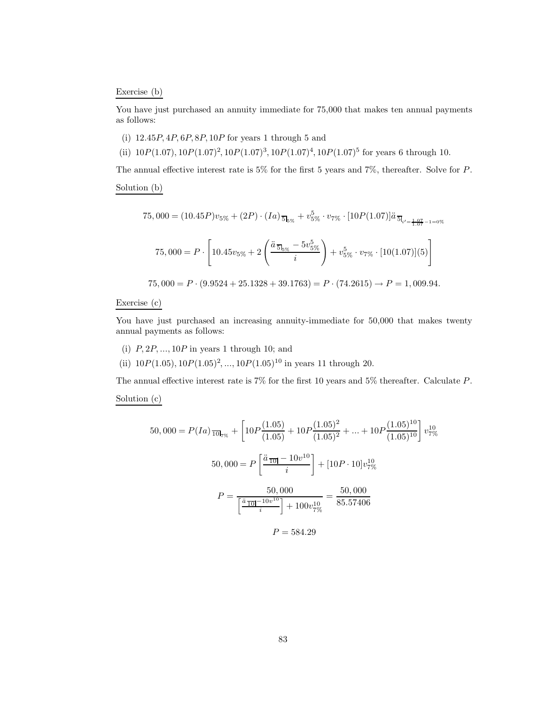#### Exercise (b)

You have just purchased an annuity immediate for  $75,000$  that makes ten annual payments as follows:

- (i)  $12.45P, 4P, 6P, 8P, 10P$  for years 1 through 5 and
- (ii)  $10P(1.07), 10P(1.07)^2, 10P(1.07)^3, 10P(1.07)^4, 10P(1.07)^5$  for years 6 through 10.

The annual effective interest rate is 5% for the first 5 years and 7%, thereafter. Solve for P.

Solution (b)

$$
75,000 = (10.45P)v_{5\%} + (2P) \cdot (Ia)_{\overline{5}1_{5\%}} + v_{5\%}^{5} \cdot v_{7\%} \cdot [10P(1.07)]\ddot{a}_{\overline{5}1_{i'=1.07} - 1 = 0\%}
$$

$$
75,000 = P \cdot \left[10.45v_{5\%} + 2\left(\frac{\ddot{a}_{\overline{5}1_{5\%}} - 5v_{5\%}^{5}}{i}\right) + v_{5\%}^{5} \cdot v_{7\%} \cdot [10(1.07)](5)\right]
$$

$$
75,000 = P \cdot (9.9524 + 25.1328 + 39.1763) = P \cdot (74.2615) \rightarrow P = 1,009.94.
$$

## Exercise (c)

You have just purchased an increasing annuity-immediate for 50,000 that makes twenty annual payments as follows:

- (i)  $P, 2P, \ldots, 10P$  in years 1 through 10; and
- (ii)  $10P(1.05), 10P(1.05)^2, ..., 10P(1.05)^{10}$  in years 11 through 20.

The annual effective interest rate is 7% for the first 10 years and 5% thereafter. Calculate P.

Solution (c)

$$
50,000 = P(Ia) \frac{1}{10!} \pi_{\%} + \left[ 10P \frac{(1.05)}{(1.05)} + 10P \frac{(1.05)^2}{(1.05)^2} + \dots + 10P \frac{(1.05)^{10}}{(1.05)^{10}} \right] v_{7\%}^{10}
$$

$$
50,000 = P \left[ \frac{\ddot{a} \frac{1}{10!} - 10v^{10}}{i} \right] + [10P \cdot 10] v_{7\%}^{10}
$$

$$
P = \frac{50,000}{\left[ \frac{\ddot{a} \frac{1}{10!} - 10v^{10}}{i} \right] + 100v_{7\%}^{10}} = \frac{50,000}{85.57406}
$$

$$
P = 584.29
$$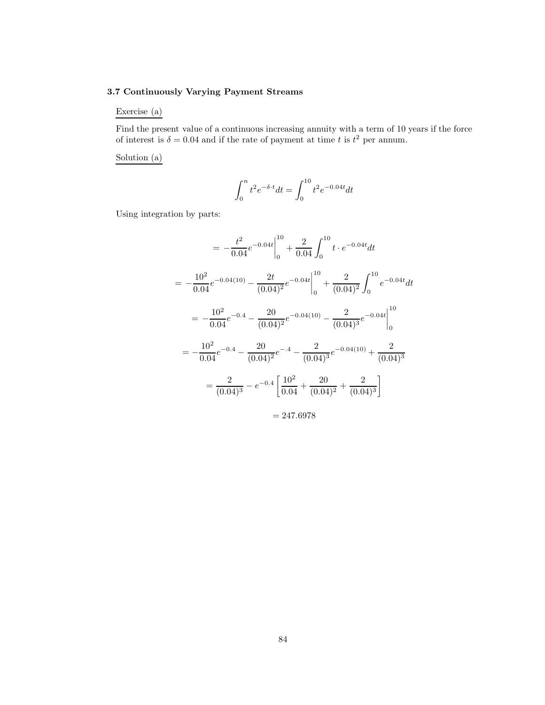## **3.7 Continuously Varying Payment Streams**

Exercise (a)

Find the present value of a continuous increasing annuity with a term of 10 years if the force of interest is  $\delta = 0.04$  and if the rate of payment at time t is  $t^2$  per annum.

Solution (a)

$$
\int_0^nt^2e^{-\delta\cdot t}dt = \int_0^{10}t^2e^{-0.04t}dt
$$

Using integration by parts:

$$
= -\frac{t^2}{0.04} e^{-0.04t} \Big|_0^{10} + \frac{2}{0.04} \int_0^{10} t \cdot e^{-0.04t} dt
$$
  

$$
= -\frac{10^2}{0.04} e^{-0.04(10)} - \frac{2t}{(0.04)^2} e^{-0.04t} \Big|_0^{10} + \frac{2}{(0.04)^2} \int_0^{10} e^{-0.04t} dt
$$
  

$$
= -\frac{10^2}{0.04} e^{-0.4} - \frac{20}{(0.04)^2} e^{-0.04(10)} - \frac{2}{(0.04)^3} e^{-0.04t} \Big|_0^{10}
$$
  

$$
= -\frac{10^2}{0.04} e^{-0.4} - \frac{20}{(0.04)^2} e^{-0.4} - \frac{2}{(0.04)^3} e^{-0.04(10)} + \frac{2}{(0.04)^3}
$$
  

$$
= \frac{2}{(0.04)^3} - e^{-0.4} \left[ \frac{10^2}{0.04} + \frac{20}{(0.04)^2} + \frac{2}{(0.04)^3} \right]
$$

 $= 247.6978$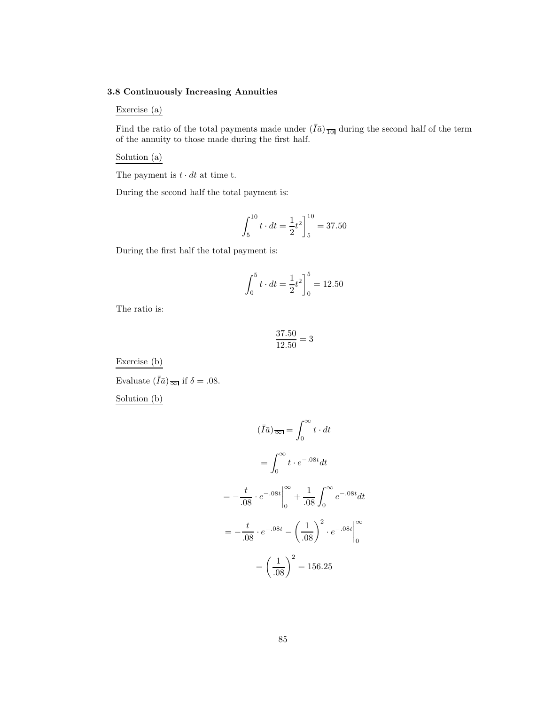## **3.8 Continuously Increasing Annuities**

## Exercise (a)

Find the ratio of the total payments made under  $(\bar{I}\bar{a})_{\overline{10}}$  during the second half of the term of the annuity to those made during the first half.

Solution (a)

The payment is  $t \cdot dt$  at time t.

During the second half the total payment is:

$$
\int_{5}^{10} t \cdot dt = \frac{1}{2}t^2\bigg]_{5}^{10} = 37.50
$$

During the first half the total payment is:

$$
\int_0^5 t \cdot dt = \frac{1}{2}t^2 \bigg|_0^5 = 12.50
$$

The ratio is:

$$
\frac{37.50}{12.50} = 3
$$

Exercise (b)

Evaluate  $(\bar{I}\bar{a})_{\overline{\infty}}$  if  $\delta = .08$ .

Solution (b)

$$
(\bar{I}\bar{a})_{\overline{\infty}} = \int_0^{\infty} t \cdot dt
$$

$$
= \int_0^{\infty} t \cdot e^{-0.08t} dt
$$

$$
= -\frac{t}{0.08} \cdot e^{-0.08t} \Big|_0^{\infty} + \frac{1}{0.08} \int_0^{\infty} e^{-0.08t} dt
$$

$$
= -\frac{t}{0.08} \cdot e^{-0.08t} - \left(\frac{1}{0.08}\right)^2 \cdot e^{-0.08t} \Big|_0^{\infty}
$$

$$
= \left(\frac{1}{0.08}\right)^2 = 156.25
$$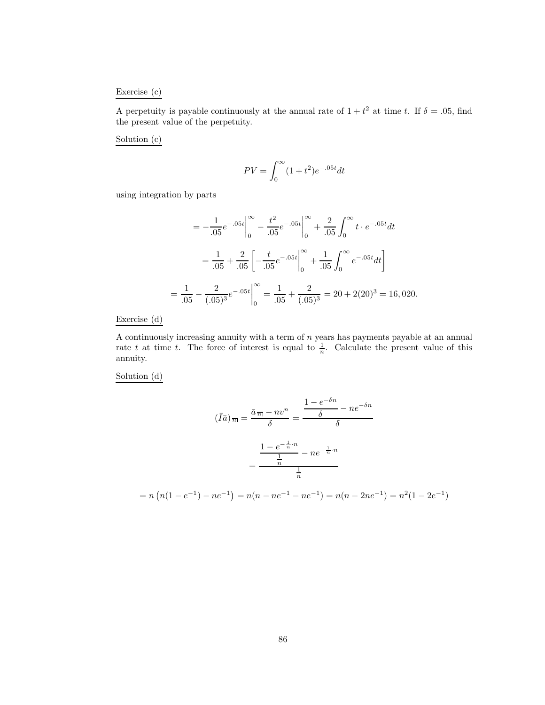## Exercise (c)

A perpetuity is payable continuously at the annual rate of  $1 + t^2$  at time t. If  $\delta = .05$ , find the present value of the perpetuity.

Solution (c)

$$
PV = \int_0^\infty (1 + t^2)e^{-0.05t} dt
$$

using integration by parts

$$
= -\frac{1}{.05}e^{-.05t}\Big|_{0}^{\infty} - \frac{t^{2}}{.05}e^{-.05t}\Big|_{0}^{\infty} + \frac{2}{.05}\int_{0}^{\infty}t \cdot e^{-.05t}dt
$$

$$
= \frac{1}{.05} + \frac{2}{.05}\left[-\frac{t}{.05}e^{-.05t}\Big|_{0}^{\infty} + \frac{1}{.05}\int_{0}^{\infty}e^{-.05t}dt\right]
$$

$$
= \frac{1}{.05} - \frac{2}{(.05)^{3}}e^{-.05t}\Big|_{0}^{\infty} = \frac{1}{.05} + \frac{2}{(.05)^{3}} = 20 + 2(20)^{3} = 16,020.
$$

Exercise (d)

A continuously increasing annuity with a term of n years has payments payable at an annual rate t at time t. The force of interest is equal to  $\frac{1}{n}$ . Calculate the present value of this annuity.

Solution (d)

$$
(\bar{I}\bar{a})_{\bar{n}} = \frac{\bar{a}_{\bar{n}} - nv^n}{\delta} = \frac{\frac{1 - e^{-\delta n}}{\delta} - ne^{-\delta n}}{\delta}
$$

$$
= \frac{\frac{1 - e^{-\frac{1}{n} \cdot n}}{\frac{1}{n}} - ne^{-\frac{1}{n} \cdot n}}{\frac{1}{n}}
$$

$$
= n\left(n(1 - e^{-1}) - ne^{-1}\right) = n(n - ne^{-1}) = n(n - 2ne^{-1}) = n^2(1 - 2e^{-1})
$$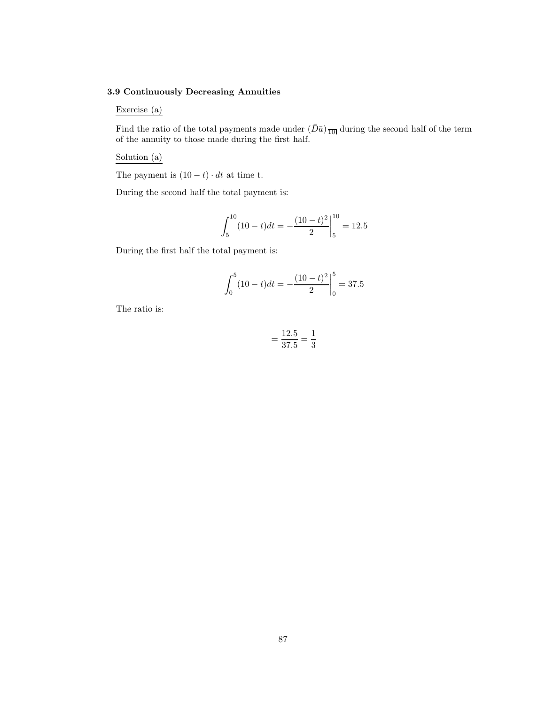## **3.9 Continuously Decreasing Annuities**

## Exercise (a)

Find the ratio of the total payments made under  $(\bar{D}\bar{a})_{\overline{10}}$  during the second half of the term of the annuity to those made during the first half.

Solution (a)

The payment is  $(10 - t) \cdot dt$  at time t.

During the second half the total payment is:

$$
\int_{5}^{10} (10 - t)dt = -\frac{(10 - t)^2}{2} \bigg|_{5}^{10} = 12.5
$$

During the first half the total payment is:

$$
\int_0^5 (10 - t)dt = -\frac{(10 - t)^2}{2} \bigg|_0^5 = 37.5
$$

The ratio is:

$$
=\frac{12.5}{37.5}=\frac{1}{3}
$$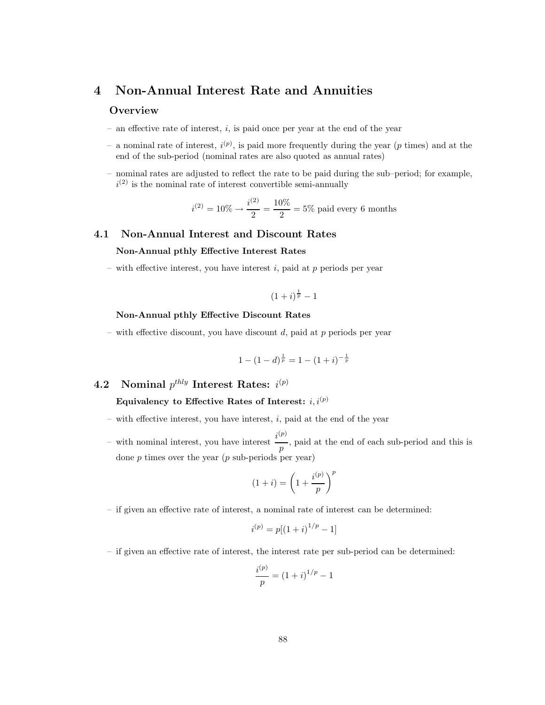## **4 Non-Annual Interest Rate and Annuities**

#### **Overview**

- $-$  an effective rate of interest, i, is paid once per year at the end of the year
- a nominal rate of interest,  $i^{(p)}$ , is paid more frequently during the year (p times) and at the end of the sub-period (nominal rates are also quoted as annual rates)
- nominal rates are adjusted to reflect the rate to be paid during the sub–period; for example,  $i^{(2)}$  is the nominal rate of interest convertible semi-annually

$$
i^{(2)} = 10\% \rightarrow \frac{i^{(2)}}{2} = \frac{10\%}{2} = 5\%
$$
 paid every 6 months

## **4.1 Non-Annual Interest and Discount Rates**

#### **Non-Annual pthly Effective Interest Rates**

– with effective interest, you have interest  $i$ , paid at  $p$  periods per year

$$
(1+i)^{\frac{1}{p}}-1
$$

#### **Non-Annual pthly Effective Discount Rates**

– with effective discount, you have discount  $d$ , paid at  $p$  periods per year

$$
1 - (1 - d)^{\frac{1}{p}} = 1 - (1 + i)^{-\frac{1}{p}}
$$

# **4.2 Nominal** p*thly* **Interest Rates:** i (*p*)

Equivalency to Effective Rates of Interest:  $i, i^{(p)}$ 

- with effective interest, you have interest,  $i$ , paid at the end of the year
- with nominal interest, you have interest  $i^{(p)}$  $\overline{p}$ , paid at the end of each sub-period and this is done  $p$  times over the year  $(p \text{ sub-periods per year})$

$$
(1+i) = \left(1 + \frac{i^{(p)}}{p}\right)^p
$$

– if given an effective rate of interest, a nominal rate of interest can be determined:

$$
i^{(p)} = p[(1+i)^{1/p} - 1]
$$

– if given an effective rate of interest, the interest rate per sub-period can be determined:

$$
\frac{i^{(p)}}{p} = (1+i)^{1/p} - 1
$$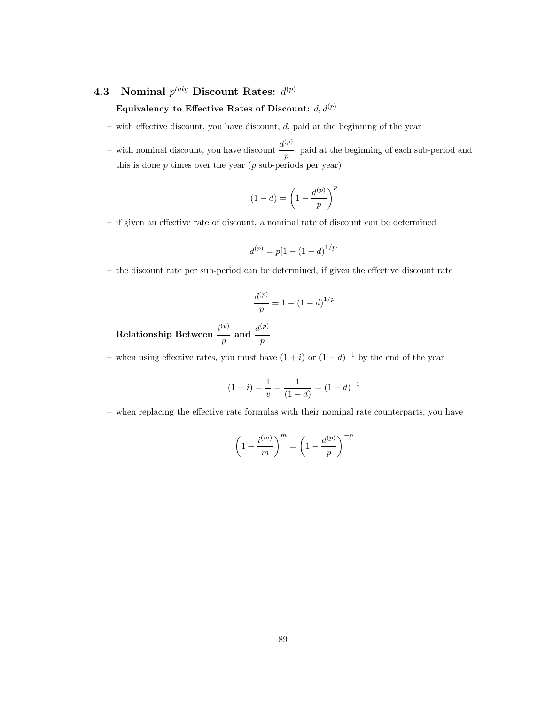# **4.3** Nominal  $p^{thly}$  Discount Rates:  $d^{(p)}$

## Equivalency to Effective Rates of Discount:  $d, d^{(p)}$

- $-$  with effective discount, you have discount,  $d$ , paid at the beginning of the year
- with nominal discount, you have discount  $\frac{d^{(p)}}{p}$ , paid at the beginning of each sub-period and this is done  $p$  times over the year  $(p$  sub-periods per year)

$$
(1-d) = \left(1 - \frac{d^{(p)}}{p}\right)^p
$$

– if given an effective rate of discount, a nominal rate of discount can be determined

$$
d^{(p)}=p[1-\left(1-d\right)^{1/p}]
$$

– the discount rate per sub-period can be determined, if given the effective discount rate

$$
\frac{d^{(p)}}{p} = 1 - (1 - d)^{1/p}
$$

 ${\bf Relationship\ Between\ } \ \ \frac{i^{(p)}}{p}$  $\frac{p}{p}$  and  $\frac{d^{(p)}}{p}$ 

– when using effective rates, you must have  $(1 + i)$  or  $(1 - d)^{-1}$  by the end of the year

$$
(1+i) = \frac{1}{v} = \frac{1}{(1-d)} = (1-d)^{-1}
$$

– when replacing the effective rate formulas with their nominal rate counterparts, you have

$$
\left(1 + \frac{i^{(m)}}{m}\right)^m = \left(1 - \frac{d^{(p)}}{p}\right)^{-p}
$$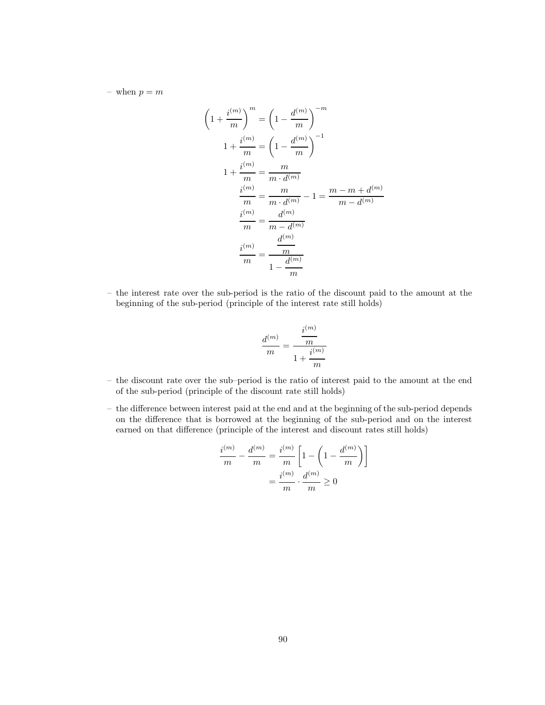– when  $p = m$ 

$$
\left(1 + \frac{i^{(m)}}{m}\right)^m = \left(1 - \frac{d^{(m)}}{m}\right)^{-m}
$$

$$
1 + \frac{i^{(m)}}{m} = \left(1 - \frac{d^{(m)}}{m}\right)^{-1}
$$

$$
1 + \frac{i^{(m)}}{m} = \frac{m}{m \cdot d^{(m)}}
$$

$$
\frac{i^{(m)}}{m} = \frac{m}{m \cdot d^{(m)}} - 1 = \frac{m - m + d^{(m)}}{m - d^{(m)}}
$$

$$
\frac{i^{(m)}}{m} = \frac{d^{(m)}}{m - d^{(m)}}
$$

$$
\frac{i^{(m)}}{m} = \frac{\frac{d^{(m)}}{m}}{1 - \frac{d^{(m)}}{m}}
$$

– the interest rate over the sub-period is the ratio of the discount paid to the amount at the beginning of the sub-period (principle of the interest rate still holds)

$$
\frac{d^{(m)}}{m} = \frac{\frac{i^{(m)}}{m}}{1 + \frac{i^{(m)}}{m}}
$$

- the discount rate over the sub–period is the ratio of interest paid to the amount at the end of the sub-period (principle of the discount rate still holds)
- the difference between interest paid at the end and at the beginning of the sub-period depends on the difference that is borrowed at the beginning of the sub-period and on the interest earned on that difference (principle of the interest and discount rates still holds)

$$
\frac{i^{(m)}}{m} - \frac{d^{(m)}}{m} = \frac{i^{(m)}}{m} \left[ 1 - \left( 1 - \frac{d^{(m)}}{m} \right) \right]
$$

$$
= \frac{i^{(m)}}{m} \cdot \frac{d^{(m)}}{m} \ge 0
$$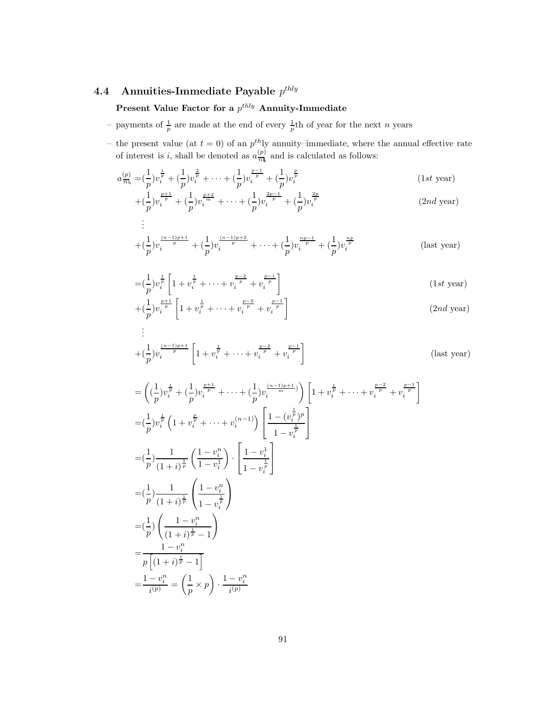# **4.4 Annuities-Immediate Payable** p*thly*

# **Present Value Factor for a**  $p^{thly}$  **Annuity-Immediate**

- payments of  $\frac{1}{n}$  are made at the end of every  $\frac{1}{n}$ th of year for the next n years
- the present value (at  $t = 0$ ) of an  $p^{th}$ ly annuity–immediate, where the annual effective rate of interest is i, shall be denoted as  $a_{\overline{n}|i}^{(p)}$  and is calculated as follows:

$$
a_{\overline{n}_i}^{(p)} = \left(\frac{1}{p}\right)v_i^{\frac{1}{p}} + \left(\frac{1}{p}\right)v_i^{\frac{2}{p}} + \dots + \left(\frac{1}{p}\right)v_i^{\frac{p-1}{p}} + \left(\frac{1}{p}\right)v_i^{\frac{p}{p}} \tag{1st year}
$$
\n
$$
\frac{1}{p} \frac{p+1}{p+1} \frac{1}{p+2} \frac{p+2}{p+1} \frac{1}{p+1} \frac{2p-1}{p+2} \frac{2p}{p+1} \tag{1st year}
$$

$$
+(\frac{1}{p})v_i^{\frac{p+1}{p}} + (\frac{1}{p})v_i^{\frac{p+2}{m}} + \dots + (\frac{1}{p})v_i^{\frac{2p-1}{p}} + (\frac{1}{p})v_i^{\frac{2p}{p}}
$$
\n(2*nd* year)

$$
\vdots
$$
\n
$$
+(\frac{1}{p})v_i^{\frac{(n-1)p+1}{p}} + (\frac{1}{p})v_i^{\frac{(n-1)p+2}{p}} + \dots + (\frac{1}{p})v_i^{\frac{np-1}{p}} + (\frac{1}{p})v_i^{\frac{np}{p}} \tag{last year}
$$

$$
=(\frac{1}{p})v_i^{\frac{1}{p}}\left[1+v_i^{\frac{1}{p}}+\cdots+v_i^{\frac{p-2}{p}}+v_i^{\frac{p-1}{p}}\right]
$$
 (1st year)

$$
+(\frac{1}{p})v_i^{\frac{p+1}{p}}\left[1+v_i^{\frac{1}{p}}+\cdots+v_i^{\frac{p-2}{p}}+v_i^{\frac{p-1}{p}}\right]
$$
\n
$$
\vdots
$$
\n(2nd year)

$$
+ \left(\frac{1}{p}\right)v_i^{\frac{(n-1)p+1}{p}} \left[1 + v_i^{\frac{1}{p}} + \dots + v_i^{\frac{p-2}{p}} + v_i^{\frac{p-1}{p}}\right]
$$
 (last year)

$$
\begin{split}\n&= \left( (\frac{1}{p}) v_i^{\frac{1}{p}} + (\frac{1}{p}) v_i^{\frac{p+1}{p}} + \dots + (\frac{1}{p}) v_i^{\frac{(n-1)p+1}{m}}) \right) \left[ 1 + v_i^{\frac{1}{p}} + \dots + v_i^{\frac{p-2}{p}} + v_i^{\frac{p-1}{p}} \right] \\
&= (\frac{1}{p}) v_i^{\frac{1}{p}} \left( 1 + v_i^{\frac{p}{p}} + \dots + v_i^{(n-1)} \right) \left[ \frac{1 - (v_i^{\frac{1}{p}})^p}{1 - v_i^{\frac{1}{p}}} \right] \\
&= (\frac{1}{p}) \frac{1}{(1 + i)^{\frac{1}{p}}} \left( \frac{1 - v_i^{\frac{1}{n}}}{1 - v_i^{\frac{1}{p}}} \right) \cdot \left[ \frac{1 - v_i^1}{1 - v_i^{\frac{1}{p}}} \right] \\
&= (\frac{1}{p}) \frac{1}{(1 + i)^{\frac{1}{p}}} \left( \frac{1 - v_i^n}{1 - v_i^{\frac{1}{p}}} \right) \\
&= \frac{1}{p} \left( \frac{1 - v_i^n}{(1 + i)^{\frac{1}{p}} - 1} \right) \\
&= \frac{1 - v_i^n}{p \left[ (1 + i)^{\frac{1}{p}} - 1 \right]} \\
&= \frac{1 - v_i^n}{i^{(p)}} = \left( \frac{1}{p} \times p \right) \cdot \frac{1 - v_i^n}{i^{(p)}}\n\end{split}
$$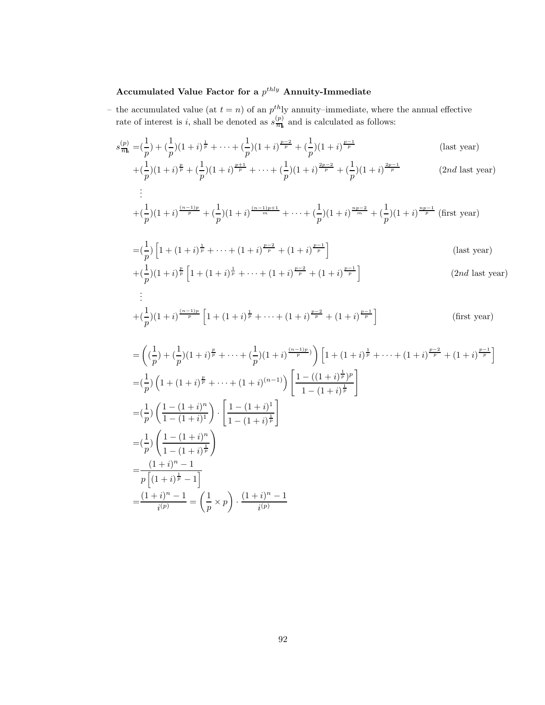# Accumulated Value Factor for a  $p^{thly}$  Annuity-Immediate

.

- the accumulated value (at  $t = n$ ) of an  $p^{th}$ ly annuity–immediate, where the annual effective rate of interest is i, shall be denoted as  $s_{\overline{n}\,k}^{(p)}$  and is calculated as follows:
	- $s_{\overline{n}_i}^{(p)} = \left(\frac{1}{p}\right) + \left(\frac{1}{p}\right)(1+i)^{\frac{1}{p}} + \cdots + \left(\frac{1}{p}\right)(1+i)^{\frac{p-2}{p}} + \left(\frac{1}{p}\right)(1+i)^{\frac{p-1}{p}}$ (last year)  $+(\frac{1}{p})(1+i)^{\frac{p}{p}}+(\frac{1}{p})(1+i)^{\frac{p+1}{p}}+\cdots+(\frac{1}{p})(1+i)^{\frac{2p-2}{p}}+(\frac{1}{p})(1+i)^{\frac{2p-1}{p}}$  $(2nd$  last year)

$$
\vdots
$$
\n
$$
+(\frac{1}{p})(1+i)^{\frac{(n-1)p}{p}}+(\frac{1}{p})(1+i)^{\frac{(n-1)p+1}{m}}+\cdots+(\frac{1}{p})(1+i)^{\frac{np-2}{m}}+(\frac{1}{p})(1+i)^{\frac{np-1}{p}} \text{ (first year)}
$$

$$
= \left(\frac{1}{p}\right) \left[1 + (1+i)^{\frac{1}{p}} + \dots + (1+i)^{\frac{p-2}{p}} + (1+i)^{\frac{p-1}{p}}\right]
$$
 (last year)

$$
+(\frac{1}{p})(1+i)^{\frac{p}{p}}\left[1+(1+i)^{\frac{1}{p}}+\cdots+(1+i)^{\frac{p-2}{p}}+(1+i)^{\frac{p-1}{p}}\right]
$$
\n
$$
\vdots
$$
\n(2*nd* last year)\n
$$
\vdots
$$

$$
+ \left(\frac{1}{p}\right)(1+i)^{\frac{(n-1)p}{p}}\left[1 + (1+i)^{\frac{1}{p}} + \cdots + (1+i)^{\frac{p-2}{p}} + (1+i)^{\frac{p-1}{p}}\right]
$$
 (first year)

$$
= \left( \left( \frac{1}{p} \right) + \left( \frac{1}{p} \right) (1+i)^{\frac{p}{p}} + \dots + \left( \frac{1}{p} \right) (1+i)^{\frac{(n-1)p}{p}} \right) \left[ 1 + (1+i)^{\frac{1}{p}} + \dots + (1+i)^{\frac{p-2}{p}} + (1+i)^{\frac{p-1}{p}} \right]
$$
  
\n
$$
= \left( \frac{1}{p} \right) \left( 1 + (1+i)^{\frac{p}{p}} + \dots + (1+i)^{(n-1)} \right) \left[ \frac{1 - ((1+i)^{\frac{1}{p}})^p}{1 - (1+i)^{\frac{1}{p}}} \right]
$$
  
\n
$$
= \left( \frac{1}{p} \right) \left( \frac{1 - (1+i)^n}{1 - (1+i)^1} \right) \cdot \left[ \frac{1 - (1+i)^1}{1 - (1+i)^{\frac{1}{p}}} \right]
$$
  
\n
$$
= \left( \frac{1}{p} \right) \left( \frac{1 - (1+i)^n}{1 - (1+i)^{\frac{1}{p}}} \right)
$$
  
\n
$$
= \frac{(1+i)^n - 1}{p \left[ (1+i)^{\frac{1}{p}} - 1 \right]}
$$
  
\n
$$
= \frac{(1+i)^n - 1}{i^{(p)}} = \left( \frac{1}{p} \times p \right) \cdot \frac{(1+i)^n - 1}{i^{(p)}}
$$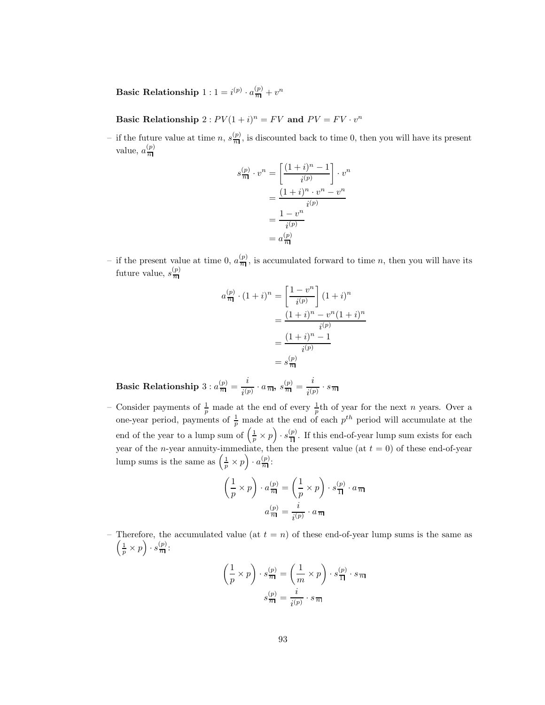**Basic Relationship**  $1: 1 = i^{(p)} \cdot a_{\overline{n}}^{(p)} + v^n$ 

**Basic Relationship**  $2: PV(1 + i)^n = FV$  and  $PV = FV \cdot v^n$ 

- if the future value at time n,  $s_{\overline{n}|}^{(p)}$ , is discounted back to time 0, then you will have its present value,  $a_{\overline{n}}^{(p)}$ 

$$
s_{\overline{n}|}^{(p)} \cdot v^n = \left[ \frac{(1+i)^n - 1}{i^{(p)}} \right] \cdot v^n
$$

$$
= \frac{(1+i)^n \cdot v^n - v^n}{i^{(p)}}
$$

$$
= \frac{1 - v^n}{i^{(p)}}
$$

$$
= a_{\overline{n}|}^{(p)}
$$

- if the present value at time 0,  $a_{\overline{n}}^{(p)}$ , is accumulated forward to time n, then you will have its future value,  $s_{\overline{n}}^{(p)}$ 

$$
a_{\overline{n}|}^{(p)} \cdot (1+i)^n = \left[\frac{1-v^n}{i^{(p)}}\right] (1+i)^n
$$

$$
= \frac{(1+i)^n - v^n (1+i)^n}{i^{(p)}}
$$

$$
= \frac{(1+i)^n - 1}{i^{(p)}}
$$

$$
= s_{\overline{n}|}^{(p)}
$$

**Basic Relationship**  $3 : a_{\overline{n}}^{(p)} = \frac{i}{i^{(p)}} \cdot a_{\overline{n}|}, \ s_{\overline{n}}^{(p)} = \frac{i}{i^{(p)}} \cdot s_{\overline{n}}$ 

- Consider payments of  $\frac{1}{n}$  made at the end of every  $\frac{1}{n}$ th of year for the next *n* years. Over a one-year period, payments of  $\frac{1}{p}$  made at the end of each  $p^{th}$  period will accumulate at the end of the year to a lump sum of  $(\frac{1}{p} \times p) \cdot s_{\overline{1}}^{(p)}$ . If this end-of-year lump sum exists for each year of the *n*-year annuity-immediate, then the present value (at  $t = 0$ ) of these end-of-year lump sums is the same as  $\left(\frac{1}{p} \times p\right) \cdot a_{\overline{n}}^{(p)}$ :

$$
\left(\frac{1}{p} \times p\right) \cdot a_{\overline{n}|}^{(p)} = \left(\frac{1}{p} \times p\right) \cdot s_{\overline{1}|}^{(p)} \cdot a_{\overline{n}|}
$$

$$
a_{\overline{n}|}^{(p)} = \frac{i}{i^{(p)}} \cdot a_{\overline{n}|}
$$

– Therefore, the accumulated value (at  $t = n$ ) of these end-of-year lump sums is the same as  $\left(\frac{1}{p}\times p\right)\cdot s\frac{(p)}{n}$ :

$$
\left(\frac{1}{p} \times p\right) \cdot s_{\overline{n}}^{(p)} = \left(\frac{1}{m} \times p\right) \cdot s_{\overline{1}}^{(p)} \cdot s_{\overline{n}}
$$

$$
s_{\overline{n}}^{(p)} = \frac{i}{i^{(p)}} \cdot s_{\overline{n}}
$$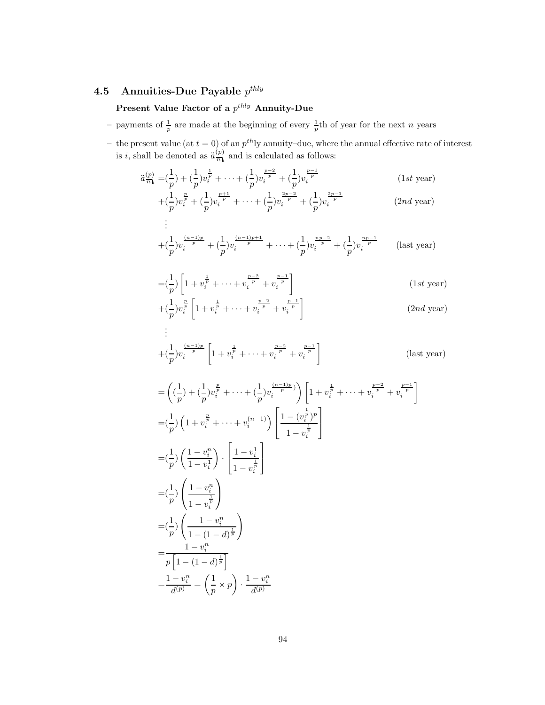# **4.5 Annuities-Due Payable** p*thly*

# **Present Value Factor of a**  $p^{thly}$  **Annuity-Due**

- payments of  $\frac{1}{n}$  are made at the beginning of every  $\frac{1}{n}$ th of year for the next n years
- the present value (at  $t = 0$ ) of an  $p^{th}$ ly annuity–due, where the annual effective rate of interest is *i*, shall be denoted as  $\ddot{a}_{\overline{n}\mathbf{l}_i}^{(p)}$  and is calculated as follows:

$$
\ddot{a}_{\overline{n}_i}^{(p)} = \left(\frac{1}{p}\right) + \left(\frac{1}{p}\right)v_i^{\frac{1}{p}} + \dots + \left(\frac{1}{p}\right)v_i^{\frac{p-2}{p}} + \left(\frac{1}{p}\right)v_i^{\frac{p-1}{p}} \qquad (1st \text{ year})
$$

$$
+(\frac{1}{p})v_i^{\frac{p}{p}} + (\frac{1}{p})v_i^{\frac{p+1}{p}} + \dots + (\frac{1}{p})v_i^{\frac{2p-2}{p}} + (\frac{1}{p})v_i^{\frac{2p-1}{p}}
$$
 (2*nd* year)

$$
\vdots
$$
\n
$$
+(\frac{1}{p})v_i^{\frac{(n-1)p}{p}} + (\frac{1}{p})v_i^{\frac{(n-1)p+1}{p}} + \cdots + (\frac{1}{p})v_i^{\frac{np-2}{p}} + (\frac{1}{p})v_i^{\frac{np-1}{p}} \qquad \text{(last year)}
$$

$$
= \left(\frac{1}{p}\right) \left[1 + v_i^{\frac{1}{p}} + \dots + v_i^{\frac{p-2}{p}} + v_i^{\frac{p-1}{p}}\right]
$$
\n
$$
\left(1st \text{ year}\right)
$$
\n
$$
\left(1st \text{ year}\right)
$$

$$
+(\frac{1}{p})v_i^{\frac{p}{p}}\left[1+v_i^{\frac{1}{p}}+\cdots+v_i^{\frac{p-2}{p}}+v_i^{\frac{p-1}{p}}\right]
$$
\n
$$
\vdots
$$
\n(2nd year)

$$
+(\frac{1}{p})v_i^{\frac{(n-1)p}{p}}\left[1+v_i^{\frac{1}{p}}+\cdots+v_i^{\frac{p-2}{p}}+v_i^{\frac{p-1}{p}}\right]
$$
 (last year)

$$
\begin{split}\n&= \left( (\frac{1}{p}) + (\frac{1}{p})v_i^{\frac{p}{p}} + \dots + (\frac{1}{p})v_i^{\frac{(n-1)p}{p}} \right) \left[ 1 + v_i^{\frac{1}{p}} + \dots + v_i^{\frac{p-2}{p}} + v_i^{\frac{p-1}{p}} \right] \\
&= (\frac{1}{p}) \left( 1 + v_i^{\frac{p}{p}} + \dots + v_i^{(n-1)} \right) \left[ \frac{1 - (v_i^{\frac{1}{p}})^p}{1 - v_i^{\frac{1}{p}}} \right] \\
&= (\frac{1}{p}) \left( \frac{1 - v_i^n}{1 - v_i^{\frac{1}{p}}} \right) \cdot \left[ \frac{1 - v_i^1}{1 - v_i^{\frac{1}{p}}} \right] \\
&= (\frac{1}{p}) \left( \frac{1 - v_i^n}{1 - (1 - d)^{\frac{1}{p}}} \right) \\
&= \frac{1 - v_i^n}{p \left[ 1 - (1 - d)^{\frac{1}{p}} \right]} \\
&= \frac{1 - v_i^n}{p \left[ 1 - (1 - d)^{\frac{1}{p}} \right]} \\
&= \frac{1 - v_i^n}{d^{(p)}} = \left( \frac{1}{p} \times p \right) \cdot \frac{1 - v_i^n}{d^{(p)}}\n\end{split}
$$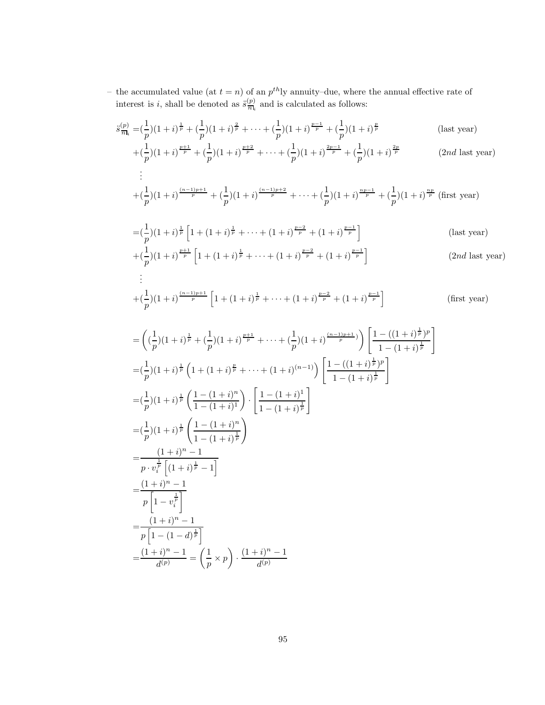– the accumulated value (at  $t = n$ ) of an  $p^{th}$ ly annuity–due, where the annual effective rate of interest is *i*, shall be denoted as  $\ddot{s}_{\overline{n}\mathbf{l}_i}^{(p)}$  and is calculated as follows:

$$
\ddot{s}_{\overline{n}|i}^{(p)} = \left(\frac{1}{p}\right)(1+i)^{\frac{1}{p}} + \left(\frac{1}{p}\right)(1+i)^{\frac{2}{p}} + \dots + \left(\frac{1}{p}\right)(1+i)^{\frac{p-1}{p}} + \left(\frac{1}{p}\right)(1+i)^{\frac{p}{p}} \qquad \text{(last year)} + \left(\frac{1}{p}\right)(1+i)^{\frac{p+1}{p}} + \left(\frac{1}{p}\right)(1+i)^{\frac{p+2}{p}} + \dots + \left(\frac{1}{p}\right)(1+i)^{\frac{2p-1}{p}} + \left(\frac{1}{p}\right)(1+i)^{\frac{2p}{p}} \qquad \text{(2nd last year)}\vdots
$$

$$
+ \left(\frac{1}{p}\right)(1+i)^{\frac{(n-1)p+1}{p}} + \left(\frac{1}{p}\right)(1+i)^{\frac{(n-1)p+2}{p}} + \cdots + \left(\frac{1}{p}\right)(1+i)^{\frac{np-1}{p}} + \left(\frac{1}{p}\right)(1+i)^{\frac{np}{p}} \text{ (first year)}
$$

$$
= \left(\frac{1}{p}\right)\left(1+i\right)^{\frac{1}{p}}\left[1+\left(1+i\right)^{\frac{1}{p}}+\cdots+\left(1+i\right)^{\frac{p-2}{p}}+\left(1+i\right)^{\frac{p-1}{p}}\right]
$$
\n(last year)

\n
$$
+ \left(\frac{1}{p}\right)\left(1+i\right)^{\frac{p+1}{p}}\left[1+\left(1+i\right)^{\frac{1}{p}}+\cdots+\left(1+i\right)^{\frac{p-2}{p}}+\left(1+i\right)^{\frac{p-1}{p}}\right]
$$
\n(2*rd* last zero)

$$
+ \left(\frac{1}{p}\right)(1+i)^{\frac{p+1}{p}}\left[1 + (1+i)^{\frac{1}{p}} + \dots + (1+i)^{\frac{p-2}{p}} + (1+i)^{\frac{p-1}{p}}\right]
$$
\n(2*nd* last year)\n
$$
\vdots
$$

$$
+(\frac{1}{p})(1+i)^{\frac{(n-1)p+1}{p}}\left[1+(1+i)^{\frac{1}{p}}+\cdots+(1+i)^{\frac{p-2}{p}}+(1+i)^{\frac{p-1}{p}}\right]
$$
 (first year)

$$
= \left( (\frac{1}{p})(1+i)^{\frac{1}{p}} + (\frac{1}{p})(1+i)^{\frac{p+1}{p}} + \cdots + (\frac{1}{p})(1+i)^{\frac{(n-1)p+1}{p}}) \right) \left[ \frac{1 - ((1+i)^{\frac{1}{p}})^p}{1 - (1+i)^{\frac{1}{p}}} \right]
$$
  
\n
$$
= (\frac{1}{p})(1+i)^{\frac{1}{p}} \left( 1 + (1+i)^{\frac{p}{p}} + \cdots + (1+i)^{(n-1)} \right) \left[ \frac{1 - ((1+i)^{\frac{1}{p}})^p}{1 - (1+i)^{\frac{1}{p}}} \right]
$$
  
\n
$$
= (\frac{1}{p})(1+i)^{\frac{1}{p}} \left( \frac{1 - (1+i)^n}{1 - (1+i)^{\frac{1}{p}}} \right) \cdot \left[ \frac{1 - (1+i)^1}{1 - (1+i)^{\frac{1}{p}}} \right]
$$
  
\n
$$
= \frac{(1+i)^n - 1}{p \cdot v_i^{\frac{1}{p}} \left[ (1+i)^{\frac{1}{p}} - 1 \right]}
$$
  
\n
$$
= \frac{(1+i)^n - 1}{p \left[ 1 - (1-i)^{\frac{1}{p}} \right]}
$$
  
\n
$$
= \frac{(1+i)^n - 1}{p \left[ 1 - (1-i)^{\frac{1}{p}} \right]}
$$
  
\n
$$
= \frac{(1+i)^n - 1}{p \left[ 1 - (1-i)^{\frac{1}{p}} \right]}
$$
  
\n
$$
= \frac{(1+i)^n - 1}{d^{(p)}} = \left( \frac{1}{p} \times p \right) \cdot \frac{(1+i)^n - 1}{d^{(p)}}
$$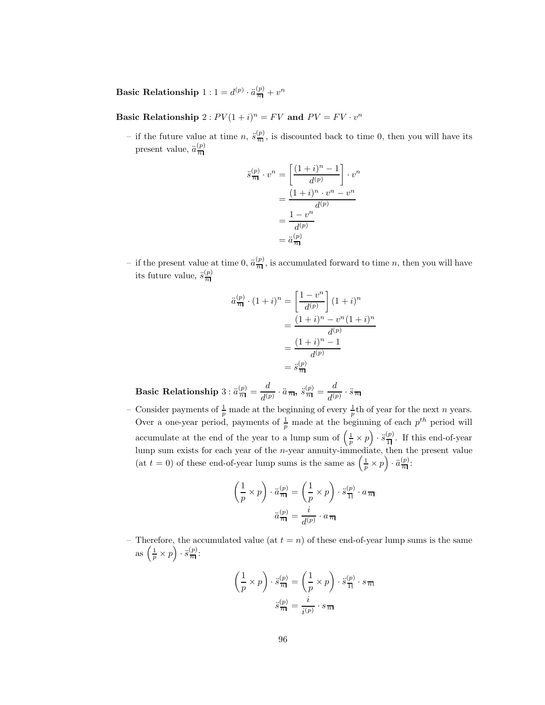**Basic Relationship**  $1: 1 = d^{(p)} \cdot \ddot{a}_{\overline{n}}^{(p)} + v^n$ 

**Basic Relationship**  $2: PV(1 + i)^n = FV$  and  $PV = FV \cdot v^n$ 

- if the future value at time n,  $\ddot{s}_{\overline{n}}^{(p)}$ , is discounted back to time 0, then you will have its present value,  $\ddot{a}_{\overline{n}}^{(p)}$ 

$$
\ddot{s}_{\overline{n}|}^{(p)} \cdot v^n = \left[ \frac{(1+i)^n - 1}{d^{(p)}} \right] \cdot v^n
$$

$$
= \frac{(1+i)^n \cdot v^n - v^n}{d^{(p)}}
$$

$$
= \frac{1 - v^n}{d^{(p)}}
$$

$$
= \ddot{a}_{\overline{n}|}^{(p)}
$$

- if the present value at time 0,  $\ddot{a}_{\overline{n}}^{(p)}$ , is accumulated forward to time n, then you will have its future value,  $\ddot{s}_{\overline{n}}^{(p)}$ 

$$
\ddot{a}_{\overline{n}}^{(p)} \cdot (1+i)^n = \left[\frac{1-v^n}{d^{(p)}}\right] (1+i)^n
$$

$$
= \frac{(1+i)^n - v^n (1+i)^n}{d^{(p)}}
$$

$$
= \frac{(1+i)^n - 1}{d^{(p)}}
$$

$$
= \ddot{s}_{\overline{n}}^{(p)}
$$

**Basic Relationship**  $3 : \ddot{a}^{(p)}_{\overline{n}|} = \frac{d}{d^{(p)}} \cdot \ddot{a}_{\overline{n}|}, \; \ddot{s}^{(p)}_{\overline{n}|} = \frac{d}{d^{(p)}} \cdot \ddot{s}_{\overline{n}}$ 

- Consider payments of  $\frac{1}{p}$  made at the beginning of every  $\frac{1}{p}$ th of year for the next *n* years. Over a one-year period, payments of  $\frac{1}{p}$  made at the beginning of each  $p^{th}$  period will accumulate at the end of the year to a lump sum of  $(\frac{1}{p} \times p) \cdot \ddot{s}_{\overline{1}\overline{1}}^{(p)}$ . If this end-of-year lump sum exists for each year of the n-year annuity-immediate, then the present value (at  $t = 0$ ) of these end-of-year lump sums is the same as  $\left(\frac{1}{p} \times p\right) \cdot \ddot{a}_{\overline{n}}^{(p)}$ :

$$
\left(\frac{1}{p} \times p\right) \cdot \ddot{a}_{\overline{n}\mathbf{l}}^{(p)} = \left(\frac{1}{p} \times p\right) \cdot \ddot{s}_{\overline{\mathbf{l}}}\n\quad (a_{\overline{n}\mathbf{l}})
$$
\n
$$
\ddot{a}_{\overline{n}\mathbf{l}}^{(p)} = \frac{i}{d^{(p)}} \cdot a_{\overline{n}\mathbf{l}}
$$

– Therefore, the accumulated value (at  $t = n$ ) of these end-of-year lump sums is the same as  $\left(\frac{1}{p} \times p\right) \cdot \ddot{s}^{(p)}_{\overline{n}}$ :

$$
\left(\frac{1}{p} \times p\right) \cdot \ddot{s}_{\overline{n}}^{(p)} = \left(\frac{1}{p} \times p\right) \cdot \ddot{s}_{\overline{n}}^{(p)} \cdot s_{\overline{n}}
$$

$$
\ddot{s}_{\overline{n}}^{(p)} = \frac{i}{i^{(p)}} \cdot s_{\overline{n}}
$$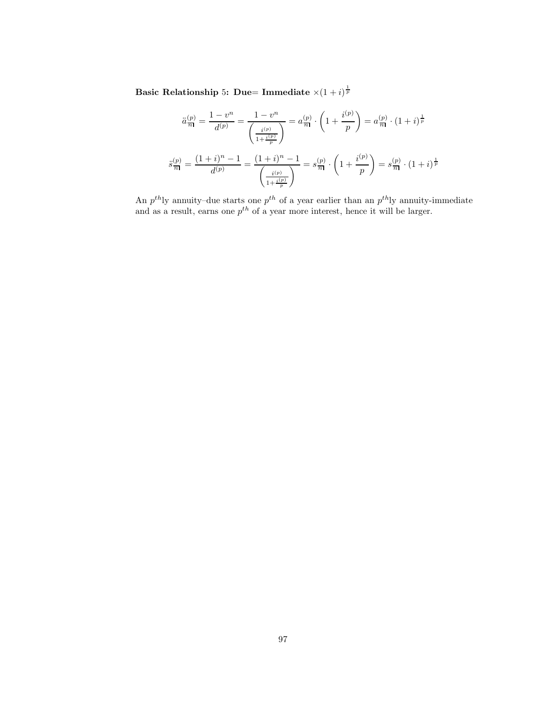**Basic Relationship** 5: Due= Immediate  $\times (1+i)^{\frac{1}{p}}$ 

$$
\ddot{a}\frac{(p)}{n} = \frac{1 - v^n}{d^{(p)}} = \frac{1 - v^n}{\left(\frac{i^{(p)}}{1 + \frac{i^{(p)}}{p}}\right)} = a\frac{(p)}{n} \cdot \left(1 + \frac{i^{(p)}}{p}\right) = a\frac{(p)}{n} \cdot \left(1 + i\right)^{\frac{1}{p}}
$$

$$
\ddot{s}\frac{(p)}{n} = \frac{(1 + i)^n - 1}{d^{(p)}} = \frac{(1 + i)^n - 1}{\left(\frac{i^{(p)}}{1 + \frac{i^{(p)}}{p}}\right)} = s\frac{(p)}{n} \cdot \left(1 + \frac{i^{(p)}}{p}\right) = s\frac{(p)}{n} \cdot \left(1 + i\right)^{\frac{1}{p}}
$$

An  $p^{th}$ ly annuity–due starts one  $p^{th}$  of a year earlier than an  $p^{th}$ ly annuity-immediate and as a result, earns one  $p^{th}$  of a year more interest, hence it will be larger.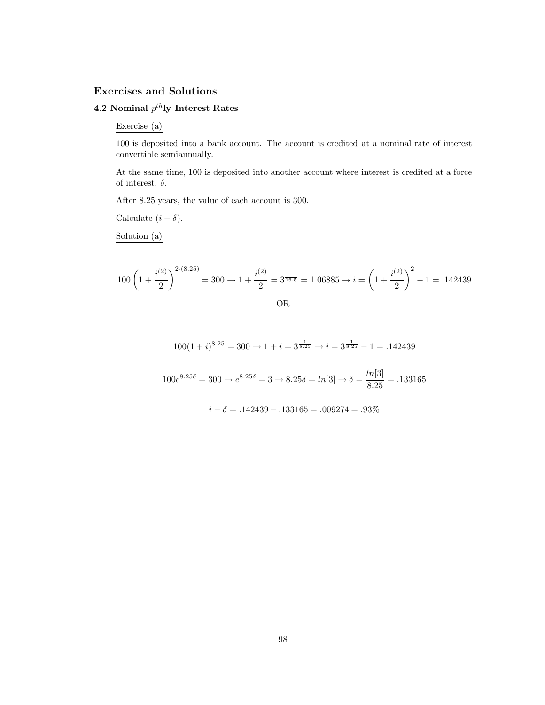## **Exercises and Solutions**

## **4.2 Nominal**  $p^{th}$ **ly Interest Rates**

#### Exercise (a)

100 is deposited into a bank account. The account is credited at a nominal rate of interest convertible semiannually.

At the same time, 100 is deposited into another account where interest is credited at a force of interest,  $\delta$ .

After 8.25 years, the value of each account is 300.

Calculate  $(i - \delta)$ .

Solution (a)

$$
100\left(1+\frac{i^{(2)}}{2}\right)^{2\cdot(8.25)} = 300 \to 1+\frac{i^{(2)}}{2} = 3^{\frac{1}{16.5}} = 1.06885 \to i = \left(1+\frac{i^{(2)}}{2}\right)^2 - 1 = .142439
$$

$$
\rm OR
$$

 $100(1+i)^{8.25} = 300 \rightarrow 1 + i = 3^{\frac{1}{8.25}} \rightarrow i = 3^{\frac{1}{8.25}} - 1 = .142439$ 

 $100e^{8.25\delta} = 300 \rightarrow e^{8.25\delta} = 3 \rightarrow 8.25\delta = ln[3] \rightarrow \delta = \frac{ln[3]}{8.25} = .133165$ 

 $i - \delta = .142439 - .133165 = .009274 = .93\%$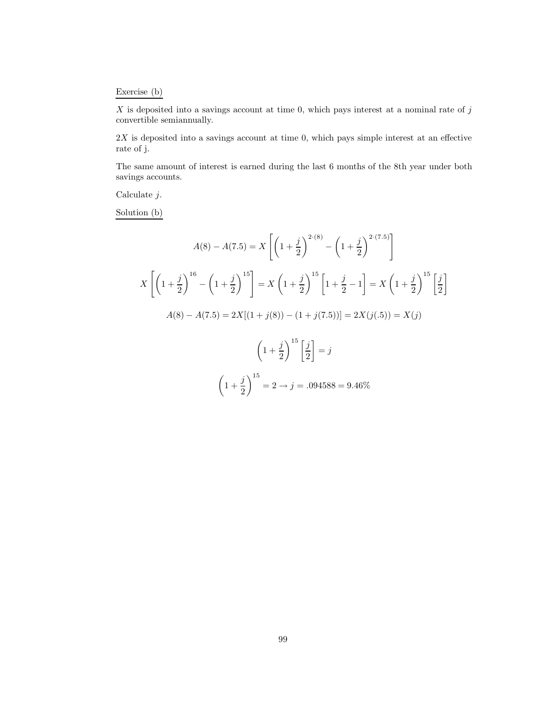## Exercise (b)

 $X$  is deposited into a savings account at time 0, which pays interest at a nominal rate of  $j$ convertible semiannually.

 $2X$  is deposited into a savings account at time 0, which pays simple interest at an effective rate of j.

The same amount of interest is earned during the last 6 months of the 8th year under both savings accounts.

Calculate j.

Solution (b)

$$
A(8) - A(7.5) = X \left[ \left( 1 + \frac{j}{2} \right)^{2 \cdot (8)} - \left( 1 + \frac{j}{2} \right)^{2 \cdot (7.5)} \right]
$$
  

$$
X \left[ \left( 1 + \frac{j}{2} \right)^{16} - \left( 1 + \frac{j}{2} \right)^{15} \right] = X \left( 1 + \frac{j}{2} \right)^{15} \left[ 1 + \frac{j}{2} - 1 \right] = X \left( 1 + \frac{j}{2} \right)^{15} \left[ \frac{j}{2} \right]
$$
  

$$
A(8) - A(7.5) = 2X[(1 + j(8)) - (1 + j(7.5))] = 2X(j(.5)) = X(j)
$$
  

$$
\left( 1 + \frac{j}{2} \right)^{15} \left[ \frac{j}{2} \right] = j
$$
  

$$
\left( 1 + \frac{j}{2} \right)^{15} = 2 \rightarrow j = .094588 = 9.46\%
$$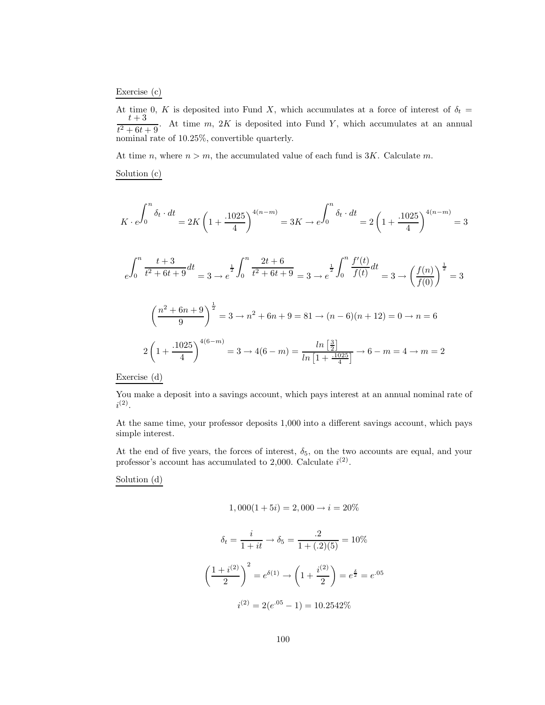## Exercise (c)

At time 0, K is deposited into Fund X, which accumulates at a force of interest of  $\delta_t = t + 3$  $t^2 + 6t + 9$ . At time m, 2K is deposited into Fund Y, which accumulates at an annual nominal rate of 10.25%, convertible quarterly.

At time *n*, where  $n > m$ , the accumulated value of each fund is 3K. Calculate *m*.

Solution (c)

$$
K \cdot e^{\int_{0}^{n} \delta_{t} \cdot dt} = 2K \left(1 + \frac{.1025}{4}\right)^{4(n-m)} = 3K \to e^{\int_{0}^{n} \delta_{t} \cdot dt} = 2\left(1 + \frac{.1025}{4}\right)^{4(n-m)} = 3
$$

$$
e^{\int_{0}^{n} \frac{t+3}{t^{2} + 6t + 9} dt} = 3 \to e^{\frac{1}{2} \int_{0}^{n} \frac{2t+6}{t^{2} + 6t + 9} dt} = 3 \to e^{\frac{1}{2} \int_{0}^{n} \frac{f'(t)}{f(t)} dt} = 3 \to \left(\frac{f(n)}{f(0)}\right)^{\frac{1}{2}} = 3
$$

$$
\left(\frac{n^{2} + 6n + 9}{9}\right)^{\frac{1}{2}} = 3 \to n^{2} + 6n + 9 = 81 \to (n - 6)(n + 12) = 0 \to n = 6
$$

$$
2\left(1 + \frac{.1025}{4}\right)^{4(6-m)} = 3 \to 4(6-m) = \frac{\ln\left[\frac{3}{2}\right]}{\ln\left[1 + \frac{.1025}{4}\right]} \to 6 - m = 4 \to m = 2
$$

Exercise (d)

You make a deposit into a savings account, which pays interest at an annual nominal rate of  $i^{(2)}$ .

At the same time, your professor deposits 1,000 into a different savings account, which pays simple interest.

At the end of five years, the forces of interest,  $\delta_5$ , on the two accounts are equal, and your professor's account has accumulated to 2,000. Calculate  $i^{(2)}$ .

Solution (d)

$$
1,000(1+5i) = 2,000 \rightarrow i = 20\%
$$

$$
\delta_t = \frac{i}{1+it} \to \delta_5 = \frac{.2}{1 + (.2)(5)} = 10\%
$$

$$
\left(\frac{1+i^{(2)}}{2}\right)^2 = e^{\delta(1)} \to \left(1 + \frac{i^{(2)}}{2}\right) = e^{\frac{\delta}{2}} = e^{.05}
$$

$$
i^{(2)} = 2(e^{.05} - 1) = 10.2542\%
$$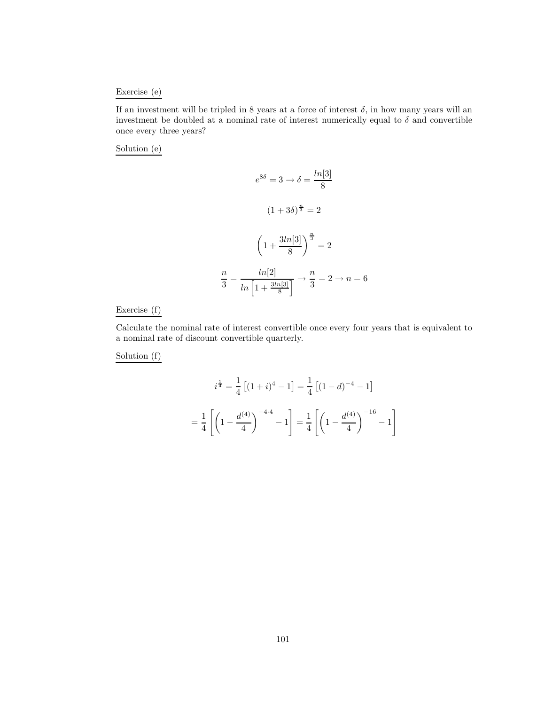## Exercise (e)

If an investment will be tripled in 8 years at a force of interest  $\delta$ , in how many years will an investment be doubled at a nominal rate of interest numerically equal to  $\delta$  and convertible once every three years?

Solution (e)

$$
e^{8\delta} = 3 \rightarrow \delta = \frac{\ln[3]}{8}
$$

$$
(1+3\delta)^{\frac{n}{3}} = 2
$$

$$
\left(1 + \frac{3\ln[3]}{8}\right)^{\frac{n}{3}} = 2
$$

$$
\frac{n}{3} = \frac{\ln[2]}{\ln\left[1 + \frac{3\ln[3]}{8}\right]} \rightarrow \frac{n}{3} = 2 \rightarrow n = 6
$$

Exercise (f)

Calculate the nominal rate of interest convertible once every four years that is equivalent to a nominal rate of discount convertible quarterly.

Solution (f)

$$
i^{\frac{1}{4}} = \frac{1}{4} \left[ (1+i)^4 - 1 \right] = \frac{1}{4} \left[ (1-d)^{-4} - 1 \right]
$$

$$
= \frac{1}{4} \left[ \left( 1 - \frac{d^{(4)}}{4} \right)^{-4 \cdot 4} - 1 \right] = \frac{1}{4} \left[ \left( 1 - \frac{d^{(4)}}{4} \right)^{-16} - 1 \right]
$$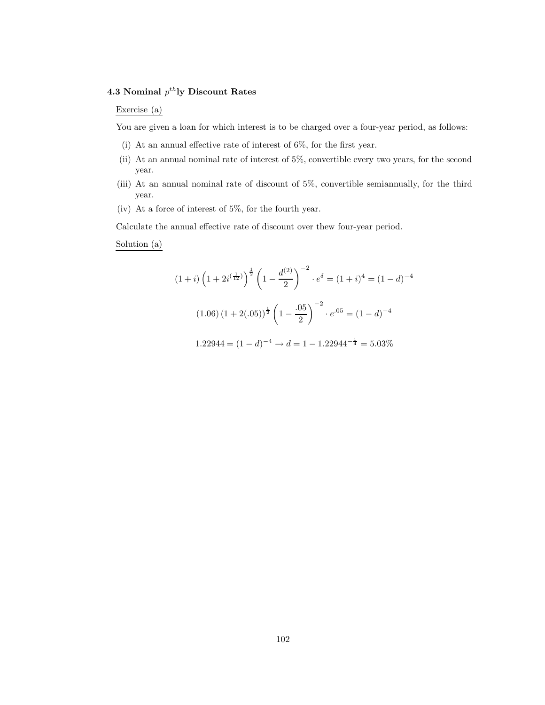# **4.3 Nominal**  $p^{th}$ **ly Discount Rates**

## Exercise (a)

You are given a loan for which interest is to be charged over a four-year period, as follows:

- (i) At an annual effective rate of interest of 6%, for the first year.
- (ii) At an annual nominal rate of interest of 5%, convertible every two years, for the second year.
- (iii) At an annual nominal rate of discount of 5%, convertible semiannually, for the third year.
- (iv) At a force of interest of 5%, for the fourth year.

Calculate the annual effective rate of discount over thew four-year period.

#### Solution (a)

$$
(1+i)\left(1+2i^{\left(\frac{1}{12}\right)}\right)^{\frac{1}{2}}\left(1-\frac{d^{(2)}}{2}\right)^{-2}\cdot e^{\delta} = (1+i)^{4} = (1-d)^{-4}
$$

$$
(1.06)\left(1+2(.05)\right)^{\frac{1}{2}}\left(1-\frac{.05}{2}\right)^{-2}\cdot e^{.05} = (1-d)^{-4}
$$

$$
1.22944 = (1-d)^{-4} \rightarrow d = 1 - 1.22944^{-\frac{1}{4}} = 5.03\%
$$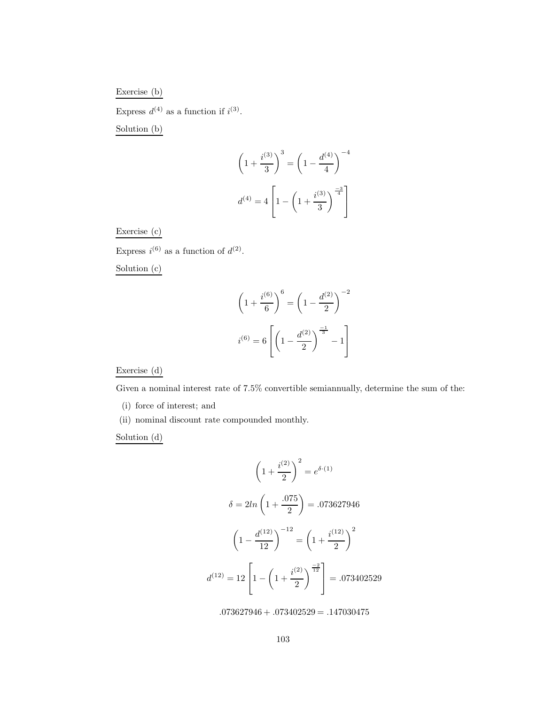## Exercise (b)

Express  $d^{(4)}$  as a function if  $i^{(3)}$ .

Solution (b)

$$
\left(1 + \frac{i^{(3)}}{3}\right)^3 = \left(1 - \frac{d^{(4)}}{4}\right)^{-4}
$$

$$
d^{(4)} = 4\left[1 - \left(1 + \frac{i^{(3)}}{3}\right)^{\frac{-3}{4}}\right]
$$

## Exercise (c)

Express  $i^{(6)}$  as a function of  $d^{(2)}$ .

Solution (c)

$$
\left(1 + \frac{i^{(6)}}{6}\right)^6 = \left(1 - \frac{d^{(2)}}{2}\right)^{-2}
$$

$$
i^{(6)} = 6\left[\left(1 - \frac{d^{(2)}}{2}\right)^{\frac{-1}{3}} - 1\right]
$$

Exercise (d)

Given a nominal interest rate of 7.5% convertible semiannually, determine the sum of the:

- (i) force of interest; and
- (ii) nominal discount rate compounded monthly.

Solution (d)

$$
\left(1 + \frac{i^{(2)}}{2}\right)^2 = e^{\delta \cdot (1)}
$$

$$
\delta = 2ln\left(1 + \frac{.075}{2}\right) = .073627946
$$

$$
\left(1 - \frac{d^{(12)}}{12}\right)^{-12} = \left(1 + \frac{i^{(12)}}{2}\right)^2
$$

$$
d^{(12)} = 12\left[1 - \left(1 + \frac{i^{(2)}}{2}\right)^{\frac{-2}{12}}\right] = .073402529
$$

 $.073627946 + .073402529 = .147030475$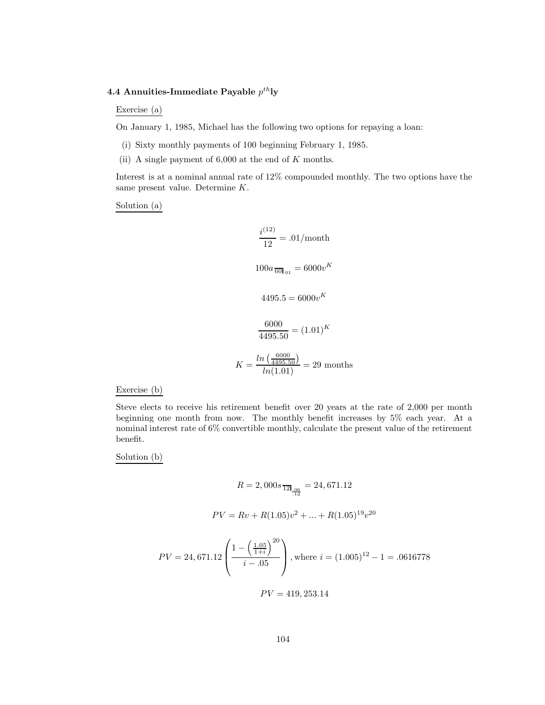## **4.4 Annuities-Immediate Payable**  $p^{th}$ **ly**

Exercise (a)

On January 1, 1985, Michael has the following two options for repaying a loan:

- (i) Sixty monthly payments of 100 beginning February 1, 1985.
- (ii) A single payment of  $6,000$  at the end of K months.

Interest is at a nominal annual rate of 12% compounded monthly. The two options have the same present value. Determine K.

Solution (a)

$$
\frac{i^{(12)}}{12} = .01/\text{month}
$$
  

$$
100a_{\overline{60}l_{.01}} = 6000v^K
$$
  

$$
4495.5 = 6000v^K
$$
  

$$
\frac{6000}{4495.50} = (1.01)^K
$$
  

$$
K = \frac{\ln(\frac{6000}{4495.50})}{\ln(1.01)} = 29 \text{ months}
$$

#### Exercise (b)

Steve elects to receive his retirement benefit over 20 years at the rate of 2,000 per month beginning one month from now. The monthly benefit increases by 5% each year. At a nominal interest rate of 6% convertible monthly, calculate the present value of the retirement benefit.

Solution (b)

$$
R = 2,000s_{\overline{12}|_{\frac{96}{12}}} = 24,671.12
$$
  

$$
PV = Rv + R(1.05)v^{2} + \dots + R(1.05)^{19}v^{20}
$$

$$
PV = 24,671.12 \left( \frac{1 - \left(\frac{1.05}{1+i}\right)^{20}}{i - .05} \right), \text{where } i = (1.005)^{12} - 1 = .0616778
$$

 $PV = 419, 253.14$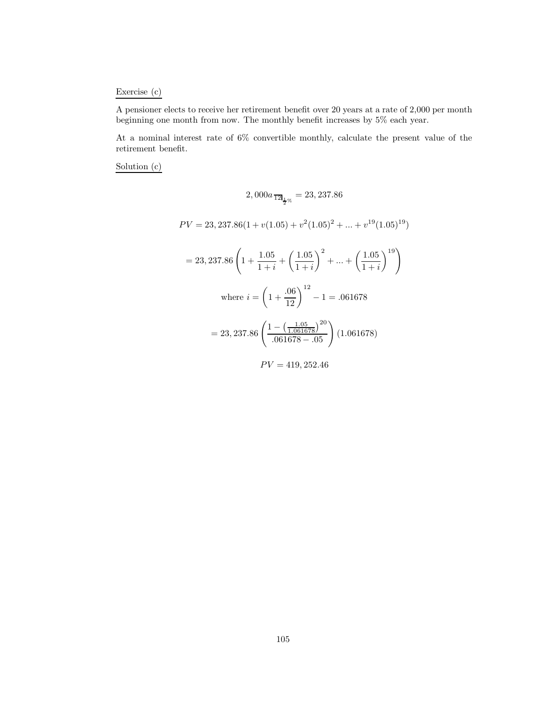# Exercise (c)

A pensioner elects to receive her retirement benefit over 20 years at a rate of 2,000 per month beginning one month from now. The monthly benefit increases by 5% each year.

At a nominal interest rate of 6% convertible monthly, calculate the present value of the retirement benefit.

Solution (c)

$$
2,000a_{\overline{12}}\Big|_{\frac{1}{2}\%} = 23,237.86
$$
  
\n
$$
PV = 23,237.86(1 + v(1.05) + v^2(1.05)^2 + \dots + v^{19}(1.05)^{19})
$$
  
\n
$$
= 23,237.86\left(1 + \frac{1.05}{1 + i} + \left(\frac{1.05}{1 + i}\right)^2 + \dots + \left(\frac{1.05}{1 + i}\right)^{19}\right)
$$
  
\nwhere  $i = \left(1 + \frac{.06}{12}\right)^{12} - 1 = .061678$   
\n
$$
= 23,237.86\left(\frac{1 - \left(\frac{1.05}{1.061678}\right)^{20}}{.061678 - .05}\right)(1.061678)
$$
  
\n
$$
PV = 419,252.46
$$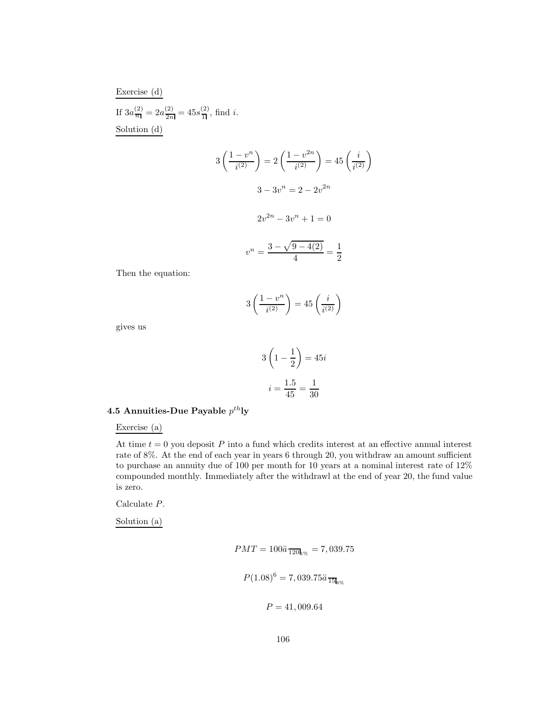Exercise (d) If  $3a_{\overline{n}}^{(2)} = 2a_{\overline{n}}^{(2)} = 45s_{\overline{1}}^{(2)}$ , find *i*. Solution (d)

$$
3\left(\frac{1-v^n}{i^{(2)}}\right) = 2\left(\frac{1-v^{2n}}{i^{(2)}}\right) = 45\left(\frac{i}{i^{(2)}}\right)
$$

$$
3 - 3v^n = 2 - 2v^{2n}
$$

$$
2v^{2n} - 3v^n + 1 = 0
$$

$$
v^n = \frac{3 - \sqrt{9 - 4(2)}}{4} = \frac{1}{2}
$$

Then the equation:

$$
3\left(\frac{1-v^n}{i^{(2)}}\right) = 45\left(\frac{i}{i^{(2)}}\right)
$$

gives us

$$
3\left(1-\frac{1}{2}\right) = 45i
$$

$$
i = \frac{1.5}{45} = \frac{1}{30}
$$

# **4.5 Annuities-Due Payable**  $p^{th}$ **ly**

Exercise (a)

At time  $t = 0$  you deposit P into a fund which credits interest at an effective annual interest rate of 8%. At the end of each year in years 6 through 20, you withdraw an amount sufficient to purchase an annuity due of 100 per month for 10 years at a nominal interest rate of 12% compounded monthly. Immediately after the withdrawl at the end of year 20, the fund value is zero.

Calculate P.

Solution (a)

$$
PMT = 100\ddot{a}_{1201} = 7,039.75
$$

$$
P(1.08)^6 = 7,039.75\ddot{a}_{15}
$$

$$
P = 41,009.64
$$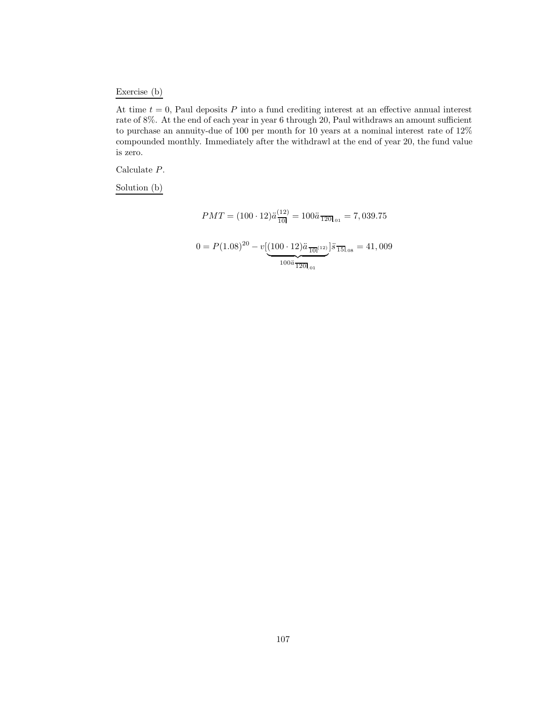# Exercise (b)

At time  $t = 0$ , Paul deposits P into a fund crediting interest at an effective annual interest rate of 8%. At the end of each year in year 6 through 20, Paul withdraws an amount sufficient to purchase an annuity-due of 100 per month for 10 years at a nominal interest rate of 12% compounded monthly. Immediately after the withdrawl at the end of year 20, the fund value is zero.

Calculate P.

Solution (b)

$$
PMT = (100 \cdot 12)\ddot{a} \frac{(12)}{10!} = 100\ddot{a} \frac{1}{120!}_{01} = 7,039.75
$$

$$
0 = P(1.08)^{20} - v \left[ \underbrace{(100 \cdot 12)\ddot{a} \frac{1}{10!}_{01}]}_{100\ddot{a} \frac{1}{120!}_{01}} \right] \ddot{s} \frac{1}{15!}_{08} = 41,009
$$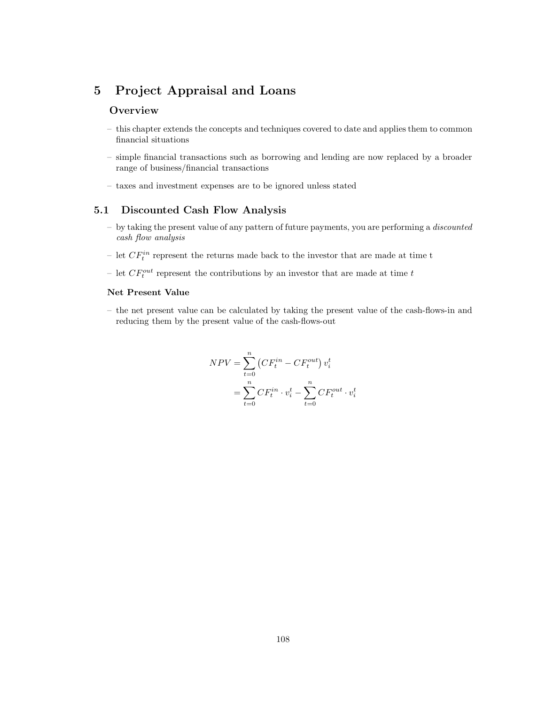# **5 Project Appraisal and Loans**

# **Overview**

- this chapter extends the concepts and techniques covered to date and applies them to common financial situations
- simple financial transactions such as borrowing and lending are now replaced by a broader range of business/financial transactions
- taxes and investment expenses are to be ignored unless stated

# **5.1 Discounted Cash Flow Analysis**

- by taking the present value of any pattern of future payments, you are performing a *discounted cash flow analysis*
- let  $CF_i^{in}$  represent the returns made back to the investor that are made at time t
- let  $CF_t^{out}$  represent the contributions by an investor that are made at time t

### **Net Present Value**

– the net present value can be calculated by taking the present value of the cash-flows-in and reducing them by the present value of the cash-flows-out

$$
NPV = \sum_{t=0}^{n} (CF_t^{in} - CF_t^{out}) v_i^t
$$

$$
= \sum_{t=0}^{n} CF_t^{in} \cdot v_i^t - \sum_{t=0}^{n} CF_t^{out} \cdot v_i^t
$$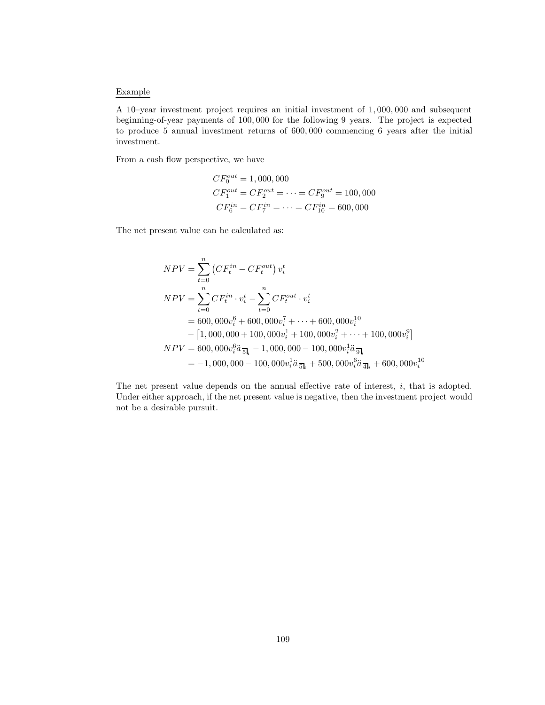#### Example

A 10–year investment project requires an initial investment of 1, 000, 000 and subsequent beginning-of-year payments of 100, 000 for the following 9 years. The project is expected to produce 5 annual investment returns of 600, 000 commencing 6 years after the initial investment.

From a cash flow perspective, we have

$$
CF_0^{out} = 1,000,000
$$
  
\n
$$
CF_1^{out} = CF_2^{out} = \dots = CF_9^{out} = 100,000
$$
  
\n
$$
CF_6^{in} = CF_7^{in} = \dots = CF_{10}^{in} = 600,000
$$

The net present value can be calculated as:

$$
NPV = \sum_{t=0}^{n} (CF_i^{in} - CF_i^{out}) v_i^t
$$
  
\n
$$
NPV = \sum_{t=0}^{n} CF_i^{in} \cdot v_i^t - \sum_{t=0}^{n} CF_i^{out} \cdot v_i^t
$$
  
\n
$$
= 600,000v_i^6 + 600,000v_i^7 + \dots + 600,000v_i^{10}
$$
  
\n
$$
- [1,000,000 + 100,000v_i^1 + 100,000v_i^2 + \dots + 100,000v_i^9]
$$
  
\n
$$
NPV = 600,000v_i^6 \ddot{a}_{\overline{5l}_i} - 1,000,000 - 100,000v_i^1 \ddot{a}_{\overline{5l}_i} + 500,000v_i^6 \ddot{a}_{\overline{4l}_i} + 600,000v_i^{10}
$$

The net present value depends on the annual effective rate of interest, i, that is adopted. Under either approach, if the net present value is negative, then the investment project would not be a desirable pursuit.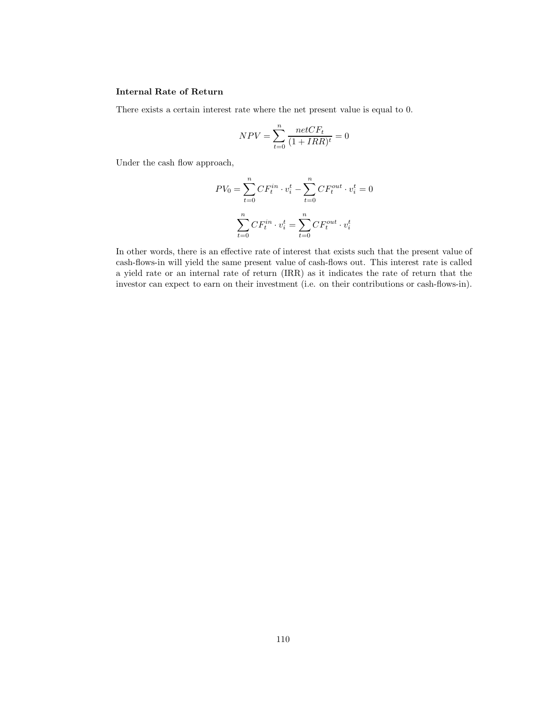#### **Internal Rate of Return**

There exists a certain interest rate where the net present value is equal to 0.

$$
NPV = \sum_{t=0}^{n} \frac{netCF_t}{(1 + IRR)^t} = 0
$$

Under the cash flow approach,

$$
PV_0 = \sum_{t=0}^n CF_t^{in} \cdot v_i^t - \sum_{t=0}^n CF_t^{out} \cdot v_i^t = 0
$$

$$
\sum_{t=0}^n CF_t^{in} \cdot v_i^t = \sum_{t=0}^n CF_t^{out} \cdot v_i^t
$$

In other words, there is an effective rate of interest that exists such that the present value of cash-flows-in will yield the same present value of cash-flows out. This interest rate is called a yield rate or an internal rate of return (IRR) as it indicates the rate of return that the investor can expect to earn on their investment (i.e. on their contributions or cash-flows-in).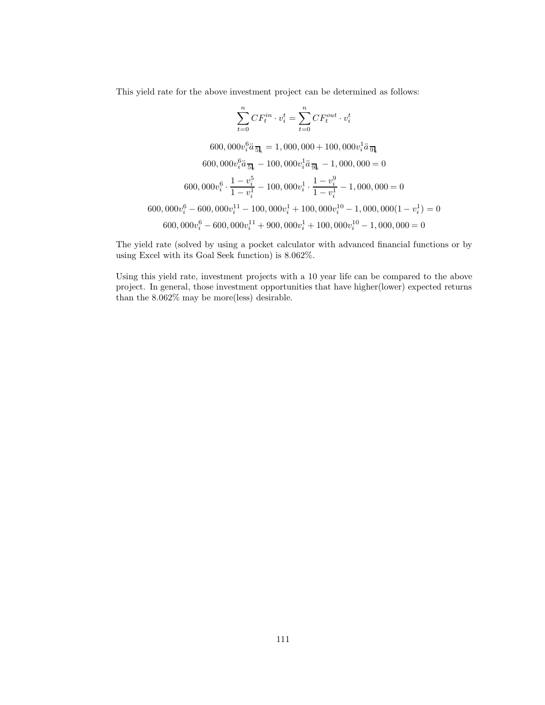This yield rate for the above investment project can be determined as follows:

$$
\sum_{t=0}^{n} CF_t^{in} \cdot v_i^t = \sum_{t=0}^{n} CF_t^{out} \cdot v_i^t
$$
  
\n
$$
600,000v_i^6 \ddot{a}_{\overline{5l}_i} = 1,000,000 + 100,000v_i^1 \ddot{a}_{\overline{9l}_i}
$$
  
\n
$$
600,000v_i^6 \ddot{a}_{\overline{5l}_i} - 100,000v_i^1 \ddot{a}_{\overline{9l}_i} - 1,000,000 = 0
$$
  
\n
$$
600,000v_i^6 \cdot \frac{1 - v_i^5}{1 - v_i^1} - 100,000v_i^1 \cdot \frac{1 - v_i^9}{1 - v_i^1} - 1,000,000 = 0
$$
  
\n
$$
600,000v_i^6 - 600,000v_i^{11} - 100,000v_i^1 + 100,000v_i^{10} - 1,000,000(1 - v_i^1) = 0
$$
  
\n
$$
600,000v_i^6 - 600,000v_i^{11} + 900,000v_i^1 + 100,000v_i^{10} - 1,000,000 = 0
$$

The yield rate (solved by using a pocket calculator with advanced financial functions or by using Excel with its Goal Seek function) is 8.062%.

Using this yield rate, investment projects with a 10 year life can be compared to the above project. In general, those investment opportunities that have higher(lower) expected returns than the 8.062% may be more(less) desirable.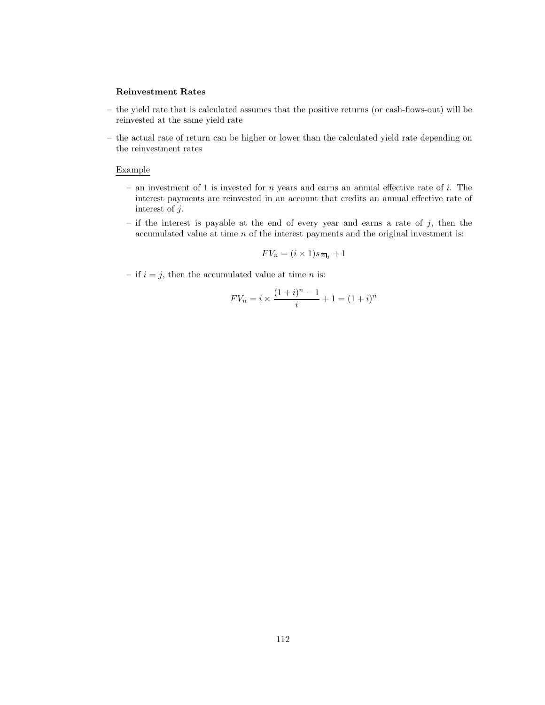#### **Reinvestment Rates**

- the yield rate that is calculated assumes that the positive returns (or cash-flows-out) will be reinvested at the same yield rate
- the actual rate of return can be higher or lower than the calculated yield rate depending on the reinvestment rates

#### Example

- an investment of 1 is invested for  $n$  years and earns an annual effective rate of  $i$ . The interest payments are reinvested in an account that credits an annual effective rate of interest of j.
- if the interest is payable at the end of every year and earns a rate of  $j$ , then the accumulated value at time  $n$  of the interest payments and the original investment is:

$$
FV_n = (i \times 1)s_{\overline{n}_j} + 1
$$

– if  $i = j$ , then the accumulated value at time *n* is:

$$
F V_n = i \times \frac{(1+i)^n - 1}{i} + 1 = (1+i)^n
$$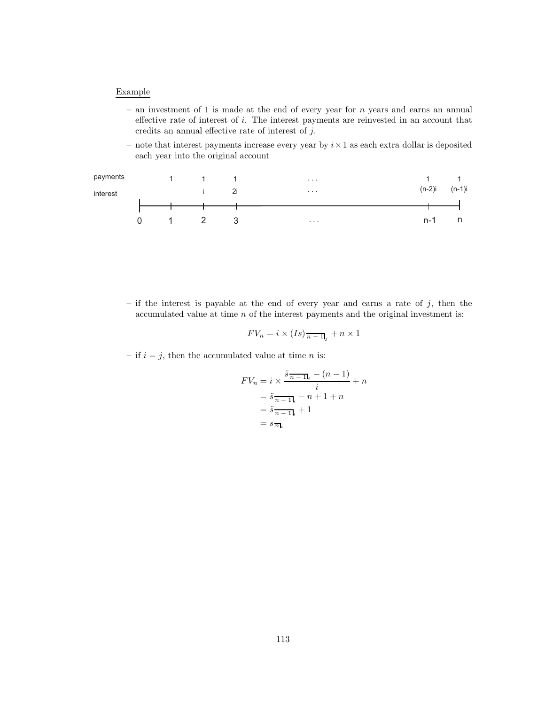#### Example

- an investment of 1 is made at the end of every year for  $n$  years and earns an annual effective rate of interest of i. The interest payments are reinvested in an account that credits an annual effective rate of interest of j.
- note that interest payments increase every year by  $i \times 1$  as each extra dollar is deposited each year into the original account



 $-$  if the interest is payable at the end of every year and earns a rate of  $j$ , then the accumulated value at time  $n$  of the interest payments and the original investment is:

$$
FV_n = i \times (Is)_{\overline{n-1},j} + n \times 1
$$

– if  $i = j$ , then the accumulated value at time *n* is:

$$
FV_n = i \times \frac{\ddot{s}_{n-1}}{i} - (n-1) \over i} + n
$$

$$
= \ddot{s}_{n-1}}{i} - n + 1 + n
$$

$$
= \ddot{s}_{n-1}}{i} + 1
$$

$$
= s_{\overline{n}}{i}
$$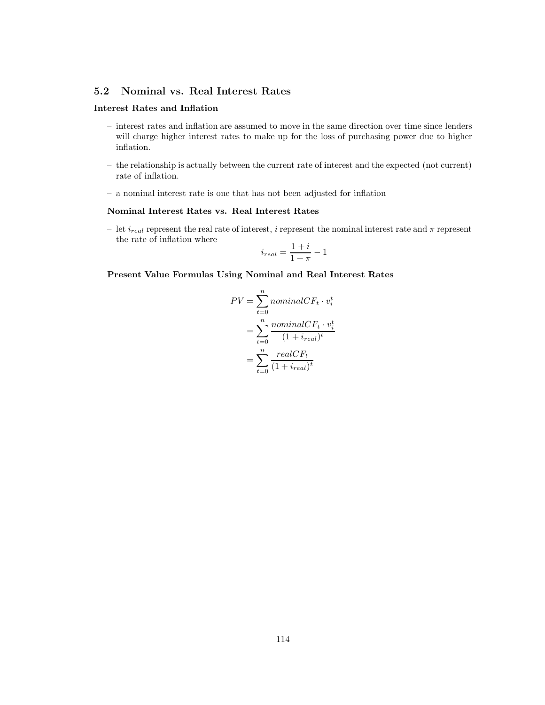# **5.2 Nominal vs. Real Interest Rates**

# **Interest Rates and Inflation**

- interest rates and inflation are assumed to move in the same direction over time since lenders will charge higher interest rates to make up for the loss of purchasing power due to higher inflation.
- the relationship is actually between the current rate of interest and the expected (not current) rate of inflation.
- a nominal interest rate is one that has not been adjusted for inflation

### **Nominal Interest Rates vs. Real Interest Rates**

– let  $i_{real}$  represent the real rate of interest,  $i$  represent the nominal interest rate and  $\pi$  represent the rate of inflation where

$$
i_{real} = \frac{1+i}{1+\pi} - 1
$$

**Present Value Formulas Using Nominal and Real Interest Rates**

$$
PV = \sum_{t=0}^{n} nominalCF_t \cdot v_i^t
$$

$$
= \sum_{t=0}^{n} \frac{nominalCF_t \cdot v_i^t}{(1 + i_{real})^t}
$$

$$
= \sum_{t=0}^{n} \frac{realCF_t}{(1 + i_{real})^t}
$$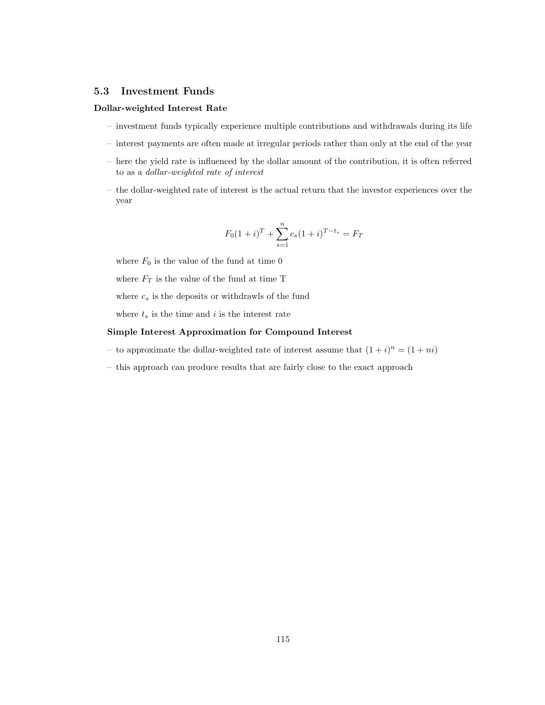#### **5.3 Investment Funds**

#### **Dollar-weighted Interest Rate**

- investment funds typically experience multiple contributions and withdrawals during its life
- interest payments are often made at irregular periods rather than only at the end of the year
- here the yield rate is influenced by the dollar amount of the contribution, it is often referred to as a *dollar-weighted rate of interest*
- the dollar-weighted rate of interest is the actual return that the investor experiences over the year

$$
F_0(1+i)^T + \sum_{s=1}^n c_s (1+i)^{T-t_s} = F_T
$$

where  $F_0$  is the value of the fund at time 0

where  $F_T$  is the value of the fund at time T

where  $c_s$  is the deposits or withdrawls of the fund

where  $t_s$  is the time and i is the interest rate

#### **Simple Interest Approximation for Compound Interest**

- to approximate the dollar-weighted rate of interest assume that  $(1 + i)^n = (1 + ni)$
- this approach can produce results that are fairly close to the exact approach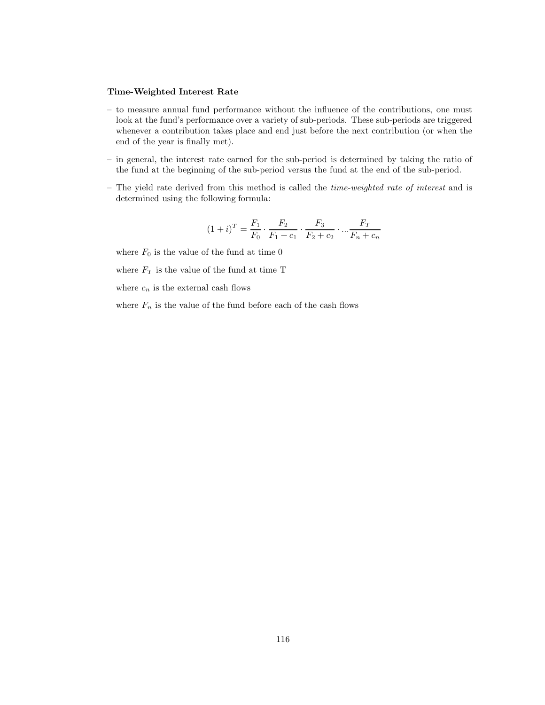# **Time-Weighted Interest Rate**

- to measure annual fund performance without the influence of the contributions, one must look at the fund's performance over a variety of sub-periods. These sub-periods are triggered whenever a contribution takes place and end just before the next contribution (or when the end of the year is finally met).
- in general, the interest rate earned for the sub-period is determined by taking the ratio of the fund at the beginning of the sub-period versus the fund at the end of the sub-period.
- The yield rate derived from this method is called the *time-weighted rate of interest* and is determined using the following formula:

$$
(1+i)^{T} = \frac{F_1}{F_0} \cdot \frac{F_2}{F_1 + c_1} \cdot \frac{F_3}{F_2 + c_2} \cdot \dots \cdot \frac{F_T}{F_n + c_n}
$$

where  ${\cal F}_0$  is the value of the fund at time  $0$ 

where  ${\cal F}_T$  is the value of the fund at time T

where  $c_n$  is the external cash flows

where  $F_n$  is the value of the fund before each of the cash flows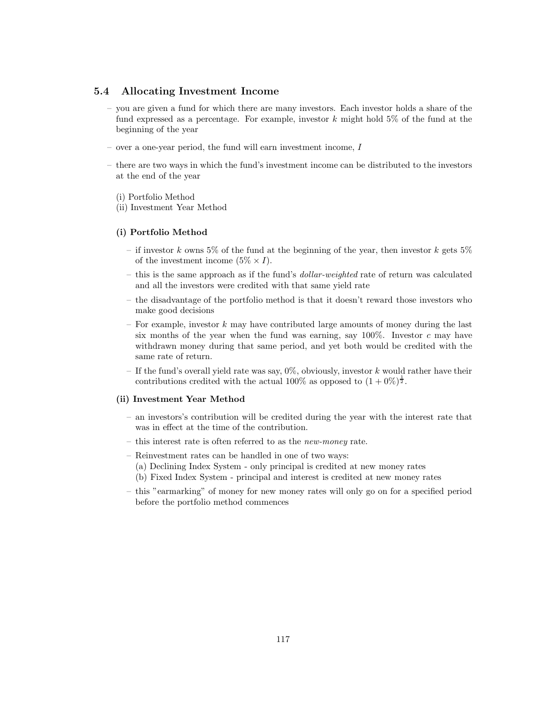### **5.4 Allocating Investment Income**

- you are given a fund for which there are many investors. Each investor holds a share of the fund expressed as a percentage. For example, investor k might hold  $5\%$  of the fund at the beginning of the year
- over a one-year period, the fund will earn investment income, I
- there are two ways in which the fund's investment income can be distributed to the investors at the end of the year
	- (i) Portfolio Method
	- (ii) Investment Year Method

#### **(i) Portfolio Method**

- if investor k owns 5% of the fund at the beginning of the year, then investor k gets  $5\%$ of the investment income  $(5\% \times I)$ .
- this is the same approach as if the fund's *dollar-weighted* rate of return was calculated and all the investors were credited with that same yield rate
- the disadvantage of the portfolio method is that it doesn't reward those investors who make good decisions
- For example, investor  $k$  may have contributed large amounts of money during the last six months of the year when the fund was earning, say  $100\%$ . Investor c may have withdrawn money during that same period, and yet both would be credited with the same rate of return.
- If the fund's overall yield rate was say,  $0\%$ , obviously, investor k would rather have their contributions credited with the actual 100% as opposed to  $(1+0\%)^{\frac{1}{2}}$ .

#### **(ii) Investment Year Method**

- an investors's contribution will be credited during the year with the interest rate that was in effect at the time of the contribution.
- this interest rate is often referred to as the *new-money* rate.
- Reinvestment rates can be handled in one of two ways: (a) Declining Index System - only principal is credited at new money rates (b) Fixed Index System - principal and interest is credited at new money rates
- this "earmarking" of money for new money rates will only go on for a specified period before the portfolio method commences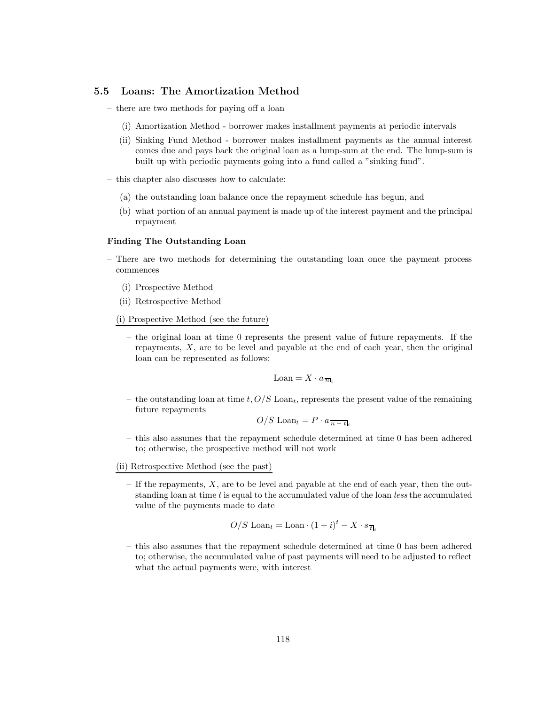### **5.5 Loans: The Amortization Method**

- there are two methods for paying off a loan
	- (i) Amortization Method borrower makes installment payments at periodic intervals
	- (ii) Sinking Fund Method borrower makes installment payments as the annual interest comes due and pays back the original loan as a lump-sum at the end. The lump-sum is built up with periodic payments going into a fund called a "sinking fund".
- this chapter also discusses how to calculate:
	- (a) the outstanding loan balance once the repayment schedule has begun, and
	- (b) what portion of an annual payment is made up of the interest payment and the principal repayment

#### **Finding The Outstanding Loan**

- There are two methods for determining the outstanding loan once the payment process commences
	- (i) Prospective Method
	- (ii) Retrospective Method
	- (i) Prospective Method (see the future)
		- the original loan at time 0 represents the present value of future repayments. If the repayments, X, are to be level and payable at the end of each year, then the original loan can be represented as follows:

$$
\text{Loan} = X \cdot a_{\overline{n}\mathbf{l}_i}
$$

– the outstanding loan at time t,  $O/S$  Loan<sub>t</sub>, represents the present value of the remaining future repayments

$$
O/S \text{ Loan}_{t} = P \cdot a_{\overline{n-t}_{i}}
$$

- this also assumes that the repayment schedule determined at time 0 has been adhered to; otherwise, the prospective method will not work
- (ii) Retrospective Method (see the past)
	- $-$  If the repayments,  $X$ , are to be level and payable at the end of each year, then the outstanding loan at time t is equal to the accumulated value of the loan *less* the accumulated value of the payments made to date

$$
O/S \operatorname{Loan}_t = \operatorname{Loan} \cdot (1+i)^t - X \cdot s_{\overline{t}\vert_i}
$$

– this also assumes that the repayment schedule determined at time 0 has been adhered to; otherwise, the accumulated value of past payments will need to be adjusted to reflect what the actual payments were, with interest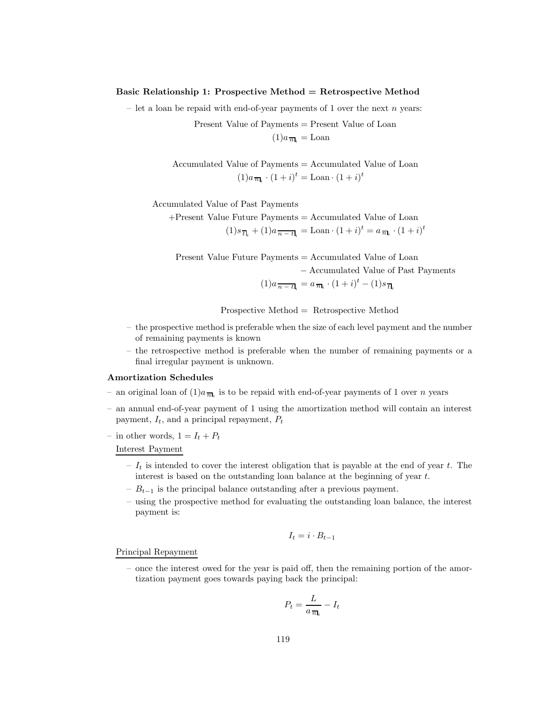### **Basic Relationship 1: Prospective Method = Retrospective Method**

– let a loan be repaid with end-of-year payments of 1 over the next  $n$  years:

Present Value of Payments = Present Value of Loan  $(1)a_{\overline{n}} =$ Loan

Accumulated Value of Payments = Accumulated Value of Loan  $(1)a_{\overline{n}_i} \cdot (1+i)^t = \text{Loan} \cdot (1+i)^t$ 

Accumulated Value of Past Payments

+Present Value Future Payments = Accumulated Value of Loan  $(1)s_{\overline{t}\mathbf{l}_i} + (1)a_{\overline{n-t}\mathbf{l}_i} = \text{Loan} \cdot (1+i)^t = a_{\overline{n}\mathbf{l}_i} \cdot (1+i)^t$ 

Present Value Future Payments = Accumulated Value of Loan − Accumulated Value of Past Payments  $(1)a_{\overline{n-t|_i}} = a_{\overline{n|_i}} \cdot (1+i)^t - (1)s_{\overline{t|_i}}$ 

Prospective Method = Retrospective Method

- the prospective method is preferable when the size of each level payment and the number of remaining payments is known
- the retrospective method is preferable when the number of remaining payments or a final irregular payment is unknown.

#### **Amortization Schedules**

- an original loan of  $(1)a_{\overline{n}_k}$  is to be repaid with end-of-year payments of 1 over n years
- an annual end-of-year payment of 1 using the amortization method will contain an interest payment,  $I_t$ , and a principal repayment,  $P_t$
- in other words,  $1 = I_t + P_t$

Interest Payment

- $I_t$  is intended to cover the interest obligation that is payable at the end of year t. The interest is based on the outstanding loan balance at the beginning of year t.
- $-B_{t-1}$  is the principal balance outstanding after a previous payment.
- using the prospective method for evaluating the outstanding loan balance, the interest payment is:

$$
I_t = i \cdot B_{t-1}
$$

Principal Repayment

– once the interest owed for the year is paid off, then the remaining portion of the amortization payment goes towards paying back the principal:

$$
P_t = \frac{L}{a_{\overline{n}\mathbf{l}_i}} - I_t
$$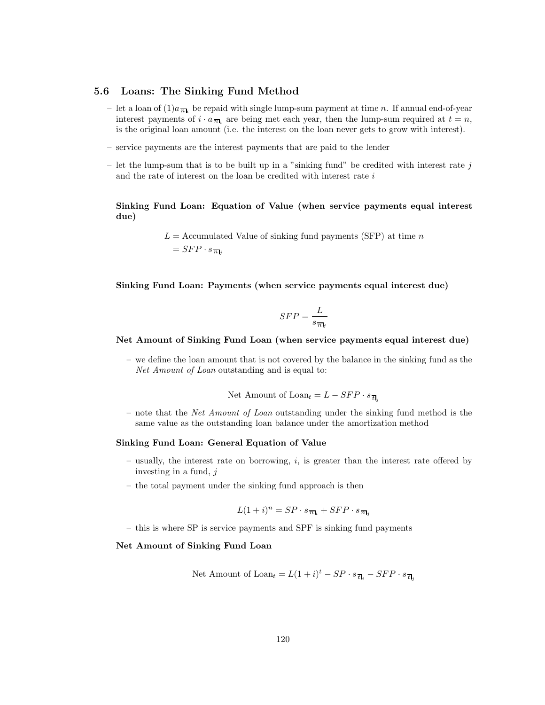### **5.6 Loans: The Sinking Fund Method**

- let a loan of  $(1)a_{\overline{n}}$  be repaid with single lump-sum payment at time n. If annual end-of-year interest payments of  $i \cdot a_{\overline{n}|i}$  are being met each year, then the lump-sum required at  $t = n$ , is the original loan amount (i.e. the interest on the loan never gets to grow with interest).
- service payments are the interest payments that are paid to the lender
- let the lump-sum that is to be built up in a "sinking fund" be credited with interest rate  $j$ and the rate of interest on the loan be credited with interest rate  $i$

**Sinking Fund Loan: Equation of Value (when service payments equal interest due)**

> $L =$  Accumulated Value of sinking fund payments (SFP) at time n  $= SFP \cdot s_{\overline{n}}$

**Sinking Fund Loan: Payments (when service payments equal interest due)**

$$
SFP = \frac{L}{s_{\overline{n}_j}}
$$

#### **Net Amount of Sinking Fund Loan (when service payments equal interest due)**

– we define the loan amount that is not covered by the balance in the sinking fund as the *Net Amount of Loan* outstanding and is equal to:

Net Amount of 
$$
\text{Loan}_t = L - SFP \cdot s_{\overline{t}|_j}
$$

– note that the *Net Amount of Loan* outstanding under the sinking fund method is the same value as the outstanding loan balance under the amortization method

#### **Sinking Fund Loan: General Equation of Value**

- usually, the interest rate on borrowing,  $i$ , is greater than the interest rate offered by investing in a fund,  $i$
- the total payment under the sinking fund approach is then

$$
L(1+i)^n = SP \cdot s_{\overline{n_1}} + SFP \cdot s_{\overline{n_1}}
$$

– this is where SP is service payments and SPF is sinking fund payments

#### **Net Amount of Sinking Fund Loan**

Net Amount of 
$$
Loan_t = L(1 + i)^t - SP \cdot s_{\overline{t}l_i} - SFP \cdot s_{\overline{t}l_j}
$$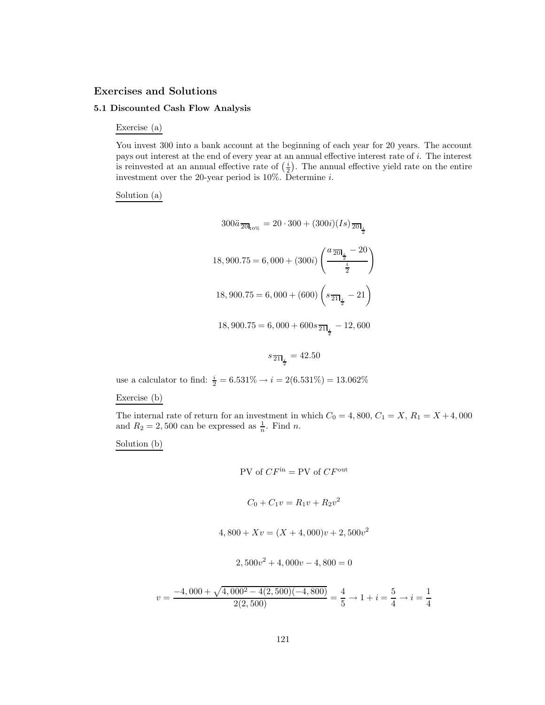# **Exercises and Solutions**

# **5.1 Discounted Cash Flow Analysis**

Exercise (a)

You invest 300 into a bank account at the beginning of each year for 20 years. The account pays out interest at the end of every year at an annual effective interest rate of i. The interest is reinvested at an annual effective rate of  $(\frac{i}{2})$ . The annual effective yield rate on the entire investment over the 20-year period is 10%. Determine i.

# Solution (a)

$$
300\ddot{a} \frac{1}{20I_{10\%}} = 20 \cdot 300 + (300i)(Is) \frac{1}{20I_{\frac{i}{2}}}
$$
  
18, 900.75 = 6, 000 + (300i)  $\left(\frac{a \frac{1}{20I_{\frac{i}{2}}} - 20}{\frac{i}{2}}\right)$   
18, 900.75 = 6, 000 + (600)  $\left(s \frac{1}{2I_{\frac{i}{2}}} - 21\right)$   
18, 900.75 = 6, 000 + 600s  $\frac{1}{2I_{\frac{i}{2}}} - 12$ , 600

$$
s_{\overline{21}I_{\frac{i}{2}}} = 42.50
$$

use a calculator to find:  $\frac{i}{2} = 6.531\% \rightarrow i = 2(6.531\%) = 13.062\%$ 

# Exercise (b)

The internal rate of return for an investment in which  $C_0 = 4,800, C_1 = X, R_1 = X + 4,000$ and  $R_2 = 2{,}500$  can be expressed as  $\frac{1}{n}$ . Find *n*.

Solution (b)

$$
PV \text{ of } CF^{\text{in}} = PV \text{ of } CF^{\text{out}}
$$

$$
C_0 + C_1 v = R_1 v + R_2 v^2
$$

$$
4,800 + Xv = (X + 4,000)v + 2,500v2
$$

$$
2,500v^2 + 4,000v - 4,800 = 0
$$

$$
v = \frac{-4,000 + \sqrt{4,000^2 - 4(2,500)(-4,800)}}{2(2,500)} = \frac{4}{5} \rightarrow 1 + i = \frac{5}{4} \rightarrow i = \frac{1}{4}
$$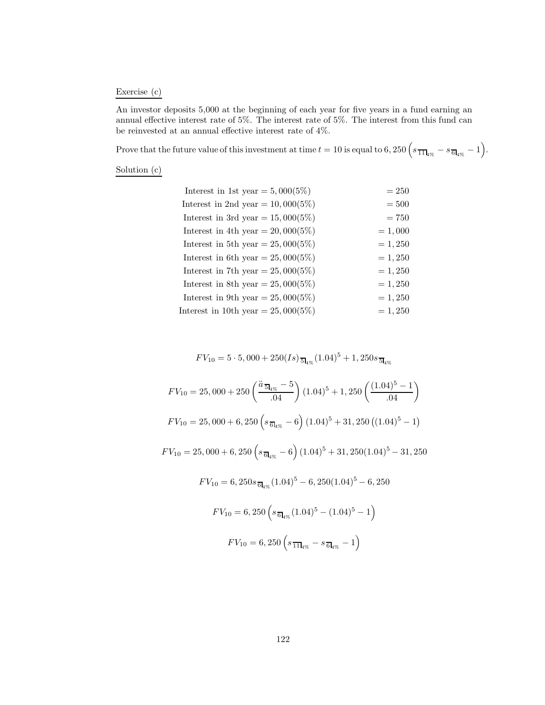# Exercise (c)

An investor deposits 5,000 at the beginning of each year for five years in a fund earning an annual effective interest rate of 5%. The interest rate of 5%. The interest from this fund can be reinvested at an annual effective interest rate of 4%.

Prove that the future value of this investment at time  $t = 10$  is equal to 6, 250  $\left(s_{\frac{1}{11}\text{kg}} - s_{\frac{1}{6}\text{kg}} - 1\right)$ .

Solution (c)

| Interest in 1st year = $5,000(5\%)$   | $= 250$   |
|---------------------------------------|-----------|
| Interest in 2nd year = $10,000(5\%)$  | $=500$    |
| Interest in 3rd year = $15,000(5\%)$  | $= 750$   |
| Interest in 4th year = $20,000(5\%)$  | $= 1,000$ |
| Interest in 5th year = $25,000(5\%)$  | $= 1,250$ |
| Interest in 6th year = $25,000(5\%)$  | $= 1,250$ |
| Interest in 7th year = $25,000(5\%)$  | $= 1,250$ |
| Interest in 8th year = $25,000(5\%)$  | $= 1,250$ |
| Interest in 9th year = $25,000(5\%)$  | $= 1,250$ |
| Interest in 10th year = $25,000(5\%)$ | $= 1,250$ |

$$
FV_{10} = 5 \cdot 5,000 + 250(Is) \frac{1}{5} I_{4\%} (1.04)^5 + 1,250 s \frac{1}{5} I_{4\%}
$$

$$
FV_{10} = 25,000 + 250 \left( \frac{\ddot{a}_{\overline{5}l_{4\%}} - 5}{.04} \right) (1.04)^5 + 1,250 \left( \frac{(1.04)^5 - 1}{.04} \right)
$$
  
\n
$$
FV_{10} = 25,000 + 6,250 \left( s_{\overline{6}l_{4\%}} - 6 \right) (1.04)^5 + 31,250 \left( (1.04)^5 - 1 \right)
$$
  
\n
$$
FV_{10} = 25,000 + 6,250 \left( s_{\overline{6}l_{4\%}} - 6 \right) (1.04)^5 + 31,250(1.04)^5 - 31,250
$$
  
\n
$$
FV_{10} = 6,250 s_{\overline{6}l_{4\%}} (1.04)^5 - 6,250(1.04)^5 - 6,250
$$
  
\n
$$
FV_{10} = 6,250 \left( s_{\overline{6}l_{4\%}} (1.04)^5 - (1.04)^5 - 1 \right)
$$
  
\n
$$
FV_{10} = 6,250 \left( s_{\overline{1}l_{4\%}} - s_{\overline{6}l_{4\%}} - 1 \right)
$$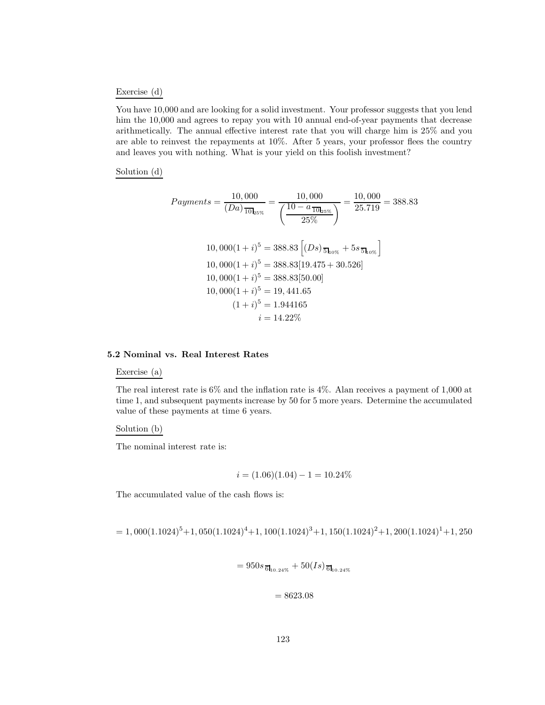#### Exercise (d)

You have 10,000 and are looking for a solid investment. Your professor suggests that you lend him the 10,000 and agrees to repay you with 10 annual end-of-year payments that decrease arithmetically. The annual effective interest rate that you will charge him is 25% and you are able to reinvest the repayments at 10%. After 5 years, your professor flees the country and leaves you with nothing. What is your yield on this foolish investment?

Solution (d)

$$
Payments = \frac{10,000}{(Da)_{\overline{10}}}_{25\%} = \frac{10,000}{\left(\frac{10 - a_{\overline{10}}_{25\%}}{25\%}\right)} = \frac{10,000}{25.719} = 388.83
$$
\n
$$
10,000(1 + i)^5 = 388.83 \left[ (Ds)_{\overline{5}}_{10\%} + 5s_{\overline{5}}_{10\%} \right]
$$
\n
$$
10,000(1 + i)^5 = 388.83[19.475 + 30.526]
$$
\n
$$
10,000(1 + i)^5 = 388.83[50.00]
$$
\n
$$
10,000(1 + i)^5 = 19,441.65
$$
\n
$$
(1 + i)^5 = 1.944165
$$
\n
$$
i = 14.22\%
$$

### **5.2 Nominal vs. Real Interest Rates**

Exercise (a)

The real interest rate is 6% and the inflation rate is 4%. Alan receives a payment of 1,000 at time 1, and subsequent payments increase by 50 for 5 more years. Determine the accumulated value of these payments at time 6 years.

Solution (b)

The nominal interest rate is:

$$
i = (1.06)(1.04) - 1 = 10.24\%
$$

The accumulated value of the cash flows is:

$$
= 1,000(1.1024)^5 + 1,050(1.1024)^4 + 1,100(1.1024)^3 + 1,150(1.1024)^2 + 1,200(1.1024)^1 + 1,250(1.1024)^3 + 1,250(1.1024)^4 + 1,250(1.1024)^5 + 1,250(1.1024)^4 + 1,250(1.1024)^5 + 1,250(1.1024)^4 + 1,250(1.1024)^5 + 1,250(1.1024)^4 + 1,250(1.1024)^5 + 1,250(1.1024)^6 + 1,250(1.1024)^7 + 1,250(1.1024)^8 + 1,250(1.1024)^8 + 1,250(1.1024)^8 + 1,250(1.1024)^8 + 1,250(1.1024)^8 + 1,250(1.1024)^8 + 1,250(1.1024)^8 + 1,250(1.1024)^8 + 1,250(1.1024)^8 + 1,250(1.1024)^8 + 1,250(1.1024)^8 + 1,250(1.1024)^8 + 1,250(1.1024)^8 + 1,250(1.1024)^8 + 1,250(1.1024)^8 + 1,250(1.1024)^8 + 1,250(1.1024)^8 + 1,250(1.1024)^8 + 1,250(1.1024)^8 + 1,250(1.1024)^8 + 1,250(1.1024)^8 + 1,250(1.1024)^8 + 1,250(1.1024)^8 + 1,250(1.1024)^8 + 1,250(1.1024)^8 + 1,250(1.1024)^8 + 1,250(1.1024)^8 + 1,250(1.1024)^8 + 1,250(1.1024)^8 + 1,250(1.1024)^8 + 1,250(1.1024)^8 + 1,250
$$

$$
= 950s_{\overline{6}I_{10.24\%}} + 50(Is)_{\overline{6}I_{10.24\%}}
$$

 $= 8623.08$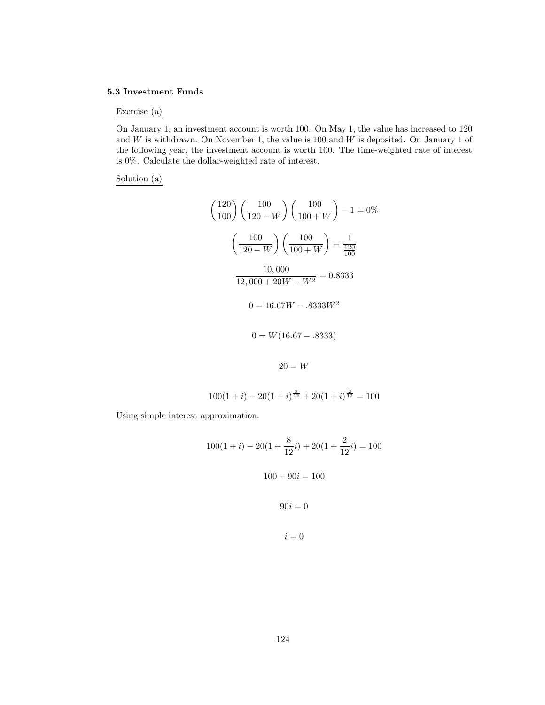#### **5.3 Investment Funds**

#### Exercise (a)

On January 1, an investment account is worth 100. On May 1, the value has increased to 120 and  $W$  is withdrawn. On November 1, the value is 100 and  $W$  is deposited. On January 1 of the following year, the investment account is worth 100. The time-weighted rate of interest is 0%. Calculate the dollar-weighted rate of interest.

### Solution (a)

$$
\left(\frac{120}{100}\right)\left(\frac{100}{120-W}\right)\left(\frac{100}{100+W}\right) - 1 = 0\%
$$

$$
\left(\frac{100}{120-W}\right)\left(\frac{100}{100+W}\right) = \frac{1}{\frac{120}{100}}
$$

$$
\frac{10,000}{12,000+20W-W^2} = 0.8333
$$

$$
0 = 16.67W - .8333W^2
$$

$$
0 = W(16.67 - .8333)
$$

$$
20 = W
$$

 $100(1+i) - 20(1+i)^{\frac{8}{12}} + 20(1+i)^{\frac{2}{12}} = 100$ 

Using simple interest approximation:

$$
100(1+i) - 20(1 + \frac{8}{12}i) + 20(1 + \frac{2}{12}i) = 100
$$

$$
100 + 90i = 100
$$

$$
90i = 0
$$

$$
i = 0
$$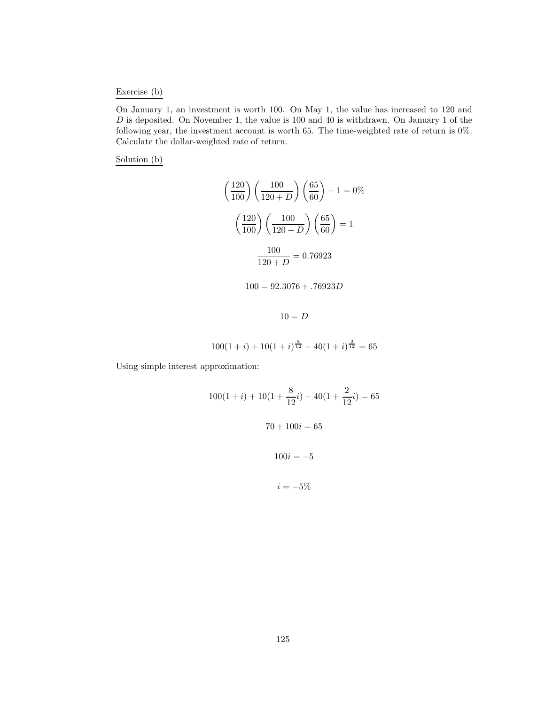# Exercise (b)

On January 1, an investment is worth 100. On May 1, the value has increased to 120 and D is deposited. On November 1, the value is 100 and 40 is withdrawn. On January 1 of the following year, the investment account is worth 65. The time-weighted rate of return is 0%. Calculate the dollar-weighted rate of return.

Solution (b)

$$
\left(\frac{120}{100}\right)\left(\frac{100}{120+D}\right)\left(\frac{65}{60}\right) - 1 = 0\%
$$

$$
\left(\frac{120}{100}\right)\left(\frac{100}{120+D}\right)\left(\frac{65}{60}\right) = 1
$$

$$
\frac{100}{120+D} = 0.76923
$$

 $100 = 92.3076 + .76923D$ 

 $10 = D$ 

$$
100(1+i) + 10(1+i)^{\frac{8}{12}} - 40(1+i)^{\frac{2}{12}} = 65
$$

Using simple interest approximation:

$$
100(1+i) + 10(1 + \frac{8}{12}i) - 40(1 + \frac{2}{12}i) = 65
$$

$$
70 + 100i = 65
$$

$$
100i = -5
$$

$$
i = -5\%
$$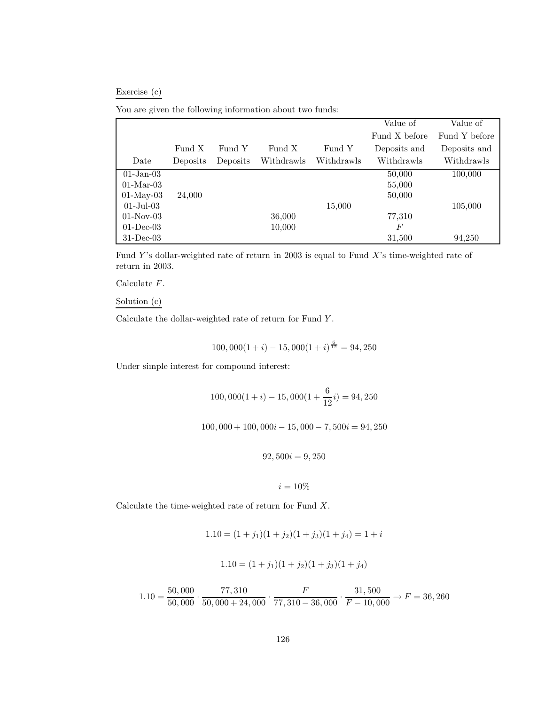# Exercise (c)

|  | You are given the following information about two funds: |  |  |  |
|--|----------------------------------------------------------|--|--|--|
|  |                                                          |  |  |  |

|                      |          |          |            |            | Value of      | Value of      |
|----------------------|----------|----------|------------|------------|---------------|---------------|
|                      |          |          |            |            | Fund X before | Fund Y before |
|                      | Fund X   | Fund Y   | Fund X     | Fund Y     | Deposits and  | Deposits and  |
| Date                 | Deposits | Deposits | Withdrawls | Withdrawls | Withdrawls    | Withdrawls    |
| $01$ -Jan- $03$      |          |          |            |            | 50,000        | 100,000       |
| $01-Mar-03$          |          |          |            |            | 55,000        |               |
| $01-May-03$          | 24,000   |          |            |            | 50,000        |               |
| $01 - \text{Jul}-03$ |          |          |            | 15,000     |               | 105,000       |
| $01-Nov-03$          |          |          | 36,000     |            | 77,310        |               |
| $01$ -Dec-03         |          |          | 10,000     |            | F             |               |
| $31$ -Dec-03         |          |          |            |            | 31,500        | 94,250        |

Fund Y's dollar-weighted rate of return in 2003 is equal to Fund X's time-weighted rate of return in 2003.

Calculate F.

# Solution (c)

Calculate the dollar-weighted rate of return for Fund Y .

$$
100,000(1+i) - 15,000(1+i)^{\frac{6}{12}} = 94,250
$$

Under simple interest for compound interest:

$$
100,000(1+i) - 15,000(1 + \frac{6}{12}i) = 94,250
$$

 $100,000 + 100,000i - 15,000 - 7,500i = 94,250$ 

 $92,500i = 9,250$ 

$$
i=10\%
$$

Calculate the time-weighted rate of return for Fund X.

$$
1.10 = (1 + j1)(1 + j2)(1 + j3)(1 + j4) = 1 + i
$$

$$
1.10 = (1 + j1)(1 + j2)(1 + j3)(1 + j4)
$$

$$
1.10 = \frac{50,000}{50,000} \cdot \frac{77,310}{50,000 + 24,000} \cdot \frac{F}{77,310 - 36,000} \cdot \frac{31,500}{F - 10,000} \rightarrow F = 36,260
$$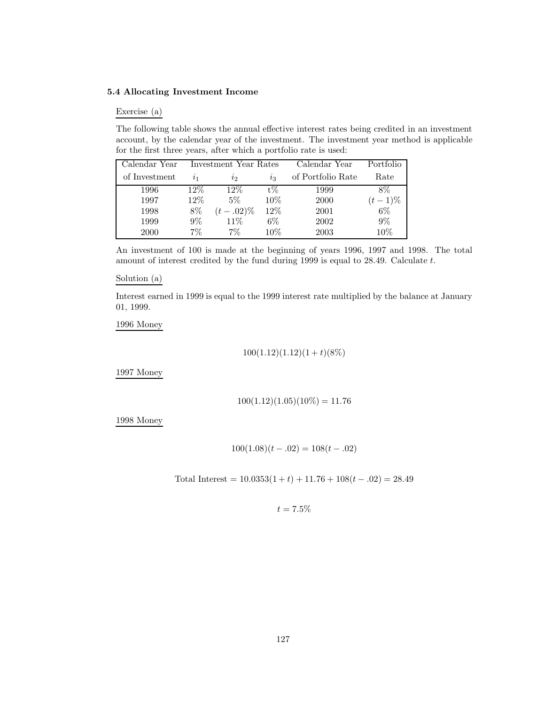# **5.4 Allocating Investment Income**

### Exercise (a)

The following table shows the annual effective interest rates being credited in an investment account, by the calendar year of the investment. The investment year method is applicable for the first three years, after which a portfolio rate is used:

| Calendar Year |           | Investment Year Rates |        | Calendar Year     | Portfolio |
|---------------|-----------|-----------------------|--------|-------------------|-----------|
| of Investment | $\iota_1$ | $\iota_2$             | $i_3$  | of Portfolio Rate | Rate      |
| 1996          | $12\%$    | $12\%$                | $t\%$  | 1999              | 8%        |
| 1997          | $12\%$    | $5\%$                 | $10\%$ | 2000              | $(t-1)\%$ |
| 1998          | 8%        | $(t-.02)\%$           | 12\%   | 2001              | $6\%$     |
| 1999          | $9\%$     | 11%                   | 6%     | 2002              | $9\%$     |
| 2000          | $7\%$     | $7\%$                 | $10\%$ | 2003              | $10\%$    |

An investment of 100 is made at the beginning of years 1996, 1997 and 1998. The total amount of interest credited by the fund during 1999 is equal to 28.49. Calculate t.

#### Solution (a)

Interest earned in 1999 is equal to the 1999 interest rate multiplied by the balance at January 01, 1999.

1996 Money

$$
100(1.12)(1.12)(1 + t)(8\%)
$$

1997 Money

$$
100(1.12)(1.05)(10\%) = 11.76
$$

1998 Money

$$
100(1.08)(t - .02) = 108(t - .02)
$$

Total Interest =  $10.0353(1 + t) + 11.76 + 108(t - .02) = 28.49$ 

$$
t=7.5\%
$$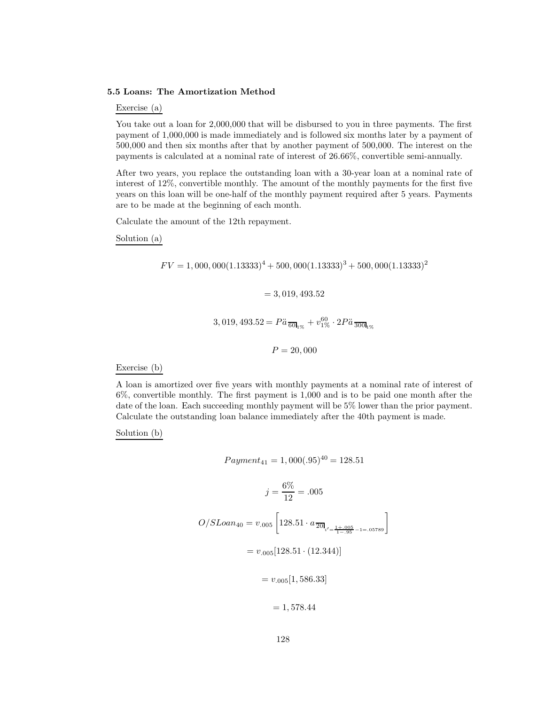#### **5.5 Loans: The Amortization Method**

Exercise (a)

You take out a loan for 2,000,000 that will be disbursed to you in three payments. The first payment of 1,000,000 is made immediately and is followed six months later by a payment of 500,000 and then six months after that by another payment of 500,000. The interest on the payments is calculated at a nominal rate of interest of 26.66%, convertible semi-annually.

After two years, you replace the outstanding loan with a 30-year loan at a nominal rate of interest of 12%, convertible monthly. The amount of the monthly payments for the first five years on this loan will be one-half of the monthly payment required after 5 years. Payments are to be made at the beginning of each month.

Calculate the amount of the 12th repayment.

Solution (a)

$$
FV = 1,000,000(1.13333)^{4} + 500,000(1.13333)^{3} + 500,000(1.13333)^{2}
$$

$$
= 3,019,493.52
$$

$$
3,019,493.52 = P\ddot{a}\frac{60}{6011}\% + v_{1\%}^{60} \cdot 2P\ddot{a}\frac{60}{3001}\%
$$

$$
P = 20,000
$$

Exercise (b)

A loan is amortized over five years with monthly payments at a nominal rate of interest of 6%, convertible monthly. The first payment is 1,000 and is to be paid one month after the date of the loan. Each succeeding monthly payment will be 5% lower than the prior payment. Calculate the outstanding loan balance immediately after the 40th payment is made.

Solution (b)

$$
Payment_{41} = 1,000(.95)^{40} = 128.51
$$
\n
$$
j = \frac{6\%}{12} = .005
$$
\n
$$
O/SLoan_{40} = v_{.005} \left[ 128.51 \cdot a_{\overline{20}|_{i' = \frac{1+005}{1-.95} - 1=.05789}} \right]
$$
\n
$$
= v_{.005} [128.51 \cdot (12.344)]
$$
\n
$$
= v_{.005} [1,586.33]
$$
\n
$$
= 1,578.44
$$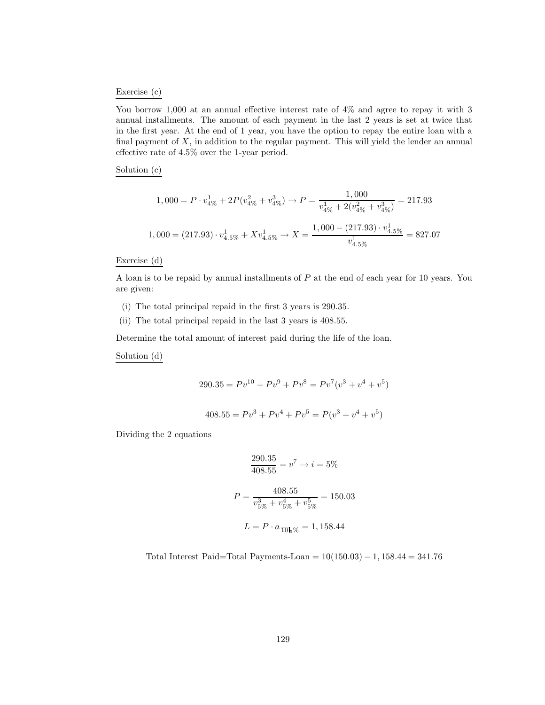#### Exercise (c)

You borrow 1,000 at an annual effective interest rate of 4% and agree to repay it with 3 annual installments. The amount of each payment in the last 2 years is set at twice that in the first year. At the end of 1 year, you have the option to repay the entire loan with a final payment of  $X$ , in addition to the regular payment. This will yield the lender an annual effective rate of 4.5% over the 1-year period.

# Solution (c)

$$
1,000 = P \cdot v_{4\%}^1 + 2P(v_{4\%}^2 + v_{4\%}^3) \rightarrow P = \frac{1,000}{v_{4\%}^1 + 2(v_{4\%}^2 + v_{4\%}^3)} = 217.93
$$
  

$$
1,000 = (217.93) \cdot v_{4.5\%}^1 + Xv_{4.5\%}^1 \rightarrow X = \frac{1,000 - (217.93) \cdot v_{4.5\%}^1}{v_{4.5\%}^1} = 827.07
$$

### Exercise (d)

A loan is to be repaid by annual installments of P at the end of each year for 10 years. You are given:

- (i) The total principal repaid in the first 3 years is 290.35.
- (ii) The total principal repaid in the last 3 years is 408.55.

Determine the total amount of interest paid during the life of the loan.

Solution (d)

$$
290.35 = Pv^{10} + Pv^9 + Pv^8 = Pv^7(v^3 + v^4 + v^5)
$$

$$
408.55 = Pv3 + Pv4 + Pv5 = P(v3 + v4 + v5)
$$

Dividing the 2 equations

$$
\frac{290.35}{408.55} = v^7 \rightarrow i = 5\%
$$
  

$$
P = \frac{408.55}{v_{5\%}^3 + v_{5\%}^4 + v_{5\%}^5} = 150.03
$$
  

$$
L = P \cdot a_{\overline{10}} = 1,158.44
$$

Total Interest Paid=Total Payments-Loan =  $10(150.03) - 1$ , 158.44 = 341.76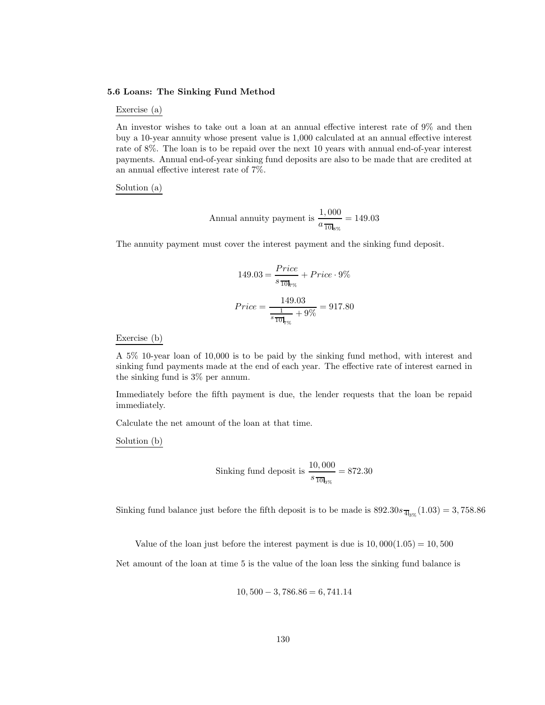#### **5.6 Loans: The Sinking Fund Method**

#### Exercise (a)

An investor wishes to take out a loan at an annual effective interest rate of 9% and then buy a 10-year annuity whose present value is 1,000 calculated at an annual effective interest rate of 8%. The loan is to be repaid over the next 10 years with annual end-of-year interest payments. Annual end-of-year sinking fund deposits are also to be made that are credited at an annual effective interest rate of 7%.

#### Solution (a)

Annual annuity payment is 
$$
\frac{1,000}{a \frac{1}{10} \cdot 6\%}} = 149.03
$$

The annuity payment must cover the interest payment and the sinking fund deposit.

$$
149.03 = \frac{Price}{s_{10}} + Price \cdot 9\%
$$
  
Price = 
$$
\frac{149.03}{\frac{1}{s_{10}} + 9\%} = 917.80
$$

#### Exercise (b)

A 5% 10-year loan of 10,000 is to be paid by the sinking fund method, with interest and sinking fund payments made at the end of each year. The effective rate of interest earned in the sinking fund is 3% per annum.

Immediately before the fifth payment is due, the lender requests that the loan be repaid immediately.

Calculate the net amount of the loan at that time.

Solution (b)

$$
ext{Sinking fund deposit is } \frac{10,000}{s_{\overline{10} \cdot 0.95}} = 872.30
$$

Sinking fund balance just before the fifth deposit is to be made is  $892.30s_{\frac{1}{4}}(1.03) = 3,758.86$ 

Value of the loan just before the interest payment is due is  $10,000(1.05) = 10,500$ 

Net amount of the loan at time 5 is the value of the loan less the sinking fund balance is

$$
10,500 - 3,786.86 = 6,741.14
$$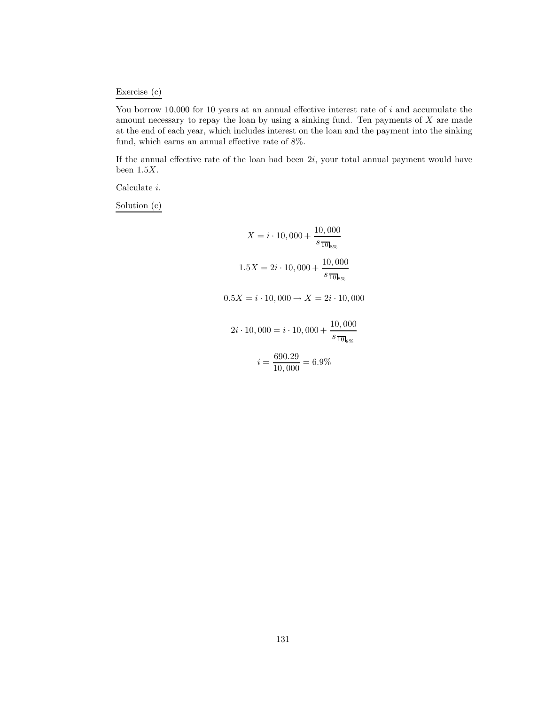# Exercise (c)

You borrow 10,000 for 10 years at an annual effective interest rate of  $i$  and accumulate the amount necessary to repay the loan by using a sinking fund. Ten payments of  $X$  are made at the end of each year, which includes interest on the loan and the payment into the sinking fund, which earns an annual effective rate of 8%.

If the annual effective rate of the loan had been  $2i$ , your total annual payment would have been  $1.5X$ .

Calculate i.

Solution (c)

$$
X = i \cdot 10,000 + \frac{10,000}{s_{\overline{10}}}_{\overline{10}} \\
1.5X = 2i \cdot 10,000 + \frac{10,000}{s_{\overline{10}}}_{\overline{10}} \\
0.5X = i \cdot 10,000 \rightarrow X = 2i \cdot 10,000 \\
2i \cdot 10,000 = i \cdot 10,000 + \frac{10,000}{s_{\overline{10}}}_{\overline{10}} \\
i = \frac{690.29}{10,000} = 6.9\%
$$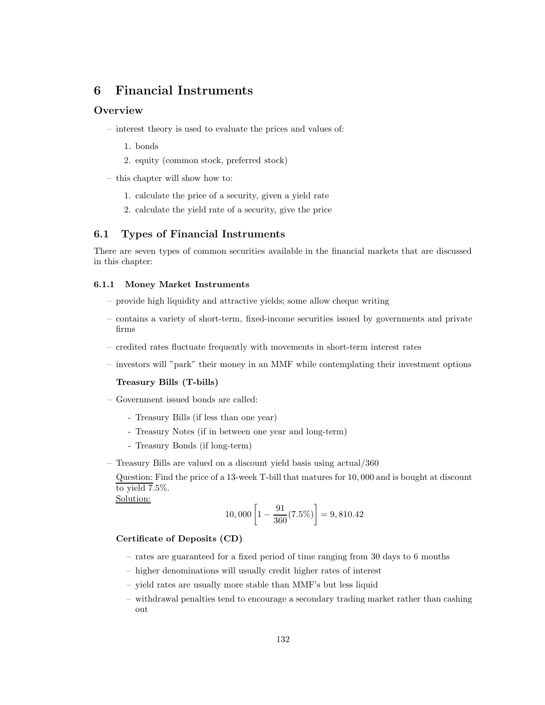# **6 Financial Instruments**

# **Overview**

- interest theory is used to evaluate the prices and values of:
	- 1. bonds
	- 2. equity (common stock, preferred stock)
- this chapter will show how to:
	- 1. calculate the price of a security, given a yield rate
	- 2. calculate the yield rate of a security, give the price

# **6.1 Types of Financial Instruments**

There are seven types of common securities available in the financial markets that are discussed in this chapter:

### **6.1.1 Money Market Instruments**

- provide high liquidity and attractive yields; some allow cheque writing
- contains a variety of short-term, fixed-income securities issued by governments and private firms
- credited rates fluctuate frequently with movements in short-term interest rates
- investors will "park" their money in an MMF while contemplating their investment options

#### **Treasury Bills (T-bills)**

- Government issued bonds are called:
	- Treasury Bills (if less than one year)
	- Treasury Notes (if in between one year and long-term)
	- Treasury Bonds (if long-term)
- Treasury Bills are valued on a discount yield basis using actual/360

Question: Find the price of a 13-week T-bill that matures for 10, 000 and is bought at discount to yield  $7.5\%$ .

Solution:

$$
10,000\left[1 - \frac{91}{360}(7.5\%) \right] = 9,810.42
$$

### **Certificate of Deposits (CD)**

- rates are guaranteed for a fixed period of time ranging from 30 days to 6 months
- higher denominations will usually credit higher rates of interest
- yield rates are usually more stable than MMF's but less liquid
- withdrawal penalties tend to encourage a secondary trading market rather than cashing out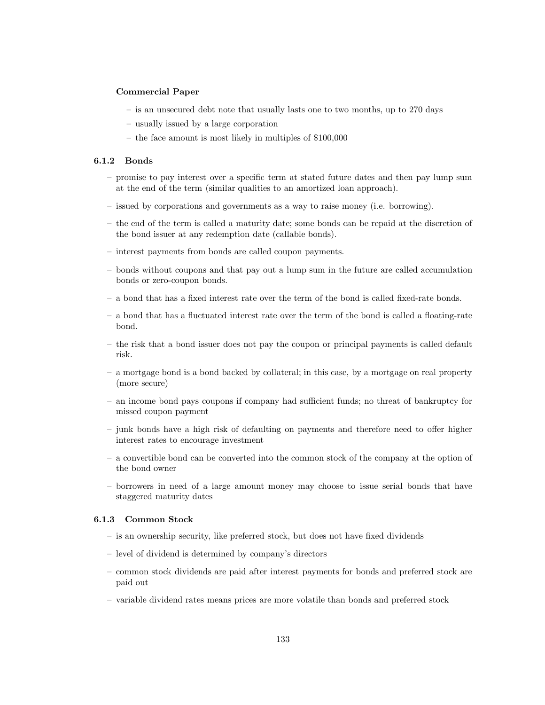#### **Commercial Paper**

- is an unsecured debt note that usually lasts one to two months, up to 270 days
- usually issued by a large corporation
- the face amount is most likely in multiples of \$100,000

### **6.1.2 Bonds**

- promise to pay interest over a specific term at stated future dates and then pay lump sum at the end of the term (similar qualities to an amortized loan approach).
- issued by corporations and governments as a way to raise money (i.e. borrowing).
- the end of the term is called a maturity date; some bonds can be repaid at the discretion of the bond issuer at any redemption date (callable bonds).
- interest payments from bonds are called coupon payments.
- bonds without coupons and that pay out a lump sum in the future are called accumulation bonds or zero-coupon bonds.
- a bond that has a fixed interest rate over the term of the bond is called fixed-rate bonds.
- a bond that has a fluctuated interest rate over the term of the bond is called a floating-rate bond.
- the risk that a bond issuer does not pay the coupon or principal payments is called default risk.
- a mortgage bond is a bond backed by collateral; in this case, by a mortgage on real property (more secure)
- an income bond pays coupons if company had sufficient funds; no threat of bankruptcy for missed coupon payment
- junk bonds have a high risk of defaulting on payments and therefore need to offer higher interest rates to encourage investment
- a convertible bond can be converted into the common stock of the company at the option of the bond owner
- borrowers in need of a large amount money may choose to issue serial bonds that have staggered maturity dates

#### **6.1.3 Common Stock**

- is an ownership security, like preferred stock, but does not have fixed dividends
- level of dividend is determined by company's directors
- common stock dividends are paid after interest payments for bonds and preferred stock are paid out
- variable dividend rates means prices are more volatile than bonds and preferred stock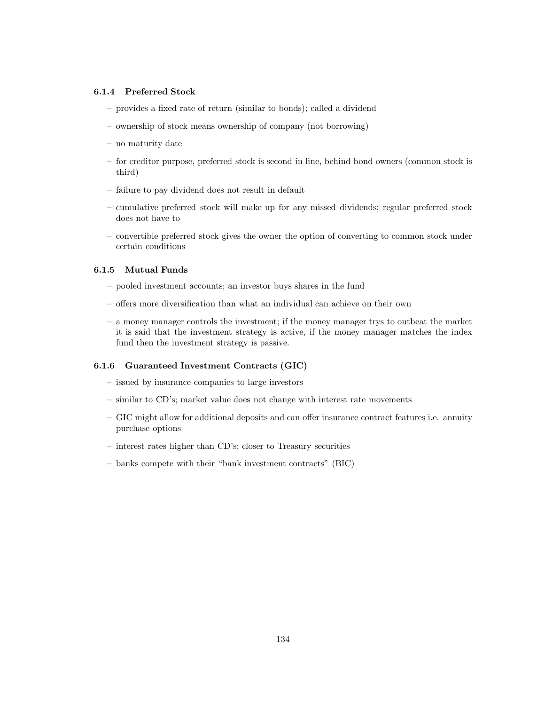### **6.1.4 Preferred Stock**

- provides a fixed rate of return (similar to bonds); called a dividend
- ownership of stock means ownership of company (not borrowing)
- no maturity date
- for creditor purpose, preferred stock is second in line, behind bond owners (common stock is third)
- failure to pay dividend does not result in default
- cumulative preferred stock will make up for any missed dividends; regular preferred stock does not have to
- convertible preferred stock gives the owner the option of converting to common stock under certain conditions

# **6.1.5 Mutual Funds**

- pooled investment accounts; an investor buys shares in the fund
- offers more diversification than what an individual can achieve on their own
- a money manager controls the investment; if the money manager trys to outbeat the market it is said that the investment strategy is active, if the money manager matches the index fund then the investment strategy is passive.

#### **6.1.6 Guaranteed Investment Contracts (GIC)**

- issued by insurance companies to large investors
- similar to CD's; market value does not change with interest rate movements
- GIC might allow for additional deposits and can offer insurance contract features i.e. annuity purchase options
- interest rates higher than CD's; closer to Treasury securities
- banks compete with their "bank investment contracts" (BIC)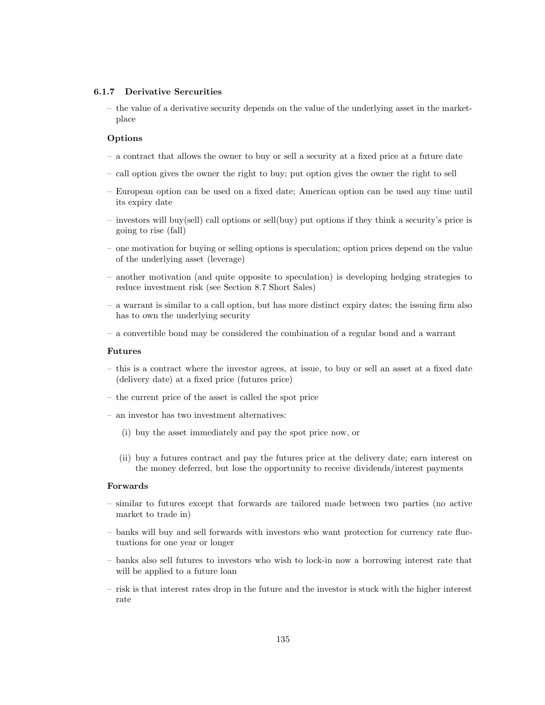#### **6.1.7 Derivative Sercurities**

– the value of a derivative security depends on the value of the underlying asset in the marketplace

#### **Options**

- a contract that allows the owner to buy or sell a security at a fixed price at a future date
- call option gives the owner the right to buy; put option gives the owner the right to sell
- European option can be used on a fixed date; American option can be used any time until its expiry date
- investors will buy(sell) call options or sell(buy) put options if they think a security's price is going to rise (fall)
- one motivation for buying or selling options is speculation; option prices depend on the value of the underlying asset (leverage)
- another motivation (and quite opposite to speculation) is developing hedging strategies to reduce investment risk (see Section 8.7 Short Sales)
- a warrant is similar to a call option, but has more distinct expiry dates; the issuing firm also has to own the underlying security
- a convertible bond may be considered the combination of a regular bond and a warrant

#### **Futures**

- this is a contract where the investor agrees, at issue, to buy or sell an asset at a fixed date (delivery date) at a fixed price (futures price)
- the current price of the asset is called the spot price
- an investor has two investment alternatives:
	- (i) buy the asset immediately and pay the spot price now, or
	- (ii) buy a futures contract and pay the futures price at the delivery date; earn interest on the money deferred, but lose the opportunity to receive dividends/interest payments

#### **Forwards**

- similar to futures except that forwards are tailored made between two parties (no active market to trade in)
- banks will buy and sell forwards with investors who want protection for currency rate fluctuations for one year or longer
- banks also sell futures to investors who wish to lock-in now a borrowing interest rate that will be applied to a future loan
- risk is that interest rates drop in the future and the investor is stuck with the higher interest rate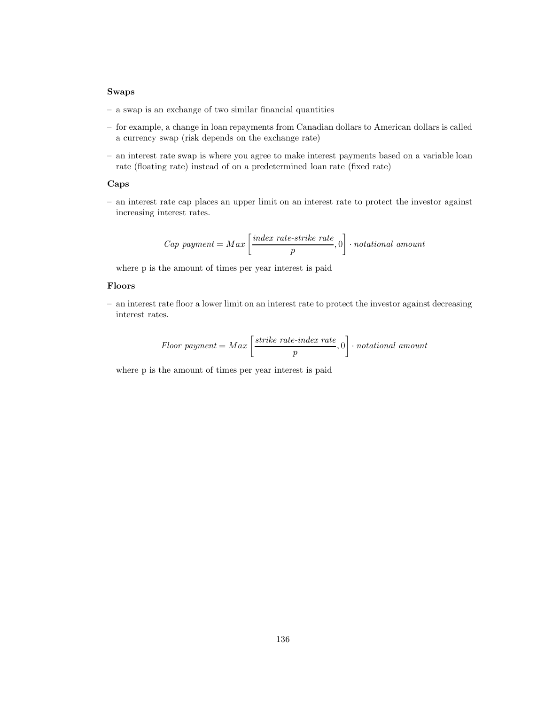#### **Swaps**

- a swap is an exchange of two similar financial quantities
- for example, a change in loan repayments from Canadian dollars to American dollars is called a currency swap (risk depends on the exchange rate)
- an interest rate swap is where you agree to make interest payments based on a variable loan rate (floating rate) instead of on a predetermined loan rate (fixed rate)

#### **Caps**

– an interest rate cap places an upper limit on an interest rate to protect the investor against increasing interest rates.

Cap payment = Max 
$$
\left[\frac{index\ rate\ -\ strike\ rate}{p}, 0\right]
$$
  $\cdot$  notational amount

where p is the amount of times per year interest is paid

#### **Floors**

– an interest rate floor a lower limit on an interest rate to protect the investor against decreasing interest rates.

$$
Floor\ payment = Max \left[ \frac{strike\ rate\ index\ rate}{p}, 0 \right] \cdot notational\ amount
$$

where p is the amount of times per year interest is paid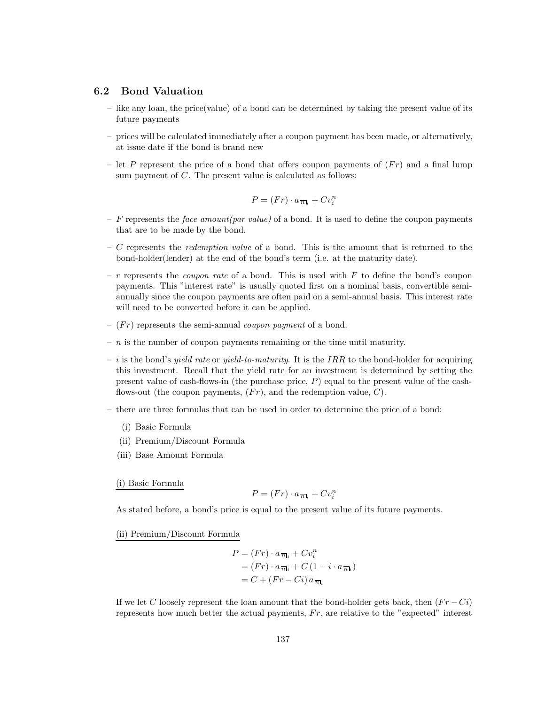### **6.2 Bond Valuation**

- like any loan, the price(value) of a bond can be determined by taking the present value of its future payments
- prices will be calculated immediately after a coupon payment has been made, or alternatively, at issue date if the bond is brand new
- let P represent the price of a bond that offers coupon payments of  $(Fr)$  and a final lump sum payment of C. The present value is calculated as follows:

$$
P = (Fr) \cdot a_{\overline{n}\mathbf{l}_i} + Cv_i^n
$$

- F represents the *face amount(par value)* of a bond. It is used to define the coupon payments that are to be made by the bond.
- C represents the *redemption value* of a bond. This is the amount that is returned to the bond-holder(lender) at the end of the bond's term (i.e. at the maturity date).
- r represents the *coupon rate* of a bond. This is used with F to define the bond's coupon payments. This "interest rate" is usually quoted first on a nominal basis, convertible semiannually since the coupon payments are often paid on a semi-annual basis. This interest rate will need to be converted before it can be applied.
- $(Fr)$  represents the semi-annual *coupon payment* of a bond.
- $n$  is the number of coupon payments remaining or the time until maturity.
- i is the bond's *yield rate* or *yield-to-maturity*. It is the IRR to the bond-holder for acquiring this investment. Recall that the yield rate for an investment is determined by setting the present value of cash-flows-in (the purchase price, P) equal to the present value of the cashflows-out (the coupon payments,  $(Fr)$ , and the redemption value, C).
- there are three formulas that can be used in order to determine the price of a bond:
	- (i) Basic Formula
	- (ii) Premium/Discount Formula
	- (iii) Base Amount Formula

#### (i) Basic Formula

$$
P = (Fr) \cdot a_{\overline{n_i}} + Cv_i^n
$$

As stated before, a bond's price is equal to the present value of its future payments.

#### (ii) Premium/Discount Formula

$$
P = (Fr) \cdot a_{\overline{n}_i} + Cv_i^n
$$
  
=  $(Fr) \cdot a_{\overline{n}_i} + C (1 - i \cdot a_{\overline{n}_i})$   
=  $C + (Fr - Ci) a_{\overline{n}_i}$ 

If we let C loosely represent the loan amount that the bond-holder gets back, then  $(Fr - Ci)$ represents how much better the actual payments,  $Fr$ , are relative to the "expected" interest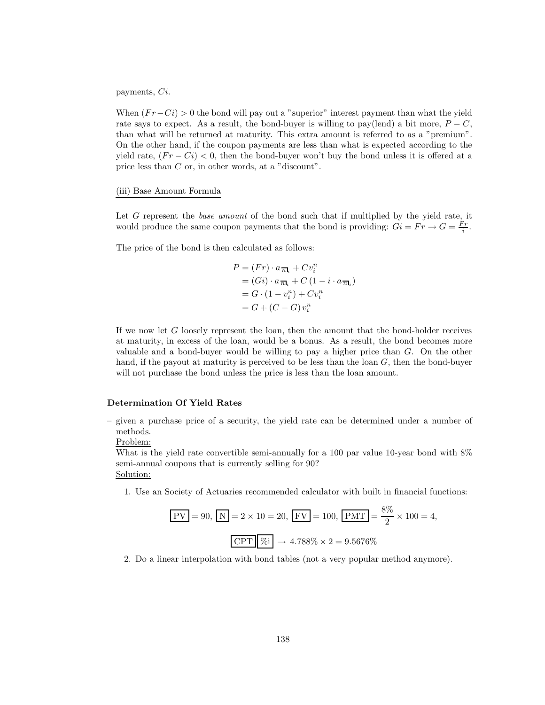payments, Ci.

When  $(Fr-Ci) > 0$  the bond will pay out a "superior" interest payment than what the yield rate says to expect. As a result, the bond-buyer is willing to pay(lend) a bit more,  $P - C$ , than what will be returned at maturity. This extra amount is referred to as a "premium". On the other hand, if the coupon payments are less than what is expected according to the yield rate,  $(Fr - Ci) < 0$ , then the bond-buyer won't buy the bond unless it is offered at a price less than C or, in other words, at a "discount".

#### (iii) Base Amount Formula

Let G represent the *base amount* of the bond such that if multiplied by the yield rate, it would produce the same coupon payments that the bond is providing:  $\overrightarrow{Gi} = \overrightarrow{Fr} \rightarrow G = \frac{\overrightarrow{Fr}}{i}$ .

The price of the bond is then calculated as follows:

$$
P = (Fr) \cdot a_{\overline{n_1}} + Cv_i^n
$$
  
=  $(Gi) \cdot a_{\overline{n_1}} + C (1 - i \cdot a_{\overline{n_1}})$   
=  $G \cdot (1 - v_i^n) + Cv_i^n$   
=  $G + (C - G) v_i^n$ 

If we now let G loosely represent the loan, then the amount that the bond-holder receives at maturity, in excess of the loan, would be a bonus. As a result, the bond becomes more valuable and a bond-buyer would be willing to pay a higher price than  $G$ . On the other hand, if the payout at maturity is perceived to be less than the loan  $G$ , then the bond-buyer will not purchase the bond unless the price is less than the loan amount.

### **Determination Of Yield Rates**

– given a purchase price of a security, the yield rate can be determined under a number of methods.

Problem:

What is the yield rate convertible semi-annually for a 100 par value 10-year bond with  $8\%$ semi-annual coupons that is currently selling for 90? Solution:

1. Use an Society of Actuaries recommended calculator with built in financial functions:

$$
\boxed{\text{PV}} = 90, \boxed{\text{N}} = 2 \times 10 = 20, \boxed{\text{FV}} = 100, \boxed{\text{PMT}} = \frac{8\%}{2} \times 100 = 4,
$$
\n
$$
\boxed{\text{CPT}} \boxed{\%i} \to 4.788\% \times 2 = 9.5676\%
$$

2. Do a linear interpolation with bond tables (not a very popular method anymore).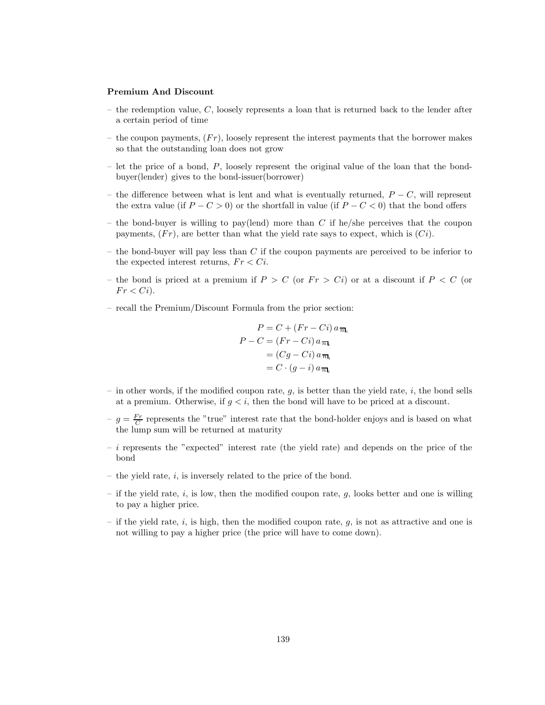#### **Premium And Discount**

- the redemption value,  $C$ , loosely represents a loan that is returned back to the lender after a certain period of time
- the coupon payments,  $(Fr)$ , loosely represent the interest payments that the borrower makes so that the outstanding loan does not grow
- let the price of a bond,  $P$ , loosely represent the original value of the loan that the bondbuyer(lender) gives to the bond-issuer(borrower)
- the difference between what is lent and what is eventually returned,  $P C$ , will represent the extra value (if  $P - C > 0$ ) or the shortfall in value (if  $P - C < 0$ ) that the bond offers
- the bond-buyer is willing to pay(lend) more than  $C$  if he/she perceives that the coupon payments,  $(Fr)$ , are better than what the yield rate says to expect, which is  $(Ci)$ .
- the bond-buyer will pay less than  $C$  if the coupon payments are perceived to be inferior to the expected interest returns,  $Fr < Ci$ .
- the bond is priced at a premium if  $P > C$  (or  $Fr > Ci$ ) or at a discount if  $P < C$  (or  $Fr < Ci$ ).
- recall the Premium/Discount Formula from the prior section:

$$
P = C + (Fr - Ci) a_{\overline{n}_k}
$$
  
\n
$$
P - C = (Fr - Ci) a_{\overline{n}_k}
$$
  
\n
$$
= (Cg - Ci) a_{\overline{n}_k}
$$
  
\n
$$
= C \cdot (g - i) a_{\overline{n}_k}
$$

- in other words, if the modified coupon rate,  $q$ , is better than the yield rate, i, the bond sells at a premium. Otherwise, if  $q \lt i$ , then the bond will have to be priced at a discount.
- $-g = \frac{Fr}{C}$  represents the "true" interest rate that the bond-holder enjoys and is based on what the lump sum will be returned at maturity
- $i$  represents the "expected" interest rate (the yield rate) and depends on the price of the bond
- the yield rate,  $i$ , is inversely related to the price of the bond.
- if the yield rate,  $i$ , is low, then the modified coupon rate,  $g$ , looks better and one is willing to pay a higher price.
- if the yield rate, i, is high, then the modified coupon rate,  $q$ , is not as attractive and one is not willing to pay a higher price (the price will have to come down).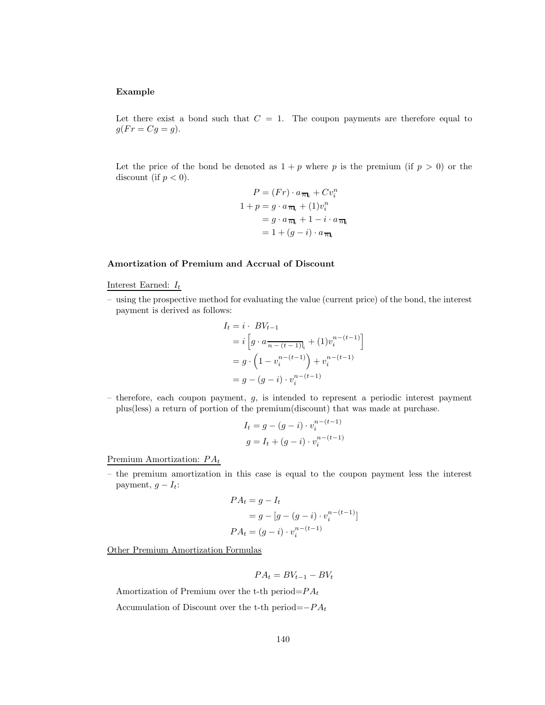### **Example**

Let there exist a bond such that  $C = 1$ . The coupon payments are therefore equal to  $g(Fr = Cg = g).$ 

Let the price of the bond be denoted as  $1 + p$  where p is the premium (if  $p > 0$ ) or the discount (if  $p < 0$ ).

$$
P = (Fr) \cdot a_{\overline{n}_i} + Cv_i^n
$$
  
\n
$$
1 + p = g \cdot a_{\overline{n}_i} + (1)v_i^n
$$
  
\n
$$
= g \cdot a_{\overline{n}_i} + 1 - i \cdot a_{\overline{n}_i}
$$
  
\n
$$
= 1 + (g - i) \cdot a_{\overline{n}_i}
$$

#### **Amortization of Premium and Accrual of Discount**

Interest Earned:  $I_t$ 

– using the prospective method for evaluating the value (current price) of the bond, the interest payment is derived as follows:

$$
I_t = i \cdot BV_{t-1}
$$
  
=  $i \left[ g \cdot a \frac{1}{n - (t-1)!} + (1) v_i^{n - (t-1)} \right]$   
=  $g \cdot \left( 1 - v_i^{n - (t-1)} \right) + v_i^{n - (t-1)}$   
=  $g - (g - i) \cdot v_i^{n - (t-1)}$ 

– therefore, each coupon payment,  $g$ , is intended to represent a periodic interest payment plus(less) a return of portion of the premium(discount) that was made at purchase.

$$
I_t = g - (g - i) \cdot v_i^{n - (t - 1)}
$$
  

$$
g = I_t + (g - i) \cdot v_i^{n - (t - 1)}
$$

<sup>n</sup>−(t−1)

Premium Amortization:  $PA_t$ 

– the premium amortization in this case is equal to the coupon payment less the interest payment,  $g - I_t$ :

$$
PA_{t} = g - I_{t}
$$
  
=  $g - [g - (g - i) \cdot v_{i}^{n-(t-1)}]$   

$$
PA_{t} = (g - i) \cdot v_{i}^{n-(t-1)}
$$

Other Premium Amortization Formulas

$$
PA_t = BV_{t-1} - BV_t
$$

Amortization of Premium over the t-th period= $PA_t$ 

Accumulation of Discount over the t-th period= $-P A_t$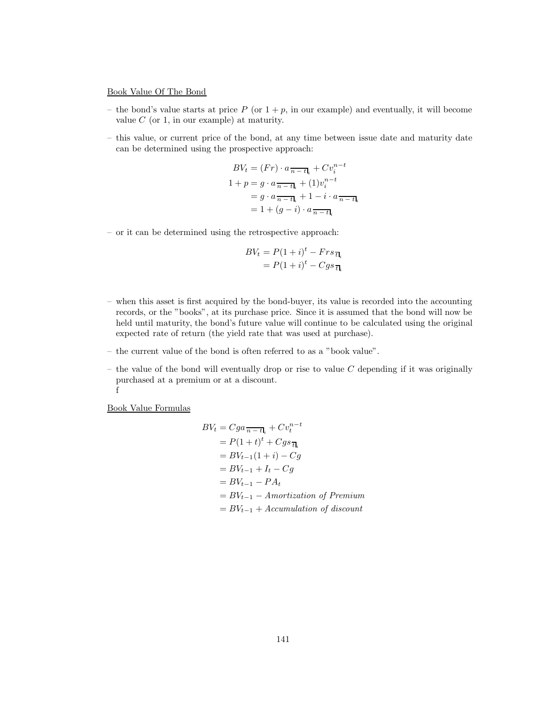#### Book Value Of The Bond

- the bond's value starts at price  $P$  (or  $1 + p$ , in our example) and eventually, it will become value  $C$  (or 1, in our example) at maturity.
- this value, or current price of the bond, at any time between issue date and maturity date can be determined using the prospective approach:

$$
BV_t = (Fr) \cdot a \frac{\overline{n - t_i}}{1 + p} + Cv_i^{n - t}
$$
  

$$
1 + p = g \cdot a \frac{\overline{n - t_i}}{1 + (1)v_i^{n - t}}
$$
  

$$
= g \cdot a \frac{\overline{n - t_i}}{1 + (1 - i) \cdot a \frac{\overline{n - t_i}}{1 + (1 - i) \cdot a \frac{\overline{n - t_i}}{1 + (1 - i) \cdot a \frac{\overline{n - t_i}}{1 + (1 - i) \cdot a \frac{\overline{n - t_i}}{1 + (1 - i) \cdot a \frac{\overline{n - t_i}}{1 + (1 - i) \cdot a \frac{\overline{n - t_i}}{1 + (1 - i) \cdot a \frac{\overline{n - t_i}}{1 + (1 - i) \cdot a \frac{\overline{n - t_i}}{1 + (1 - i) \cdot a \frac{\overline{n - t_i}}{1 + (1 - i) \cdot a \frac{\overline{n - t_i}}{1 + (1 - i) \cdot a \frac{\overline{n - t_i}}{1 + (1 - i) \cdot a \frac{\overline{n - t_i}}{1 + (1 - i) \cdot a \frac{\overline{n - t_i}}{1 + (1 - i) \cdot a \frac{\overline{n - t_i}}{1 + (1 - i) \cdot a \frac{\overline{n - t_i}}{1 + (1 - i) \cdot a \frac{\overline{n - t_i}}{1 + (1 - i) \cdot a \frac{\overline{n - t_i}}{1 + (1 - i) \cdot a \frac{\overline{n - t_i}}{1 + (1 - i) \cdot a \frac{\overline{n - t_i}}{1 + (1 - i) \cdot a \frac{\overline{n - t_i}}{1 + (1 - i) \cdot a \frac{\overline{n - t_i}}{1 + (1 - i) \cdot a \frac{\overline{n - t_i}}{1 + (1 - i) \cdot a \frac{\overline{n - t_i}}{1 + (1 - i) \cdot a \frac{\overline{n - t_i}}{1 + (1 - i) \cdot a \frac{\overline{n - t_i}}{1 + (1 - i) \cdot a \frac{\overline{n - t_i}}{1 + (1 - i) \cdot a \frac{\overline{n - t_i}}{1 + (1 - i) \cdot a \frac{\overline{n - t_i}}{1 + (1 - i) \cdot a \frac{\overline{n - t_i}}{1 + (1 - i) \cdot a \frac{\overline{n - t_i}}{1 + (1 - i) \cdot a \frac{\overline{n - t_i}}{1 + (1 - i) \cdot a \frac
$$

– or it can be determined using the retrospective approach:

$$
BV_t = P(1+i)^t - Frs_{\overline{t}l_i}
$$
  
= 
$$
P(1+i)^t - Cgs_{\overline{t}l_i}
$$

- when this asset is first acquired by the bond-buyer, its value is recorded into the accounting records, or the "books", at its purchase price. Since it is assumed that the bond will now be held until maturity, the bond's future value will continue to be calculated using the original expected rate of return (the yield rate that was used at purchase).
- the current value of the bond is often referred to as a "book value".
- the value of the bond will eventually drop or rise to value  $C$  depending if it was originally purchased at a premium or at a discount. f

Book Value Formulas

$$
BV_t = Cga \frac{}{n-t_l} + Cv_t^{n-t}
$$
  
=  $P(1+t)^t + Cgs \frac{}{t_l}$   
=  $BV_{t-1}(1+i) - Cg$   
=  $BV_{t-1} + I_t - Cg$   
=  $BV_{t-1} - PA_t$   
=  $BV_{t-1} - Amortization of Premium$   
=  $BV_{t-1} + Accumulation of discount$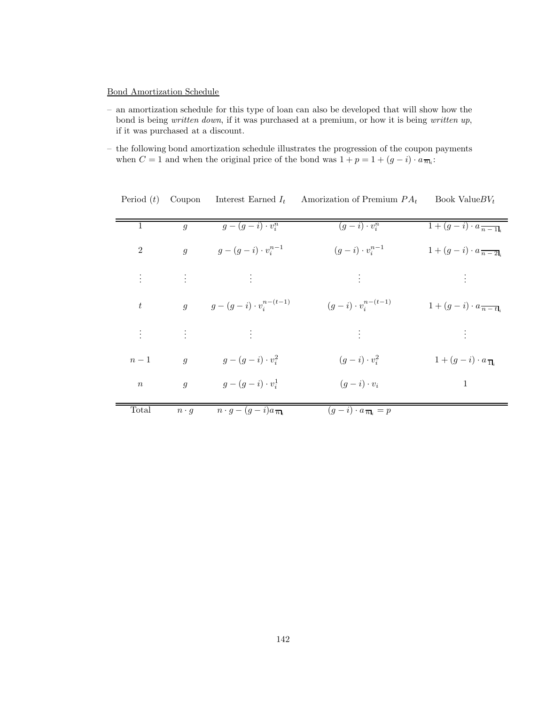# Bond Amortization Schedule

- an amortization schedule for this type of loan can also be developed that will show how the bond is being *written down*, if it was purchased at a premium, or how it is being *written up*, if it was purchased at a discount.
- the following bond amortization schedule illustrates the progression of the coupon payments when  $C = 1$  and when the original price of the bond was  $1 + p = 1 + (g - i) \cdot a_{\overline{n}k}$ .

| 1                | q              | $g-(g-i)\cdot v_i^n$                                                                    | $(g-i)\cdot v_i^n$                              | $1+(g-i)\cdot a_{n-1}$                         |
|------------------|----------------|-----------------------------------------------------------------------------------------|-------------------------------------------------|------------------------------------------------|
| $\overline{2}$   | $\overline{g}$ | $g - (g - i) \cdot v_i^{n-1}$                                                           | $(g-i)\cdot v_i^{n-1}$                          | $1 + (g - i) \cdot a_{\overline{n-2}}$         |
|                  |                | $\mathbf{F}^{(n)}$ and $\mathbf{F}^{(n)}$ and $\mathbf{F}^{(n)}$ and $\mathbf{F}^{(n)}$ | <b>SACTO</b>                                    | $\mathcal{L} = \mathcal{L} \times \mathcal{L}$ |
| $\boldsymbol{t}$ |                | $g \t g - (g - i) \cdot v_i^{n - (t-1)}$                                                | $(g - i) \cdot v_i^{n-(t-1)}$                   | $1+(g-i)\cdot a_{\overline{n-t}}$              |
|                  |                | 生物 医生物 医心包 生物                                                                           | 医心脏病                                            | $\mathcal{L} = \{1, 2, \ldots \}$              |
| $n-1$            | $\overline{g}$ | $g-(g-i)\cdot v_i^2$                                                                    | $(g-i)\cdot v_i^2$                              | $1+(g-i)\cdot a_{\overline{1}l_i}$             |
| $\boldsymbol{n}$ | $\overline{g}$ | $g-(g-i)\cdot v_i^1$                                                                    | $(g-i)\cdot v_i$                                | $\mathbf{1}$                                   |
| Total            | $n \cdot g$    | $n \cdot g - (g - i)a\overline{n_k}$                                                    | $\overline{(g-i)} \cdot a_{\overline{n}_i} = p$ |                                                |

|  |  | Period $(t)$ Coupon Interest Earned $I_t$ | Amorization of Premium $PA_t$ | Book Value $BV_t$ |
|--|--|-------------------------------------------|-------------------------------|-------------------|
|--|--|-------------------------------------------|-------------------------------|-------------------|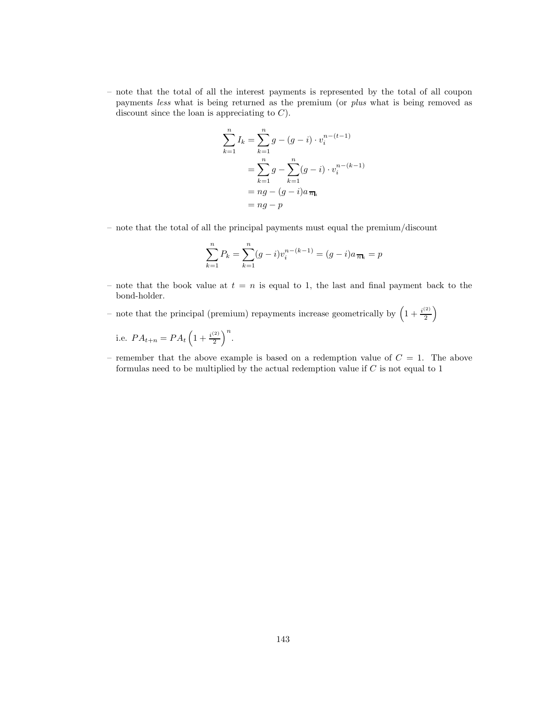– note that the total of all the interest payments is represented by the total of all coupon payments *less* what is being returned as the premium (or *plus* what is being removed as discount since the loan is appreciating to  $C$ ).

$$
\sum_{k=1}^{n} I_k = \sum_{k=1}^{n} g - (g - i) \cdot v_i^{n - (t-1)}
$$
  
= 
$$
\sum_{k=1}^{n} g - \sum_{k=1}^{n} (g - i) \cdot v_i^{n - (k-1)}
$$
  
= 
$$
ng - (g - i)a_{\overline{n}l_i}
$$
  
= 
$$
ng - p
$$

– note that the total of all the principal payments must equal the premium/discount

$$
\sum_{k=1}^{n} P_k = \sum_{k=1}^{n} (g - i) v_i^{n - (k-1)} = (g - i)a_{\overline{n}_i} = p
$$

- note that the book value at  $t = n$  is equal to 1, the last and final payment back to the bond-holder.
- note that the principal (premium) repayments increase geometrically by  $\left(1+\frac{i^{(2)}}{2}\right)$  $\left(\frac{2}{2}\right)$

i.e. 
$$
PA_{t+n} = PA_t \left(1 + \frac{i^{(2)}}{2}\right)^n
$$
.

– remember that the above example is based on a redemption value of  $C = 1$ . The above formulas need to be multiplied by the actual redemption value if  $C$  is not equal to 1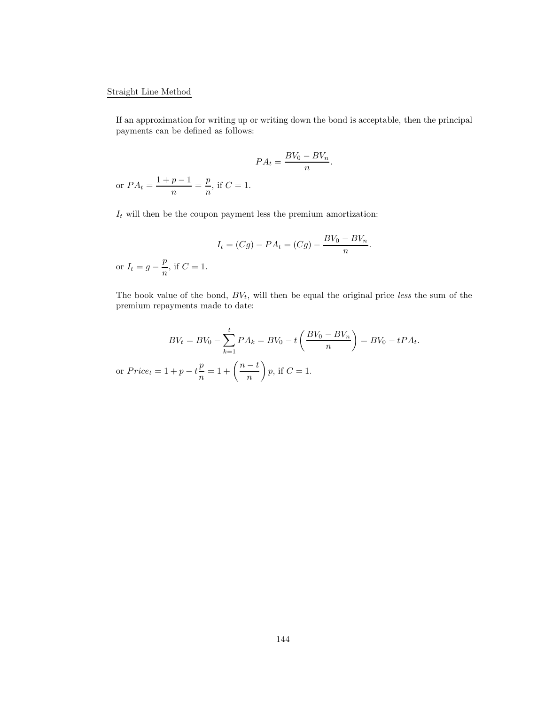# Straight Line Method

If an approximation for writing up or writing down the bond is acceptable, then the principal payments can be defined as follows:

$$
PA_t = \frac{BV_0 - BV_n}{n}
$$
.  
or  $PA_t = \frac{1 + p - 1}{n} = \frac{p}{n}$ , if  $C = 1$ .

 $\mathcal{I}_t$  will then be the coupon payment less the premium amortization:

$$
I_t = (Cg) - PA_t = (Cg) - \frac{BV_0 - BV_n}{n}.
$$
 or  $I_t = g - \frac{p}{n}$ , if  $C = 1$ .

The book value of the bond,  $BV_t$ , will then be equal the original price *less* the sum of the premium repayments made to date:

$$
BV_t = BV_0 - \sum_{k=1}^t PA_k = BV_0 - t\left(\frac{BV_0 - BV_n}{n}\right) = BV_0 - tPA_t.
$$
  
or  $Price_t = 1 + p - t\frac{p}{n} = 1 + \left(\frac{n-t}{n}\right)p$ , if  $C = 1$ .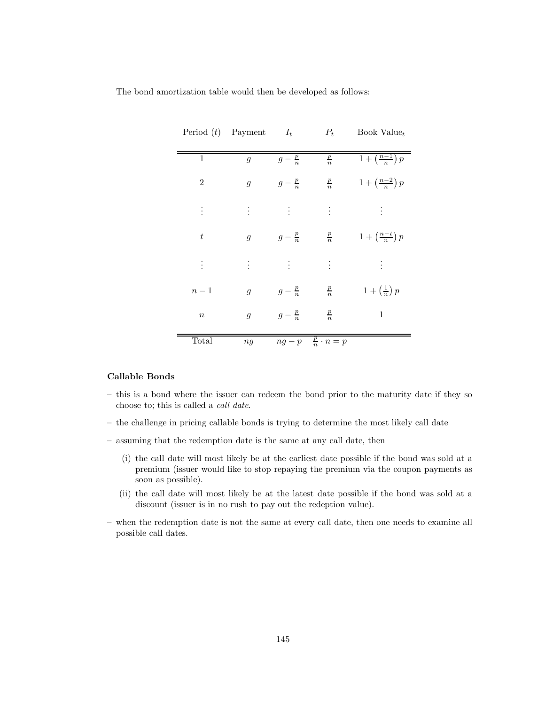The bond amortization table would then be developed as follows:

|                  | Period $(t)$ Payment $I_t$ |                               | $P_t$                       | Book Value <sub>t</sub>         |
|------------------|----------------------------|-------------------------------|-----------------------------|---------------------------------|
|                  |                            |                               |                             |                                 |
| $\mathbf{1}$     | $\overline{g}$             | $g-\frac{p}{n}$               | $\frac{p}{n}$               | $1+\left(\frac{n-1}{n}\right)p$ |
| $\sqrt{2}$       | $\mathfrak{g}$             | $g-\frac{p}{n}$               | $\frac{p}{n}$               | $1+\left(\frac{n-2}{n}\right)p$ |
| $\vdots$         | $\vdots$                   | $\langle \frac{1}{4} \rangle$ | $\vdots$                    | ŧ                               |
| $\boldsymbol{t}$ | $\mathfrak{g}$             | $g-\frac{p}{n}$               | $\frac{p}{n}$               | $1+\left(\frac{n-t}{n}\right)p$ |
| $\vdots$         | $\ddot{\ddot{z}}$          | $\frac{1}{2}$ .               | $\vdots$                    | ŧ                               |
| $n-1$            | $\overline{g}$             | $g-\frac{p}{n}$               | $\frac{p}{n}$               | $1+\left(\frac{1}{n}\right)p$   |
| $\boldsymbol{n}$ | $\mathfrak g$              | $g-\frac{p}{n}$               | $\frac{p}{n}$               | $\mathbf{1}$                    |
| Total            | ng                         |                               | $ng-p-\frac{p}{n}\cdot n=p$ |                                 |

# **Callable Bonds**

- this is a bond where the issuer can redeem the bond prior to the maturity date if they so choose to; this is called a *call date*.
- the challenge in pricing callable bonds is trying to determine the most likely call date
- assuming that the redemption date is the same at any call date, then
	- (i) the call date will most likely be at the earliest date possible if the bond was sold at a premium (issuer would like to stop repaying the premium via the coupon payments as soon as possible).
	- (ii) the call date will most likely be at the latest date possible if the bond was sold at a discount (issuer is in no rush to pay out the redeption value).
- when the redemption date is not the same at every call date, then one needs to examine all possible call dates.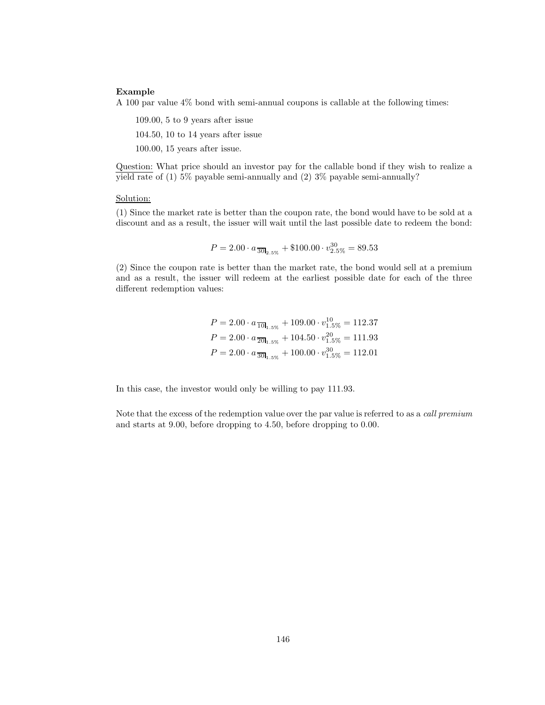#### **Example**

A 100 par value 4% bond with semi-annual coupons is callable at the following times:

109.00, 5 to 9 years after issue 104.50, 10 to 14 years after issue

100.00, 15 years after issue.

Question: What price should an investor pay for the callable bond if they wish to realize a yield rate of (1) 5% payable semi-annually and (2)  $3\%$  payable semi-annually?

#### Solution:

(1) Since the market rate is better than the coupon rate, the bond would have to be sold at a discount and as a result, the issuer will wait until the last possible date to redeem the bond:

$$
P = 2.00 \cdot a_{\overline{30}I_{2.5\%}} + \$100.00 \cdot v^{30}_{2.5\%} = 89.53
$$

(2) Since the coupon rate is better than the market rate, the bond would sell at a premium and as a result, the issuer will redeem at the earliest possible date for each of the three different redemption values:

$$
P = 2.00 \cdot a_{\overline{10}l_{1.5\%}} + 109.00 \cdot v_{1.5\%}^{10} = 112.37
$$
  

$$
P = 2.00 \cdot a_{\overline{20}l_{1.5\%}} + 104.50 \cdot v_{1.5\%}^{20} = 111.93
$$
  

$$
P = 2.00 \cdot a_{\overline{30}l_{1.5\%}} + 100.00 \cdot v_{1.5\%}^{30} = 112.01
$$

In this case, the investor would only be willing to pay 111.93.

Note that the excess of the redemption value over the par value is referred to as a *call premium* and starts at 9.00, before dropping to 4.50, before dropping to 0.00.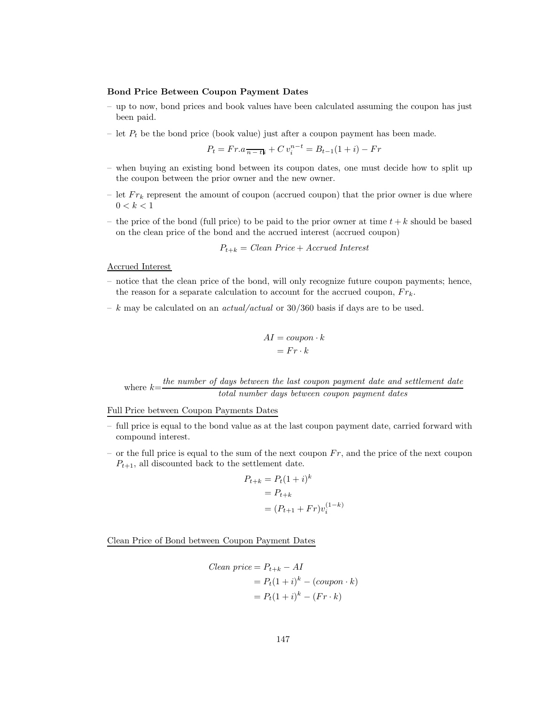#### **Bond Price Between Coupon Payment Dates**

- up to now, bond prices and book values have been calculated assuming the coupon has just been paid.
- let  $P_t$  be the bond price (book value) just after a coupon payment has been made.

$$
P_t = Fr.a \frac{1}{n - t} + C v_i^{n - t} = B_{t - 1}(1 + i) - Fr
$$

- when buying an existing bond between its coupon dates, one must decide how to split up the coupon between the prior owner and the new owner.
- let  $Fr_k$  represent the amount of coupon (accrued coupon) that the prior owner is due where  $0 < k < 1$
- the price of the bond (full price) to be paid to the prior owner at time  $t + k$  should be based on the clean price of the bond and the accrued interest (accrued coupon)

$$
P_{t+k} = Clean\ Price + Accrued\ Interest
$$

Accrued Interest

- notice that the clean price of the bond, will only recognize future coupon payments; hence, the reason for a separate calculation to account for the accrued coupon,  $Fr_k$ .
- k may be calculated on an *actual/actual* or 30/360 basis if days are to be used.

$$
AI = coupon \cdot k
$$

$$
= Fr \cdot k
$$

where  $k=\frac{the \ number \ of \ days \ between \ the \ last \ coupon \ payment \ date \ and \ settlement \ date}$ *total number days between coupon payment dates*

Full Price between Coupon Payments Dates

- full price is equal to the bond value as at the last coupon payment date, carried forward with compound interest.
- or the full price is equal to the sum of the next coupon  $Fr$ , and the price of the next coupon  $P_{t+1}$ , all discounted back to the settlement date.

$$
P_{t+k} = P_t (1+i)^k
$$
  
=  $P_{t+k}$   
=  $(P_{t+1} + Fr)v_i^{(1-k)}$ 

Clean Price of Bond between Coupon Payment Dates

$$
Clear\ price = P_{t+k} - AI
$$

$$
= P_t(1+i)^k - (coupon \cdot k)
$$

$$
= P_t(1+i)^k - (Fr \cdot k)
$$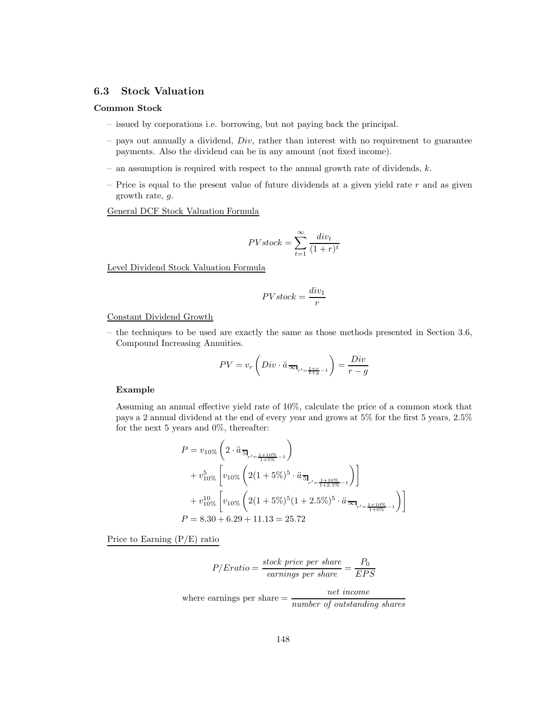# **6.3 Stock Valuation**

#### **Common Stock**

- issued by corporations i.e. borrowing, but not paying back the principal.
- $-$  pays out annually a dividend,  $Div$ , rather than interest with no requirement to guarantee payments. Also the dividend can be in any amount (not fixed income).
- an assumption is required with respect to the annual growth rate of dividends,  $k$ .
- Price is equal to the present value of future dividends at a given yield rate  $r$  and as given growth rate, g.

General DCF Stock Valuation Formula

$$
PV stock = \sum_{t=1}^{\infty} \frac{div_t}{(1+r)^t}
$$

Level Dividend Stock Valuation Formula

$$
PV stock = \frac{div_1}{r}
$$

### Constant Dividend Growth

– the techniques to be used are exactly the same as those methods presented in Section 3.6, Compound Increasing Annuities.

$$
PV = v_r \left( Div \cdot \ddot{a}_{\overline{\infty}_{r' = \frac{1+r}{1+g}-1}} \right) = \frac{Div}{r-g}
$$

#### **Example**

Assuming an annual effective yield rate of 10%, calculate the price of a common stock that pays a 2 annual dividend at the end of every year and grows at 5% for the first 5 years, 2.5% for the next 5 years and 0%, thereafter:

$$
P = v_{10\%} \left( 2 \cdot \ddot{a}_{\overline{5}l_{r' = \frac{1+10\%}{1+5\%} - 1}} \right)
$$
  
+  $v_{10\%}^{5} \left[ v_{10\%} \left( 2(1 + 5\%)^{5} \cdot \ddot{a}_{\overline{5}l_{r' = \frac{1+10\%}{1+2.5\%} - 1}} \right) \right]$   
+  $v_{10\%}^{10} \left[ v_{10\%} \left( 2(1 + 5\%)^{5} (1 + 2.5\%)^{5} \cdot \ddot{a}_{\overline{\infty}l_{r' = \frac{1+10\%}{1+6\%} - 1}} \right) \right]$   
 $P = 8.30 + 6.29 + 11.13 = 25.72$ 

Price to Earning (P/E) ratio

$$
P/Eratio = \frac{stock\ price\ per\ share}{earnings\ per\ share} = \frac{P_0}{EPS}
$$
  
where earnings per share = 
$$
\frac{net\ income}{number\ of\ outstanding\ shares}
$$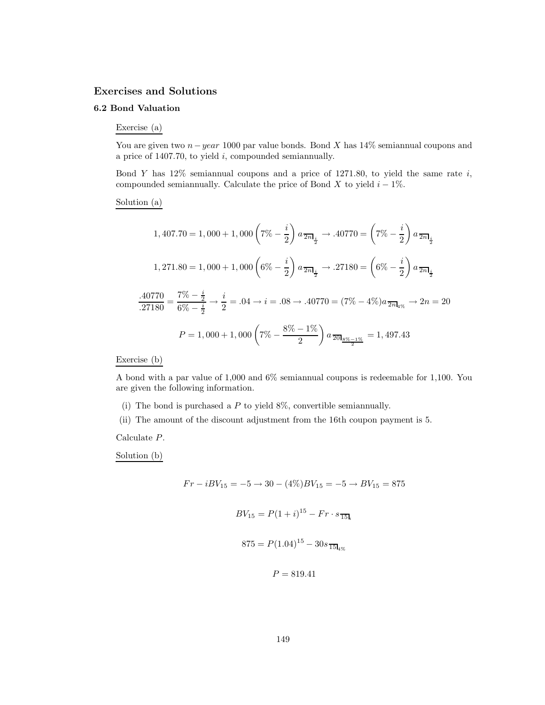## **Exercises and Solutions**

# **6.2 Bond Valuation**

Exercise (a)

You are given two  $n-year 1000$  par value bonds. Bond X has 14% semiannual coupons and a price of  $1407.70$ , to yield  $i$ , compounded semiannually.

Bond Y has  $12\%$  semiannual coupons and a price of  $1271.80$ , to yield the same rate i, compounded semiannually. Calculate the price of Bond X to yield  $i - 1\%$ .

### Solution (a)

$$
1,407.70 = 1,000 + 1,000 \left(7\% - \frac{i}{2}\right) a_{\frac{1}{2}m} \to .40770 = \left(7\% - \frac{i}{2}\right) a_{\frac{1}{2}m} \times \frac{1}{2} m
$$

$$
1,271.80 = 1,000 + 1,000 \left(6\% - \frac{i}{2}\right) a_{\frac{1}{2}m} \to .27180 = \left(6\% - \frac{i}{2}\right) a_{\frac{1}{2}m} \times \frac{1}{27180} = \frac{7\% - \frac{i}{2}}{6\% - \frac{i}{2}} \to \frac{i}{2} = .04 \to i = .08 \to .40770 = (7\% - 4\%) a_{\frac{1}{2}m} \to 2n = 20
$$

$$
P = 1,000 + 1,000 \left(7\% - \frac{8\% - 1\%}{2}\right) a_{\frac{1}{2}m} \times \frac{1}{2} = 1,497.43
$$

Exercise (b)

A bond with a par value of 1,000 and 6% semiannual coupons is redeemable for 1,100. You are given the following information.

- (i) The bond is purchased a  $P$  to yield 8%, convertible semiannually.
- (ii) The amount of the discount adjustment from the 16th coupon payment is 5.

Calculate P.

Solution (b)

$$
Fr - iBV_{15} = -5 \to 30 - (4\%)BV_{15} = -5 \to BV_{15} = 875
$$

$$
BV_{15} = P(1+i)^{15} - Fr \cdot s_{\overline{15}|_i}
$$

$$
875 = P(1.04)^{15} - 30s_{\overline{15}|_4\%}
$$

$$
P=819.41
$$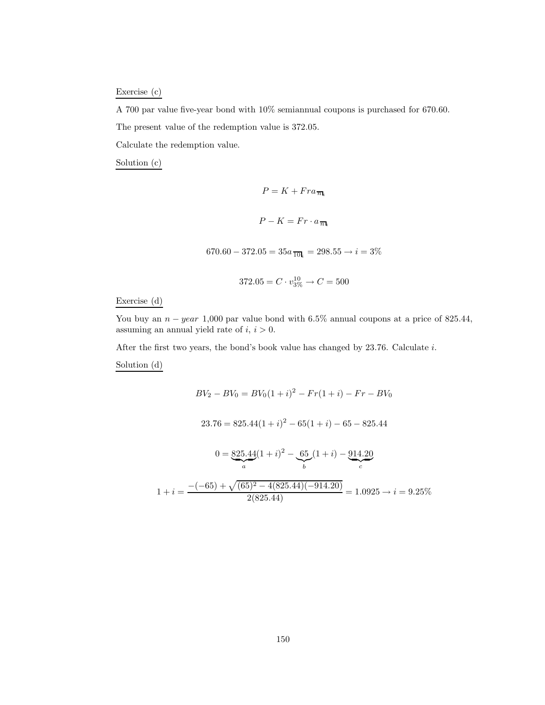Exercise (c)

A 700 par value five-year bond with 10% semiannual coupons is purchased for 670.60. The present value of the redemption value is 372.05.

Calculate the redemption value.

Solution (c)

 $P = K + Fra_{\overline{n}\mathbf{l}_i}$  $P - K = Fr \cdot a_{\overline{n}k}$  $670.60 - 372.05 = 35a$ <sub>10</sub> $i = 298.55 \rightarrow i = 3\%$  $372.05 = C \cdot v_{3\%}^{10} \rightarrow C = 500$ 

Exercise (d)

You buy an  $n - year$  1,000 par value bond with 6.5% annual coupons at a price of 825.44, assuming an annual yield rate of  $i, i > 0$ .

After the first two years, the bond's book value has changed by 23.76. Calculate i.

Solution (d)

$$
BV_2 - BV_0 = BV_0(1+i)^2 - Fr(1+i) - Fr - BV_0
$$
  

$$
23.76 = 825.44(1+i)^2 - 65(1+i) - 65 - 825.44
$$
  

$$
0 = \underbrace{825.44}_{a}(1+i)^2 - \underbrace{65}_{b}(1+i) - \underbrace{914.20}_{c}
$$
  

$$
1 + i = \frac{-(-65) + \sqrt{(65)^2 - 4(825.44)(-914.20)}}{2(825.44)} = 1.0925 \rightarrow i = 9.25\%
$$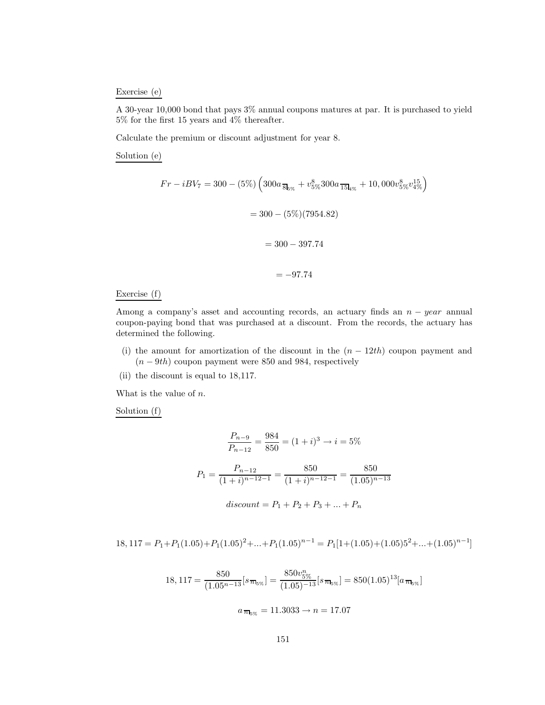#### Exercise (e)

A 30-year 10,000 bond that pays 3% annual coupons matures at par. It is purchased to yield 5% for the first 15 years and 4% thereafter.

Calculate the premium or discount adjustment for year 8.

Solution (e)

$$
Fr - iBV_7 = 300 - (5\%) \left( 300a_{\overline{8}l_{5\%}} + v_{5\%}^8 300a_{\overline{15}l_{4\%}} + 10,000v_{5\%}^8 v_{4\%}^{15} \right)
$$

$$
= 300 - (5\%) (7954.82)
$$

$$
= 300 - 397.74
$$

$$
= -97.74
$$

### Exercise (f)

Among a company's asset and accounting records, an actuary finds an  $n - year$  annual coupon-paying bond that was purchased at a discount. From the records, the actuary has determined the following.

- (i) the amount for amortization of the discount in the  $(n 12th)$  coupon payment and  $(n - 9th)$  coupon payment were 850 and 984, respectively
- (ii) the discount is equal to 18,117.

What is the value of  $n$ .

Solution (f)

$$
\frac{P_{n-9}}{P_{n-12}} = \frac{984}{850} = (1+i)^3 \to i = 5\%
$$
  

$$
P_1 = \frac{P_{n-12}}{(1+i)^{n-12-1}} = \frac{850}{(1+i)^{n-12-1}} = \frac{850}{(1.05)^{n-13}}
$$
  
*discount* = P<sub>1</sub> + P<sub>2</sub> + P<sub>3</sub> + ... + P<sub>n</sub>

$$
18,117 = P_1 + P_1(1.05) + P_1(1.05)^2 + \dots + P_1(1.05)^{n-1} = P_1[1 + (1.05) + (1.05)5^2 + \dots + (1.05)^{n-1}]
$$

18, 117 = 
$$
\frac{850}{(1.05^{n-13}}[s_{\overline{n}_{5\%}}] = \frac{850v_{5\%}^n}{(1.05)^{-13}}[s_{\overline{n}_{5\%}}] = 850(1.05)^{13}[a_{\overline{n}_{5\%}}]
$$

$$
a_{\overline{n}_{5\%}} = 11.3033 \rightarrow n = 17.07
$$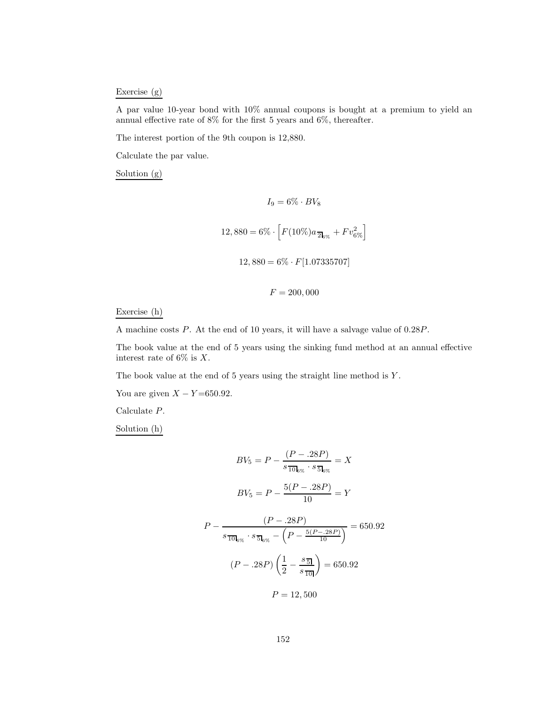## Exercise (g)

A par value 10-year bond with 10% annual coupons is bought at a premium to yield an annual effective rate of 8% for the first 5 years and 6%, thereafter.

The interest portion of the 9th coupon is 12,880.

Calculate the par value.

Solution (g)

$$
I_9 = 6\% \cdot BV_8
$$
  
12,880 = 6%  $\cdot$   $\left[ F(10\%)a_{\overline{2}_{6\%}} + Fv_{6\%}^2 \right]$   
12,880 = 6%  $\cdot$   $F[1.07335707]$ 

 $F = 200,000$ 

#### Exercise (h)

A machine costs P. At the end of 10 years, it will have a salvage value of 0.28P.

The book value at the end of 5 years using the sinking fund method at an annual effective interest rate of  $6\%$  is X.

The book value at the end of 5 years using the straight line method is  $Y$ .

You are given  $X - Y = 650.92$ .

Calculate P.

Solution (h)

$$
BV_5 = P - \frac{(P - .28P)}{s \frac{1}{1000 \times} \cdot s \frac{1}{500 \times}} = X
$$
  

$$
BV_5 = P - \frac{5(P - .28P)}{10} = Y
$$
  

$$
P - \frac{(P - .28P)}{s \frac{1}{1000 \times} \cdot s \frac{1}{500 \times} - (P - \frac{5(P - .28P)}{10})} = 650.92
$$
  

$$
(P - .28P) \left(\frac{1}{2} - \frac{s \frac{1}{5000 \times}}{1000 \times} \right) = 650.92
$$

$$
P = 12,500
$$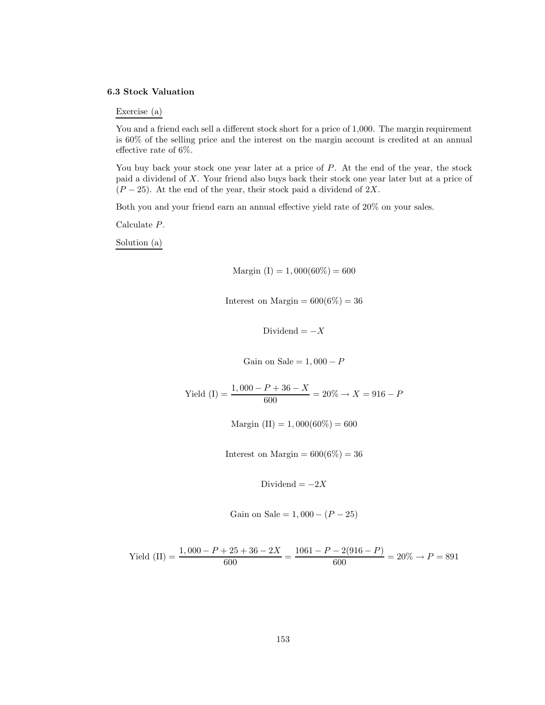#### **6.3 Stock Valuation**

Exercise (a)

You and a friend each sell a different stock short for a price of 1,000. The margin requirement is 60% of the selling price and the interest on the margin account is credited at an annual effective rate of 6%.

You buy back your stock one year later at a price of  $P$ . At the end of the year, the stock paid a dividend of X. Your friend also buys back their stock one year later but at a price of  $(P-25)$ . At the end of the year, their stock paid a dividend of 2X.

Both you and your friend earn an annual effective yield rate of 20% on your sales.

Calculate P.

Solution (a)

Margin (I) = 1,000(60%) = 600

Interest on Margin =  $600(6\%) = 36$ 

Dividend =  $-X$ 

Gain on Sale =  $1,000 - P$ 

Yield (I) =  $\frac{1,000 - P + 36 - X}{600}$  = 20%  $\rightarrow X$  = 916 - P

Margin (II) = 1,000(60%) = 600

Interest on Margin =  $600(6\%) = 36$ 

Dividend =  $-2X$ 

Gain on Sale =  $1,000 - (P - 25)$ 

$$
\text{Yield (II)} = \frac{1,000 - P + 25 + 36 - 2X}{600} = \frac{1061 - P - 2(916 - P)}{600} = 20\% \rightarrow P = 891
$$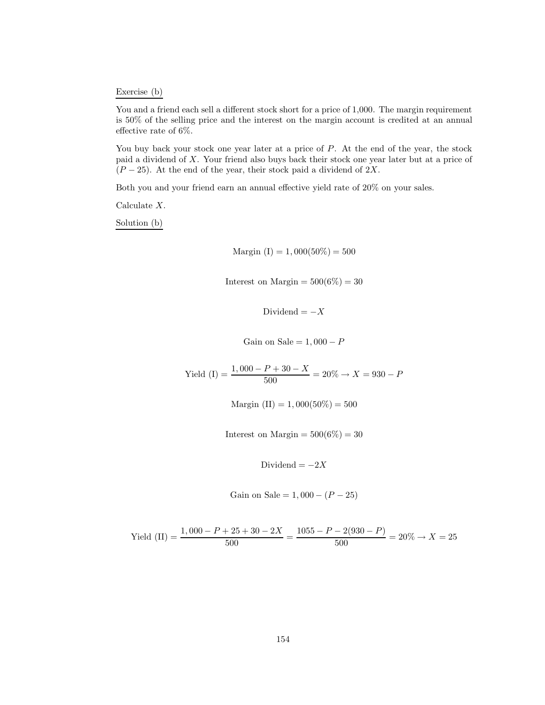Exercise (b)

You and a friend each sell a different stock short for a price of 1,000. The margin requirement is 50% of the selling price and the interest on the margin account is credited at an annual effective rate of 6%.

You buy back your stock one year later at a price of  $P$ . At the end of the year, the stock paid a dividend of X. Your friend also buys back their stock one year later but at a price of  $(P-25)$ . At the end of the year, their stock paid a dividend of 2X.

Both you and your friend earn an annual effective yield rate of 20% on your sales.

Calculate X.

Solution (b)

Margin (I) = 1,000(50%) = 500

Interest on Margin  $= 500(6\%) = 30$ 

Dividend =  $-X$ 

Gain on Sale =  $1,000 - P$ 

Yield (I) =  $\frac{1,000 - P + 30 - X}{500}$  = 20%  $\rightarrow X$  = 930 - P

Margin  $(II) = 1,000(50\%) = 500$ 

Interest on Margin  $= 500(6\%) = 30$ 

Dividend =  $-2X$ 

Gain on Sale = 
$$
1,000 - (P - 25)
$$

$$
\text{Yield (II)} = \frac{1,000 - P + 25 + 30 - 2X}{500} = \frac{1055 - P - 2(930 - P)}{500} = 20\% \to X = 25
$$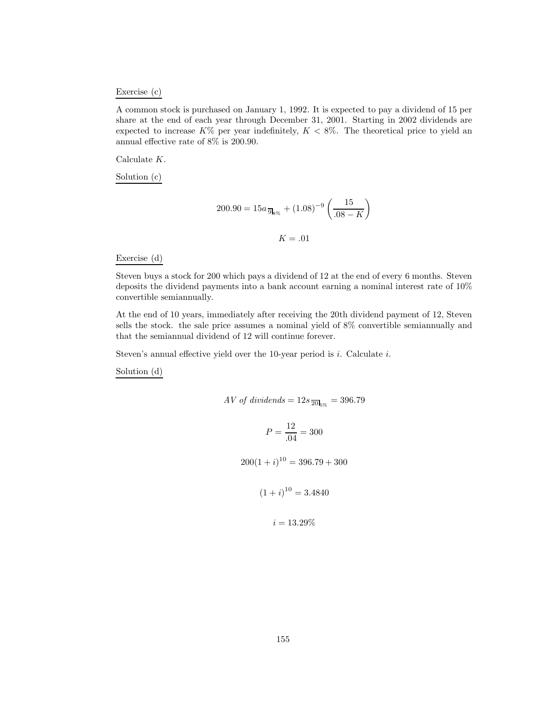#### Exercise (c)

A common stock is purchased on January 1, 1992. It is expected to pay a dividend of 15 per share at the end of each year through December 31, 2001. Starting in 2002 dividends are expected to increase  $K\%$  per year indefinitely,  $K < 8\%$ . The theoretical price to yield an annual effective rate of 8% is 200.90.

Calculate K.

Solution (c)

$$
200.90 = 15a \, \overline{\mathfrak{g}}_{8\%} + (1.08)^{-9} \left( \frac{15}{.08 - K} \right)
$$

$$
K = .01
$$

#### Exercise (d)

Steven buys a stock for 200 which pays a dividend of 12 at the end of every 6 months. Steven deposits the dividend payments into a bank account earning a nominal interest rate of 10% convertible semiannually.

At the end of 10 years, immediately after receiving the 20th dividend payment of 12, Steven sells the stock. the sale price assumes a nominal yield of 8% convertible semiannually and that the semiannual dividend of 12 will continue forever.

Steven's annual effective yield over the 10-year period is  $i$ . Calculate  $i$ .

Solution (d)

$$
AV \text{ of dividends} = 12s \frac{\overline{20}}{20}
$$

$$
P = \frac{12}{.04} = 300
$$

 $200(1+i)^{10} = 396.79 + 300$ 

 $(1+i)^{10} = 3.4840$ 

 $i = 13.29\%$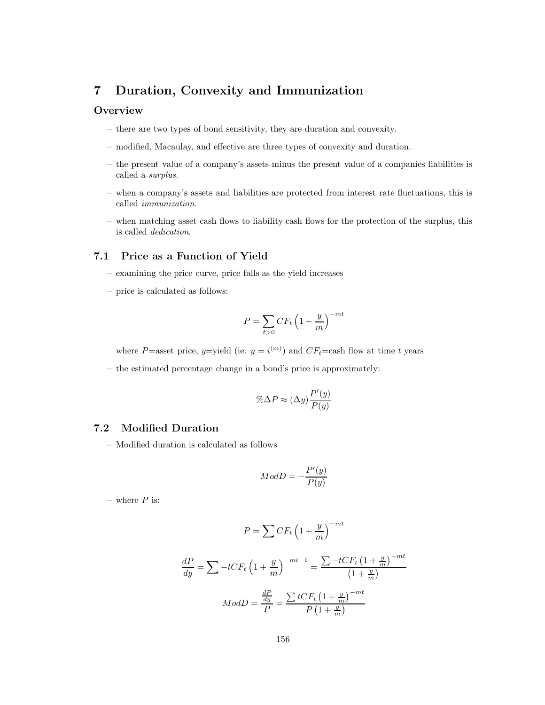# **7 Duration, Convexity and Immunization**

# **Overview**

- there are two types of bond sensitivity, they are duration and convexity.
- modified, Macaulay, and effective are three types of convexity and duration.
- the present value of a company's assets minus the present value of a companies liabilities is called a *surplus*.
- when a company's assets and liabilities are protected from interest rate fluctuations, this is called *immunization*.
- when matching asset cash flows to liability cash flows for the protection of the surplus, this is called *dedication*.

# **7.1 Price as a Function of Yield**

- examining the price curve, price falls as the yield increases
- price is calculated as follows:

$$
P = \sum_{t>0} CF_t \left(1 + \frac{y}{m}\right)^{-mt}
$$

where P=asset price, y=yield (ie.  $y = i^{(m)}$ ) and  $CF_t$ =cash flow at time t years

– the estimated percentage change in a bond's price is approximately:

$$
\% \Delta P \approx (\Delta y) \frac{P'(y)}{P(y)}
$$

# **7.2 Modified Duration**

– Modified duration is calculated as follows

$$
ModD = -\frac{P'(y)}{P(y)}
$$

– where  $P$  is:

$$
P = \sum CF_t \left(1 + \frac{y}{m}\right)^{-mt}
$$

$$
\frac{dP}{dy} = \sum -tCF_t \left(1 + \frac{y}{m}\right)^{-mt-1} = \frac{\sum -tCF_t \left(1 + \frac{y}{m}\right)^{-mt}}{\left(1 + \frac{y}{m}\right)}
$$

$$
ModD = \frac{\frac{dP}{dy}}{P} = \frac{\sum tCF_t \left(1 + \frac{y}{m}\right)^{-mt}}{P\left(1 + \frac{y}{m}\right)}
$$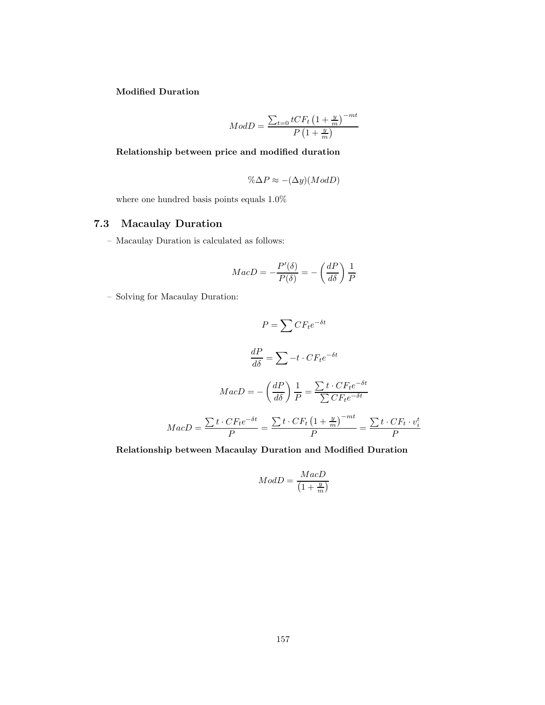**Modified Duration**

$$
ModD = \frac{\sum_{t=0} tCF_t \left(1 + \frac{y}{m}\right)^{-mt}}{P\left(1 + \frac{y}{m}\right)}
$$

# **Relationship between price and modified duration**

$$
\% \Delta P \approx -(\Delta y) (Mod D)
$$

where one hundred basis points equals 1.0%

# **7.3 Macaulay Duration**

– Macaulay Duration is calculated as follows:

$$
MacD = -\frac{P'(\delta)}{P(\delta)} = -\left(\frac{dP}{d\delta}\right)\frac{1}{P}
$$

– Solving for Macaulay Duration:

$$
P = \sum CF_t e^{-\delta t}
$$

$$
\frac{dP}{d\delta} = \sum -t \cdot CF_t e^{-\delta t}
$$

$$
MacD = -\left(\frac{dP}{d\delta}\right) \frac{1}{P} = \frac{\sum t \cdot CF_t e^{-\delta t}}{\sum CF_t e^{-\delta t}}
$$

$$
MacD = \frac{\sum t \cdot CF_t e^{-\delta t}}{P} = \frac{\sum t \cdot CF_t \left(1 + \frac{y}{m}\right)^{-mt}}{P} = \frac{\sum t \cdot CF_t \cdot v_i^t}{P}
$$

## **Relationship between Macaulay Duration and Modified Duration**

$$
ModD = \frac{MacD}{\left(1 + \frac{y}{m}\right)}
$$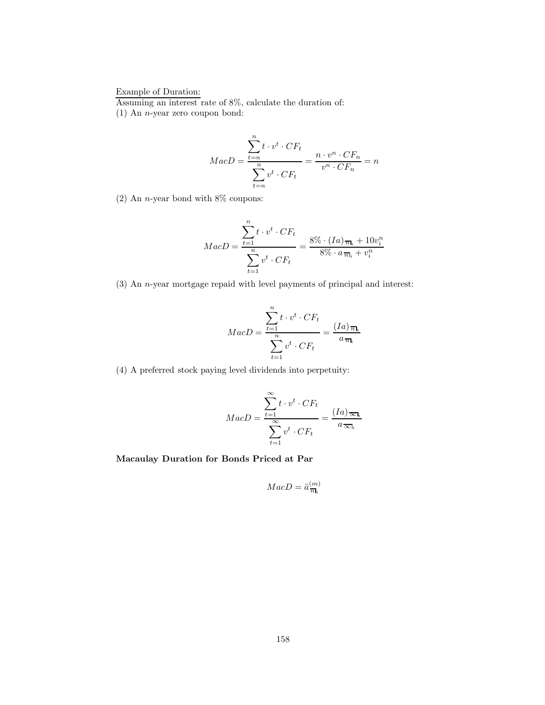# Example of Duration:

Assuming an interest rate of 8%, calculate the duration of:

(1) An n-year zero coupon bond:

$$
MacD = \frac{\sum_{t=n}^{n} t \cdot v^t \cdot CF_t}{\sum_{t=n}^{n} v^t \cdot CF_t} = \frac{n \cdot v^n \cdot CF_n}{v^n \cdot CF_n} = n
$$

(2) An *n*-year bond with  $8\%$  coupons:

$$
MacD = \frac{\sum_{t=1}^{n} t \cdot v^t \cdot CF_t}{\sum_{t=1}^{n} v^t \cdot CF_t} = \frac{8\% \cdot (Ia)_{\overline{n}_i} + 10v_i^n}{8\% \cdot a_{\overline{n}_i} + v_i^n}
$$

(3) An n-year mortgage repaid with level payments of principal and interest:

$$
MacD = \frac{\sum_{t=1}^{n} t \cdot v^t \cdot CF_t}{\sum_{t=1}^{n} v^t \cdot CF_t} = \frac{(Ia)_{\overline{n}_k}}{a_{\overline{n}_k}}
$$

(4) A preferred stock paying level dividends into perpetuity:

$$
MacD = \frac{\sum_{t=1}^{\infty} t \cdot v^t \cdot CF_t}{\sum_{t=1}^{\infty} v^t \cdot CF_t} = \frac{(Ia)_{\overline{\infty}l_i}}{a_{\overline{\infty}l_i}}
$$

**Macaulay Duration for Bonds Priced at Par**

$$
MacD = \ddot{a}^{(m)}_{\overline{n}\mathbf{l}_i}
$$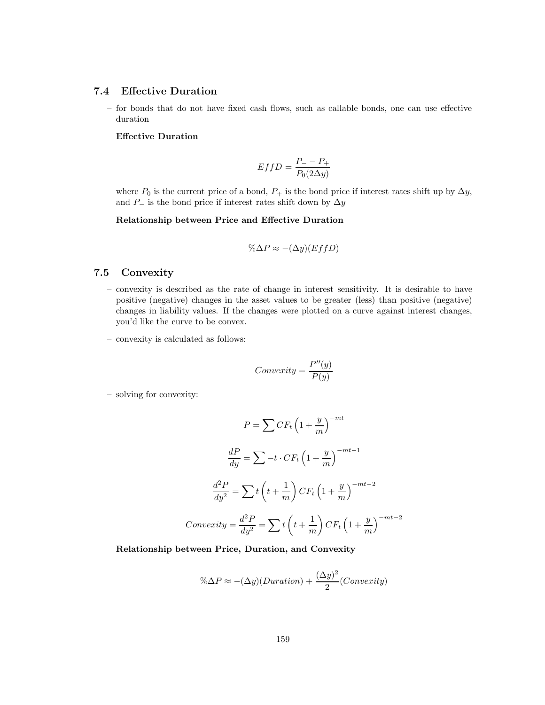# **7.4 Effective Duration**

– for bonds that do not have fixed cash flows, such as callable bonds, one can use effective duration

### **Effective Duration**

$$
EffD = \frac{P_{-} - P_{+}}{P_{0}(2\Delta y)}
$$

where  $P_0$  is the current price of a bond,  $P_+$  is the bond price if interest rates shift up by  $\Delta y$ , and  $P_$  is the bond price if interest rates shift down by  $\Delta y$ 

**Relationship between Price and Effective Duration**

$$
\% \Delta P \approx -(\Delta y)(EffD)
$$

# **7.5 Convexity**

- convexity is described as the rate of change in interest sensitivity. It is desirable to have positive (negative) changes in the asset values to be greater (less) than positive (negative) changes in liability values. If the changes were plotted on a curve against interest changes, you'd like the curve to be convex.
- convexity is calculated as follows:

$$
Convexity = \frac{P''(y)}{P(y)}
$$

– solving for convexity:

$$
P = \sum CF_t \left(1 + \frac{y}{m}\right)^{-mt}
$$

$$
\frac{dP}{dy} = \sum -t \cdot CF_t \left(1 + \frac{y}{m}\right)^{-mt-1}
$$

$$
\frac{d^2P}{dy^2} = \sum t \left(t + \frac{1}{m}\right) CF_t \left(1 + \frac{y}{m}\right)^{-mt-2}
$$

$$
Convexity = \frac{d^2P}{dy^2} = \sum t \left(t + \frac{1}{m}\right) CF_t \left(1 + \frac{y}{m}\right)^{-mt-2}
$$

**Relationship between Price, Duration, and Convexity**

$$
\% \Delta P \approx -(\Delta y)(Duration) + \frac{(\Delta y)^2}{2}(Convexity)
$$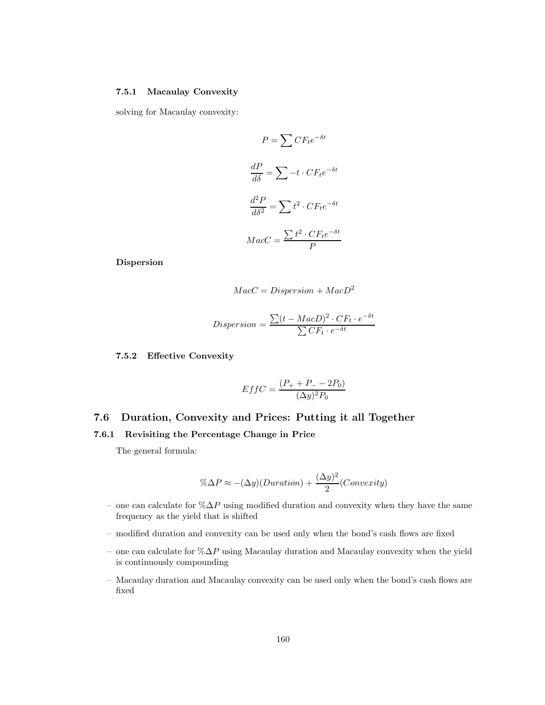## **7.5.1 Macaulay Convexity**

solving for Macaulay convexity:

$$
P = \sum CF_t e^{-\delta t}
$$

$$
\frac{dP}{d\delta} = \sum -t \cdot CF_t e^{-\delta t}
$$

$$
\frac{d^2P}{d\delta^2} = \sum t^2 \cdot CF_t e^{-\delta t}
$$

$$
MacC = \frac{\sum t^2 \cdot CF_t e^{-\delta t}}{P}
$$

**Dispersion**

$$
MacC = Disperson + MacD^2
$$

$$
Disperson = \frac{\sum (t - MacD)^2 \cdot CF_t \cdot e^{-\delta t}}{\sum CF_t \cdot e^{-\delta t}}
$$

## **7.5.2 Effective Convexity**

$$
EffC = \frac{(P_{+} + P_{-} - 2P_{0})}{(\Delta y)^{2} P_{0}}
$$

# **7.6 Duration, Convexity and Prices: Putting it all Together**

### **7.6.1 Revisiting the Percentage Change in Price**

The general formula:

$$
\% \Delta P \approx -(\Delta y)(Duration) + \frac{(\Delta y)^2}{2} (Convexity)
$$

- one can calculate for  $\%\Delta P$  using modified duration and convexity when they have the same frequency as the yield that is shifted
- modified duration and convexity can be used only when the bond's cash flows are fixed
- one can calculate for  $\%\Delta P$  using Macaulay duration and Macaulay convexity when the yield is continuously compounding
- Macaulay duration and Macaulay convexity can be used only when the bond's cash flows are fixed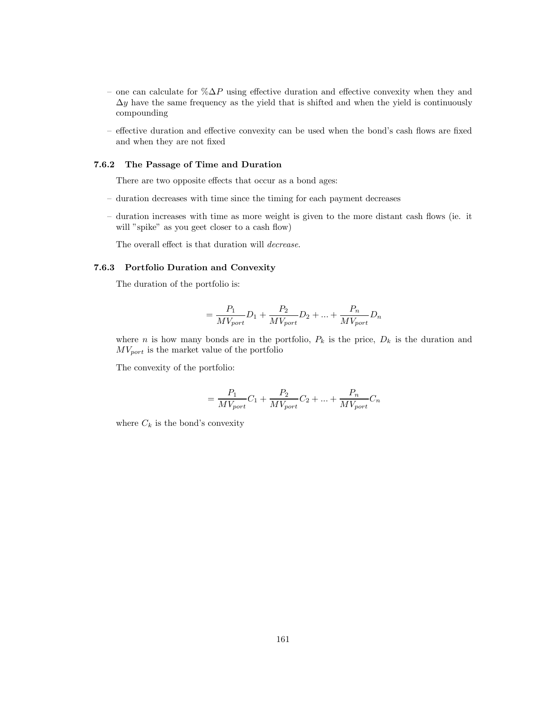- one can calculate for  $\% \Delta P$  using effective duration and effective convexity when they and  $\Delta y$  have the same frequency as the yield that is shifted and when the yield is continuously compounding
- effective duration and effective convexity can be used when the bond's cash flows are fixed and when they are not fixed

#### **7.6.2 The Passage of Time and Duration**

There are two opposite effects that occur as a bond ages:

- duration decreases with time since the timing for each payment decreases
- duration increases with time as more weight is given to the more distant cash flows (ie. it will "spike" as you geet closer to a cash flow)

The overall effect is that duration will *decrease*.

#### **7.6.3 Portfolio Duration and Convexity**

The duration of the portfolio is:

$$
= \frac{P_1}{MV_{port}}D_1 + \frac{P_2}{MV_{port}}D_2 + \dots + \frac{P_n}{MV_{port}}D_n
$$

where n is how many bonds are in the portfolio,  $P_k$  is the price,  $D_k$  is the duration and  $MV_{port}$  is the market value of the portfolio

The convexity of the portfolio:

$$
= \frac{P_1}{MV_{port}}C_1 + \frac{P_2}{MV_{port}}C_2 + \dots + \frac{P_n}{MV_{port}}C_n
$$

where  $C_k$  is the bond's convexity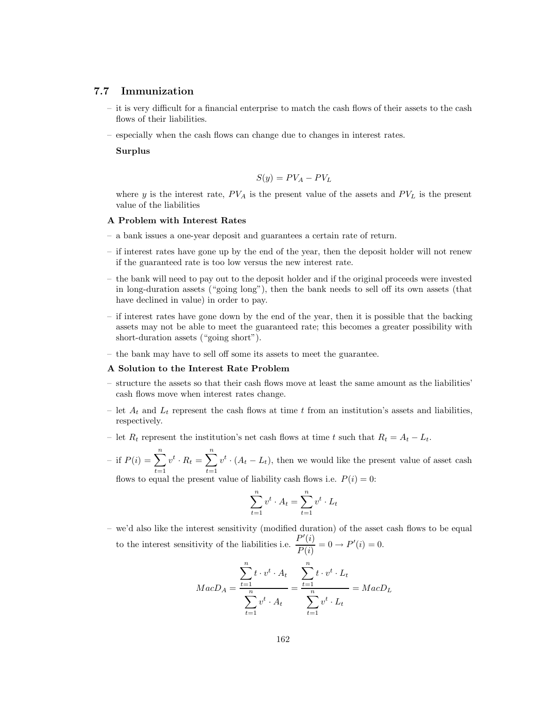#### **7.7 Immunization**

- it is very difficult for a financial enterprise to match the cash flows of their assets to the cash flows of their liabilities.
- especially when the cash flows can change due to changes in interest rates.

#### **Surplus**

$$
S(y) = PV_A - PV_L
$$

where y is the interest rate,  $PV_A$  is the present value of the assets and  $PV_L$  is the present value of the liabilities

#### **A Problem with Interest Rates**

- a bank issues a one-year deposit and guarantees a certain rate of return.
- if interest rates have gone up by the end of the year, then the deposit holder will not renew if the guaranteed rate is too low versus the new interest rate.
- the bank will need to pay out to the deposit holder and if the original proceeds were invested in long-duration assets ("going long"), then the bank needs to sell off its own assets (that have declined in value) in order to pay.
- if interest rates have gone down by the end of the year, then it is possible that the backing assets may not be able to meet the guaranteed rate; this becomes a greater possibility with short-duration assets ("going short").
- the bank may have to sell off some its assets to meet the guarantee.

#### **A Solution to the Interest Rate Problem**

- structure the assets so that their cash flows move at least the same amount as the liabilities' cash flows move when interest rates change.
- let  $A_t$  and  $L_t$  represent the cash flows at time t from an institution's assets and liabilities, respectively.
- let  $R_t$  represent the institution's net cash flows at time t such that  $R_t = A_t L_t$ .
- if  $P(i) = \sum_{i=1}^{n}$  $\sum_{t=1}^{n} v^t \cdot R_t = \sum_{t=1}^{n} v^t \cdot (A_t - L_t)$ , then we would like the present value of asset cash

flows to equal the present value of liability cash flows i.e.  $P(i) = 0$ :

$$
\sum_{t=1}^{n} v^t \cdot A_t = \sum_{t=1}^{n} v^t \cdot L_t
$$

– we'd also like the interest sensitivity (modified duration) of the asset cash flows to be equal to the interest sensitivity of the liabilities i.e.  $\frac{P'(i)}{P(i)} = 0 \rightarrow P'(i) = 0.$ 

$$
MacD_A = \frac{\sum_{t=1}^{n} t \cdot v^t \cdot A_t}{\sum_{t=1}^{n} v^t \cdot A_t} = \frac{\sum_{t=1}^{n} t \cdot v^t \cdot L_t}{\sum_{t=1}^{n} v^t \cdot L_t} = MacD_L
$$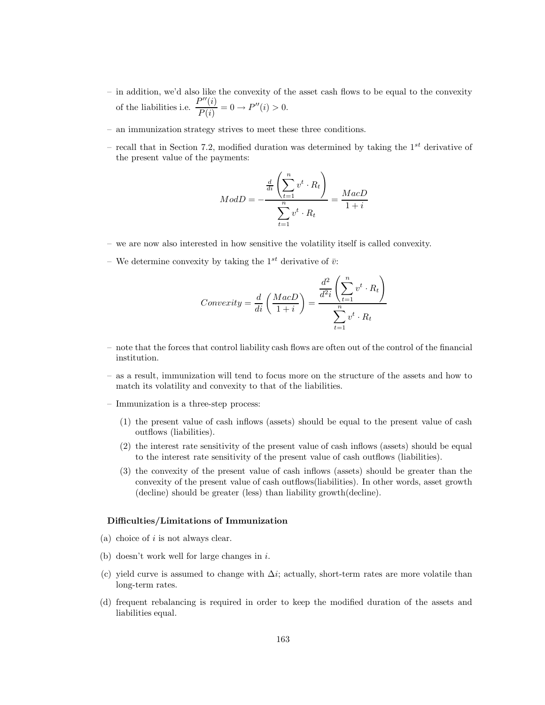- in addition, we'd also like the convexity of the asset cash flows to be equal to the convexity of the liabilities i.e.  $\frac{P''(i)}{P(i)} = 0 \rightarrow P''(i) > 0.$
- an immunization strategy strives to meet these three conditions.
- recall that in Section 7.2, modified duration was determined by taking the  $1^{st}$  derivative of the present value of the payments:

$$
ModD = -\frac{\frac{d}{di} \left( \sum_{t=1}^{n} v^t \cdot R_t \right)}{\sum_{t=1}^{n} v^t \cdot R_t} = \frac{MacD}{1+i}
$$

- we are now also interested in how sensitive the volatility itself is called convexity.
- We determine convexity by taking the  $1^{st}$  derivative of  $\bar{v}$ :

$$
Convexity = \frac{d}{di} \left( \frac{MacD}{1+i} \right) = \frac{\frac{d^2}{d^2i} \left( \sum_{t=1}^n v^t \cdot R_t \right)}{\sum_{t=1}^n v^t \cdot R_t}
$$

- note that the forces that control liability cash flows are often out of the control of the financial institution.
- as a result, immunization will tend to focus more on the structure of the assets and how to match its volatility and convexity to that of the liabilities.
- Immunization is a three-step process:
	- (1) the present value of cash inflows (assets) should be equal to the present value of cash outflows (liabilities).
	- (2) the interest rate sensitivity of the present value of cash inflows (assets) should be equal to the interest rate sensitivity of the present value of cash outflows (liabilities).
	- (3) the convexity of the present value of cash inflows (assets) should be greater than the convexity of the present value of cash outflows(liabilities). In other words, asset growth (decline) should be greater (less) than liability growth(decline).

#### **Difficulties/Limitations of Immunization**

- (a) choice of  $i$  is not always clear.
- (b) doesn't work well for large changes in i.
- (c) yield curve is assumed to change with  $\Delta i$ ; actually, short-term rates are more volatile than long-term rates.
- (d) frequent rebalancing is required in order to keep the modified duration of the assets and liabilities equal.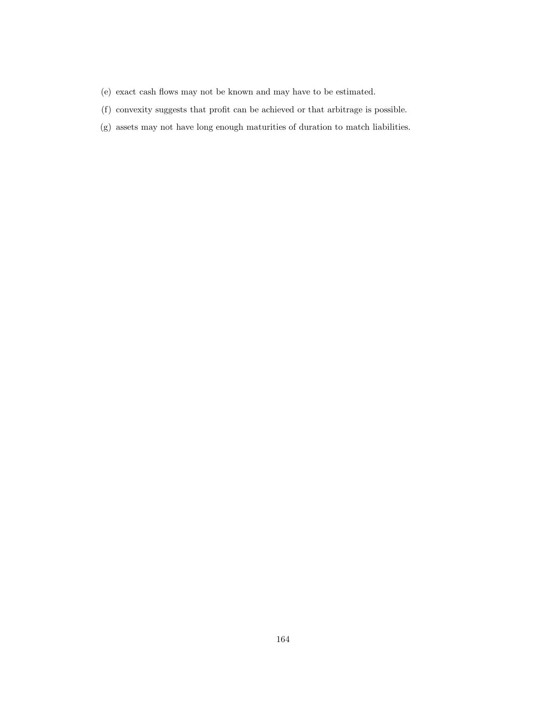- (e) exact cash flows may not be known and may have to be estimated.
- (f) convexity suggests that profit can be achieved or that arbitrage is possible.
- (g) assets may not have long enough maturities of duration to match liabilities.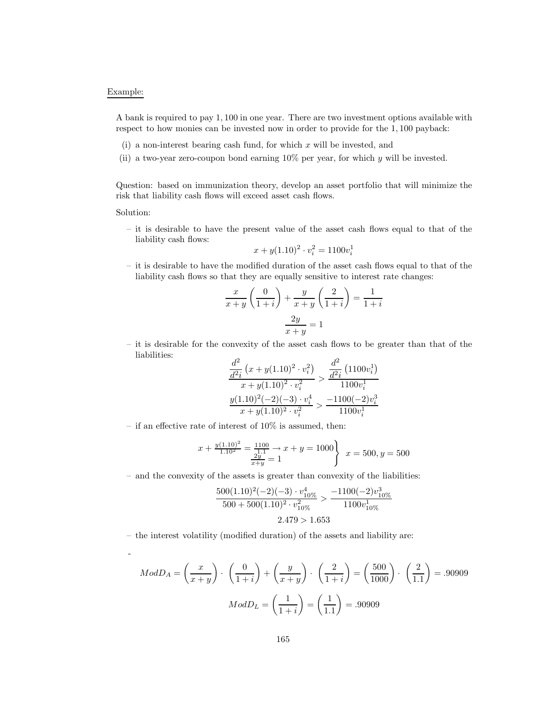### Example:

A bank is required to pay 1, 100 in one year. There are two investment options available with respect to how monies can be invested now in order to provide for the 1, 100 payback:

- (i) a non-interest bearing cash fund, for which  $x$  will be invested, and
- (ii) a two-year zero-coupon bond earning 10% per year, for which y will be invested.

Question: based on immunization theory, develop an asset portfolio that will minimize the risk that liability cash flows will exceed asset cash flows.

Solution:

-

– it is desirable to have the present value of the asset cash flows equal to that of the liability cash flows:

$$
x + y(1.10)^2 \cdot v_i^2 = 1100v_i^1
$$

– it is desirable to have the modified duration of the asset cash flows equal to that of the liability cash flows so that they are equally sensitive to interest rate changes:

$$
\frac{x}{x+y} \left( \frac{0}{1+i} \right) + \frac{y}{x+y} \left( \frac{2}{1+i} \right) = \frac{1}{1+i}
$$

$$
\frac{2y}{x+y} = 1
$$

– it is desirable for the convexity of the asset cash flows to be greater than that of the liabilities:  $\overline{O}$  $\overline{O}$ 

$$
\frac{\frac{d^2}{d^2i} (x + y(1.10)^2 \cdot v_i^2)}{x + y(1.10)^2 \cdot v_i^2} > \frac{\frac{d^2}{d^2i} (1100v_i^1)}{1100v_i^1}
$$

$$
\frac{y(1.10)^2(-2)(-3) \cdot v_i^4}{x + y(1.10)^2 \cdot v_i^2} > \frac{-1100(-2)v_i^3}{1100v_i^1}
$$

– if an effective rate of interest of  $10\%$  is assumed, then:

$$
x + \frac{y(1.10)^2}{1.10^2} = \frac{1100}{\frac{11}{x+y}} \to x + y = 1000
$$
  

$$
x = 500, y = 500
$$

– and the convexity of the assets is greater than convexity of the liabilities:

$$
\frac{500(1.10)^2(-2)(-3)\cdot v_{10\%}^4}{500+500(1.10)^2\cdot v_{10\%}^2} > \frac{-1100(-2)v_{10\%}^3}{1100v_{10\%}^1}
$$

$$
2.479 > 1.653
$$

– the interest volatility (modified duration) of the assets and liability are:

$$
ModD_A = \left(\frac{x}{x+y}\right) \cdot \left(\frac{0}{1+i}\right) + \left(\frac{y}{x+y}\right) \cdot \left(\frac{2}{1+i}\right) = \left(\frac{500}{1000}\right) \cdot \left(\frac{2}{1.1}\right) = .90909
$$

$$
ModD_L = \left(\frac{1}{1+i}\right) = \left(\frac{1}{1.1}\right) = .90909
$$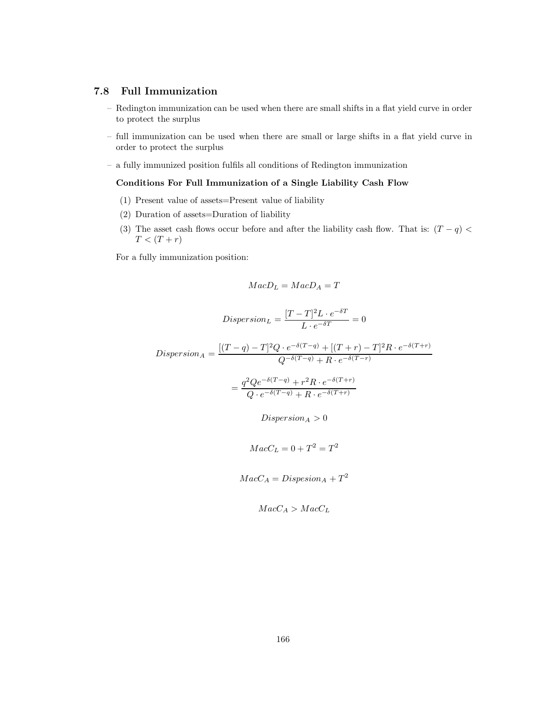# **7.8 Full Immunization**

- Redington immunization can be used when there are small shifts in a flat yield curve in order to protect the surplus
- full immunization can be used when there are small or large shifts in a flat yield curve in order to protect the surplus
- a fully immunized position fulfils all conditions of Redington immunization

### **Conditions For Full Immunization of a Single Liability Cash Flow**

- (1) Present value of assets=Present value of liability
- (2) Duration of assets=Duration of liability
- (3) The asset cash flows occur before and after the liability cash flow. That is:  $(T q)$  $T < (T + r)$

For a fully immunization position:

$$
MacD_L = MacD_A = T
$$

$$
Dispersion_L = \frac{[T - T]^2 L \cdot e^{-\delta T}}{L \cdot e^{-\delta T}} = 0
$$

$$
Dispersion_A = \frac{[(T-q)-T]^2 Q \cdot e^{-\delta(T-q)} + [(T+r)-T]^2 R \cdot e^{-\delta(T+r)}}{Q^{-\delta(T-q)} + R \cdot e^{-\delta(T-r)}}
$$

$$
= \frac{q^2 Q e^{-\delta(T-q)} + r^2 R \cdot e^{-\delta(T+r)}}{Q \cdot e^{-\delta(T-q)} + R \cdot e^{-\delta(T+r)}}
$$

 $Disperson_A > 0$ 

$$
MacC_L = 0 + T^2 = T^2
$$

$$
MacC_A = Dispesion_A + T^2
$$

$$
MacC_A > MacC_L
$$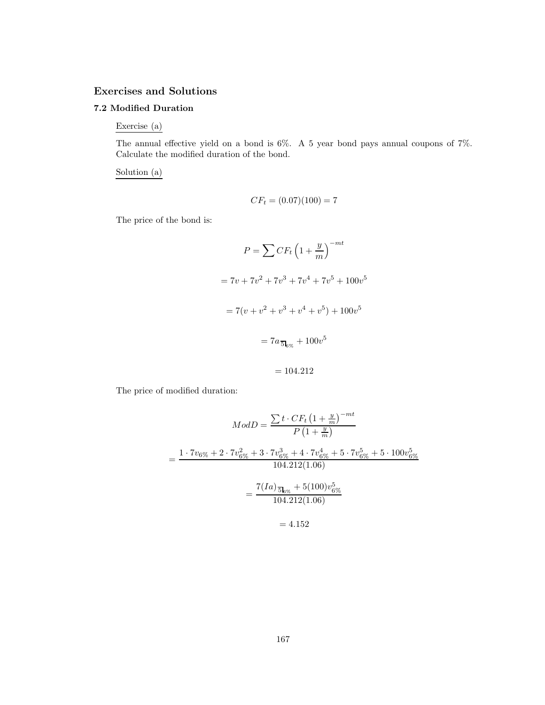# **Exercises and Solutions**

# **7.2 Modified Duration**

Exercise (a)

The annual effective yield on a bond is 6%. A 5 year bond pays annual coupons of 7%. Calculate the modified duration of the bond.

Solution (a)

$$
CF_t = (0.07)(100) = 7
$$

The price of the bond is:

$$
P = \sum CF_t \left(1 + \frac{y}{m}\right)^{-mt}
$$
  
=  $7v + 7v^2 + 7v^3 + 7v^4 + 7v^5 + 100v^5$   
=  $7(v + v^2 + v^3 + v^4 + v^5) + 100v^5$   
=  $7a_{5\text{log}} + 100v^5$ 

$$
=104.212
$$

The price of modified duration:

$$
ModD = \frac{\sum t \cdot CF_t \left(1 + \frac{y}{m}\right)^{-mt}}{P\left(1 + \frac{y}{m}\right)}
$$
  
= 
$$
\frac{1 \cdot 7v_{6\%} + 2 \cdot 7v_{6\%}^2 + 3 \cdot 7v_{6\%}^3 + 4 \cdot 7v_{6\%}^4 + 5 \cdot 7v_{6\%}^5 + 5 \cdot 100v_{6\%}^5}{104.212(1.06)}
$$
  
= 
$$
\frac{7(Ia)_{50\%} + 5(100)v_{6\%}^5}{104.212(1.06)}
$$
  
= 4.152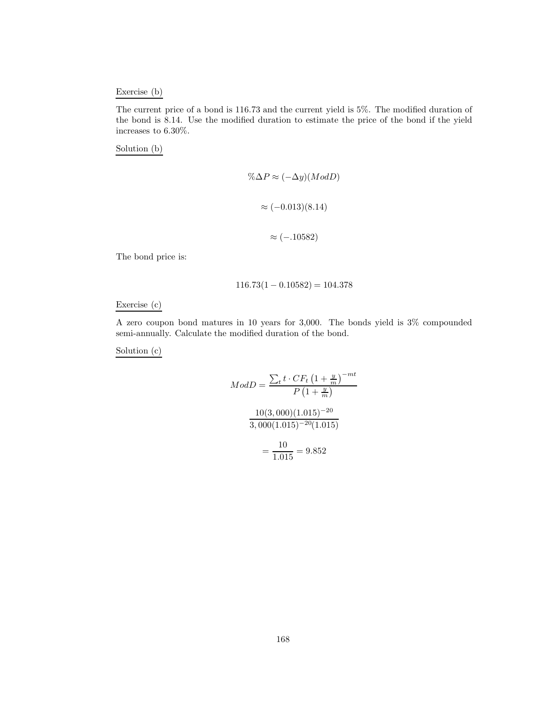## Exercise (b)

The current price of a bond is 116.73 and the current yield is 5%. The modified duration of the bond is 8.14. Use the modified duration to estimate the price of the bond if the yield increases to 6.30%.

Solution (b)

$$
\% \Delta P \approx (-\Delta y)(Mod D)
$$

$$
\approx (-0.013)(8.14)
$$

$$
\approx (-.10582)
$$

The bond price is:

## $116.73(1 - 0.10582) = 104.378$

Exercise (c)

A zero coupon bond matures in 10 years for 3,000. The bonds yield is 3% compounded semi-annually. Calculate the modified duration of the bond.

Solution (c)

$$
ModD = \frac{\sum_{t} t \cdot CF_{t} \left(1 + \frac{y}{m}\right)^{-mt}}{P\left(1 + \frac{y}{m}\right)}
$$

$$
\frac{10(3,000)(1.015)^{-20}}{3,000(1.015)^{-20}(1.015)}
$$

$$
= \frac{10}{1.015} = 9.852
$$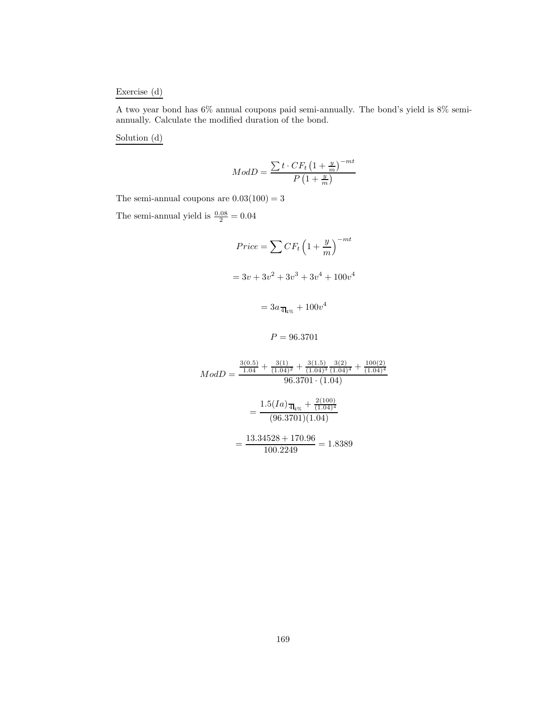## Exercise (d)

A two year bond has 6% annual coupons paid semi-annually. The bond's yield is 8% semiannually. Calculate the modified duration of the bond.

Solution (d)

$$
ModD = \frac{\sum t \cdot CF_t \left(1 + \frac{y}{m}\right)^{-mt}}{P\left(1 + \frac{y}{m}\right)}
$$

The semi-annual coupons are  $0.03(100) = 3$ 

The semi-annual yield is  $\frac{0.08}{2} = 0.04$ 

$$
Price = \sum CF_t \left(1 + \frac{y}{m}\right)^{-mt}
$$

$$
= 3v + 3v^2 + 3v^3 + 3v^4 + 100v^4
$$

$$
= 3a_{\overline{4}_{4\%}} + 100v^4
$$

$$
P=96.3701
$$

$$
ModD = \frac{\frac{3(0.5)}{1.04} + \frac{3(1)}{(1.04)^2} + \frac{3(1.5)}{(1.04)^3} \frac{3(2)}{(1.04)^4} + \frac{100(2)}{(1.04)^4}}{96.3701 \cdot (1.04)}
$$

$$
= \frac{1.5(IA) \frac{1}{44\%} + \frac{2(100)}{(1.04)^4}}{(96.3701)(1.04)}
$$

$$
= \frac{13.34528 + 170.96}{100.2249} = 1.8389
$$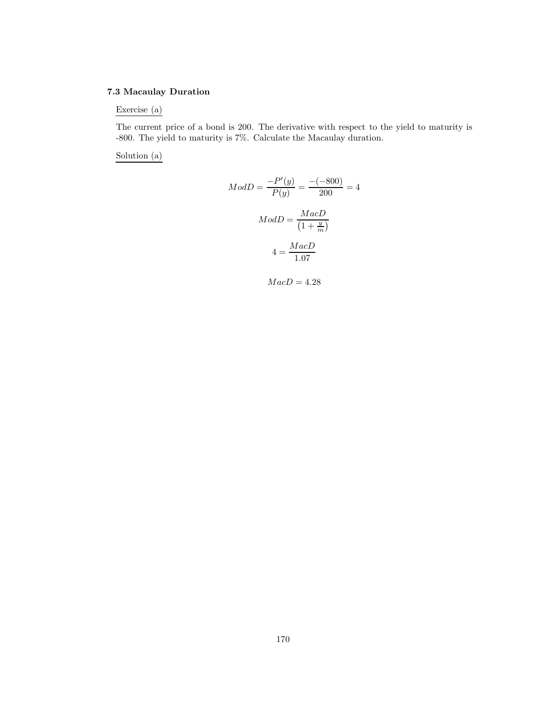# **7.3 Macaulay Duration**

Exercise (a)

The current price of a bond is 200. The derivative with respect to the yield to maturity is -800. The yield to maturity is 7%. Calculate the Macaulay duration.

Solution (a)

$$
ModD = \frac{-P'(y)}{P(y)} = \frac{-(-800)}{200} = 4
$$

$$
ModD = \frac{MacD}{\left(1 + \frac{y}{m}\right)}
$$

$$
4 = \frac{MacD}{1.07}
$$

 $MacD = 4.28$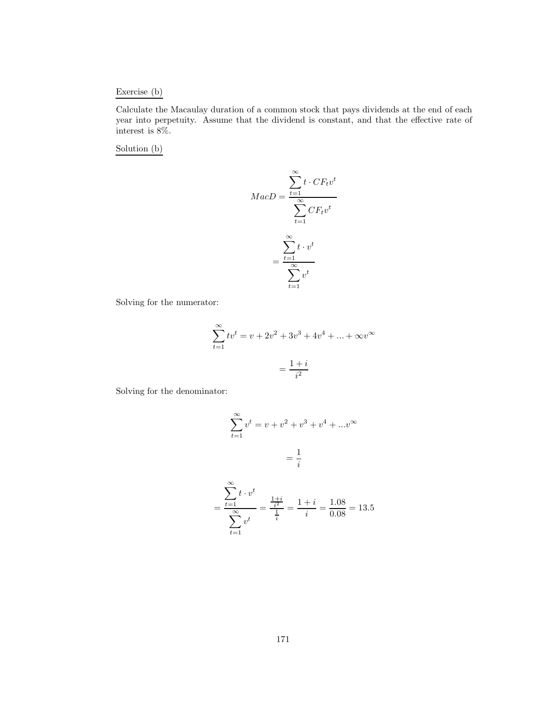## Exercise (b)

Calculate the Macaulay duration of a common stock that pays dividends at the end of each year into perpetuity. Assume that the dividend is constant, and that the effective rate of interest is 8%.

Solution (b)

$$
MacD = \frac{\sum_{t=1}^{\infty} t \cdot CF_t v^t}{\sum_{t=1}^{\infty} CF_t v^t}
$$

$$
= \frac{\sum_{t=1}^{\infty} t \cdot v^t}{\sum_{t=1}^{\infty} v^t}
$$

Solving for the numerator:

$$
\sum_{t=1}^{\infty} tv^t = v + 2v^2 + 3v^3 + 4v^4 + \dots + \infty v^{\infty}
$$

$$
= \frac{1+i}{i^2}
$$

Solving for the denominator:

$$
\sum_{t=1}^{\infty} v^t = v + v^2 + v^3 + v^4 + \dots + v^{\infty}
$$

$$
= \frac{1}{i}
$$

$$
= \frac{\sum_{t=1}^{\infty} t \cdot v^t}{\sum_{t=1}^{\infty} v^t} = \frac{\frac{1+i}{i^2}}{\frac{1}{i}} = \frac{1+i}{i} = \frac{1.08}{0.08} = 13.5
$$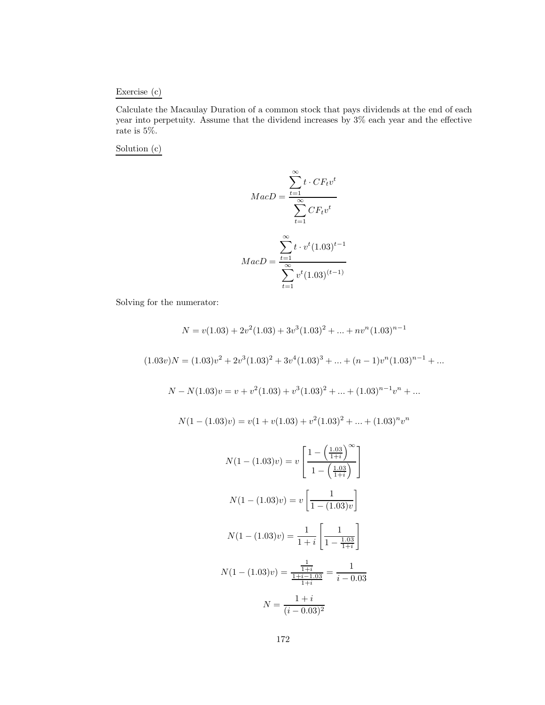# Exercise (c)

Calculate the Macaulay Duration of a common stock that pays dividends at the end of each year into perpetuity. Assume that the dividend increases by 3% each year and the effective rate is 5%.

Solution (c)

$$
MacD = \frac{\sum_{t=1}^{\infty} t \cdot CF_t v^t}{\sum_{t=1}^{\infty} CF_t v^t}
$$

$$
MacD = \frac{\sum_{t=1}^{\infty} t \cdot v^t (1.03)^{t-1}}{\sum_{t=1}^{\infty} v^t (1.03)^{(t-1)}}
$$

Solving for the numerator:

$$
N = v(1.03) + 2v^2(1.03) + 3v^3(1.03)^2 + \dots + nv^n(1.03)^{n-1}
$$
  
\n
$$
(1.03v)N = (1.03)v^2 + 2v^3(1.03)^2 + 3v^4(1.03)^3 + \dots + (n-1)v^n(1.03)^{n-1} + \dots
$$
  
\n
$$
N - N(1.03)v = v + v^2(1.03) + v^3(1.03)^2 + \dots + (1.03)^{n-1}v^n + \dots
$$
  
\n
$$
N(1 - (1.03)v) = v(1 + v(1.03) + v^2(1.03)^2 + \dots + (1.03)^n v^n
$$
  
\n
$$
N(1 - (1.03)v) = v \left[ \frac{1 - \left(\frac{1.03}{1+i}\right)^{\infty}}{1 - \left(\frac{1.03}{1+i}\right)} \right]
$$
  
\n
$$
N(1 - (1.03)v) = v \left[ \frac{1}{1 - (1.03)v} \right]
$$
  
\n
$$
N(1 - (1.03)v) = \frac{1}{1+i} \left[ \frac{1}{1 - \frac{1.03}{1+i}} \right]
$$
  
\n
$$
N(1 - (1.03)v) = \frac{\frac{1}{1+i}}{\frac{1+i}{1+i}} = \frac{1}{i-0.03}
$$

$$
N = \frac{1+i}{(i-0.03)^2}
$$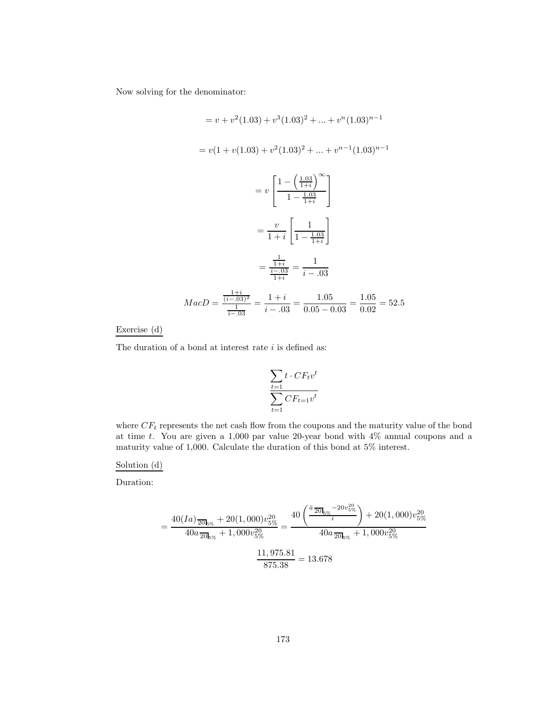Now solving for the denominator:

$$
= v + v^{2}(1.03) + v^{3}(1.03)^{2} + \dots + v^{n}(1.03)^{n-1}
$$
\n
$$
= v(1 + v(1.03) + v^{2}(1.03)^{2} + \dots + v^{n-1}(1.03)^{n-1}
$$
\n
$$
= v \left[ \frac{1 - \left(\frac{1.03}{1+i}\right)^{\infty}}{1 - \frac{1.03}{1+i}} \right]
$$
\n
$$
= \frac{v}{1+i} \left[ \frac{1}{1 - \frac{1.03}{1+i}} \right]
$$
\n
$$
= \frac{\frac{1}{1+i}}{\frac{i-03}{1+i}} = \frac{1}{i-03}
$$
\n
$$
MacD = \frac{\frac{1+i}{(i-03)^{2}}}{\frac{1}{i-03}} = \frac{1+i}{i-03} = \frac{1.05}{0.05 - 0.03} = \frac{1.05}{0.02} = 52.5
$$

# Exercise (d)

The duration of a bond at interest rate  $i$  is defined as:

$$
\frac{\sum_{t=1} t \cdot CF_tv^t}{\sum_{t=1} CF_{t=1}v^t}
$$

where  $CF_t$  represents the net cash flow from the coupons and the maturity value of the bond at time t. You are given a 1,000 par value 20-year bond with 4% annual coupons and a maturity value of 1,000. Calculate the duration of this bond at 5% interest.

Solution (d)

Duration:

$$
= \frac{40(Ia)\frac{1}{20\ell_{\infty}} + 20(1,000)v_{5\%}^{20}}{40a\frac{1}{20\ell_{\infty}} + 1,000v_{5\%}^{20}} = \frac{40\left(\frac{a\frac{1}{20\ell_{\infty}} - 20v_{5\%}^{20}}{i}\right) + 20(1,000)v_{5\%}^{20}}{40a\frac{1}{20\ell_{\infty}} + 1,000v_{5\%}^{20}}
$$

$$
\frac{11,975.81}{875.38} = 13.678
$$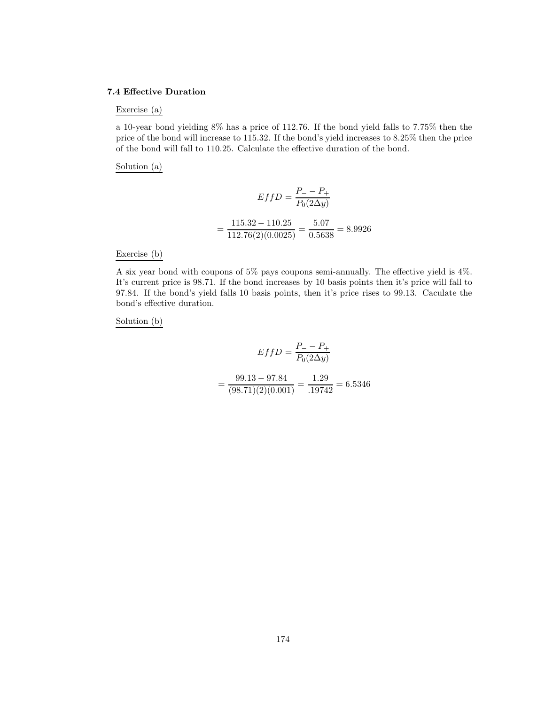#### **7.4 Effective Duration**

# Exercise (a)

a 10-year bond yielding 8% has a price of 112.76. If the bond yield falls to 7.75% then the price of the bond will increase to 115.32. If the bond's yield increases to 8.25% then the price of the bond will fall to 110.25. Calculate the effective duration of the bond.

Solution (a)

$$
EffD = \frac{P_{-} - P_{+}}{P_{0}(2\Delta y)}
$$

$$
= \frac{115.32 - 110.25}{112.76(2)(0.0025)} = \frac{5.07}{0.5638} = 8.9926
$$

Exercise (b)

A six year bond with coupons of 5% pays coupons semi-annually. The effective yield is 4%. It's current price is 98.71. If the bond increases by 10 basis points then it's price will fall to 97.84. If the bond's yield falls 10 basis points, then it's price rises to 99.13. Caculate the bond's effective duration.

Solution (b)

$$
EffD = \frac{P_{-} - P_{+}}{P_{0}(2\Delta y)}
$$

$$
= \frac{99.13 - 97.84}{(98.71)(2)(0.001)} = \frac{1.29}{.19742} = 6.5346
$$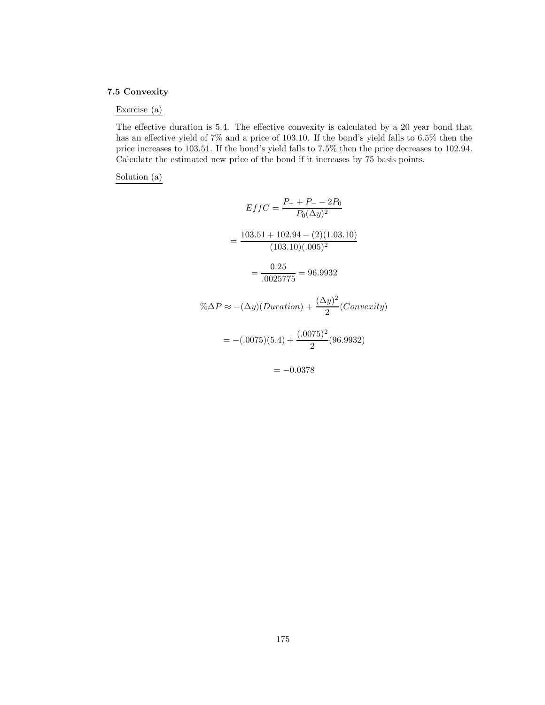# **7.5 Convexity**

# Exercise (a)

The effective duration is 5.4. The effective convexity is calculated by a 20 year bond that has an effective yield of 7% and a price of 103.10. If the bond's yield falls to 6.5% then the price increases to 103.51. If the bond's yield falls to 7.5% then the price decreases to 102.94. Calculate the estimated new price of the bond if it increases by 75 basis points.

## Solution (a)

$$
EffC = \frac{P_+ + P_- - 2P_0}{P_0(\Delta y)^2}
$$

$$
= \frac{103.51 + 102.94 - (2)(1.03.10)}{(103.10)(.005)^2}
$$

$$
= \frac{0.25}{.0025775} = 96.9932
$$

$$
\% \Delta P \approx -(\Delta y)(Duration) + \frac{(\Delta y)^2}{2}(Convexity)
$$

$$
= -(.0075)(5.4) + \frac{(.0075)^2}{2}(96.9932)
$$

 $= -0.0378$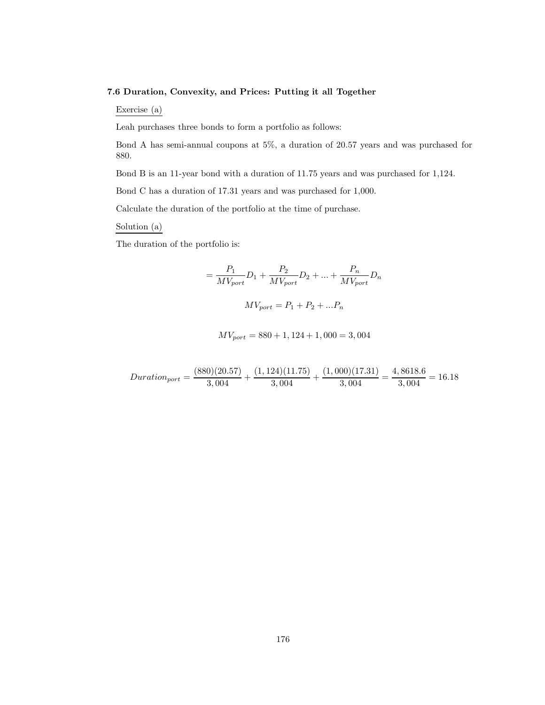#### **7.6 Duration, Convexity, and Prices: Putting it all Together**

Exercise (a)

Leah purchases three bonds to form a portfolio as follows:

Bond A has semi-annual coupons at 5%, a duration of 20.57 years and was purchased for 880.

Bond B is an 11-year bond with a duration of 11.75 years and was purchased for 1,124.

Bond C has a duration of 17.31 years and was purchased for 1,000.

Calculate the duration of the portfolio at the time of purchase.

Solution (a)

The duration of the portfolio is:

$$
= \frac{P_1}{MV_{port}}D_1 + \frac{P_2}{MV_{port}}D_2 + \dots + \frac{P_n}{MV_{port}}D_n
$$

$$
MV_{port} = P_1 + P_2 + \dots + P_n
$$

$$
MV_{port} = 880 + 1,124 + 1,000 = 3,004
$$

$$
Duration_{port} = \frac{(880)(20.57)}{3,004} + \frac{(1,124)(11.75)}{3,004} + \frac{(1,000)(17.31)}{3,004} = \frac{4,8618.6}{3,004} = 16.18
$$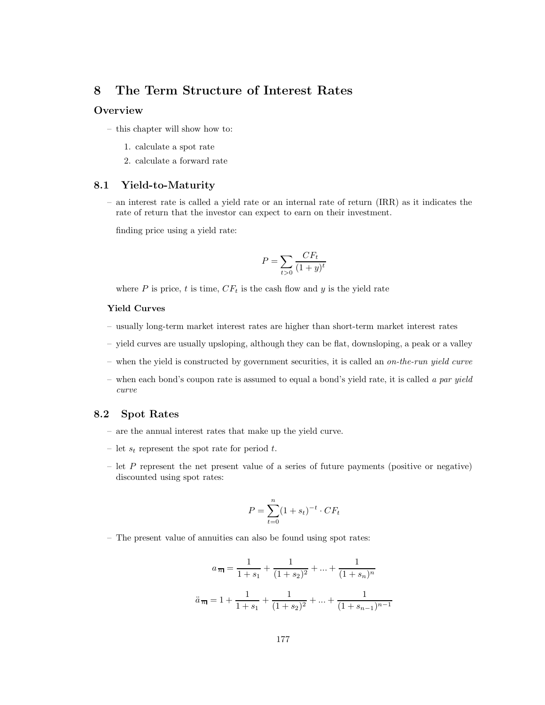# **8 The Term Structure of Interest Rates**

# **Overview**

- this chapter will show how to:
	- 1. calculate a spot rate
	- 2. calculate a forward rate

# **8.1 Yield-to-Maturity**

– an interest rate is called a yield rate or an internal rate of return (IRR) as it indicates the rate of return that the investor can expect to earn on their investment.

finding price using a yield rate:

$$
P = \sum_{t>0} \frac{CF_t}{(1+y)^t}
$$

where P is price, t is time,  $CF_t$  is the cash flow and y is the yield rate

## **Yield Curves**

- usually long-term market interest rates are higher than short-term market interest rates
- yield curves are usually upsloping, although they can be flat, downsloping, a peak or a valley
- when the yield is constructed by government securities, it is called an *on-the-run yield curve*
- when each bond's coupon rate is assumed to equal a bond's yield rate, it is called *a par yield curve*

### **8.2 Spot Rates**

- are the annual interest rates that make up the yield curve.
- let  $s_t$  represent the spot rate for period t.
- let  $P$  represent the net present value of a series of future payments (positive or negative) discounted using spot rates:

$$
P = \sum_{t=0}^{n} (1 + s_t)^{-t} \cdot CF_t
$$

– The present value of annuities can also be found using spot rates:

$$
a_{\overline{n}|} = \frac{1}{1+s_1} + \frac{1}{(1+s_2)^2} + \dots + \frac{1}{(1+s_n)^n}
$$

$$
\ddot{a}_{\overline{n}|} = 1 + \frac{1}{1+s_1} + \frac{1}{(1+s_2)^2} + \dots + \frac{1}{(1+s_{n-1})^{n-1}}
$$